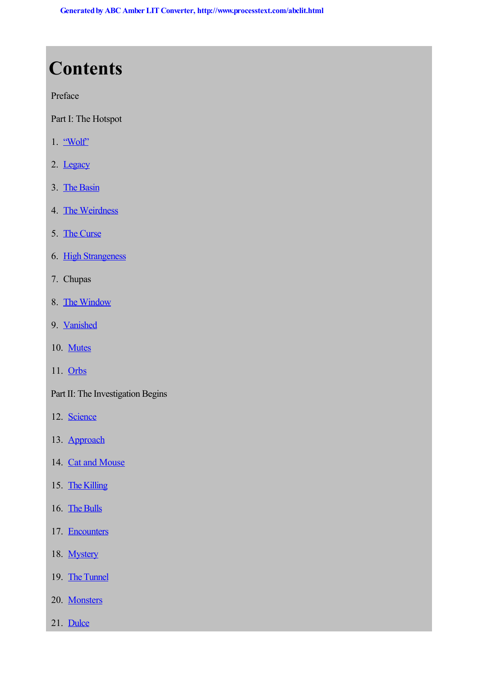## **Contents**

Preface

Part I: The Hotspot

- 1. <u>"Wolf"</u>
- 2. Legacy
- 3. The Basin
- 4. The Weirdness
- 5. The Curse
- 6. High Strangeness
- 7. Chupas
- 8. The Window
- 9. Vanished
- 10. Mutes
- 11. Orbs

Part II: The Investigation Begins

- 12. Science
- 13. Approach
- 14. Cat and Mouse
- 15. The Killing
- 16. The Bulls
- 17. Encounters
- 18. Mystery
- 19. The Tunnel
- 20. Monsters
- 21. Dulce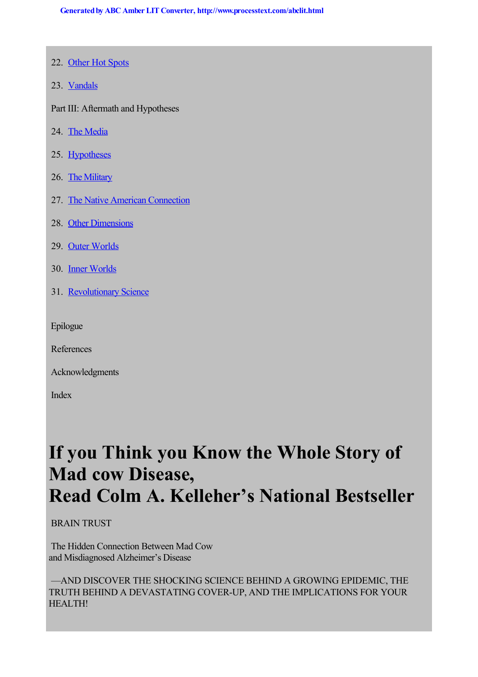#### 22. Other Hot Spots

- 23. Vandals
- Part III: Aftermath and Hypotheses
- 24. The Media
- 25. Hypotheses
- 26. The Military
- 27. The Native American Connection
- 28. Other Dimensions
- 29. Outer Worlds
- 30. Inner Worlds
- 31. Revolutionary Science

Epilogue

References

Acknowledgments

Index

### **If you Think you Know the Whole Story of Mad cow Disease, Read Colm A. Kelleher's National Bestseller**

BRAIN TRUST

 The Hidden Connection Between Mad Cow and Misdiagnosed Alzheimer's Disease

```
 —AND DISCOVER THE SHOCKING SCIENCE BEHIND A GROWING EPIDEMIC, THE
TRUTH BEHIND A DEVASTATING COVER-UP, AND THE IMPLICATIONS FOR YOUR
HEALTH!
```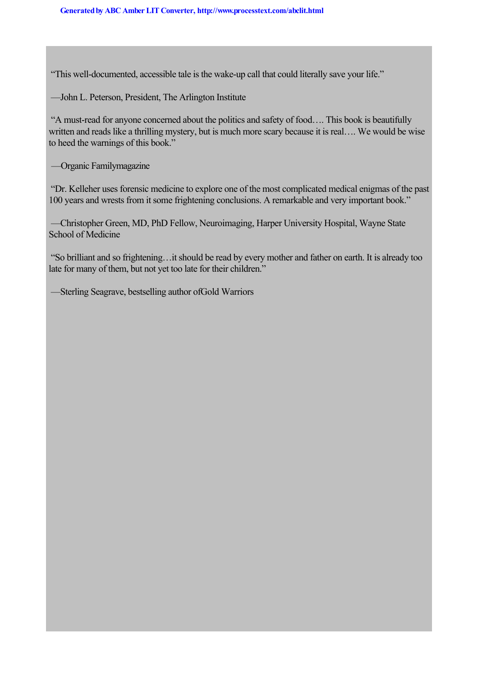"This well-documented, accessible tale is the wake-up call that could literally save your life."

—John L. Peterson, President, The Arlington Institute

 "A must-read for anyone concerned about the politics and safety of food…. This book is beautifully written and reads like a thrilling mystery, but is much more scary because it is real…. We would be wise to heed the warnings of this book."

—Organic Familymagazine

 "Dr. Kelleher uses forensic medicine to explore one of the most complicated medical enigmas of the past 100 years and wrests from it some frightening conclusions. A remarkable and very important book."

 —Christopher Green, MD, PhD Fellow, Neuroimaging, Harper University Hospital, Wayne State School of Medicine

 "So brilliant and so frightening…it should be read by every mother and father on earth. It is already too late for many of them, but not yet too late for their children."

—Sterling Seagrave, bestselling author ofGold Warriors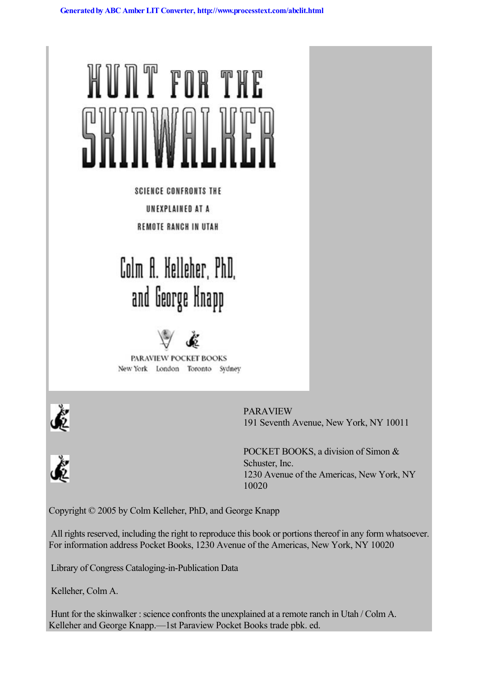

Ĕ

POCKET BOOKS, a division of Simon &

Schuster, Inc. 1230 Avenue of the Americas, New York, NY 10020

Copyright © 2005 by Colm Kelleher, PhD, and George Knapp

 All rights reserved, including the right to reproduce this book or portions thereof in any form whatsoever. For information address Pocket Books, 1230 Avenue of the Americas, New York, NY 10020

Library of Congress Cataloging-in-Publication Data

Kelleher, Colm A.

 Hunt for the skinwalker : science confronts the unexplained at a remote ranch in Utah / Colm A. Kelleher and George Knapp.—1st Paraview Pocket Books trade pbk. ed.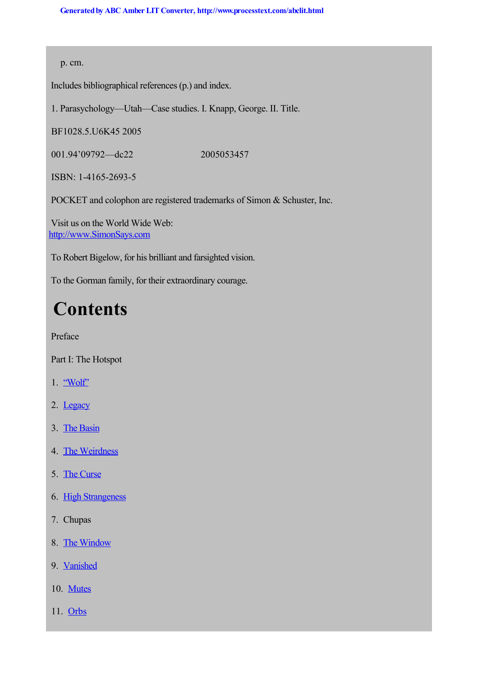### p. cm.

Includes bibliographical references (p.) and index.

1. Parasychology—Utah—Case studies. I. Knapp, George. II. Title.

BF1028.5.U6K45 2005

001.94'09792—dc22 2005053457

ISBN: 1-4165-2693-5

POCKET and colophon are registered trademarks of Simon & Schuster, Inc.

 Visit us on the World Wide Web: <http://www.SimonSays.com>

To Robert Bigelow, for his brilliant and farsighted vision.

To the Gorman family, for their extraordinary courage.

### **Contents**

Preface

Part I: The Hotspot

- 1. <u>"Wolf"</u>
- 2. Legacy
- 3. The Basin
- 4. The Weirdness
- 5. The Curse
- 6. High Strangeness
- 7. Chupas
- 8. The Window
- 9. Vanished
- 10. Mutes
- 11. Orbs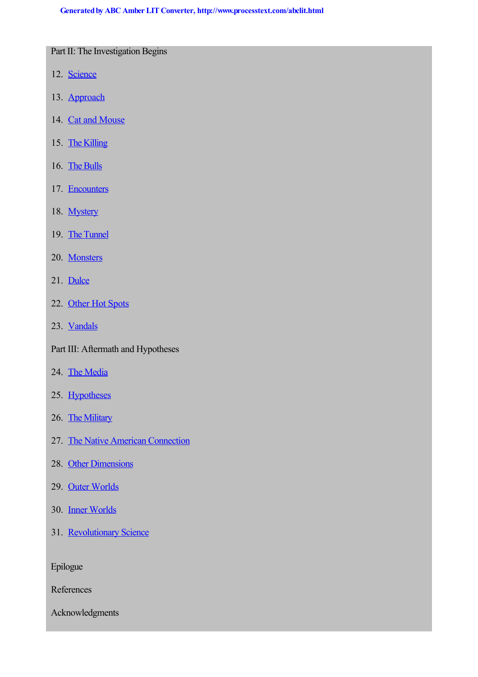### Part II: The Investigation Begins

- 12. Science
- 13. Approach
- 14. Cat and Mouse
- 15. The Killing
- 16. The Bulls
- 17. Encounters
- 18. Mystery
- 19. The Tunnel
- 20. Monsters
- 21. Dulce
- 22. Other Hot Spots
- 23. Vandals
- Part III: Aftermath and Hypotheses
- 24. The Media
- 25. Hypotheses
- 26. The Military
- 27. The Native American Connection
- 28. Other Dimensions
- 29. Outer Worlds
- 30. Inner Worlds
- 31. Revolutionary Science

Epilogue

References

Acknowledgments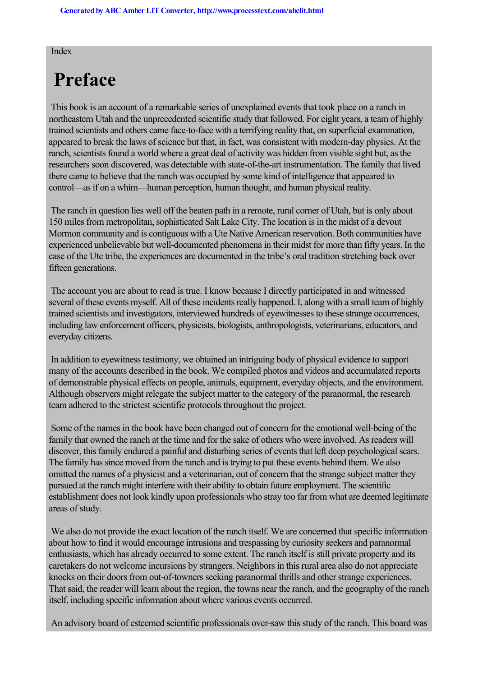#### Index

### **Preface**

 This book is an account of a remarkable series of unexplained events that took place on a ranch in northeastern Utah and the unprecedented scientific study that followed. For eight years, a team of highly trained scientists and others came face-to-face with a terrifying reality that, on superficial examination, appeared to break the laws of science but that, in fact, was consistent with modern-day physics. At the ranch, scientists found a world where a great deal of activity was hidden from visible sight but, as the researchers soon discovered, was detectable with state-of-the-art instrumentation. The family that lived there came to believe that the ranch was occupied by some kind of intelligence that appeared to control—as if on a whim—human perception, human thought, and human physical reality.

 The ranch in question lies well off the beaten path in a remote, rural corner of Utah, but is only about 150 miles from metropolitan, sophisticated Salt Lake City. The location is in the midst of a devout Mormon community and is contiguous with a Ute Native American reservation. Both communities have experienced unbelievable but well-documented phenomena in their midst for more than fifty years. In the case of the Ute tribe, the experiences are documented in the tribe's oral tradition stretching back over fifteen generations.

 The account you are about to read is true. I know because I directly participated in and witnessed several of these events myself. All of these incidents really happened. I, along with a small team of highly trained scientists and investigators, interviewed hundreds of eyewitnesses to these strange occurrences, including law enforcement officers, physicists, biologists, anthropologists, veterinarians, educators, and everyday citizens.

 In addition to eyewitness testimony, we obtained an intriguing body of physical evidence to support many of the accounts described in the book. We compiled photos and videos and accumulated reports of demonstrable physical effects on people, animals, equipment, everyday objects, and the environment. Although observers might relegate the subject matter to the category of the paranormal, the research team adhered to the strictest scientific protocols throughout the project.

 Some of the names in the book have been changed out of concern for the emotional well-being of the family that owned the ranch at the time and for the sake of others who were involved. As readers will discover, this family endured a painful and disturbing series of events that left deep psychological scars. The family has since moved from the ranch and is trying to put these events behind them. We also omitted the names of a physicist and a veterinarian, out of concern that the strange subject matter they pursued at the ranch might interfere with their ability to obtain future employment. The scientific establishment does not look kindly upon professionals who stray too far from what are deemed legitimate areas of study.

 We also do not provide the exact location of the ranch itself. We are concerned that specific information about how to find it would encourage intrusions and trespassing by curiosity seekers and paranormal enthusiasts, which has already occurred to some extent. The ranch itself is still private property and its caretakers do not welcome incursions by strangers. Neighbors in this rural area also do not appreciate knocks on their doors from out-of-towners seeking paranormal thrills and other strange experiences. That said, the reader will learn about the region, the towns near the ranch, and the geography of the ranch itself, including specific information about where various events occurred.

An advisory board of esteemed scientific professionals over-saw this study of the ranch. This board was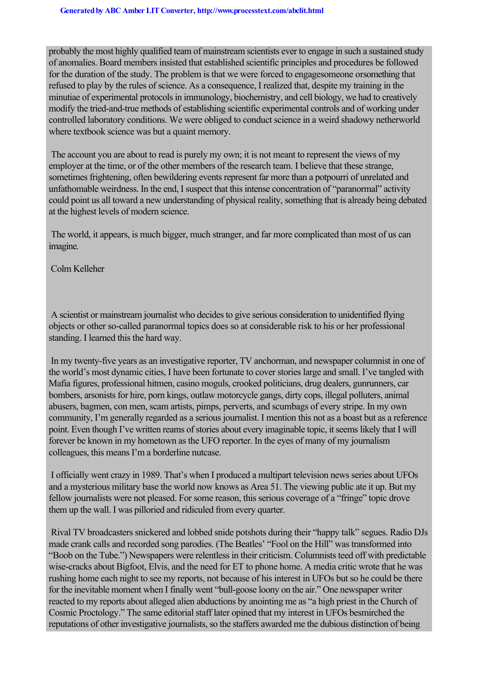probably the most highly qualified team of mainstream scientists ever to engage in such a sustained study of anomalies. Board members insisted that established scientific principles and procedures be followed for the duration of the study. The problem is that we were forced to engagesomeone orsomething that refused to play by the rules of science. As a consequence, I realized that, despite my training in the minutiae of experimental protocols in immunology, biochemistry, and cell biology, we had to creatively modify the tried-and-true methods of establishing scientific experimental controls and of working under controlled laboratory conditions. We were obliged to conduct science in a weird shadowy netherworld where textbook science was but a quaint memory.

 The account you are about to read is purely my own; it is not meant to represent the views of my employer at the time, or of the other members of the research team. I believe that these strange, sometimes frightening, often bewildering events represent far more than a potpourri of unrelated and unfathomable weirdness. In the end, I suspect that this intense concentration of "paranormal" activity could point us all toward a new understanding of physical reality, something that is already being debated at the highest levels of modern science.

 The world, it appears, is much bigger, much stranger, and far more complicated than most of us can imagine.

Colm Kelleher

 A scientist or mainstream journalist who decides to give serious consideration to unidentified flying objects or other so-called paranormal topics does so at considerable risk to his or her professional standing. I learned this the hard way.

 In my twenty-five years as an investigative reporter, TV anchorman, and newspaper columnist in one of the world's most dynamic cities, I have been fortunate to cover stories large and small. I've tangled with Mafia figures, professional hitmen, casino moguls, crooked politicians, drug dealers, gunrunners, car bombers, arsonists for hire, porn kings, outlaw motorcycle gangs, dirty cops, illegal polluters, animal abusers, bagmen, con men, scam artists, pimps, perverts, and scumbags of every stripe. In my own community, I'm generally regarded as a serious journalist. I mention this not as a boast but as a reference point. Even though I've written reams of stories about every imaginable topic, it seems likely that I will forever be known in my hometown as the UFO reporter. In the eyes of many of my journalism colleagues, this means I'm a borderline nutcase.

 I officially went crazy in 1989. That's when I produced a multipart television news series about UFOs and a mysterious military base the world now knows as Area 51. The viewing public ate it up. But my fellow journalists were not pleased. For some reason, this serious coverage of a "fringe" topic drove them up the wall. I was pilloried and ridiculed from every quarter.

 Rival TV broadcasters snickered and lobbed snide potshots during their "happy talk" segues. Radio DJs made crank calls and recorded song parodies. (The Beatles' "Fool on the Hill" was transformed into "Boob on the Tube.") Newspapers were relentless in their criticism. Columnists teed off with predictable wise-cracks about Bigfoot, Elvis, and the need for ET to phone home. A media critic wrote that he was rushing home each night to see my reports, not because of his interest in UFOs but so he could be there for the inevitable moment when I finally went "bull-goose loony on the air." One newspaper writer reacted to my reports about alleged alien abductions by anointing me as "a high priest in the Church of Cosmic Proctology." The same editorial staff later opined that my interest in UFOs besmirched the reputations of other investigative journalists, so the staffers awarded me the dubious distinction of being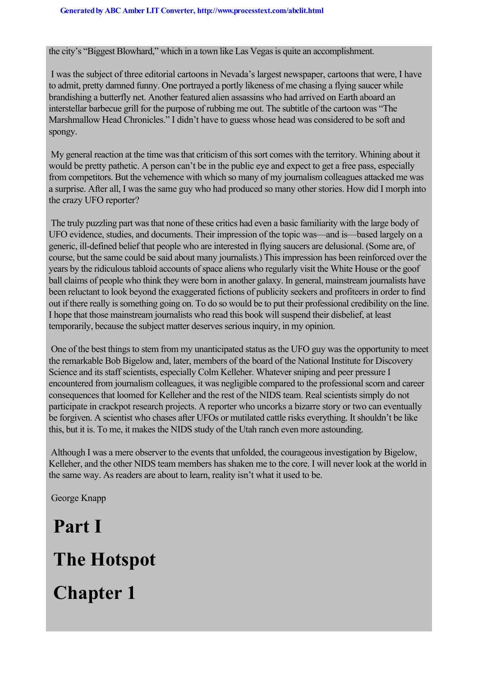the city's "Biggest Blowhard," which in a town like Las Vegas is quite an accomplishment.

 I was the subject of three editorial cartoons in Nevada's largest newspaper, cartoons that were, I have to admit, pretty damned funny. One portrayed a portly likeness of me chasing a flying saucer while brandishing a butterfly net. Another featured alien assassins who had arrived on Earth aboard an interstellar barbecue grill for the purpose of rubbing me out. The subtitle of the cartoon was "The Marshmallow Head Chronicles." I didn't have to guess whose head was considered to be soft and spongy.

 My general reaction at the time was that criticism of this sort comes with the territory. Whining about it would be pretty pathetic. A person can't be in the public eye and expect to get a free pass, especially from competitors. But the vehemence with which so many of my journalism colleagues attacked me was a surprise. After all, I was the same guy who had produced so many other stories. How did I morph into the crazy UFO reporter?

 The truly puzzling part was that none of these critics had even a basic familiarity with the large body of UFO evidence, studies, and documents. Their impression of the topic was—and is—based largely on a generic, ill-defined belief that people who are interested in flying saucers are delusional. (Some are, of course, but the same could be said about many journalists.) This impression has been reinforced over the years by the ridiculous tabloid accounts of space aliens who regularly visit the White House or the goof ball claims of people who think they were born in another galaxy. In general, mainstream journalists have been reluctant to look beyond the exaggerated fictions of publicity seekers and profiteers in order to find out if there really is something going on. To do so would be to put their professional credibility on the line. I hope that those mainstream journalists who read this book will suspend their disbelief, at least temporarily, because the subject matter deserves serious inquiry, in my opinion.

 One of the best things to stem from my unanticipated status as the UFO guy was the opportunity to meet the remarkable Bob Bigelow and, later, members of the board of the National Institute for Discovery Science and its staff scientists, especially Colm Kelleher. Whatever sniping and peer pressure I encountered from journalism colleagues, it was negligible compared to the professional scorn and career consequences that loomed for Kelleher and the rest of the NIDS team. Real scientists simply do not participate in crackpot research projects. A reporter who uncorks a bizarre story or two can eventually be forgiven. A scientist who chases after UFOs or mutilated cattle risks everything. It shouldn't be like this, but it is. To me, it makes the NIDS study of the Utah ranch even more astounding.

 Although I was a mere observer to the events that unfolded, the courageous investigation by Bigelow, Kelleher, and the other NIDS team members has shaken me to the core. I will never look at the world in the same way. As readers are about to learn, reality isn't what it used to be.

George Knapp

# **Part I The Hotspot Chapter 1**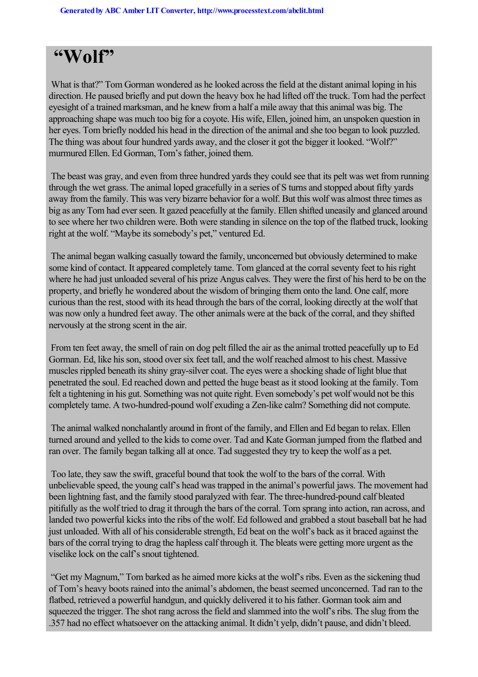### **"Wolf"**

What is that?" Tom Gorman wondered as he looked across the field at the distant animal loping in his direction. He paused briefly and put down the heavy box he had lifted off the truck. Tom had the perfect eyesight of a trained marksman, and he knew from a half a mile away that this animal was big. The approaching shape was much too big for a coyote. His wife, Ellen, joined him, an unspoken question in her eyes. Tom briefly nodded his head in the direction of the animal and she too began to look puzzled. The thing was about four hundred yards away, and the closer it got the bigger it looked. "Wolf?" murmured Ellen. Ed Gorman, Tom's father, joined them.

 The beast was gray, and even from three hundred yards they could see that its pelt was wet from running through the wet grass. The animal loped gracefully in a series of S turns and stopped about fifty yards away from the family. This was very bizarre behavior for a wolf. But this wolf was almost three times as big as any Tom had ever seen. It gazed peacefully at the family. Ellen shifted uneasily and glanced around to see where her two children were. Both were standing in silence on the top of the flatbed truck, looking right at the wolf. "Maybe its somebody's pet," ventured Ed.

 The animal began walking casually toward the family, unconcerned but obviously determined to make some kind of contact. It appeared completely tame. Tom glanced at the corral seventy feet to his right where he had just unloaded several of his prize Angus calves. They were the first of his herd to be on the property, and briefly he wondered about the wisdom of bringing them onto the land. One calf, more curious than the rest, stood with its head through the bars of the corral, looking directly at the wolf that was now only a hundred feet away. The other animals were at the back of the corral, and they shifted nervously at the strong scent in the air.

 From ten feet away, the smell of rain on dog pelt filled the air as the animal trotted peacefully up to Ed Gorman. Ed, like his son, stood over six feet tall, and the wolf reached almost to his chest. Massive muscles rippled beneath its shiny gray-silver coat. The eyes were a shocking shade of light blue that penetrated the soul. Ed reached down and petted the huge beast as it stood looking at the family. Tom felt a tightening in his gut. Something was not quite right. Even somebody's pet wolf would not be this completely tame. A two-hundred-pound wolf exuding a Zen-like calm? Something did not compute.

 The animal walked nonchalantly around in front of the family, and Ellen and Ed began to relax. Ellen turned around and yelled to the kids to come over. Tad and Kate Gorman jumped from the flatbed and ran over. The family began talking all at once. Tad suggested they try to keep the wolf as a pet.

 Too late, they saw the swift, graceful bound that took the wolf to the bars of the corral. With unbelievable speed, the young calf's head was trapped in the animal's powerful jaws. The movement had been lightning fast, and the family stood paralyzed with fear. The three-hundred-pound calf bleated pitifully as the wolf tried to drag it through the bars of the corral. Tom sprang into action, ran across, and landed two powerful kicks into the ribs of the wolf. Ed followed and grabbed a stout baseball bat he had just unloaded. With all of his considerable strength, Ed beat on the wolf's back as it braced against the bars of the corral trying to drag the hapless calf through it. The bleats were getting more urgent as the viselike lock on the calf's snout tightened.

 "Get my Magnum," Tom barked as he aimed more kicks at the wolf's ribs. Even as the sickening thud of Tom's heavy boots rained into the animal's abdomen, the beast seemed unconcerned. Tad ran to the flatbed, retrieved a powerful handgun, and quickly delivered it to his father. Gorman took aim and squeezed the trigger. The shot rang across the field and slammed into the wolf's ribs. The slug from the .357 had no effect whatsoever on the attacking animal. It didn't yelp, didn't pause, and didn't bleed.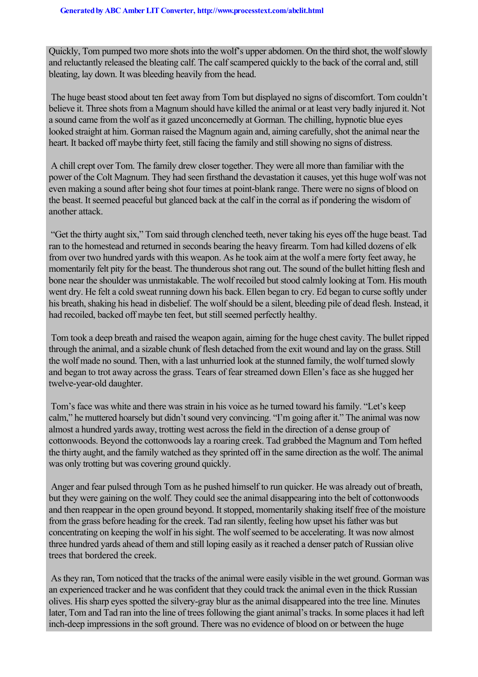Quickly, Tom pumped two more shots into the wolf's upper abdomen. On the third shot, the wolf slowly and reluctantly released the bleating calf. The calf scampered quickly to the back of the corral and, still bleating, lay down. It was bleeding heavily from the head.

 The huge beast stood about ten feet away from Tom but displayed no signs of discomfort. Tom couldn't believe it. Three shots from a Magnum should have killed the animal or at least very badly injured it. Not a sound came from the wolf as it gazed unconcernedly at Gorman. The chilling, hypnotic blue eyes looked straight at him. Gorman raised the Magnum again and, aiming carefully, shot the animal near the heart. It backed off maybe thirty feet, still facing the family and still showing no signs of distress.

 A chill crept over Tom. The family drew closer together. They were all more than familiar with the power of the Colt Magnum. They had seen firsthand the devastation it causes, yet this huge wolf was not even making a sound after being shot four times at point-blank range. There were no signs of blood on the beast. It seemed peaceful but glanced back at the calf in the corral as if pondering the wisdom of another attack.

 "Get the thirty aught six," Tom said through clenched teeth, never taking his eyes off the huge beast. Tad ran to the homestead and returned in seconds bearing the heavy firearm. Tom had killed dozens of elk from over two hundred yards with this weapon. As he took aim at the wolf a mere forty feet away, he momentarily felt pity for the beast. The thunderous shot rang out. The sound of the bullet hitting flesh and bone near the shoulder was unmistakable. The wolf recoiled but stood calmly looking at Tom. His mouth went dry. He felt a cold sweat running down his back. Ellen began to cry. Ed began to curse softly under his breath, shaking his head in disbelief. The wolf should be a silent, bleeding pile of dead flesh. Instead, it had recoiled, backed off maybe ten feet, but still seemed perfectly healthy.

 Tom took a deep breath and raised the weapon again, aiming for the huge chest cavity. The bullet ripped through the animal, and a sizable chunk of flesh detached from the exit wound and lay on the grass. Still the wolf made no sound. Then, with a last unhurried look at the stunned family, the wolf turned slowly and began to trot away across the grass. Tears of fear streamed down Ellen's face as she hugged her twelve-year-old daughter.

 Tom's face was white and there was strain in his voice as he turned toward his family. "Let's keep calm," he muttered hoarsely but didn't sound very convincing. "I'm going after it." The animal was now almost a hundred yards away, trotting west across the field in the direction of a dense group of cottonwoods. Beyond the cottonwoods lay a roaring creek. Tad grabbed the Magnum and Tom hefted the thirty aught, and the family watched as they sprinted off in the same direction as the wolf. The animal was only trotting but was covering ground quickly.

 Anger and fear pulsed through Tom as he pushed himself to run quicker. He was already out of breath, but they were gaining on the wolf. They could see the animal disappearing into the belt of cottonwoods and then reappear in the open ground beyond. It stopped, momentarily shaking itself free of the moisture from the grass before heading for the creek. Tad ran silently, feeling how upset his father was but concentrating on keeping the wolf in his sight. The wolf seemed to be accelerating. It was now almost three hundred yards ahead of them and still loping easily as it reached a denser patch of Russian olive trees that bordered the creek.

 As they ran, Tom noticed that the tracks of the animal were easily visible in the wet ground. Gorman was an experienced tracker and he was confident that they could track the animal even in the thick Russian olives. His sharp eyes spotted the silvery-gray blur as the animal disappeared into the tree line. Minutes later, Tom and Tad ran into the line of trees following the giant animal's tracks. In some places it had left inch-deep impressions in the soft ground. There was no evidence of blood on or between the huge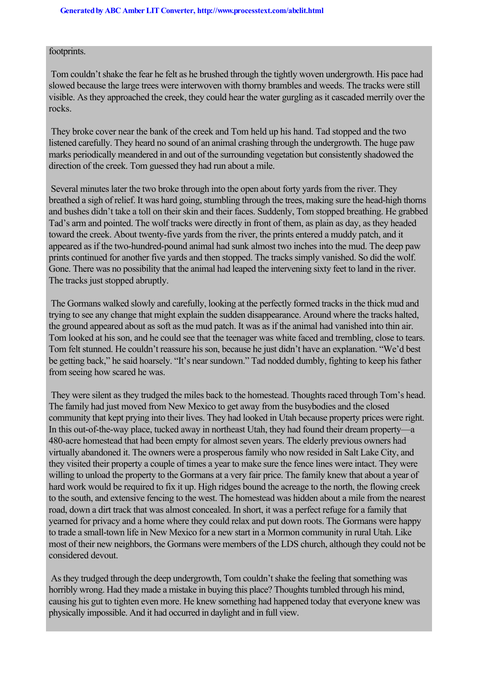#### footprints.

 Tom couldn't shake the fear he felt as he brushed through the tightly woven undergrowth. His pace had slowed because the large trees were interwoven with thorny brambles and weeds. The tracks were still visible. As they approached the creek, they could hear the water gurgling as it cascaded merrily over the rocks.

 They broke cover near the bank of the creek and Tom held up his hand. Tad stopped and the two listened carefully. They heard no sound of an animal crashing through the undergrowth. The huge paw marks periodically meandered in and out of the surrounding vegetation but consistently shadowed the direction of the creek. Tom guessed they had run about a mile.

 Several minutes later the two broke through into the open about forty yards from the river. They breathed a sigh of relief. It was hard going, stumbling through the trees, making sure the head-high thorns and bushes didn't take a toll on their skin and their faces. Suddenly, Tom stopped breathing. He grabbed Tad's arm and pointed. The wolf tracks were directly in front of them, as plain as day, as they headed toward the creek. About twenty-five yards from the river, the prints entered a muddy patch, and it appeared as if the two-hundred-pound animal had sunk almost two inches into the mud. The deep paw prints continued for another five yards and then stopped. The tracks simply vanished. So did the wolf. Gone. There was no possibility that the animal had leaped the intervening sixty feet to land in the river. The tracks just stopped abruptly.

 The Gormans walked slowly and carefully, looking at the perfectly formed tracks in the thick mud and trying to see any change that might explain the sudden disappearance. Around where the tracks halted, the ground appeared about as soft as the mud patch. It was as if the animal had vanished into thin air. Tom looked at his son, and he could see that the teenager was white faced and trembling, close to tears. Tom felt stunned. He couldn't reassure his son, because he just didn't have an explanation. "We'd best be getting back," he said hoarsely. "It's near sundown." Tad nodded dumbly, fighting to keep his father from seeing how scared he was.

 They were silent as they trudged the miles back to the homestead. Thoughts raced through Tom's head. The family had just moved from New Mexico to get away from the busybodies and the closed community that kept prying into their lives. They had looked in Utah because property prices were right. In this out-of-the-way place, tucked away in northeast Utah, they had found their dream property—a 480-acre homestead that had been empty for almost seven years. The elderly previous owners had virtually abandoned it. The owners were a prosperous family who now resided in Salt Lake City, and they visited their property a couple of times a year to make sure the fence lines were intact. They were willing to unload the property to the Gormans at a very fair price. The family knew that about a year of hard work would be required to fix it up. High ridges bound the acreage to the north, the flowing creek to the south, and extensive fencing to the west. The homestead was hidden about a mile from the nearest road, down a dirt track that was almost concealed. In short, it was a perfect refuge for a family that yearned for privacy and a home where they could relax and put down roots. The Gormans were happy to trade a small-town life in New Mexico for a new start in a Mormon community in rural Utah. Like most of their new neighbors, the Gormans were members of the LDS church, although they could not be considered devout.

 As they trudged through the deep undergrowth, Tom couldn't shake the feeling that something was horribly wrong. Had they made a mistake in buying this place? Thoughts tumbled through his mind, causing his gut to tighten even more. He knew something had happened today that everyone knew was physically impossible. And it had occurred in daylight and in full view.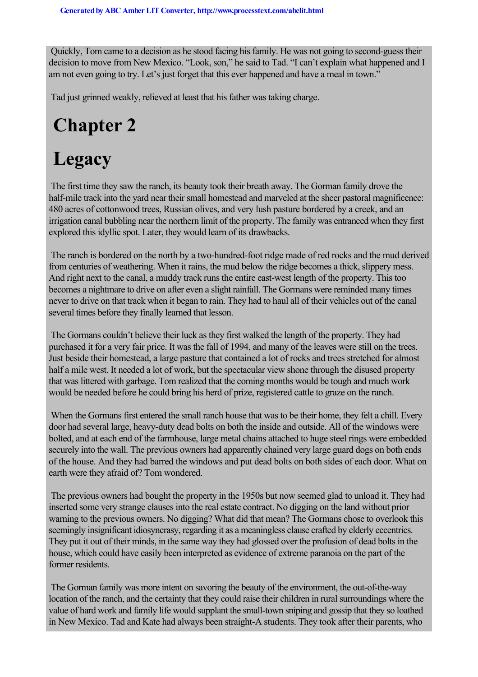Quickly, Tom came to a decision as he stood facing his family. He was not going to second-guess their decision to move from New Mexico. "Look, son," he said to Tad. "I can't explain what happened and I am not even going to try. Let's just forget that this ever happened and have a meal in town."

Tad just grinned weakly, relieved at least that his father was taking charge.

## **Chapter 2**

## **Legacy**

 The first time they saw the ranch, its beauty took their breath away. The Gorman family drove the half-mile track into the yard near their small homestead and marveled at the sheer pastoral magnificence: 480 acres of cottonwood trees, Russian olives, and very lush pasture bordered by a creek, and an irrigation canal bubbling near the northern limit of the property. The family was entranced when they first explored this idyllic spot. Later, they would learn of its drawbacks.

 The ranch is bordered on the north by a two-hundred-foot ridge made of red rocks and the mud derived from centuries of weathering. When it rains, the mud below the ridge becomes a thick, slippery mess. And right next to the canal, a muddy track runs the entire east-west length of the property. This too becomes a nightmare to drive on after even a slight rainfall. The Gormans were reminded many times never to drive on that track when it began to rain. They had to haul all of their vehicles out of the canal several times before they finally learned that lesson.

 The Gormans couldn't believe their luck as they first walked the length of the property. They had purchased it for a very fair price. It was the fall of 1994, and many of the leaves were still on the trees. Just beside their homestead, a large pasture that contained a lot of rocks and trees stretched for almost half a mile west. It needed a lot of work, but the spectacular view shone through the disused property that was littered with garbage. Tom realized that the coming months would be tough and much work would be needed before he could bring his herd of prize, registered cattle to graze on the ranch.

 When the Gormans first entered the small ranch house that was to be their home, they felt a chill. Every door had several large, heavy-duty dead bolts on both the inside and outside. All of the windows were bolted, and at each end of the farmhouse, large metal chains attached to huge steel rings were embedded securely into the wall. The previous owners had apparently chained very large guard dogs on both ends of the house. And they had barred the windows and put dead bolts on both sides of each door. What on earth were they afraid of? Tom wondered.

 The previous owners had bought the property in the 1950s but now seemed glad to unload it. They had inserted some very strange clauses into the real estate contract. No digging on the land without prior warning to the previous owners. No digging? What did that mean? The Gormans chose to overlook this seemingly insignificant idiosyncrasy, regarding it as a meaningless clause crafted by elderly eccentrics. They put it out of their minds, in the same way they had glossed over the profusion of dead bolts in the house, which could have easily been interpreted as evidence of extreme paranoia on the part of the former residents.

 The Gorman family was more intent on savoring the beauty of the environment, the out-of-the-way location of the ranch, and the certainty that they could raise their children in rural surroundings where the value of hard work and family life would supplant the small-town sniping and gossip that they so loathed in New Mexico. Tad and Kate had always been straight-A students. They took after their parents, who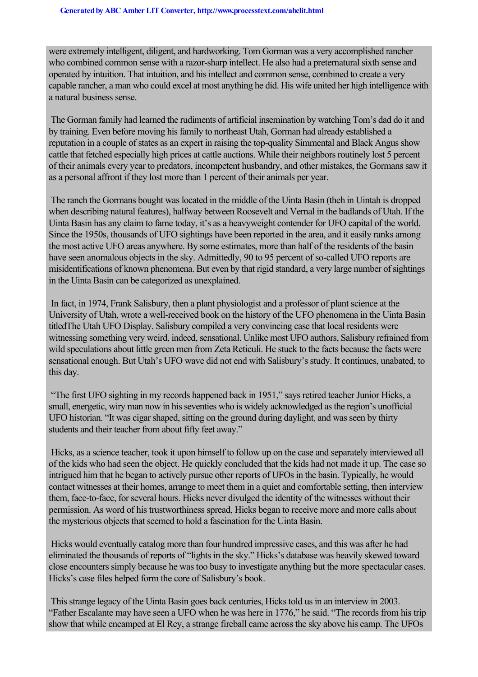were extremely intelligent, diligent, and hardworking. Tom Gorman was a very accomplished rancher who combined common sense with a razor-sharp intellect. He also had a preternatural sixth sense and operated by intuition. That intuition, and his intellect and common sense, combined to create a very capable rancher, a man who could excel at most anything he did. His wife united her high intelligence with a natural business sense.

 The Gorman family had learned the rudiments of artificial insemination by watching Tom's dad do it and by training. Even before moving his family to northeast Utah, Gorman had already established a reputation in a couple of states as an expert in raising the top-quality Simmental and Black Angus show cattle that fetched especially high prices at cattle auctions. While their neighbors routinely lost 5 percent of their animals every year to predators, incompetent husbandry, and other mistakes, the Gormans saw it as a personal affront if they lost more than 1 percent of their animals per year.

 The ranch the Gormans bought was located in the middle of the Uinta Basin (theh in Uintah is dropped when describing natural features), halfway between Roosevelt and Vernal in the badlands of Utah. If the Uinta Basin has any claim to fame today, it's as a heavyweight contender for UFO capital of the world. Since the 1950s, thousands of UFO sightings have been reported in the area, and it easily ranks among the most active UFO areas anywhere. By some estimates, more than half of the residents of the basin have seen anomalous objects in the sky. Admittedly, 90 to 95 percent of so-called UFO reports are misidentifications of known phenomena. But even by that rigid standard, a very large number of sightings in the Uinta Basin can be categorized as unexplained.

 In fact, in 1974, Frank Salisbury, then a plant physiologist and a professor of plant science at the University of Utah, wrote a well-received book on the history of the UFO phenomena in the Uinta Basin titledThe Utah UFO Display. Salisbury compiled a very convincing case that local residents were witnessing something very weird, indeed, sensational. Unlike most UFO authors, Salisbury refrained from wild speculations about little green men from Zeta Reticuli. He stuck to the facts because the facts were sensational enough. But Utah's UFO wave did not end with Salisbury's study. It continues, unabated, to this day.

 "The first UFO sighting in my records happened back in 1951," says retired teacher Junior Hicks, a small, energetic, wiry man now in his seventies who is widely acknowledged as the region's unofficial UFO historian. "It was cigar shaped, sitting on the ground during daylight, and was seen by thirty students and their teacher from about fifty feet away."

 Hicks, as a science teacher, took it upon himself to follow up on the case and separately interviewed all of the kids who had seen the object. He quickly concluded that the kids had not made it up. The case so intrigued him that he began to actively pursue other reports of UFOs in the basin. Typically, he would contact witnesses at their homes, arrange to meet them in a quiet and comfortable setting, then interview them, face-to-face, for several hours. Hicks never divulged the identity of the witnesses without their permission. As word of his trustworthiness spread, Hicks began to receive more and more calls about the mysterious objects that seemed to hold a fascination for the Uinta Basin.

 Hicks would eventually catalog more than four hundred impressive cases, and this was after he had eliminated the thousands of reports of "lights in the sky." Hicks's database was heavily skewed toward close encounters simply because he was too busy to investigate anything but the more spectacular cases. Hicks's case files helped form the core of Salisbury's book.

 This strange legacy of the Uinta Basin goes back centuries, Hicks told us in an interview in 2003. "Father Escalante may have seen a UFO when he was here in 1776," he said. "The records from his trip show that while encamped at El Rey, a strange fireball came across the sky above his camp. The UFOs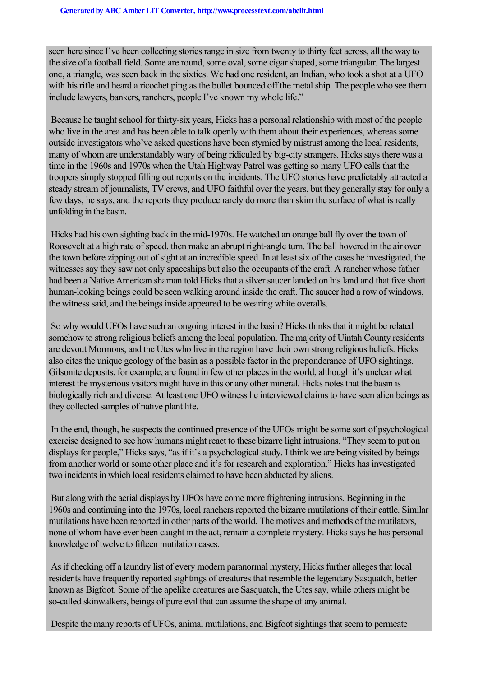seen here since I've been collecting stories range in size from twenty to thirty feet across, all the way to the size of a football field. Some are round, some oval, some cigar shaped, some triangular. The largest one, a triangle, was seen back in the sixties. We had one resident, an Indian, who took a shot at a UFO with his rifle and heard a ricochet ping as the bullet bounced off the metal ship. The people who see them include lawyers, bankers, ranchers, people I've known my whole life."

 Because he taught school for thirty-six years, Hicks has a personal relationship with most of the people who live in the area and has been able to talk openly with them about their experiences, whereas some outside investigators who've asked questions have been stymied by mistrust among the local residents, many of whom are understandably wary of being ridiculed by big-city strangers. Hicks says there was a time in the 1960s and 1970s when the Utah Highway Patrol was getting so many UFO calls that the troopers simply stopped filling out reports on the incidents. The UFO stories have predictably attracted a steady stream of journalists, TV crews, and UFO faithful over the years, but they generally stay for only a few days, he says, and the reports they produce rarely do more than skim the surface of what is really unfolding in the basin.

 Hicks had his own sighting back in the mid-1970s. He watched an orange ball fly over the town of Roosevelt at a high rate of speed, then make an abrupt right-angle turn. The ball hovered in the air over the town before zipping out of sight at an incredible speed. In at least six of the cases he investigated, the witnesses say they saw not only spaceships but also the occupants of the craft. A rancher whose father had been a Native American shaman told Hicks that a silver saucer landed on his land and that five short human-looking beings could be seen walking around inside the craft. The saucer had a row of windows, the witness said, and the beings inside appeared to be wearing white overalls.

 So why would UFOs have such an ongoing interest in the basin? Hicks thinks that it might be related somehow to strong religious beliefs among the local population. The majority of Uintah County residents are devout Mormons, and the Utes who live in the region have their own strong religious beliefs. Hicks also cites the unique geology of the basin as a possible factor in the preponderance of UFO sightings. Gilsonite deposits, for example, are found in few other places in the world, although it's unclear what interest the mysterious visitors might have in this or any other mineral. Hicks notes that the basin is biologically rich and diverse. At least one UFO witness he interviewed claims to have seen alien beings as they collected samples of native plant life.

 In the end, though, he suspects the continued presence of the UFOs might be some sort of psychological exercise designed to see how humans might react to these bizarre light intrusions. "They seem to put on displays for people," Hicks says, "as if it's a psychological study. I think we are being visited by beings from another world or some other place and it's for research and exploration." Hicks has investigated two incidents in which local residents claimed to have been abducted by aliens.

 But along with the aerial displays by UFOs have come more frightening intrusions. Beginning in the 1960s and continuing into the 1970s, local ranchers reported the bizarre mutilations of their cattle. Similar mutilations have been reported in other parts of the world. The motives and methods of the mutilators, none of whom have ever been caught in the act, remain a complete mystery. Hicks says he has personal knowledge of twelve to fifteen mutilation cases.

 As if checking off a laundry list of every modern paranormal mystery, Hicks further alleges that local residents have frequently reported sightings of creatures that resemble the legendary Sasquatch, better known as Bigfoot. Some of the apelike creatures are Sasquatch, the Utes say, while others might be so-called skinwalkers, beings of pure evil that can assume the shape of any animal.

Despite the many reports of UFOs, animal mutilations, and Bigfoot sightings that seem to permeate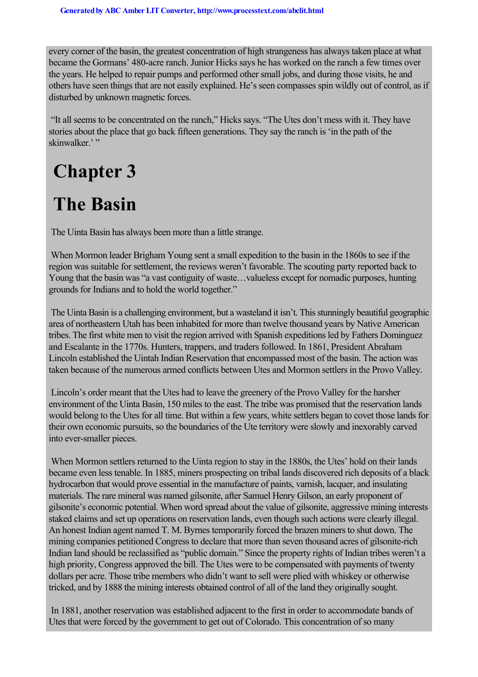every corner of the basin, the greatest concentration of high strangeness has always taken place at what became the Gormans' 480-acre ranch. Junior Hicks says he has worked on the ranch a few times over the years. He helped to repair pumps and performed other small jobs, and during those visits, he and others have seen things that are not easily explained. He's seen compasses spin wildly out of control, as if disturbed by unknown magnetic forces.

 "It all seems to be concentrated on the ranch," Hicks says. "The Utes don't mess with it. They have stories about the place that go back fifteen generations. They say the ranch is 'in the path of the skinwalker<sup>,</sup>"

## **Chapter 3**

### **The Basin**

The Uinta Basin has always been more than a little strange.

 When Mormon leader Brigham Young sent a small expedition to the basin in the 1860s to see if the region was suitable for settlement, the reviews weren't favorable. The scouting party reported back to Young that the basin was "a vast contiguity of waste…valueless except for nomadic purposes, hunting grounds for Indians and to hold the world together."

 The Uinta Basin is a challenging environment, but a wasteland it isn't. This stunningly beautiful geographic area of northeastern Utah has been inhabited for more than twelve thousand years by Native American tribes. The first white men to visit the region arrived with Spanish expeditions led by Fathers Dominguez and Escalante in the 1770s. Hunters, trappers, and traders followed. In 1861, President Abraham Lincoln established the Uintah Indian Reservation that encompassed most of the basin. The action was taken because of the numerous armed conflicts between Utes and Mormon settlers in the Provo Valley.

 Lincoln's order meant that the Utes had to leave the greenery of the Provo Valley for the harsher environment of the Uinta Basin, 150 miles to the east. The tribe was promised that the reservation lands would belong to the Utes for all time. But within a few years, white settlers began to covet those lands for their own economic pursuits, so the boundaries of the Ute territory were slowly and inexorably carved into ever-smaller pieces.

 When Mormon settlers returned to the Uinta region to stay in the 1880s, the Utes' hold on their lands became even less tenable. In 1885, miners prospecting on tribal lands discovered rich deposits of a black hydrocarbon that would prove essential in the manufacture of paints, varnish, lacquer, and insulating materials. The rare mineral was named gilsonite, after Samuel Henry Gilson, an early proponent of gilsonite's economic potential. When word spread about the value of gilsonite, aggressive mining interests staked claims and set up operations on reservation lands, even though such actions were clearly illegal. An honest Indian agent named T. M. Byrnes temporarily forced the brazen miners to shut down. The mining companies petitioned Congress to declare that more than seven thousand acres of gilsonite-rich Indian land should be reclassified as "public domain." Since the property rights of Indian tribes weren't a high priority, Congress approved the bill. The Utes were to be compensated with payments of twenty dollars per acre. Those tribe members who didn't want to sell were plied with whiskey or otherwise tricked, and by 1888 the mining interests obtained control of all of the land they originally sought.

 In 1881, another reservation was established adjacent to the first in order to accommodate bands of Utes that were forced by the government to get out of Colorado. This concentration of so many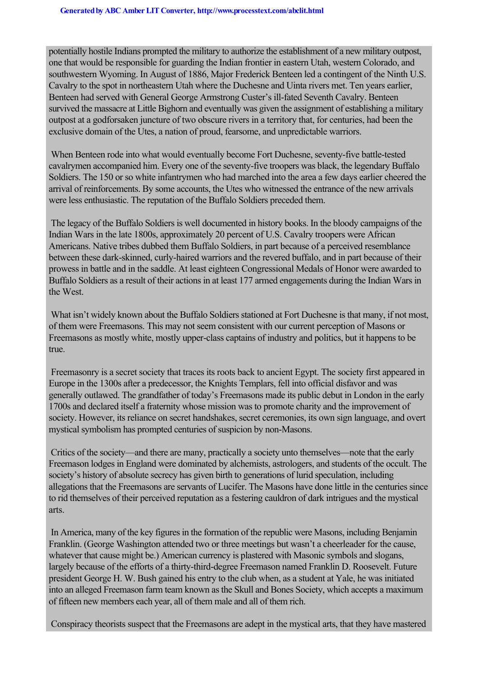potentially hostile Indians prompted the military to authorize the establishment of a new military outpost, one that would be responsible for guarding the Indian frontier in eastern Utah, western Colorado, and southwestern Wyoming. In August of 1886, Major Frederick Benteen led a contingent of the Ninth U.S. Cavalry to the spot in northeastern Utah where the Duchesne and Uinta rivers met. Ten years earlier, Benteen had served with General George Armstrong Custer's ill-fated Seventh Cavalry. Benteen survived the massacre at Little Bighorn and eventually was given the assignment of establishing a military outpost at a godforsaken juncture of two obscure rivers in a territory that, for centuries, had been the exclusive domain of the Utes, a nation of proud, fearsome, and unpredictable warriors.

 When Benteen rode into what would eventually become Fort Duchesne, seventy-five battle-tested cavalrymen accompanied him. Every one of the seventy-five troopers was black, the legendary Buffalo Soldiers. The 150 or so white infantrymen who had marched into the area a few days earlier cheered the arrival of reinforcements. By some accounts, the Utes who witnessed the entrance of the new arrivals were less enthusiastic. The reputation of the Buffalo Soldiers preceded them.

 The legacy of the Buffalo Soldiers is well documented in history books. In the bloody campaigns of the Indian Wars in the late 1800s, approximately 20 percent of U.S. Cavalry troopers were African Americans. Native tribes dubbed them Buffalo Soldiers, in part because of a perceived resemblance between these dark-skinned, curly-haired warriors and the revered buffalo, and in part because of their prowess in battle and in the saddle. At least eighteen Congressional Medals of Honor were awarded to Buffalo Soldiers as a result of their actions in at least 177 armed engagements during the Indian Wars in the West.

What isn't widely known about the Buffalo Soldiers stationed at Fort Duchesne is that many, if not most, of them were Freemasons. This may not seem consistent with our current perception of Masons or Freemasons as mostly white, mostly upper-class captains of industry and politics, but it happens to be true.

 Freemasonry is a secret society that traces its roots back to ancient Egypt. The society first appeared in Europe in the 1300s after a predecessor, the Knights Templars, fell into official disfavor and was generally outlawed. The grandfather of today's Freemasons made its public debut in London in the early 1700s and declared itself a fraternity whose mission was to promote charity and the improvement of society. However, its reliance on secret handshakes, secret ceremonies, its own sign language, and overt mystical symbolism has prompted centuries of suspicion by non-Masons.

 Critics of the society—and there are many, practically a society unto themselves—note that the early Freemason lodges in England were dominated by alchemists, astrologers, and students of the occult. The society's history of absolute secrecy has given birth to generations of lurid speculation, including allegations that the Freemasons are servants of Lucifer. The Masons have done little in the centuries since to rid themselves of their perceived reputation as a festering cauldron of dark intrigues and the mystical arts.

 In America, many of the key figures in the formation of the republic were Masons, including Benjamin Franklin. (George Washington attended two or three meetings but wasn't a cheerleader for the cause, whatever that cause might be.) American currency is plastered with Masonic symbols and slogans, largely because of the efforts of a thirty-third-degree Freemason named Franklin D. Roosevelt. Future president George H. W. Bush gained his entry to the club when, as a student at Yale, he was initiated into an alleged Freemason farm team known as the Skull and Bones Society, which accepts a maximum of fifteen new members each year, all of them male and all of them rich.

Conspiracy theorists suspect that the Freemasons are adept in the mystical arts, that they have mastered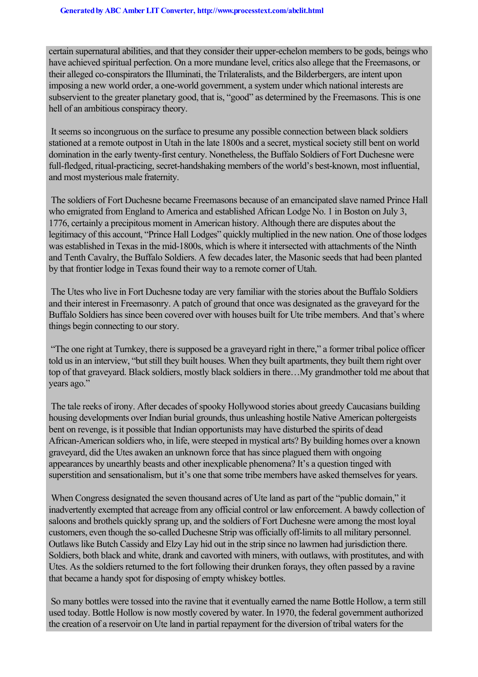certain supernatural abilities, and that they consider their upper-echelon members to be gods, beings who have achieved spiritual perfection. On a more mundane level, critics also allege that the Freemasons, or their alleged co-conspirators the Illuminati, the Trilateralists, and the Bilderbergers, are intent upon imposing a new world order, a one-world government, a system under which national interests are subservient to the greater planetary good, that is, "good" as determined by the Freemasons. This is one hell of an ambitious conspiracy theory.

 It seems so incongruous on the surface to presume any possible connection between black soldiers stationed at a remote outpost in Utah in the late 1800s and a secret, mystical society still bent on world domination in the early twenty-first century. Nonetheless, the Buffalo Soldiers of Fort Duchesne were full-fledged, ritual-practicing, secret-handshaking members of the world's best-known, most influential, and most mysterious male fraternity.

 The soldiers of Fort Duchesne became Freemasons because of an emancipated slave named Prince Hall who emigrated from England to America and established African Lodge No. 1 in Boston on July 3, 1776, certainly a precipitous moment in American history. Although there are disputes about the legitimacy of this account, "Prince Hall Lodges" quickly multiplied in the new nation. One of those lodges was established in Texas in the mid-1800s, which is where it intersected with attachments of the Ninth and Tenth Cavalry, the Buffalo Soldiers. A few decades later, the Masonic seeds that had been planted by that frontier lodge in Texas found their way to a remote corner of Utah.

 The Utes who live in Fort Duchesne today are very familiar with the stories about the Buffalo Soldiers and their interest in Freemasonry. A patch of ground that once was designated as the graveyard for the Buffalo Soldiers has since been covered over with houses built for Ute tribe members. And that's where things begin connecting to our story.

 "The one right at Turnkey, there is supposed be a graveyard right in there," a former tribal police officer told us in an interview, "but still they built houses. When they built apartments, they built them right over top of that graveyard. Black soldiers, mostly black soldiers in there…My grandmother told me about that years ago."

 The tale reeks of irony. After decades of spooky Hollywood stories about greedy Caucasians building housing developments over Indian burial grounds, thus unleashing hostile Native American poltergeists bent on revenge, is it possible that Indian opportunists may have disturbed the spirits of dead African-American soldiers who, in life, were steeped in mystical arts? By building homes over a known graveyard, did the Utes awaken an unknown force that has since plagued them with ongoing appearances by unearthly beasts and other inexplicable phenomena? It's a question tinged with superstition and sensationalism, but it's one that some tribe members have asked themselves for years.

When Congress designated the seven thousand acres of Ute land as part of the "public domain," it inadvertently exempted that acreage from any official control or law enforcement. A bawdy collection of saloons and brothels quickly sprang up, and the soldiers of Fort Duchesne were among the most loyal customers, even though the so-called Duchesne Strip was officially off-limits to all military personnel. Outlaws like Butch Cassidy and Elzy Lay hid out in the strip since no lawmen had jurisdiction there. Soldiers, both black and white, drank and cavorted with miners, with outlaws, with prostitutes, and with Utes. As the soldiers returned to the fort following their drunken forays, they often passed by a ravine that became a handy spot for disposing of empty whiskey bottles.

 So many bottles were tossed into the ravine that it eventually earned the name Bottle Hollow, a term still used today. Bottle Hollow is now mostly covered by water. In 1970, the federal government authorized the creation of a reservoir on Ute land in partial repayment for the diversion of tribal waters for the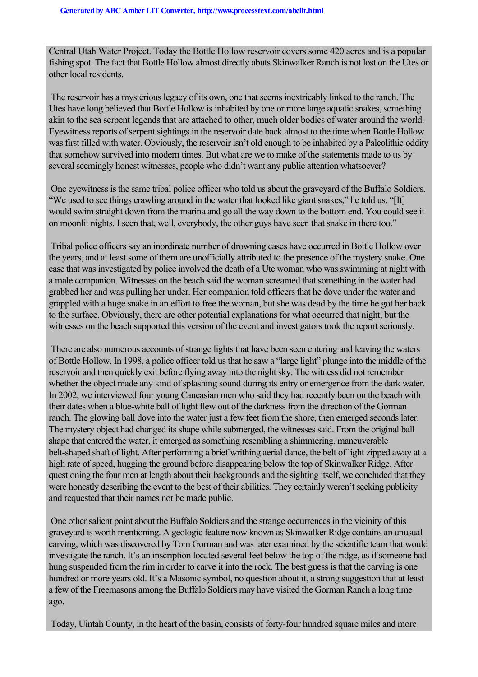Central Utah Water Project. Today the Bottle Hollow reservoir covers some 420 acres and is a popular fishing spot. The fact that Bottle Hollow almost directly abuts Skinwalker Ranch is not lost on the Utes or other local residents.

 The reservoir has a mysterious legacy of its own, one that seems inextricably linked to the ranch. The Utes have long believed that Bottle Hollow is inhabited by one or more large aquatic snakes, something akin to the sea serpent legends that are attached to other, much older bodies of water around the world. Eyewitness reports of serpent sightings in the reservoir date back almost to the time when Bottle Hollow was first filled with water. Obviously, the reservoir isn't old enough to be inhabited by a Paleolithic oddity that somehow survived into modern times. But what are we to make of the statements made to us by several seemingly honest witnesses, people who didn't want any public attention whatsoever?

 One eyewitness is the same tribal police officer who told us about the graveyard of the Buffalo Soldiers. "We used to see things crawling around in the water that looked like giant snakes," he told us. "[It] would swim straight down from the marina and go all the way down to the bottom end. You could see it on moonlit nights. I seen that, well, everybody, the other guys have seen that snake in there too."

 Tribal police officers say an inordinate number of drowning cases have occurred in Bottle Hollow over the years, and at least some of them are unofficially attributed to the presence of the mystery snake. One case that was investigated by police involved the death of a Ute woman who was swimming at night with a male companion. Witnesses on the beach said the woman screamed that something in the water had grabbed her and was pulling her under. Her companion told officers that he dove under the water and grappled with a huge snake in an effort to free the woman, but she was dead by the time he got her back to the surface. Obviously, there are other potential explanations for what occurred that night, but the witnesses on the beach supported this version of the event and investigators took the report seriously.

 There are also numerous accounts of strange lights that have been seen entering and leaving the waters of Bottle Hollow. In 1998, a police officer told us that he saw a "large light" plunge into the middle of the reservoir and then quickly exit before flying away into the night sky. The witness did not remember whether the object made any kind of splashing sound during its entry or emergence from the dark water. In 2002, we interviewed four young Caucasian men who said they had recently been on the beach with their dates when a blue-white ball of light flew out of the darkness from the direction of the Gorman ranch. The glowing ball dove into the water just a few feet from the shore, then emerged seconds later. The mystery object had changed its shape while submerged, the witnesses said. From the original ball shape that entered the water, it emerged as something resembling a shimmering, maneuverable belt-shaped shaft of light. After performing a brief writhing aerial dance, the belt of light zipped away at a high rate of speed, hugging the ground before disappearing below the top of Skinwalker Ridge. After questioning the four men at length about their backgrounds and the sighting itself, we concluded that they were honestly describing the event to the best of their abilities. They certainly weren't seeking publicity and requested that their names not be made public.

 One other salient point about the Buffalo Soldiers and the strange occurrences in the vicinity of this graveyard is worth mentioning. A geologic feature now known as Skinwalker Ridge contains an unusual carving, which was discovered by Tom Gorman and was later examined by the scientific team that would investigate the ranch. It's an inscription located several feet below the top of the ridge, as if someone had hung suspended from the rim in order to carve it into the rock. The best guess is that the carving is one hundred or more years old. It's a Masonic symbol, no question about it, a strong suggestion that at least a few of the Freemasons among the Buffalo Soldiers may have visited the Gorman Ranch a long time ago.

Today, Uintah County, in the heart of the basin, consists of forty-four hundred square miles and more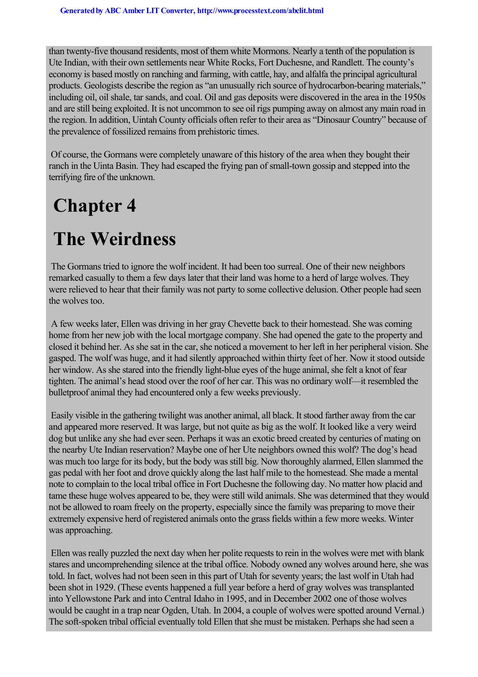than twenty-five thousand residents, most of them white Mormons. Nearly a tenth of the population is Ute Indian, with their own settlements near White Rocks, Fort Duchesne, and Randlett. The county's economy is based mostly on ranching and farming, with cattle, hay, and alfalfa the principal agricultural products. Geologists describe the region as "an unusually rich source of hydrocarbon-bearing materials," including oil, oil shale, tar sands, and coal. Oil and gas deposits were discovered in the area in the 1950s and are still being exploited. It is not uncommon to see oil rigs pumping away on almost any main road in the region. In addition, Uintah County officials often refer to their area as "Dinosaur Country" because of the prevalence of fossilized remains from prehistoric times.

 Of course, the Gormans were completely unaware of this history of the area when they bought their ranch in the Uinta Basin. They had escaped the frying pan of small-town gossip and stepped into the terrifying fire of the unknown.

## **Chapter 4**

### **The Weirdness**

 The Gormans tried to ignore the wolf incident. It had been too surreal. One of their new neighbors remarked casually to them a few days later that their land was home to a herd of large wolves. They were relieved to hear that their family was not party to some collective delusion. Other people had seen the wolves too.

 A few weeks later, Ellen was driving in her gray Chevette back to their homestead. She was coming home from her new job with the local mortgage company. She had opened the gate to the property and closed it behind her. As she sat in the car, she noticed a movement to her left in her peripheral vision. She gasped. The wolf was huge, and it had silently approached within thirty feet of her. Now it stood outside her window. As she stared into the friendly light-blue eyes of the huge animal, she felt a knot of fear tighten. The animal's head stood over the roof of her car. This was no ordinary wolf—it resembled the bulletproof animal they had encountered only a few weeks previously.

 Easily visible in the gathering twilight was another animal, all black. It stood farther away from the car and appeared more reserved. It was large, but not quite as big as the wolf. It looked like a very weird dog but unlike any she had ever seen. Perhaps it was an exotic breed created by centuries of mating on the nearby Ute Indian reservation? Maybe one of her Ute neighbors owned this wolf? The dog's head was much too large for its body, but the body was still big. Now thoroughly alarmed, Ellen slammed the gas pedal with her foot and drove quickly along the last half mile to the homestead. She made a mental note to complain to the local tribal office in Fort Duchesne the following day. No matter how placid and tame these huge wolves appeared to be, they were still wild animals. She was determined that they would not be allowed to roam freely on the property, especially since the family was preparing to move their extremely expensive herd of registered animals onto the grass fields within a few more weeks. Winter was approaching.

 Ellen was really puzzled the next day when her polite requests to rein in the wolves were met with blank stares and uncomprehending silence at the tribal office. Nobody owned any wolves around here, she was told. In fact, wolves had not been seen in this part of Utah for seventy years; the last wolf in Utah had been shot in 1929. (These events happened a full year before a herd of gray wolves was transplanted into Yellowstone Park and into Central Idaho in 1995, and in December 2002 one of those wolves would be caught in a trap near Ogden, Utah. In 2004, a couple of wolves were spotted around Vernal.) The soft-spoken tribal official eventually told Ellen that she must be mistaken. Perhaps she had seen a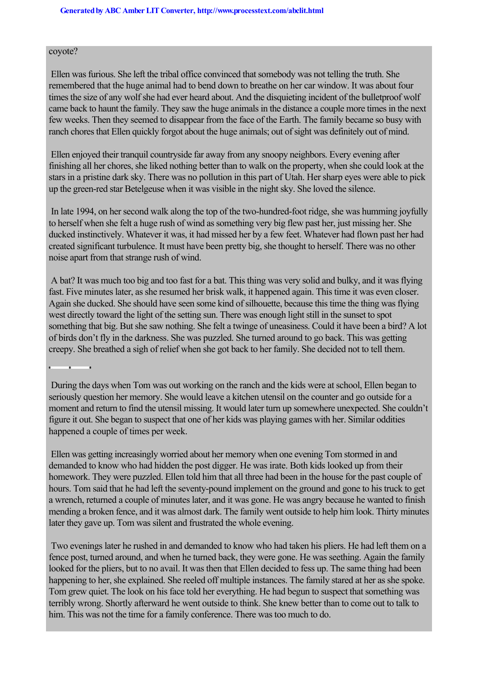#### coyote?

 Ellen was furious. She left the tribal office convinced that somebody was not telling the truth. She remembered that the huge animal had to bend down to breathe on her car window. It was about four times the size of any wolf she had ever heard about. And the disquieting incident of the bulletproof wolf came back to haunt the family. They saw the huge animals in the distance a couple more times in the next few weeks. Then they seemed to disappear from the face of the Earth. The family became so busy with ranch chores that Ellen quickly forgot about the huge animals; out of sight was definitely out of mind.

 Ellen enjoyed their tranquil countryside far away from any snoopy neighbors. Every evening after finishing all her chores, she liked nothing better than to walk on the property, when she could look at the stars in a pristine dark sky. There was no pollution in this part of Utah. Her sharp eyes were able to pick up the green-red star Betelgeuse when it was visible in the night sky. She loved the silence.

 In late 1994, on her second walk along the top of the two-hundred-foot ridge, she was humming joyfully to herself when she felt a huge rush of wind as something very big flew past her, just missing her. She ducked instinctively. Whatever it was, it had missed her by a few feet. Whatever had flown past her had created significant turbulence. It must have been pretty big, she thought to herself. There was no other noise apart from that strange rush of wind.

 A bat? It was much too big and too fast for a bat. This thing was very solid and bulky, and it was flying fast. Five minutes later, as she resumed her brisk walk, it happened again. This time it was even closer. Again she ducked. She should have seen some kind of silhouette, because this time the thing was flying west directly toward the light of the setting sun. There was enough light still in the sunset to spot something that big. But she saw nothing. She felt a twinge of uneasiness. Could it have been a bird? A lot of birds don't fly in the darkness. She was puzzled. She turned around to go back. This was getting creepy. She breathed a sigh of relief when she got back to her family. She decided not to tell them.

 During the days when Tom was out working on the ranch and the kids were at school, Ellen began to seriously question her memory. She would leave a kitchen utensil on the counter and go outside for a moment and return to find the utensil missing. It would later turn up somewhere unexpected. She couldn't figure it out. She began to suspect that one of her kids was playing games with her. Similar oddities happened a couple of times per week.

 Ellen was getting increasingly worried about her memory when one evening Tom stormed in and demanded to know who had hidden the post digger. He was irate. Both kids looked up from their homework. They were puzzled. Ellen told him that all three had been in the house for the past couple of hours. Tom said that he had left the seventy-pound implement on the ground and gone to his truck to get a wrench, returned a couple of minutes later, and it was gone. He was angry because he wanted to finish mending a broken fence, and it was almost dark. The family went outside to help him look. Thirty minutes later they gave up. Tom was silent and frustrated the whole evening.

 Two evenings later he rushed in and demanded to know who had taken his pliers. He had left them on a fence post, turned around, and when he turned back, they were gone. He was seething. Again the family looked for the pliers, but to no avail. It was then that Ellen decided to fess up. The same thing had been happening to her, she explained. She reeled off multiple instances. The family stared at her as she spoke. Tom grew quiet. The look on his face told her everything. He had begun to suspect that something was terribly wrong. Shortly afterward he went outside to think. She knew better than to come out to talk to him. This was not the time for a family conference. There was too much to do.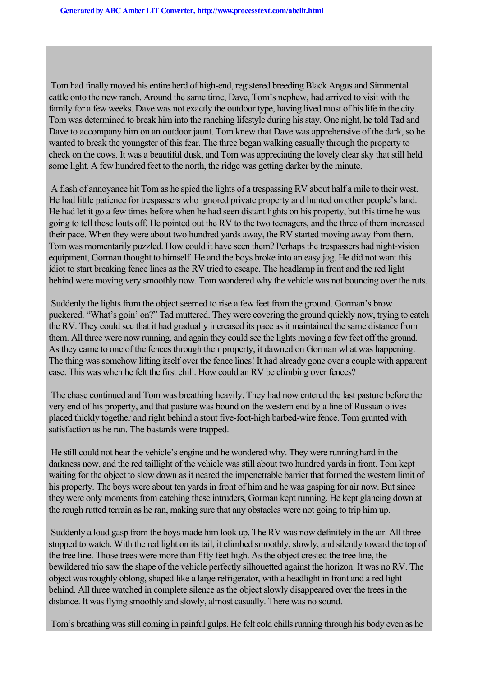Tom had finally moved his entire herd of high-end, registered breeding Black Angus and Simmental cattle onto the new ranch. Around the same time, Dave, Tom's nephew, had arrived to visit with the family for a few weeks. Dave was not exactly the outdoor type, having lived most of his life in the city. Tom was determined to break him into the ranching lifestyle during his stay. One night, he told Tad and Dave to accompany him on an outdoor jaunt. Tom knew that Dave was apprehensive of the dark, so he wanted to break the youngster of this fear. The three began walking casually through the property to check on the cows. It was a beautiful dusk, and Tom was appreciating the lovely clear sky that still held some light. A few hundred feet to the north, the ridge was getting darker by the minute.

 A flash of annoyance hit Tom as he spied the lights of a trespassing RV about half a mile to their west. He had little patience for trespassers who ignored private property and hunted on other people's land. He had let it go a few times before when he had seen distant lights on his property, but this time he was going to tell these louts off. He pointed out the RV to the two teenagers, and the three of them increased their pace. When they were about two hundred yards away, the RV started moving away from them. Tom was momentarily puzzled. How could it have seen them? Perhaps the trespassers had night-vision equipment, Gorman thought to himself. He and the boys broke into an easy jog. He did not want this idiot to start breaking fence lines as the RV tried to escape. The headlamp in front and the red light behind were moving very smoothly now. Tom wondered why the vehicle was not bouncing over the ruts.

 Suddenly the lights from the object seemed to rise a few feet from the ground. Gorman's brow puckered. "What's goin' on?" Tad muttered. They were covering the ground quickly now, trying to catch the RV. They could see that it had gradually increased its pace as it maintained the same distance from them. All three were now running, and again they could see the lights moving a few feet off the ground. As they came to one of the fences through their property, it dawned on Gorman what was happening. The thing was somehow lifting itself over the fence lines! It had already gone over a couple with apparent ease. This was when he felt the first chill. How could an RV be climbing over fences?

 The chase continued and Tom was breathing heavily. They had now entered the last pasture before the very end of his property, and that pasture was bound on the western end by a line of Russian olives placed thickly together and right behind a stout five-foot-high barbed-wire fence. Tom grunted with satisfaction as he ran. The bastards were trapped.

 He still could not hear the vehicle's engine and he wondered why. They were running hard in the darkness now, and the red taillight of the vehicle was still about two hundred yards in front. Tom kept waiting for the object to slow down as it neared the impenetrable barrier that formed the western limit of his property. The boys were about ten yards in front of him and he was gasping for air now. But since they were only moments from catching these intruders, Gorman kept running. He kept glancing down at the rough rutted terrain as he ran, making sure that any obstacles were not going to trip him up.

 Suddenly a loud gasp from the boys made him look up. The RV was now definitely in the air. All three stopped to watch. With the red light on its tail, it climbed smoothly, slowly, and silently toward the top of the tree line. Those trees were more than fifty feet high. As the object crested the tree line, the bewildered trio saw the shape of the vehicle perfectly silhouetted against the horizon. It was no RV. The object was roughly oblong, shaped like a large refrigerator, with a headlight in front and a red light behind. All three watched in complete silence as the object slowly disappeared over the trees in the distance. It was flying smoothly and slowly, almost casually. There was no sound.

Tom's breathing was still coming in painful gulps. He felt cold chills running through his body even as he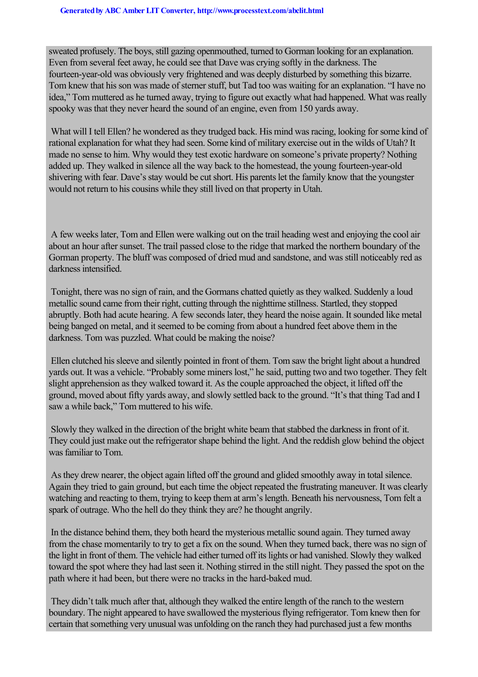sweated profusely. The boys, still gazing openmouthed, turned to Gorman looking for an explanation. Even from several feet away, he could see that Dave was crying softly in the darkness. The fourteen-year-old was obviously very frightened and was deeply disturbed by something this bizarre. Tom knew that his son was made of sterner stuff, but Tad too was waiting for an explanation. "I have no idea," Tom muttered as he turned away, trying to figure out exactly what had happened. What was really spooky was that they never heard the sound of an engine, even from 150 yards away.

What will I tell Ellen? he wondered as they trudged back. His mind was racing, looking for some kind of rational explanation for what they had seen. Some kind of military exercise out in the wilds of Utah? It made no sense to him. Why would they test exotic hardware on someone's private property? Nothing added up. They walked in silence all the way back to the homestead, the young fourteen-year-old shivering with fear. Dave's stay would be cut short. His parents let the family know that the youngster would not return to his cousins while they still lived on that property in Utah.

 A few weeks later, Tom and Ellen were walking out on the trail heading west and enjoying the cool air about an hour after sunset. The trail passed close to the ridge that marked the northern boundary of the Gorman property. The bluff was composed of dried mud and sandstone, and was still noticeably red as darkness intensified

 Tonight, there was no sign of rain, and the Gormans chatted quietly as they walked. Suddenly a loud metallic sound came from their right, cutting through the nighttime stillness. Startled, they stopped abruptly. Both had acute hearing. A few seconds later, they heard the noise again. It sounded like metal being banged on metal, and it seemed to be coming from about a hundred feet above them in the darkness. Tom was puzzled. What could be making the noise?

 Ellen clutched his sleeve and silently pointed in front of them. Tom saw the bright light about a hundred yards out. It was a vehicle. "Probably some miners lost," he said, putting two and two together. They felt slight apprehension as they walked toward it. As the couple approached the object, it lifted off the ground, moved about fifty yards away, and slowly settled back to the ground. "It's that thing Tad and I saw a while back," Tom muttered to his wife.

 Slowly they walked in the direction of the bright white beam that stabbed the darkness in front of it. They could just make out the refrigerator shape behind the light. And the reddish glow behind the object was familiar to Tom.

 As they drew nearer, the object again lifted off the ground and glided smoothly away in total silence. Again they tried to gain ground, but each time the object repeated the frustrating maneuver. It was clearly watching and reacting to them, trying to keep them at arm's length. Beneath his nervousness, Tom felt a spark of outrage. Who the hell do they think they are? he thought angrily.

 In the distance behind them, they both heard the mysterious metallic sound again. They turned away from the chase momentarily to try to get a fix on the sound. When they turned back, there was no sign of the light in front of them. The vehicle had either turned off its lights or had vanished. Slowly they walked toward the spot where they had last seen it. Nothing stirred in the still night. They passed the spot on the path where it had been, but there were no tracks in the hard-baked mud.

 They didn't talk much after that, although they walked the entire length of the ranch to the western boundary. The night appeared to have swallowed the mysterious flying refrigerator. Tom knew then for certain that something very unusual was unfolding on the ranch they had purchased just a few months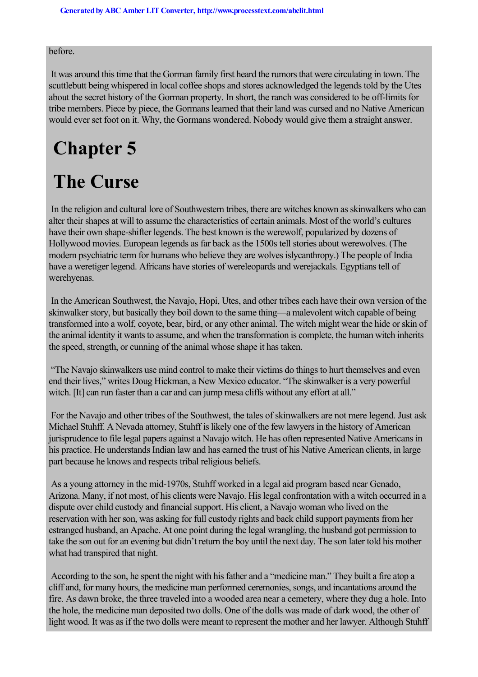#### **before**

 It was around this time that the Gorman family first heard the rumors that were circulating in town. The scuttlebutt being whispered in local coffee shops and stores acknowledged the legends told by the Utes about the secret history of the Gorman property. In short, the ranch was considered to be off-limits for tribe members. Piece by piece, the Gormans learned that their land was cursed and no Native American would ever set foot on it. Why, the Gormans wondered. Nobody would give them a straight answer.

## **Chapter 5 The Curse**

### In the religion and cultural lore of Southwestern tribes, there are witches known as skinwalkers who can alter their shapes at will to assume the characteristics of certain animals. Most of the world's cultures have their own shape-shifter legends. The best known is the werewolf, popularized by dozens of Hollywood movies. European legends as far back as the 1500s tell stories about werewolves. (The modern psychiatric term for humans who believe they are wolves islycanthropy.) The people of India have a weretiger legend. Africans have stories of wereleopards and werejackals. Egyptians tell of werehyenas.

 In the American Southwest, the Navajo, Hopi, Utes, and other tribes each have their own version of the skinwalker story, but basically they boil down to the same thing—a malevolent witch capable of being transformed into a wolf, coyote, bear, bird, or any other animal. The witch might wear the hide or skin of the animal identity it wants to assume, and when the transformation is complete, the human witch inherits the speed, strength, or cunning of the animal whose shape it has taken.

 "The Navajo skinwalkers use mind control to make their victims do things to hurt themselves and even end their lives," writes Doug Hickman, a New Mexico educator. "The skinwalker is a very powerful witch. [It] can run faster than a car and can jump mesa cliffs without any effort at all."

 For the Navajo and other tribes of the Southwest, the tales of skinwalkers are not mere legend. Just ask Michael Stuhff. A Nevada attorney, Stuhff is likely one of the few lawyers in the history of American jurisprudence to file legal papers against a Navajo witch. He has often represented Native Americans in his practice. He understands Indian law and has earned the trust of his Native American clients, in large part because he knows and respects tribal religious beliefs.

 As a young attorney in the mid-1970s, Stuhff worked in a legal aid program based near Genado, Arizona. Many, if not most, of his clients were Navajo. His legal confrontation with a witch occurred in a dispute over child custody and financial support. His client, a Navajo woman who lived on the reservation with her son, was asking for full custody rights and back child support payments from her estranged husband, an Apache. At one point during the legal wrangling, the husband got permission to take the son out for an evening but didn't return the boy until the next day. The son later told his mother what had transpired that night.

 According to the son, he spent the night with his father and a "medicine man." They built a fire atop a cliff and, for many hours, the medicine man performed ceremonies, songs, and incantations around the fire. As dawn broke, the three traveled into a wooded area near a cemetery, where they dug a hole. Into the hole, the medicine man deposited two dolls. One of the dolls was made of dark wood, the other of light wood. It was as if the two dolls were meant to represent the mother and her lawyer. Although Stuhff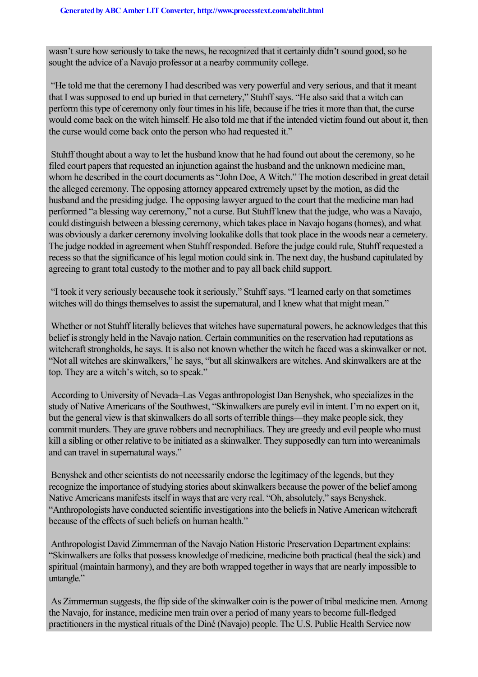wasn't sure how seriously to take the news, he recognized that it certainly didn't sound good, so he sought the advice of a Navajo professor at a nearby community college.

 "He told me that the ceremony I had described was very powerful and very serious, and that it meant that I was supposed to end up buried in that cemetery," Stuhff says. "He also said that a witch can perform this type of ceremony only four times in his life, because if he tries it more than that, the curse would come back on the witch himself. He also told me that if the intended victim found out about it, then the curse would come back onto the person who had requested it."

 Stuhff thought about a way to let the husband know that he had found out about the ceremony, so he filed court papers that requested an injunction against the husband and the unknown medicine man, whom he described in the court documents as "John Doe, A Witch." The motion described in great detail the alleged ceremony. The opposing attorney appeared extremely upset by the motion, as did the husband and the presiding judge. The opposing lawyer argued to the court that the medicine man had performed "a blessing way ceremony," not a curse. But Stuhff knew that the judge, who was a Navajo, could distinguish between a blessing ceremony, which takes place in Navajo hogans (homes), and what was obviously a darker ceremony involving lookalike dolls that took place in the woods near a cemetery. The judge nodded in agreement when Stuhff responded. Before the judge could rule, Stuhff requested a recess so that the significance of his legal motion could sink in. The next day, the husband capitulated by agreeing to grant total custody to the mother and to pay all back child support.

 "I took it very seriously becausehe took it seriously," Stuhff says. "I learned early on that sometimes witches will do things themselves to assist the supernatural, and I knew what that might mean."

 Whether or not Stuhff literally believes that witches have supernatural powers, he acknowledges that this belief is strongly held in the Navajo nation. Certain communities on the reservation had reputations as witchcraft strongholds, he says. It is also not known whether the witch he faced was a skinwalker or not. "Not all witches are skinwalkers," he says, "but all skinwalkers are witches. And skinwalkers are at the top. They are a witch's witch, so to speak."

 According to University of Nevada–Las Vegas anthropologist Dan Benyshek, who specializes in the study of Native Americans of the Southwest, "Skinwalkers are purely evil in intent. I'm no expert on it, but the general view is that skinwalkers do all sorts of terrible things—they make people sick, they commit murders. They are grave robbers and necrophiliacs. They are greedy and evil people who must kill a sibling or other relative to be initiated as a skinwalker. They supposedly can turn into wereanimals and can travel in supernatural ways."

 Benyshek and other scientists do not necessarily endorse the legitimacy of the legends, but they recognize the importance of studying stories about skinwalkers because the power of the belief among Native Americans manifests itself in ways that are very real. "Oh, absolutely," says Benyshek. "Anthropologists have conducted scientific investigations into the beliefs in Native American witchcraft because of the effects of such beliefs on human health."

 Anthropologist David Zimmerman of the Navajo Nation Historic Preservation Department explains: "Skinwalkers are folks that possess knowledge of medicine, medicine both practical (heal the sick) and spiritual (maintain harmony), and they are both wrapped together in ways that are nearly impossible to untangle."

 As Zimmerman suggests, the flip side of the skinwalker coin is the power of tribal medicine men. Among the Navajo, for instance, medicine men train over a period of many years to become full-fledged practitioners in the mystical rituals of the Diné (Navajo) people. The U.S. Public Health Service now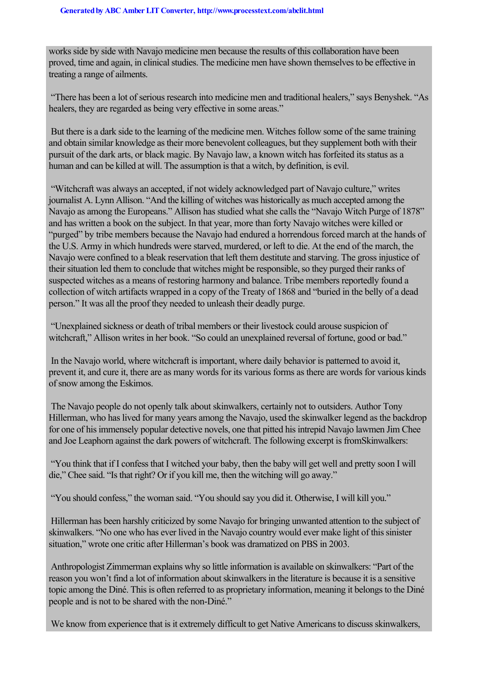works side by side with Navajo medicine men because the results of this collaboration have been proved, time and again, in clinical studies. The medicine men have shown themselves to be effective in treating a range of ailments.

 "There has been a lot of serious research into medicine men and traditional healers," says Benyshek. "As healers, they are regarded as being very effective in some areas."

 But there is a dark side to the learning of the medicine men. Witches follow some of the same training and obtain similar knowledge as their more benevolent colleagues, but they supplement both with their pursuit of the dark arts, or black magic. By Navajo law, a known witch has forfeited its status as a human and can be killed at will. The assumption is that a witch, by definition, is evil.

 "Witchcraft was always an accepted, if not widely acknowledged part of Navajo culture," writes journalist A. Lynn Allison. "And the killing of witches was historically as much accepted among the Navajo as among the Europeans." Allison has studied what she calls the "Navajo Witch Purge of 1878" and has written a book on the subject. In that year, more than forty Navajo witches were killed or "purged" by tribe members because the Navajo had endured a horrendous forced march at the hands of the U.S. Army in which hundreds were starved, murdered, or left to die. At the end of the march, the Navajo were confined to a bleak reservation that left them destitute and starving. The gross injustice of their situation led them to conclude that witches might be responsible, so they purged their ranks of suspected witches as a means of restoring harmony and balance. Tribe members reportedly found a collection of witch artifacts wrapped in a copy of the Treaty of 1868 and "buried in the belly of a dead person." It was all the proof they needed to unleash their deadly purge.

 "Unexplained sickness or death of tribal members or their livestock could arouse suspicion of witchcraft," Allison writes in her book. "So could an unexplained reversal of fortune, good or bad."

 In the Navajo world, where witchcraft is important, where daily behavior is patterned to avoid it, prevent it, and cure it, there are as many words for its various forms as there are words for various kinds of snow among the Eskimos.

 The Navajo people do not openly talk about skinwalkers, certainly not to outsiders. Author Tony Hillerman, who has lived for many years among the Navajo, used the skinwalker legend as the backdrop for one of his immensely popular detective novels, one that pitted his intrepid Navajo lawmen Jim Chee and Joe Leaphorn against the dark powers of witchcraft. The following excerpt is fromSkinwalkers:

 "You think that if I confess that I witched your baby, then the baby will get well and pretty soon I will die," Chee said. "Is that right? Or if you kill me, then the witching will go away."

"You should confess," the woman said. "You should say you did it. Otherwise, I will kill you."

 Hillerman has been harshly criticized by some Navajo for bringing unwanted attention to the subject of skinwalkers. "No one who has ever lived in the Navajo country would ever make light of this sinister situation," wrote one critic after Hillerman's book was dramatized on PBS in 2003.

 Anthropologist Zimmerman explains why so little information is available on skinwalkers: "Part of the reason you won't find a lot of information about skinwalkers in the literature is because it is a sensitive topic among the Diné. This is often referred to as proprietary information, meaning it belongs to the Diné people and is not to be shared with the non-Diné."

We know from experience that is it extremely difficult to get Native Americans to discuss skinwalkers,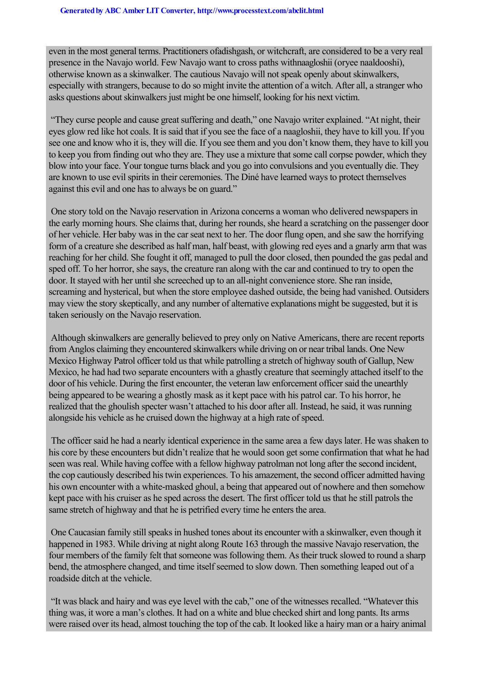even in the most general terms. Practitioners ofadishgash, or witchcraft, are considered to be a very real presence in the Navajo world. Few Navajo want to cross paths withnaagloshii (oryee naaldooshi), otherwise known as a skinwalker. The cautious Navajo will not speak openly about skinwalkers, especially with strangers, because to do so might invite the attention of a witch. After all, a stranger who asks questions about skinwalkers just might be one himself, looking for his next victim.

 "They curse people and cause great suffering and death," one Navajo writer explained. "At night, their eyes glow red like hot coals. It is said that if you see the face of a naagloshii, they have to kill you. If you see one and know who it is, they will die. If you see them and you don't know them, they have to kill you to keep you from finding out who they are. They use a mixture that some call corpse powder, which they blow into your face. Your tongue turns black and you go into convulsions and you eventually die. They are known to use evil spirits in their ceremonies. The Diné have learned ways to protect themselves against this evil and one has to always be on guard."

 One story told on the Navajo reservation in Arizona concerns a woman who delivered newspapers in the early morning hours. She claims that, during her rounds, she heard a scratching on the passenger door of her vehicle. Her baby was in the car seat next to her. The door flung open, and she saw the horrifying form of a creature she described as half man, half beast, with glowing red eyes and a gnarly arm that was reaching for her child. She fought it off, managed to pull the door closed, then pounded the gas pedal and sped off. To her horror, she says, the creature ran along with the car and continued to try to open the door. It stayed with her until she screeched up to an all-night convenience store. She ran inside, screaming and hysterical, but when the store employee dashed outside, the being had vanished. Outsiders may view the story skeptically, and any number of alternative explanations might be suggested, but it is taken seriously on the Navajo reservation.

 Although skinwalkers are generally believed to prey only on Native Americans, there are recent reports from Anglos claiming they encountered skinwalkers while driving on or near tribal lands. One New Mexico Highway Patrol officer told us that while patrolling a stretch of highway south of Gallup, New Mexico, he had had two separate encounters with a ghastly creature that seemingly attached itself to the door of his vehicle. During the first encounter, the veteran law enforcement officer said the unearthly being appeared to be wearing a ghostly mask as it kept pace with his patrol car. To his horror, he realized that the ghoulish specter wasn't attached to his door after all. Instead, he said, it was running alongside his vehicle as he cruised down the highway at a high rate of speed.

 The officer said he had a nearly identical experience in the same area a few days later. He was shaken to his core by these encounters but didn't realize that he would soon get some confirmation that what he had seen was real. While having coffee with a fellow highway patrolman not long after the second incident, the cop cautiously described his twin experiences. To his amazement, the second officer admitted having his own encounter with a white-masked ghoul, a being that appeared out of nowhere and then somehow kept pace with his cruiser as he sped across the desert. The first officer told us that he still patrols the same stretch of highway and that he is petrified every time he enters the area.

 One Caucasian family still speaks in hushed tones about its encounter with a skinwalker, even though it happened in 1983. While driving at night along Route 163 through the massive Navajo reservation, the four members of the family felt that someone was following them. As their truck slowed to round a sharp bend, the atmosphere changed, and time itself seemed to slow down. Then something leaped out of a roadside ditch at the vehicle.

 "It was black and hairy and was eye level with the cab," one of the witnesses recalled. "Whatever this thing was, it wore a man's clothes. It had on a white and blue checked shirt and long pants. Its arms were raised over its head, almost touching the top of the cab. It looked like a hairy man or a hairy animal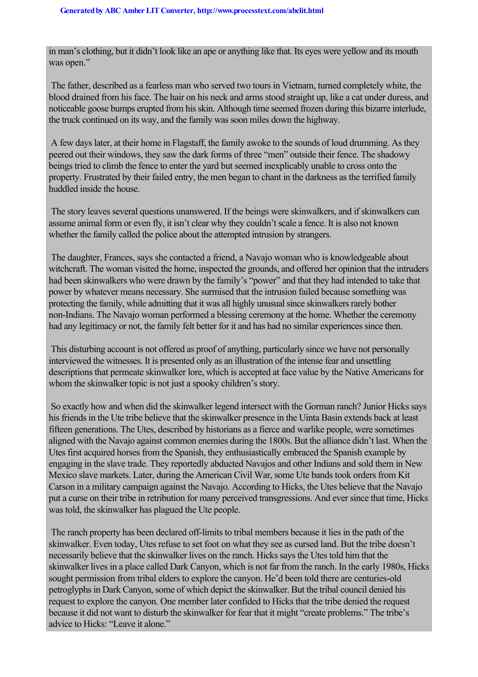in man's clothing, but it didn't look like an ape or anything like that. Its eyes were yellow and its mouth was open."

 The father, described as a fearless man who served two tours in Vietnam, turned completely white, the blood drained from his face. The hair on his neck and arms stood straight up, like a cat under duress, and noticeable goose bumps erupted from his skin. Although time seemed frozen during this bizarre interlude, the truck continued on its way, and the family was soon miles down the highway.

 A few days later, at their home in Flagstaff, the family awoke to the sounds of loud drumming. As they peered out their windows, they saw the dark forms of three "men" outside their fence. The shadowy beings tried to climb the fence to enter the yard but seemed inexplicably unable to cross onto the property. Frustrated by their failed entry, the men began to chant in the darkness as the terrified family huddled inside the house.

 The story leaves several questions unanswered. If the beings were skinwalkers, and if skinwalkers can assume animal form or even fly, it isn't clear why they couldn't scale a fence. It is also not known whether the family called the police about the attempted intrusion by strangers.

 The daughter, Frances, says she contacted a friend, a Navajo woman who is knowledgeable about witchcraft. The woman visited the home, inspected the grounds, and offered her opinion that the intruders had been skinwalkers who were drawn by the family's "power" and that they had intended to take that power by whatever means necessary. She surmised that the intrusion failed because something was protecting the family, while admitting that it was all highly unusual since skinwalkers rarely bother non-Indians. The Navajo woman performed a blessing ceremony at the home. Whether the ceremony had any legitimacy or not, the family felt better for it and has had no similar experiences since then.

 This disturbing account is not offered as proof of anything, particularly since we have not personally interviewed the witnesses. It is presented only as an illustration of the intense fear and unsettling descriptions that permeate skinwalker lore, which is accepted at face value by the Native Americans for whom the skinwalker topic is not just a spooky children's story.

 So exactly how and when did the skinwalker legend intersect with the Gorman ranch? Junior Hicks says his friends in the Ute tribe believe that the skinwalker presence in the Uinta Basin extends back at least fifteen generations. The Utes, described by historians as a fierce and warlike people, were sometimes aligned with the Navajo against common enemies during the 1800s. But the alliance didn't last. When the Utes first acquired horses from the Spanish, they enthusiastically embraced the Spanish example by engaging in the slave trade. They reportedly abducted Navajos and other Indians and sold them in New Mexico slave markets. Later, during the American Civil War, some Ute bands took orders from Kit Carson in a military campaign against the Navajo. According to Hicks, the Utes believe that the Navajo put a curse on their tribe in retribution for many perceived transgressions. And ever since that time, Hicks was told, the skinwalker has plagued the Ute people.

 The ranch property has been declared off-limits to tribal members because it lies in the path of the skinwalker. Even today, Utes refuse to set foot on what they see as cursed land. But the tribe doesn't necessarily believe that the skinwalker lives on the ranch. Hicks says the Utes told him that the skinwalker lives in a place called Dark Canyon, which is not far from the ranch. In the early 1980s, Hicks sought permission from tribal elders to explore the canyon. He'd been told there are centuries-old petroglyphs in Dark Canyon, some of which depict the skinwalker. But the tribal council denied his request to explore the canyon. One member later confided to Hicks that the tribe denied the request because it did not want to disturb the skinwalker for fear that it might "create problems." The tribe's advice to Hicks: "Leave it alone."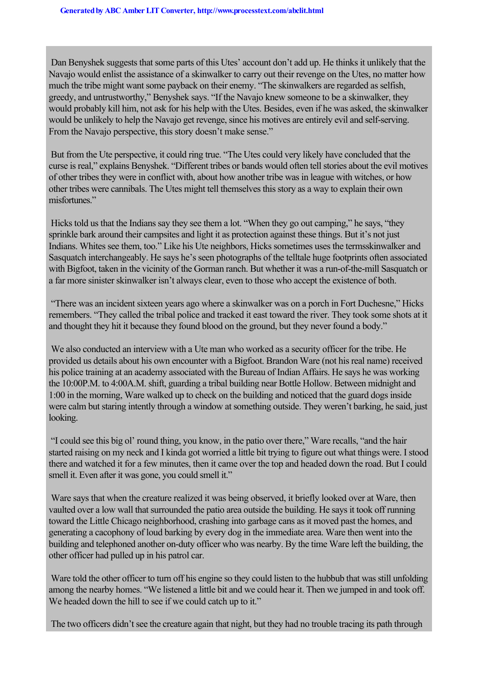Dan Benyshek suggests that some parts of this Utes' account don't add up. He thinks it unlikely that the Navajo would enlist the assistance of a skinwalker to carry out their revenge on the Utes, no matter how much the tribe might want some payback on their enemy. "The skinwalkers are regarded as selfish, greedy, and untrustworthy," Benyshek says. "If the Navajo knew someone to be a skinwalker, they would probably kill him, not ask for his help with the Utes. Besides, even if he was asked, the skinwalker would be unlikely to help the Navajo get revenge, since his motives are entirely evil and self-serving. From the Navajo perspective, this story doesn't make sense."

 But from the Ute perspective, it could ring true. "The Utes could very likely have concluded that the curse is real," explains Benyshek. "Different tribes or bands would often tell stories about the evil motives of other tribes they were in conflict with, about how another tribe was in league with witches, or how other tribes were cannibals. The Utes might tell themselves this story as a way to explain their own misfortunes."

 Hicks told us that the Indians say they see them a lot. "When they go out camping," he says, "they sprinkle bark around their campsites and light it as protection against these things. But it's not just Indians. Whites see them, too." Like his Ute neighbors, Hicks sometimes uses the termsskinwalker and Sasquatch interchangeably. He says he's seen photographs of the telltale huge footprints often associated with Bigfoot, taken in the vicinity of the Gorman ranch. But whether it was a run-of-the-mill Sasquatch or a far more sinister skinwalker isn't always clear, even to those who accept the existence of both.

 "There was an incident sixteen years ago where a skinwalker was on a porch in Fort Duchesne," Hicks remembers. "They called the tribal police and tracked it east toward the river. They took some shots at it and thought they hit it because they found blood on the ground, but they never found a body."

 We also conducted an interview with a Ute man who worked as a security officer for the tribe. He provided us details about his own encounter with a Bigfoot. Brandon Ware (not his real name) received his police training at an academy associated with the Bureau of Indian Affairs. He says he was working the 10:00P.M. to 4:00A.M. shift, guarding a tribal building near Bottle Hollow. Between midnight and 1:00 in the morning, Ware walked up to check on the building and noticed that the guard dogs inside were calm but staring intently through a window at something outside. They weren't barking, he said, just looking.

 "I could see this big ol' round thing, you know, in the patio over there," Ware recalls, "and the hair started raising on my neck and I kinda got worried a little bit trying to figure out what things were. I stood there and watched it for a few minutes, then it came over the top and headed down the road. But I could smell it. Even after it was gone, you could smell it."

 Ware says that when the creature realized it was being observed, it briefly looked over at Ware, then vaulted over a low wall that surrounded the patio area outside the building. He says it took off running toward the Little Chicago neighborhood, crashing into garbage cans as it moved past the homes, and generating a cacophony of loud barking by every dog in the immediate area. Ware then went into the building and telephoned another on-duty officer who was nearby. By the time Ware left the building, the other officer had pulled up in his patrol car.

 Ware told the other officer to turn off his engine so they could listen to the hubbub that was still unfolding among the nearby homes. "We listened a little bit and we could hear it. Then we jumped in and took off. We headed down the hill to see if we could catch up to it."

The two officers didn't see the creature again that night, but they had no trouble tracing its path through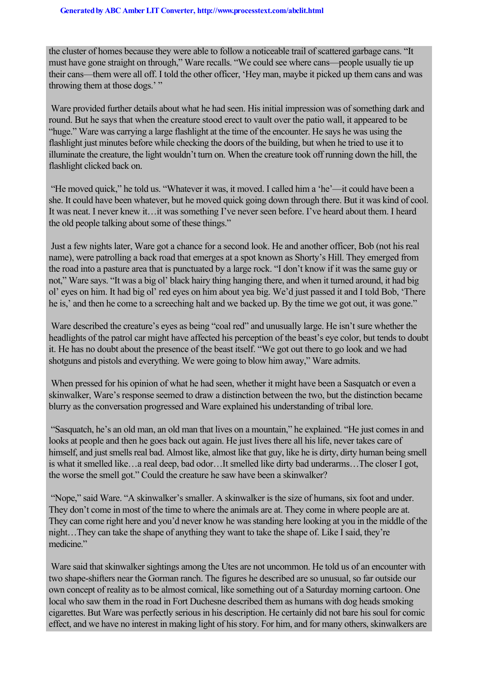the cluster of homes because they were able to follow a noticeable trail of scattered garbage cans. "It must have gone straight on through," Ware recalls. "We could see where cans—people usually tie up their cans—them were all off. I told the other officer, 'Hey man, maybe it picked up them cans and was throwing them at those dogs.'"

 Ware provided further details about what he had seen. His initial impression was of something dark and round. But he says that when the creature stood erect to vault over the patio wall, it appeared to be "huge." Ware was carrying a large flashlight at the time of the encounter. He says he was using the flashlight just minutes before while checking the doors of the building, but when he tried to use it to illuminate the creature, the light wouldn't turn on. When the creature took off running down the hill, the flashlight clicked back on.

 "He moved quick," he told us. "Whatever it was, it moved. I called him a 'he'—it could have been a she. It could have been whatever, but he moved quick going down through there. But it was kind of cool. It was neat. I never knew it…it was something I've never seen before. I've heard about them. I heard the old people talking about some of these things."

 Just a few nights later, Ware got a chance for a second look. He and another officer, Bob (not his real name), were patrolling a back road that emerges at a spot known as Shorty's Hill. They emerged from the road into a pasture area that is punctuated by a large rock. "I don't know if it was the same guy or not," Ware says. "It was a big ol' black hairy thing hanging there, and when it turned around, it had big ol' eyes on him. It had big ol' red eyes on him about yea big. We'd just passed it and I told Bob, 'There he is,' and then he come to a screeching halt and we backed up. By the time we got out, it was gone."

Ware described the creature's eyes as being "coal red" and unusually large. He isn't sure whether the headlights of the patrol car might have affected his perception of the beast's eye color, but tends to doubt it. He has no doubt about the presence of the beast itself. "We got out there to go look and we had shotguns and pistols and everything. We were going to blow him away," Ware admits.

When pressed for his opinion of what he had seen, whether it might have been a Sasquatch or even a skinwalker, Ware's response seemed to draw a distinction between the two, but the distinction became blurry as the conversation progressed and Ware explained his understanding of tribal lore.

 "Sasquatch, he's an old man, an old man that lives on a mountain," he explained. "He just comes in and looks at people and then he goes back out again. He just lives there all his life, never takes care of himself, and just smells real bad. Almost like, almost like that guy, like he is dirty, dirty human being smell is what it smelled like…a real deep, bad odor…It smelled like dirty bad underarms…The closer I got, the worse the smell got." Could the creature he saw have been a skinwalker?

 "Nope," said Ware. "A skinwalker's smaller. A skinwalker is the size of humans, six foot and under. They don't come in most of the time to where the animals are at. They come in where people are at. They can come right here and you'd never know he was standing here looking at you in the middle of the night…They can take the shape of anything they want to take the shape of. Like I said, they're medicine."

 Ware said that skinwalker sightings among the Utes are not uncommon. He told us of an encounter with two shape-shifters near the Gorman ranch. The figures he described are so unusual, so far outside our own concept of reality as to be almost comical, like something out of a Saturday morning cartoon. One local who saw them in the road in Fort Duchesne described them as humans with dog heads smoking cigarettes. But Ware was perfectly serious in his description. He certainly did not bare his soul for comic effect, and we have no interest in making light of his story. For him, and for many others, skinwalkers are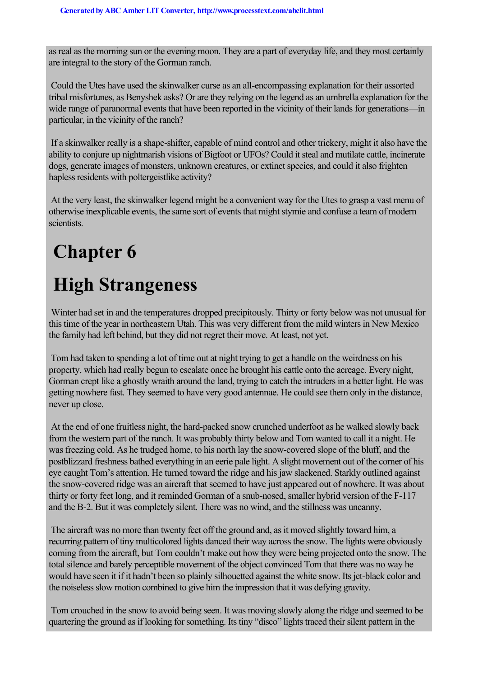as real as the morning sun or the evening moon. They are a part of everyday life, and they most certainly are integral to the story of the Gorman ranch.

 Could the Utes have used the skinwalker curse as an all-encompassing explanation for their assorted tribal misfortunes, as Benyshek asks? Or are they relying on the legend as an umbrella explanation for the wide range of paranormal events that have been reported in the vicinity of their lands for generations—in particular, in the vicinity of the ranch?

 If a skinwalker really is a shape-shifter, capable of mind control and other trickery, might it also have the ability to conjure up nightmarish visions of Bigfoot or UFOs? Could it steal and mutilate cattle, incinerate dogs, generate images of monsters, unknown creatures, or extinct species, and could it also frighten hapless residents with poltergeistlike activity?

 At the very least, the skinwalker legend might be a convenient way for the Utes to grasp a vast menu of otherwise inexplicable events, the same sort of events that might stymie and confuse a team of modern scientists.

## **Chapter 6**

## **High Strangeness**

 Winter had set in and the temperatures dropped precipitously. Thirty or forty below was not unusual for this time of the year in northeastern Utah. This was very different from the mild winters in New Mexico the family had left behind, but they did not regret their move. At least, not yet.

 Tom had taken to spending a lot of time out at night trying to get a handle on the weirdness on his property, which had really begun to escalate once he brought his cattle onto the acreage. Every night, Gorman crept like a ghostly wraith around the land, trying to catch the intruders in a better light. He was getting nowhere fast. They seemed to have very good antennae. He could see them only in the distance, never up close.

 At the end of one fruitless night, the hard-packed snow crunched underfoot as he walked slowly back from the western part of the ranch. It was probably thirty below and Tom wanted to call it a night. He was freezing cold. As he trudged home, to his north lay the snow-covered slope of the bluff, and the postblizzard freshness bathed everything in an eerie pale light. A slight movement out of the corner of his eye caught Tom's attention. He turned toward the ridge and his jaw slackened. Starkly outlined against the snow-covered ridge was an aircraft that seemed to have just appeared out of nowhere. It was about thirty or forty feet long, and it reminded Gorman of a snub-nosed, smaller hybrid version of the F-117 and the B-2. But it was completely silent. There was no wind, and the stillness was uncanny.

 The aircraft was no more than twenty feet off the ground and, as it moved slightly toward him, a recurring pattern of tiny multicolored lights danced their way across the snow. The lights were obviously coming from the aircraft, but Tom couldn't make out how they were being projected onto the snow. The total silence and barely perceptible movement of the object convinced Tom that there was no way he would have seen it if it hadn't been so plainly silhouetted against the white snow. Its jet-black color and the noiseless slow motion combined to give him the impression that it was defying gravity.

 Tom crouched in the snow to avoid being seen. It was moving slowly along the ridge and seemed to be quartering the ground as if looking for something. Its tiny "disco" lights traced their silent pattern in the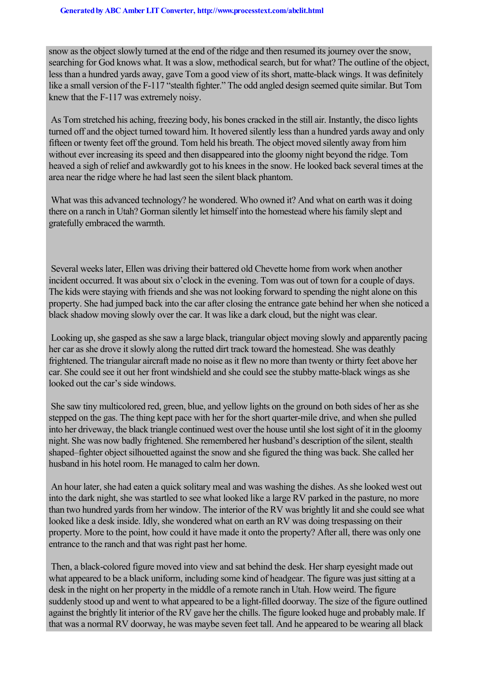snow as the object slowly turned at the end of the ridge and then resumed its journey over the snow, searching for God knows what. It was a slow, methodical search, but for what? The outline of the object, less than a hundred yards away, gave Tom a good view of its short, matte-black wings. It was definitely like a small version of the F-117 "stealth fighter." The odd angled design seemed quite similar. But Tom knew that the F-117 was extremely noisy.

 As Tom stretched his aching, freezing body, his bones cracked in the still air. Instantly, the disco lights turned off and the object turned toward him. It hovered silently less than a hundred yards away and only fifteen or twenty feet off the ground. Tom held his breath. The object moved silently away from him without ever increasing its speed and then disappeared into the gloomy night beyond the ridge. Tom heaved a sigh of relief and awkwardly got to his knees in the snow. He looked back several times at the area near the ridge where he had last seen the silent black phantom.

What was this advanced technology? he wondered. Who owned it? And what on earth was it doing there on a ranch in Utah? Gorman silently let himself into the homestead where his family slept and gratefully embraced the warmth.

 Several weeks later, Ellen was driving their battered old Chevette home from work when another incident occurred. It was about six o'clock in the evening. Tom was out of town for a couple of days. The kids were staying with friends and she was not looking forward to spending the night alone on this property. She had jumped back into the car after closing the entrance gate behind her when she noticed a black shadow moving slowly over the car. It was like a dark cloud, but the night was clear.

 Looking up, she gasped as she saw a large black, triangular object moving slowly and apparently pacing her car as she drove it slowly along the rutted dirt track toward the homestead. She was deathly frightened. The triangular aircraft made no noise as it flew no more than twenty or thirty feet above her car. She could see it out her front windshield and she could see the stubby matte-black wings as she looked out the car's side windows.

 She saw tiny multicolored red, green, blue, and yellow lights on the ground on both sides of her as she stepped on the gas. The thing kept pace with her for the short quarter-mile drive, and when she pulled into her driveway, the black triangle continued west over the house until she lost sight of it in the gloomy night. She was now badly frightened. She remembered her husband's description of the silent, stealth shaped–fighter object silhouetted against the snow and she figured the thing was back. She called her husband in his hotel room. He managed to calm her down.

 An hour later, she had eaten a quick solitary meal and was washing the dishes. As she looked west out into the dark night, she was startled to see what looked like a large RV parked in the pasture, no more than two hundred yards from her window. The interior of the RV was brightly lit and she could see what looked like a desk inside. Idly, she wondered what on earth an RV was doing trespassing on their property. More to the point, how could it have made it onto the property? After all, there was only one entrance to the ranch and that was right past her home.

 Then, a black-colored figure moved into view and sat behind the desk. Her sharp eyesight made out what appeared to be a black uniform, including some kind of headgear. The figure was just sitting at a desk in the night on her property in the middle of a remote ranch in Utah. How weird. The figure suddenly stood up and went to what appeared to be a light-filled doorway. The size of the figure outlined against the brightly lit interior of the RV gave her the chills. The figure looked huge and probably male. If that was a normal RV doorway, he was maybe seven feet tall. And he appeared to be wearing all black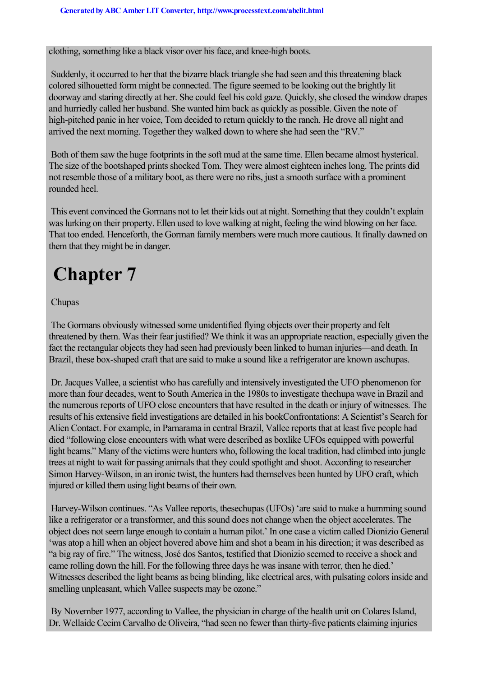clothing, something like a black visor over his face, and knee-high boots.

 Suddenly, it occurred to her that the bizarre black triangle she had seen and this threatening black colored silhouetted form might be connected. The figure seemed to be looking out the brightly lit doorway and staring directly at her. She could feel his cold gaze. Quickly, she closed the window drapes and hurriedly called her husband. She wanted him back as quickly as possible. Given the note of high-pitched panic in her voice, Tom decided to return quickly to the ranch. He drove all night and arrived the next morning. Together they walked down to where she had seen the "RV."

 Both of them saw the huge footprints in the soft mud at the same time. Ellen became almost hysterical. The size of the bootshaped prints shocked Tom. They were almost eighteen inches long. The prints did not resemble those of a military boot, as there were no ribs, just a smooth surface with a prominent rounded heel.

 This event convinced the Gormans not to let their kids out at night. Something that they couldn't explain was lurking on their property. Ellen used to love walking at night, feeling the wind blowing on her face. That too ended. Henceforth, the Gorman family members were much more cautious. It finally dawned on them that they might be in danger.

## **Chapter 7**

#### Chupas

 The Gormans obviously witnessed some unidentified flying objects over their property and felt threatened by them. Was their fear justified? We think it was an appropriate reaction, especially given the fact the rectangular objects they had seen had previously been linked to human injuries—and death. In Brazil, these box-shaped craft that are said to make a sound like a refrigerator are known aschupas.

 Dr. Jacques Vallee, a scientist who has carefully and intensively investigated the UFO phenomenon for more than four decades, went to South America in the 1980s to investigate thechupa wave in Brazil and the numerous reports of UFO close encounters that have resulted in the death or injury of witnesses. The results of his extensive field investigations are detailed in his bookConfrontations: A Scientist's Search for Alien Contact. For example, in Parnarama in central Brazil, Vallee reports that at least five people had died "following close encounters with what were described as boxlike UFOs equipped with powerful light beams." Many of the victims were hunters who, following the local tradition, had climbed into jungle trees at night to wait for passing animals that they could spotlight and shoot. According to researcher Simon Harvey-Wilson, in an ironic twist, the hunters had themselves been hunted by UFO craft, which injured or killed them using light beams of their own.

 Harvey-Wilson continues. "As Vallee reports, thesechupas (UFOs) 'are said to make a humming sound like a refrigerator or a transformer, and this sound does not change when the object accelerates. The object does not seem large enough to contain a human pilot.' In one case a victim called Dionizio General 'was atop a hill when an object hovered above him and shot a beam in his direction; it was described as "a big ray of fire." The witness, José dos Santos, testified that Dionizio seemed to receive a shock and came rolling down the hill. For the following three days he was insane with terror, then he died.' Witnesses described the light beams as being blinding, like electrical arcs, with pulsating colors inside and smelling unpleasant, which Vallee suspects may be ozone."

 By November 1977, according to Vallee, the physician in charge of the health unit on Colares Island, Dr. Wellaide Cecim Carvalho de Oliveira, "had seen no fewer than thirty-five patients claiming injuries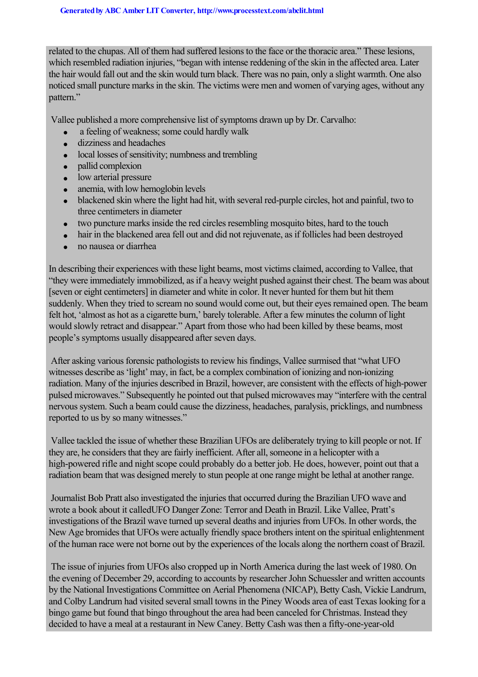related to the chupas. All of them had suffered lesions to the face or the thoracic area." These lesions, which resembled radiation injuries, "began with intense reddening of the skin in the affected area. Later the hair would fall out and the skin would turn black. There was no pain, only a slight warmth. One also noticed small puncture marks in the skin. The victims were men and women of varying ages, without any pattern."

Vallee published a more comprehensive list of symptoms drawn up by Dr. Carvalho:

- a feeling of weakness; some could hardly walk
- dizziness and headaches
- local losses of sensitivity; numbness and trembling
- pallid complexion
- low arterial pressure
- anemia, with low hemoglobin levels
- blackened skin where the light had hit, with several red-purple circles, hot and painful, two to three centimeters in diameter
- two puncture marks inside the red circles resembling mosquito bites, hard to the touch
- hair in the blackened area fell out and did not rejuvenate, as if follicles had been destroyed
- no nausea or diarrhea

In describing their experiences with these light beams, most victims claimed, according to Vallee, that "they were immediately immobilized, as if a heavy weight pushed against their chest. The beam was about [seven or eight centimeters] in diameter and white in color. It never hunted for them but hit them suddenly. When they tried to scream no sound would come out, but their eyes remained open. The beam felt hot, 'almost as hot as a cigarette burn,' barely tolerable. After a few minutes the column of light would slowly retract and disappear." Apart from those who had been killed by these beams, most people's symptoms usually disappeared after seven days.

 After asking various forensic pathologists to review his findings, Vallee surmised that "what UFO witnesses describe as 'light' may, in fact, be a complex combination of ionizing and non-ionizing radiation. Many of the injuries described in Brazil, however, are consistent with the effects of high-power pulsed microwaves." Subsequently he pointed out that pulsed microwaves may "interfere with the central nervous system. Such a beam could cause the dizziness, headaches, paralysis, pricklings, and numbness reported to us by so many witnesses."

 Vallee tackled the issue of whether these Brazilian UFOs are deliberately trying to kill people or not. If they are, he considers that they are fairly inefficient. After all, someone in a helicopter with a high-powered rifle and night scope could probably do a better job. He does, however, point out that a radiation beam that was designed merely to stun people at one range might be lethal at another range.

 Journalist Bob Pratt also investigated the injuries that occurred during the Brazilian UFO wave and wrote a book about it calledUFO Danger Zone: Terror and Death in Brazil. Like Vallee, Pratt's investigations of the Brazil wave turned up several deaths and injuries from UFOs. In other words, the New Age bromides that UFOs were actually friendly space brothers intent on the spiritual enlightenment of the human race were not borne out by the experiences of the locals along the northern coast of Brazil.

 The issue of injuries from UFOs also cropped up in North America during the last week of 1980. On the evening of December 29, according to accounts by researcher John Schuessler and written accounts by the National Investigations Committee on Aerial Phenomena (NICAP), Betty Cash, Vickie Landrum, and Colby Landrum had visited several small towns in the Piney Woods area of east Texas looking for a bingo game but found that bingo throughout the area had been canceled for Christmas. Instead they decided to have a meal at a restaurant in New Caney. Betty Cash was then a fifty-one-year-old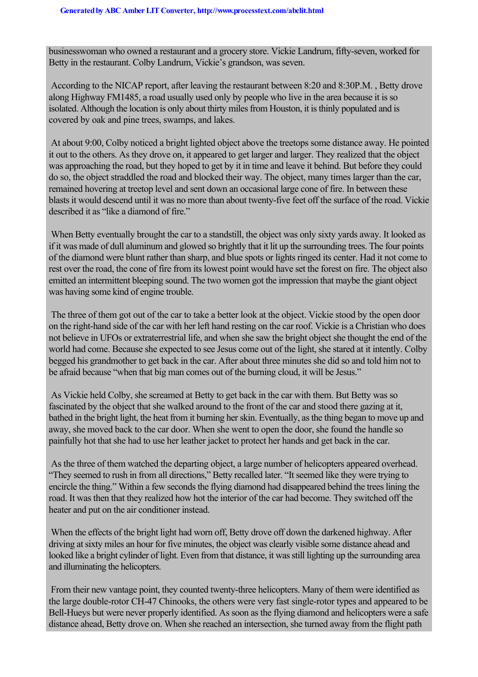businesswoman who owned a restaurant and a grocery store. Vickie Landrum, fifty-seven, worked for Betty in the restaurant. Colby Landrum, Vickie's grandson, was seven.

 According to the NICAP report, after leaving the restaurant between 8:20 and 8:30P.M. , Betty drove along Highway FM1485, a road usually used only by people who live in the area because it is so isolated. Although the location is only about thirty miles from Houston, it is thinly populated and is covered by oak and pine trees, swamps, and lakes.

 At about 9:00, Colby noticed a bright lighted object above the treetops some distance away. He pointed it out to the others. As they drove on, it appeared to get larger and larger. They realized that the object was approaching the road, but they hoped to get by it in time and leave it behind. But before they could do so, the object straddled the road and blocked their way. The object, many times larger than the car, remained hovering at treetop level and sent down an occasional large cone of fire. In between these blasts it would descend until it was no more than about twenty-five feet off the surface of the road. Vickie described it as "like a diamond of fire."

When Betty eventually brought the car to a standstill, the object was only sixty vards away. It looked as if it was made of dull aluminum and glowed so brightly that it lit up the surrounding trees. The four points of the diamond were blunt rather than sharp, and blue spots or lights ringed its center. Had it not come to rest over the road, the cone of fire from its lowest point would have set the forest on fire. The object also emitted an intermittent bleeping sound. The two women got the impression that maybe the giant object was having some kind of engine trouble.

 The three of them got out of the car to take a better look at the object. Vickie stood by the open door on the right-hand side of the car with her left hand resting on the car roof. Vickie is a Christian who does not believe in UFOs or extraterrestrial life, and when she saw the bright object she thought the end of the world had come. Because she expected to see Jesus come out of the light, she stared at it intently. Colby begged his grandmother to get back in the car. After about three minutes she did so and told him not to be afraid because "when that big man comes out of the burning cloud, it will be Jesus."

 As Vickie held Colby, she screamed at Betty to get back in the car with them. But Betty was so fascinated by the object that she walked around to the front of the car and stood there gazing at it, bathed in the bright light, the heat from it burning her skin. Eventually, as the thing began to move up and away, she moved back to the car door. When she went to open the door, she found the handle so painfully hot that she had to use her leather jacket to protect her hands and get back in the car.

 As the three of them watched the departing object, a large number of helicopters appeared overhead. "They seemed to rush in from all directions," Betty recalled later. "It seemed like they were trying to encircle the thing." Within a few seconds the flying diamond had disappeared behind the trees lining the road. It was then that they realized how hot the interior of the car had become. They switched off the heater and put on the air conditioner instead.

 When the effects of the bright light had worn off, Betty drove off down the darkened highway. After driving at sixty miles an hour for five minutes, the object was clearly visible some distance ahead and looked like a bright cylinder of light. Even from that distance, it was still lighting up the surrounding area and illuminating the helicopters.

 From their new vantage point, they counted twenty-three helicopters. Many of them were identified as the large double-rotor CH-47 Chinooks, the others were very fast single-rotor types and appeared to be Bell-Hueys but were never properly identified. As soon as the flying diamond and helicopters were a safe distance ahead, Betty drove on. When she reached an intersection, she turned away from the flight path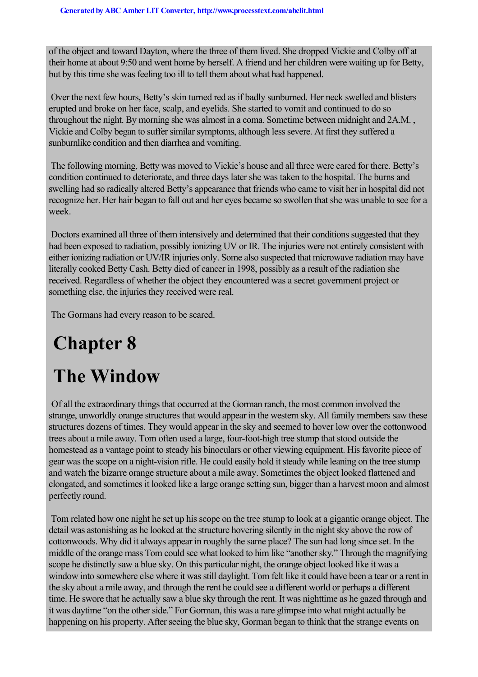of the object and toward Dayton, where the three of them lived. She dropped Vickie and Colby off at their home at about 9:50 and went home by herself. A friend and her children were waiting up for Betty, but by this time she was feeling too ill to tell them about what had happened.

 Over the next few hours, Betty's skin turned red as if badly sunburned. Her neck swelled and blisters erupted and broke on her face, scalp, and eyelids. She started to vomit and continued to do so throughout the night. By morning she was almost in a coma. Sometime between midnight and 2A.M. , Vickie and Colby began to suffer similar symptoms, although less severe. At first they suffered a sunburnlike condition and then diarrhea and vomiting.

 The following morning, Betty was moved to Vickie's house and all three were cared for there. Betty's condition continued to deteriorate, and three days later she was taken to the hospital. The burns and swelling had so radically altered Betty's appearance that friends who came to visit her in hospital did not recognize her. Her hair began to fall out and her eyes became so swollen that she was unable to see for a week.

 Doctors examined all three of them intensively and determined that their conditions suggested that they had been exposed to radiation, possibly ionizing UV or IR. The injuries were not entirely consistent with either ionizing radiation or UV/IR injuries only. Some also suspected that microwave radiation may have literally cooked Betty Cash. Betty died of cancer in 1998, possibly as a result of the radiation she received. Regardless of whether the object they encountered was a secret government project or something else, the injuries they received were real.

The Gormans had every reason to be scared.

## **Chapter 8 The Window**

 Of all the extraordinary things that occurred at the Gorman ranch, the most common involved the strange, unworldly orange structures that would appear in the western sky. All family members saw these structures dozens of times. They would appear in the sky and seemed to hover low over the cottonwood trees about a mile away. Tom often used a large, four-foot-high tree stump that stood outside the homestead as a vantage point to steady his binoculars or other viewing equipment. His favorite piece of gear was the scope on a night-vision rifle. He could easily hold it steady while leaning on the tree stump and watch the bizarre orange structure about a mile away. Sometimes the object looked flattened and elongated, and sometimes it looked like a large orange setting sun, bigger than a harvest moon and almost perfectly round.

 Tom related how one night he set up his scope on the tree stump to look at a gigantic orange object. The detail was astonishing as he looked at the structure hovering silently in the night sky above the row of cottonwoods. Why did it always appear in roughly the same place? The sun had long since set. In the middle of the orange mass Tom could see what looked to him like "another sky." Through the magnifying scope he distinctly saw a blue sky. On this particular night, the orange object looked like it was a window into somewhere else where it was still daylight. Tom felt like it could have been a tear or a rent in the sky about a mile away, and through the rent he could see a different world or perhaps a different time. He swore that he actually saw a blue sky through the rent. It was nighttime as he gazed through and it was daytime "on the other side." For Gorman, this was a rare glimpse into what might actually be happening on his property. After seeing the blue sky, Gorman began to think that the strange events on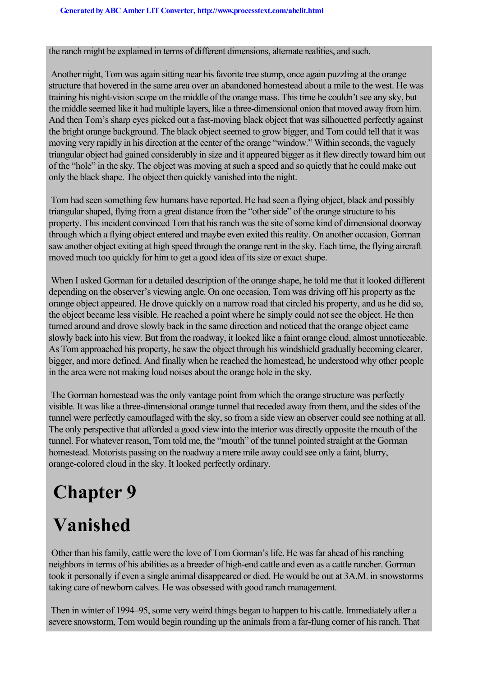the ranch might be explained in terms of different dimensions, alternate realities, and such.

 Another night, Tom was again sitting near his favorite tree stump, once again puzzling at the orange structure that hovered in the same area over an abandoned homestead about a mile to the west. He was training his night-vision scope on the middle of the orange mass. This time he couldn't see any sky, but the middle seemed like it had multiple layers, like a three-dimensional onion that moved away from him. And then Tom's sharp eyes picked out a fast-moving black object that was silhouetted perfectly against the bright orange background. The black object seemed to grow bigger, and Tom could tell that it was moving very rapidly in his direction at the center of the orange "window." Within seconds, the vaguely triangular object had gained considerably in size and it appeared bigger as it flew directly toward him out of the "hole" in the sky. The object was moving at such a speed and so quietly that he could make out only the black shape. The object then quickly vanished into the night.

 Tom had seen something few humans have reported. He had seen a flying object, black and possibly triangular shaped, flying from a great distance from the "other side" of the orange structure to his property. This incident convinced Tom that his ranch was the site of some kind of dimensional doorway through which a flying object entered and maybe even exited this reality. On another occasion, Gorman saw another object exiting at high speed through the orange rent in the sky. Each time, the flying aircraft moved much too quickly for him to get a good idea of its size or exact shape.

 When I asked Gorman for a detailed description of the orange shape, he told me that it looked different depending on the observer's viewing angle. On one occasion, Tom was driving off his property as the orange object appeared. He drove quickly on a narrow road that circled his property, and as he did so, the object became less visible. He reached a point where he simply could not see the object. He then turned around and drove slowly back in the same direction and noticed that the orange object came slowly back into his view. But from the roadway, it looked like a faint orange cloud, almost unnoticeable. As Tom approached his property, he saw the object through his windshield gradually becoming clearer, bigger, and more defined. And finally when he reached the homestead, he understood why other people in the area were not making loud noises about the orange hole in the sky.

 The Gorman homestead was the only vantage point from which the orange structure was perfectly visible. It was like a three-dimensional orange tunnel that receded away from them, and the sides of the tunnel were perfectly camouflaged with the sky, so from a side view an observer could see nothing at all. The only perspective that afforded a good view into the interior was directly opposite the mouth of the tunnel. For whatever reason, Tom told me, the "mouth" of the tunnel pointed straight at the Gorman homestead. Motorists passing on the roadway a mere mile away could see only a faint, blurry, orange-colored cloud in the sky. It looked perfectly ordinary.

### **Chapter 9**

### **Vanished**

 Other than his family, cattle were the love of Tom Gorman's life. He was far ahead of his ranching neighbors in terms of his abilities as a breeder of high-end cattle and even as a cattle rancher. Gorman took it personally if even a single animal disappeared or died. He would be out at 3A.M. in snowstorms taking care of newborn calves. He was obsessed with good ranch management.

 Then in winter of 1994–95, some very weird things began to happen to his cattle. Immediately after a severe snowstorm, Tom would begin rounding up the animals from a far-flung corner of his ranch. That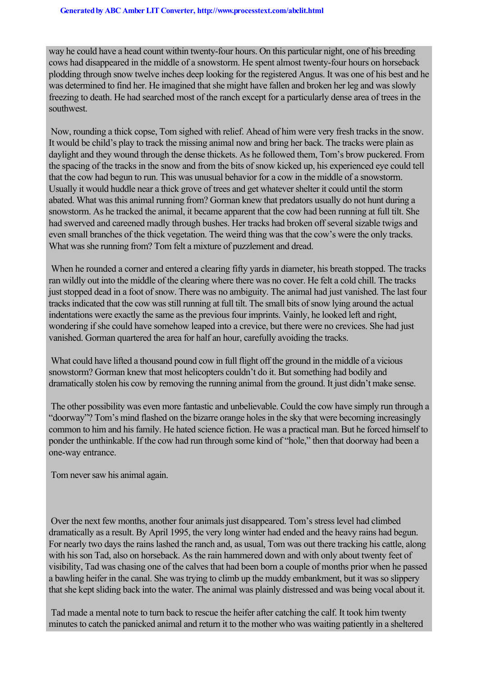way he could have a head count within twenty-four hours. On this particular night, one of his breeding cows had disappeared in the middle of a snowstorm. He spent almost twenty-four hours on horseback plodding through snow twelve inches deep looking for the registered Angus. It was one of his best and he was determined to find her. He imagined that she might have fallen and broken her leg and was slowly freezing to death. He had searched most of the ranch except for a particularly dense area of trees in the southwest.

 Now, rounding a thick copse, Tom sighed with relief. Ahead of him were very fresh tracks in the snow. It would be child's play to track the missing animal now and bring her back. The tracks were plain as daylight and they wound through the dense thickets. As he followed them, Tom's brow puckered. From the spacing of the tracks in the snow and from the bits of snow kicked up, his experienced eye could tell that the cow had begun to run. This was unusual behavior for a cow in the middle of a snowstorm. Usually it would huddle near a thick grove of trees and get whatever shelter it could until the storm abated. What was this animal running from? Gorman knew that predators usually do not hunt during a snowstorm. As he tracked the animal, it became apparent that the cow had been running at full tilt. She had swerved and careened madly through bushes. Her tracks had broken off several sizable twigs and even small branches of the thick vegetation. The weird thing was that the cow's were the only tracks. What was she running from? Tom felt a mixture of puzzlement and dread.

When he rounded a corner and entered a clearing fifty vards in diameter, his breath stopped. The tracks ran wildly out into the middle of the clearing where there was no cover. He felt a cold chill. The tracks just stopped dead in a foot of snow. There was no ambiguity. The animal had just vanished. The last four tracks indicated that the cow was still running at full tilt. The small bits of snow lying around the actual indentations were exactly the same as the previous four imprints. Vainly, he looked left and right, wondering if she could have somehow leaped into a crevice, but there were no crevices. She had just vanished. Gorman quartered the area for half an hour, carefully avoiding the tracks.

 What could have lifted a thousand pound cow in full flight off the ground in the middle of a vicious snowstorm? Gorman knew that most helicopters couldn't do it. But something had bodily and dramatically stolen his cow by removing the running animal from the ground. It just didn't make sense.

 The other possibility was even more fantastic and unbelievable. Could the cow have simply run through a "doorway"? Tom's mind flashed on the bizarre orange holes in the sky that were becoming increasingly common to him and his family. He hated science fiction. He was a practical man. But he forced himself to ponder the unthinkable. If the cow had run through some kind of "hole," then that doorway had been a one-way entrance.

Tom never saw his animal again.

 Over the next few months, another four animals just disappeared. Tom's stress level had climbed dramatically as a result. By April 1995, the very long winter had ended and the heavy rains had begun. For nearly two days the rains lashed the ranch and, as usual, Tom was out there tracking his cattle, along with his son Tad, also on horseback. As the rain hammered down and with only about twenty feet of visibility, Tad was chasing one of the calves that had been born a couple of months prior when he passed a bawling heifer in the canal. She was trying to climb up the muddy embankment, but it was so slippery that she kept sliding back into the water. The animal was plainly distressed and was being vocal about it.

 Tad made a mental note to turn back to rescue the heifer after catching the calf. It took him twenty minutes to catch the panicked animal and return it to the mother who was waiting patiently in a sheltered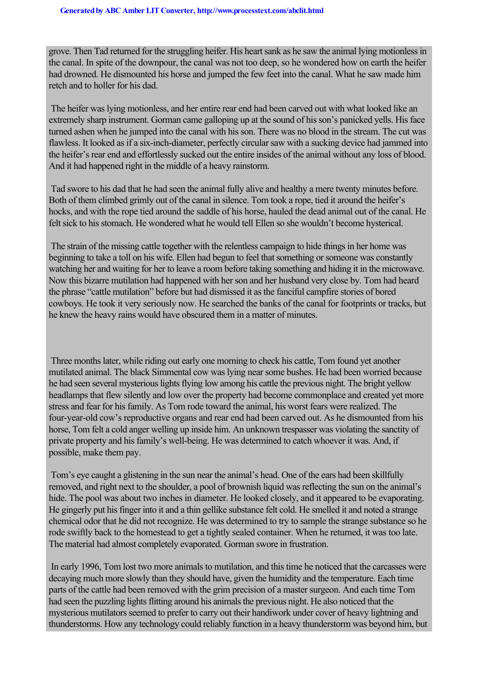grove. Then Tad returned for the struggling heifer. His heart sank as he saw the animal lying motionless in the canal. In spite of the downpour, the canal was not too deep, so he wondered how on earth the heifer had drowned. He dismounted his horse and jumped the few feet into the canal. What he saw made him retch and to holler for his dad.

 The heifer was lying motionless, and her entire rear end had been carved out with what looked like an extremely sharp instrument. Gorman came galloping up at the sound of his son's panicked yells. His face turned ashen when he jumped into the canal with his son. There was no blood in the stream. The cut was flawless. It looked as if a six-inch-diameter, perfectly circular saw with a sucking device had jammed into the heifer's rear end and effortlessly sucked out the entire insides of the animal without any loss of blood. And it had happened right in the middle of a heavy rainstorm.

 Tad swore to his dad that he had seen the animal fully alive and healthy a mere twenty minutes before. Both of them climbed grimly out of the canal in silence. Tom took a rope, tied it around the heifer's hocks, and with the rope tied around the saddle of his horse, hauled the dead animal out of the canal. He felt sick to his stomach. He wondered what he would tell Ellen so she wouldn't become hysterical.

 The strain of the missing cattle together with the relentless campaign to hide things in her home was beginning to take a toll on his wife. Ellen had begun to feel that something or someone was constantly watching her and waiting for her to leave a room before taking something and hiding it in the microwave. Now this bizarre mutilation had happened with her son and her husband very close by. Tom had heard the phrase "cattle mutilation" before but had dismissed it as the fanciful campfire stories of bored cowboys. He took it very seriously now. He searched the banks of the canal for footprints or tracks, but he knew the heavy rains would have obscured them in a matter of minutes.

 Three months later, while riding out early one morning to check his cattle, Tom found yet another mutilated animal. The black Simmental cow was lying near some bushes. He had been worried because he had seen several mysterious lights flying low among his cattle the previous night. The bright yellow headlamps that flew silently and low over the property had become commonplace and created yet more stress and fear for his family. As Tom rode toward the animal, his worst fears were realized. The four-year-old cow's reproductive organs and rear end had been carved out. As he dismounted from his horse, Tom felt a cold anger welling up inside him. An unknown trespasser was violating the sanctity of private property and his family's well-being. He was determined to catch whoever it was. And, if possible, make them pay.

 Tom's eye caught a glistening in the sun near the animal's head. One of the ears had been skillfully removed, and right next to the shoulder, a pool of brownish liquid was reflecting the sun on the animal's hide. The pool was about two inches in diameter. He looked closely, and it appeared to be evaporating. He gingerly put his finger into it and a thin gellike substance felt cold. He smelled it and noted a strange chemical odor that he did not recognize. He was determined to try to sample the strange substance so he rode swiftly back to the homestead to get a tightly sealed container. When he returned, it was too late. The material had almost completely evaporated. Gorman swore in frustration.

 In early 1996, Tom lost two more animals to mutilation, and this time he noticed that the carcasses were decaying much more slowly than they should have, given the humidity and the temperature. Each time parts of the cattle had been removed with the grim precision of a master surgeon. And each time Tom had seen the puzzling lights flitting around his animals the previous night. He also noticed that the mysterious mutilators seemed to prefer to carry out their handiwork under cover of heavy lightning and thunderstorms. How any technology could reliably function in a heavy thunderstorm was beyond him, but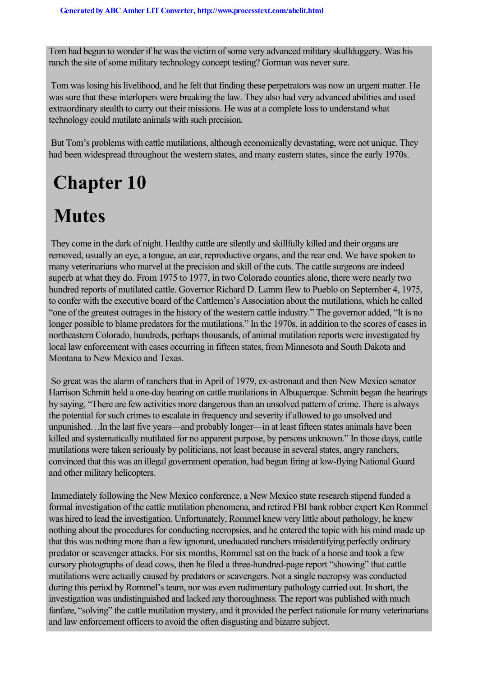Tom had begun to wonder if he was the victim of some very advanced military skullduggery. Was his ranch the site of some military technology concept testing? Gorman was never sure.

 Tom was losing his livelihood, and he felt that finding these perpetrators was now an urgent matter. He was sure that these interlopers were breaking the law. They also had very advanced abilities and used extraordinary stealth to carry out their missions. He was at a complete loss to understand what technology could mutilate animals with such precision.

 But Tom's problems with cattle mutilations, although economically devastating, were not unique. They had been widespread throughout the western states, and many eastern states, since the early 1970s.

### **Chapter 10**

### **Mutes**

 They come in the dark of night. Healthy cattle are silently and skillfully killed and their organs are removed, usually an eye, a tongue, an ear, reproductive organs, and the rear end. We have spoken to many veterinarians who marvel at the precision and skill of the cuts. The cattle surgeons are indeed superb at what they do. From 1975 to 1977, in two Colorado counties alone, there were nearly two hundred reports of mutilated cattle. Governor Richard D. Lamm flew to Pueblo on September 4, 1975, to confer with the executive board of the Cattlemen's Association about the mutilations, which he called "one of the greatest outrages in the history of the western cattle industry." The governor added, "It is no longer possible to blame predators for the mutilations." In the 1970s, in addition to the scores of cases in northeastern Colorado, hundreds, perhaps thousands, of animal mutilation reports were investigated by local law enforcement with cases occurring in fifteen states, from Minnesota and South Dakota and Montana to New Mexico and Texas.

 So great was the alarm of ranchers that in April of 1979, ex-astronaut and then New Mexico senator Harrison Schmitt held a one-day hearing on cattle mutilations in Albuquerque. Schmitt began the hearings by saying, "There are few activities more dangerous than an unsolved pattern of crime. There is always the potential for such crimes to escalate in frequency and severity if allowed to go unsolved and unpunished…In the last five years—and probably longer—in at least fifteen states animals have been killed and systematically mutilated for no apparent purpose, by persons unknown." In those days, cattle mutilations were taken seriously by politicians, not least because in several states, angry ranchers, convinced that this was an illegal government operation, had begun firing at low-flying National Guard and other military helicopters.

 Immediately following the New Mexico conference, a New Mexico state research stipend funded a formal investigation of the cattle mutilation phenomena, and retired FBI bank robber expert Ken Rommel was hired to lead the investigation. Unfortunately, Rommel knew very little about pathology, he knew nothing about the procedures for conducting necropsies, and he entered the topic with his mind made up that this was nothing more than a few ignorant, uneducated ranchers misidentifying perfectly ordinary predator or scavenger attacks. For six months, Rommel sat on the back of a horse and took a few cursory photographs of dead cows, then he filed a three-hundred-page report "showing" that cattle mutilations were actually caused by predators or scavengers. Not a single necropsy was conducted during this period by Rommel's team, nor was even rudimentary pathology carried out. In short, the investigation was undistinguished and lacked any thoroughness. The report was published with much fanfare, "solving" the cattle mutilation mystery, and it provided the perfect rationale for many veterinarians and law enforcement officers to avoid the often disgusting and bizarre subject.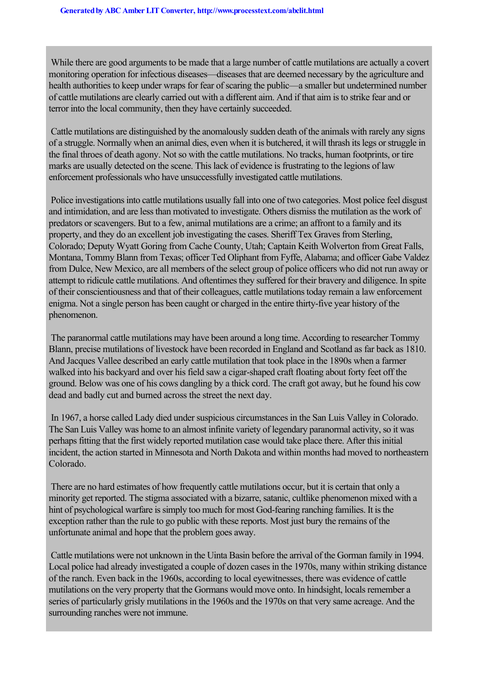While there are good arguments to be made that a large number of cattle mutilations are actually a covert monitoring operation for infectious diseases—diseases that are deemed necessary by the agriculture and health authorities to keep under wraps for fear of scaring the public—a smaller but undetermined number of cattle mutilations are clearly carried out with a different aim. And if that aim is to strike fear and or terror into the local community, then they have certainly succeeded.

 Cattle mutilations are distinguished by the anomalously sudden death of the animals with rarely any signs of a struggle. Normally when an animal dies, even when it is butchered, it will thrash its legs or struggle in the final throes of death agony. Not so with the cattle mutilations. No tracks, human footprints, or tire marks are usually detected on the scene. This lack of evidence is frustrating to the legions of law enforcement professionals who have unsuccessfully investigated cattle mutilations.

 Police investigations into cattle mutilations usually fall into one of two categories. Most police feel disgust and intimidation, and are less than motivated to investigate. Others dismiss the mutilation as the work of predators or scavengers. But to a few, animal mutilations are a crime; an affront to a family and its property, and they do an excellent job investigating the cases. Sheriff Tex Graves from Sterling, Colorado; Deputy Wyatt Goring from Cache County, Utah; Captain Keith Wolverton from Great Falls, Montana, Tommy Blann from Texas; officer Ted Oliphant from Fyffe, Alabama; and officer Gabe Valdez from Dulce, New Mexico, are all members of the select group of police officers who did not run away or attempt to ridicule cattle mutilations. And oftentimes they suffered for their bravery and diligence. In spite of their conscientiousness and that of their colleagues, cattle mutilations today remain a law enforcement enigma. Not a single person has been caught or charged in the entire thirty-five year history of the phenomenon.

 The paranormal cattle mutilations may have been around a long time. According to researcher Tommy Blann, precise mutilations of livestock have been recorded in England and Scotland as far back as 1810. And Jacques Vallee described an early cattle mutilation that took place in the 1890s when a farmer walked into his backyard and over his field saw a cigar-shaped craft floating about forty feet off the ground. Below was one of his cows dangling by a thick cord. The craft got away, but he found his cow dead and badly cut and burned across the street the next day.

 In 1967, a horse called Lady died under suspicious circumstances in the San Luis Valley in Colorado. The San Luis Valley was home to an almost infinite variety of legendary paranormal activity, so it was perhaps fitting that the first widely reported mutilation case would take place there. After this initial incident, the action started in Minnesota and North Dakota and within months had moved to northeastern Colorado.

 There are no hard estimates of how frequently cattle mutilations occur, but it is certain that only a minority get reported. The stigma associated with a bizarre, satanic, cultlike phenomenon mixed with a hint of psychological warfare is simply too much for most God-fearing ranching families. It is the exception rather than the rule to go public with these reports. Most just bury the remains of the unfortunate animal and hope that the problem goes away.

 Cattle mutilations were not unknown in the Uinta Basin before the arrival of the Gorman family in 1994. Local police had already investigated a couple of dozen cases in the 1970s, many within striking distance of the ranch. Even back in the 1960s, according to local eyewitnesses, there was evidence of cattle mutilations on the very property that the Gormans would move onto. In hindsight, locals remember a series of particularly grisly mutilations in the 1960s and the 1970s on that very same acreage. And the surrounding ranches were not immune.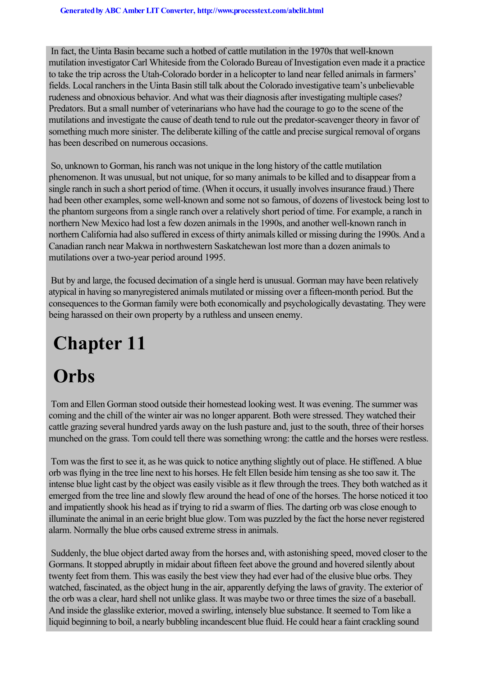In fact, the Uinta Basin became such a hotbed of cattle mutilation in the 1970s that well-known mutilation investigator Carl Whiteside from the Colorado Bureau of Investigation even made it a practice to take the trip across the Utah-Colorado border in a helicopter to land near felled animals in farmers' fields. Local ranchers in the Uinta Basin still talk about the Colorado investigative team's unbelievable rudeness and obnoxious behavior. And what was their diagnosis after investigating multiple cases? Predators. But a small number of veterinarians who have had the courage to go to the scene of the mutilations and investigate the cause of death tend to rule out the predator-scavenger theory in favor of something much more sinister. The deliberate killing of the cattle and precise surgical removal of organs has been described on numerous occasions.

 So, unknown to Gorman, his ranch was not unique in the long history of the cattle mutilation phenomenon. It was unusual, but not unique, for so many animals to be killed and to disappear from a single ranch in such a short period of time. (When it occurs, it usually involves insurance fraud.) There had been other examples, some well-known and some not so famous, of dozens of livestock being lost to the phantom surgeons from a single ranch over a relatively short period of time. For example, a ranch in northern New Mexico had lost a few dozen animals in the 1990s, and another well-known ranch in northern California had also suffered in excess of thirty animals killed or missing during the 1990s. And a Canadian ranch near Makwa in northwestern Saskatchewan lost more than a dozen animals to mutilations over a two-year period around 1995.

 But by and large, the focused decimation of a single herd is unusual. Gorman may have been relatively atypical in having so manyregistered animals mutilated or missing over a fifteen-month period. But the consequences to the Gorman family were both economically and psychologically devastating. They were being harassed on their own property by a ruthless and unseen enemy.

# **Chapter 11**

### **Orbs**

 Tom and Ellen Gorman stood outside their homestead looking west. It was evening. The summer was coming and the chill of the winter air was no longer apparent. Both were stressed. They watched their cattle grazing several hundred yards away on the lush pasture and, just to the south, three of their horses munched on the grass. Tom could tell there was something wrong: the cattle and the horses were restless.

 Tom was the first to see it, as he was quick to notice anything slightly out of place. He stiffened. A blue orb was flying in the tree line next to his horses. He felt Ellen beside him tensing as she too saw it. The intense blue light cast by the object was easily visible as it flew through the trees. They both watched as it emerged from the tree line and slowly flew around the head of one of the horses. The horse noticed it too and impatiently shook his head as if trying to rid a swarm of flies. The darting orb was close enough to illuminate the animal in an eerie bright blue glow. Tom was puzzled by the fact the horse never registered alarm. Normally the blue orbs caused extreme stress in animals.

 Suddenly, the blue object darted away from the horses and, with astonishing speed, moved closer to the Gormans. It stopped abruptly in midair about fifteen feet above the ground and hovered silently about twenty feet from them. This was easily the best view they had ever had of the elusive blue orbs. They watched, fascinated, as the object hung in the air, apparently defying the laws of gravity. The exterior of the orb was a clear, hard shell not unlike glass. It was maybe two or three times the size of a baseball. And inside the glasslike exterior, moved a swirling, intensely blue substance. It seemed to Tom like a liquid beginning to boil, a nearly bubbling incandescent blue fluid. He could hear a faint crackling sound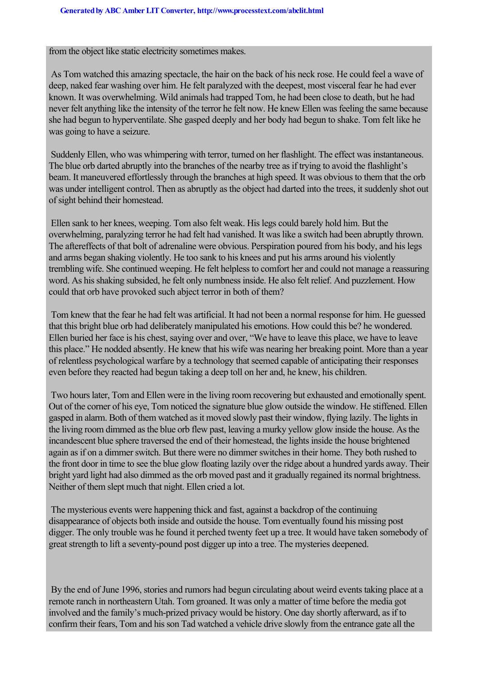from the object like static electricity sometimes makes.

 As Tom watched this amazing spectacle, the hair on the back of his neck rose. He could feel a wave of deep, naked fear washing over him. He felt paralyzed with the deepest, most visceral fear he had ever known. It was overwhelming. Wild animals had trapped Tom, he had been close to death, but he had never felt anything like the intensity of the terror he felt now. He knew Ellen was feeling the same because she had begun to hyperventilate. She gasped deeply and her body had begun to shake. Tom felt like he was going to have a seizure.

 Suddenly Ellen, who was whimpering with terror, turned on her flashlight. The effect was instantaneous. The blue orb darted abruptly into the branches of the nearby tree as if trying to avoid the flashlight's beam. It maneuvered effortlessly through the branches at high speed. It was obvious to them that the orb was under intelligent control. Then as abruptly as the object had darted into the trees, it suddenly shot out of sight behind their homestead.

 Ellen sank to her knees, weeping. Tom also felt weak. His legs could barely hold him. But the overwhelming, paralyzing terror he had felt had vanished. It was like a switch had been abruptly thrown. The aftereffects of that bolt of adrenaline were obvious. Perspiration poured from his body, and his legs and arms began shaking violently. He too sank to his knees and put his arms around his violently trembling wife. She continued weeping. He felt helpless to comfort her and could not manage a reassuring word. As his shaking subsided, he felt only numbness inside. He also felt relief. And puzzlement. How could that orb have provoked such abject terror in both of them?

 Tom knew that the fear he had felt was artificial. It had not been a normal response for him. He guessed that this bright blue orb had deliberately manipulated his emotions. How could this be? he wondered. Ellen buried her face is his chest, saying over and over, "We have to leave this place, we have to leave this place." He nodded absently. He knew that his wife was nearing her breaking point. More than a year of relentless psychological warfare by a technology that seemed capable of anticipating their responses even before they reacted had begun taking a deep toll on her and, he knew, his children.

 Two hours later, Tom and Ellen were in the living room recovering but exhausted and emotionally spent. Out of the corner of his eye, Tom noticed the signature blue glow outside the window. He stiffened. Ellen gasped in alarm. Both of them watched as it moved slowly past their window, flying lazily. The lights in the living room dimmed as the blue orb flew past, leaving a murky yellow glow inside the house. As the incandescent blue sphere traversed the end of their homestead, the lights inside the house brightened again as if on a dimmer switch. But there were no dimmer switches in their home. They both rushed to the front door in time to see the blue glow floating lazily over the ridge about a hundred yards away. Their bright yard light had also dimmed as the orb moved past and it gradually regained its normal brightness. Neither of them slept much that night. Ellen cried a lot.

 The mysterious events were happening thick and fast, against a backdrop of the continuing disappearance of objects both inside and outside the house. Tom eventually found his missing post digger. The only trouble was he found it perched twenty feet up a tree. It would have taken somebody of great strength to lift a seventy-pound post digger up into a tree. The mysteries deepened.

 By the end of June 1996, stories and rumors had begun circulating about weird events taking place at a remote ranch in northeastern Utah. Tom groaned. It was only a matter of time before the media got involved and the family's much-prized privacy would be history. One day shortly afterward, as if to confirm their fears, Tom and his son Tad watched a vehicle drive slowly from the entrance gate all the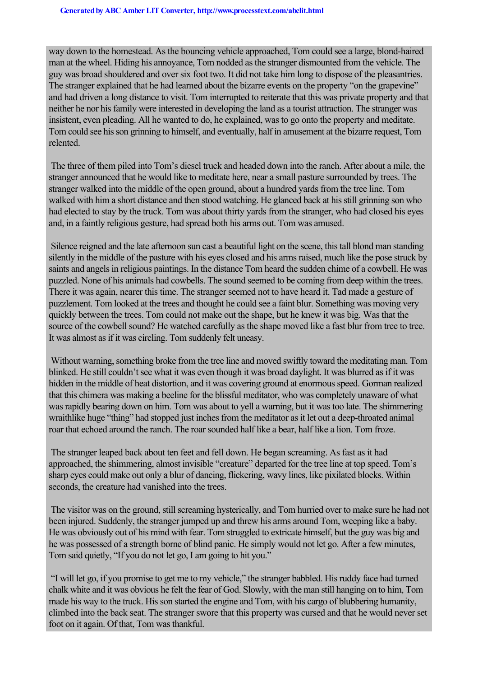way down to the homestead. As the bouncing vehicle approached, Tom could see a large, blond-haired man at the wheel. Hiding his annoyance, Tom nodded as the stranger dismounted from the vehicle. The guy was broad shouldered and over six foot two. It did not take him long to dispose of the pleasantries. The stranger explained that he had learned about the bizarre events on the property "on the grapevine" and had driven a long distance to visit. Tom interrupted to reiterate that this was private property and that neither he nor his family were interested in developing the land as a tourist attraction. The stranger was insistent, even pleading. All he wanted to do, he explained, was to go onto the property and meditate. Tom could see his son grinning to himself, and eventually, half in amusement at the bizarre request, Tom relented.

 The three of them piled into Tom's diesel truck and headed down into the ranch. After about a mile, the stranger announced that he would like to meditate here, near a small pasture surrounded by trees. The stranger walked into the middle of the open ground, about a hundred yards from the tree line. Tom walked with him a short distance and then stood watching. He glanced back at his still grinning son who had elected to stay by the truck. Tom was about thirty yards from the stranger, who had closed his eyes and, in a faintly religious gesture, had spread both his arms out. Tom was amused.

 Silence reigned and the late afternoon sun cast a beautiful light on the scene, this tall blond man standing silently in the middle of the pasture with his eyes closed and his arms raised, much like the pose struck by saints and angels in religious paintings. In the distance Tom heard the sudden chime of a cowbell. He was puzzled. None of his animals had cowbells. The sound seemed to be coming from deep within the trees. There it was again, nearer this time. The stranger seemed not to have heard it. Tad made a gesture of puzzlement. Tom looked at the trees and thought he could see a faint blur. Something was moving very quickly between the trees. Tom could not make out the shape, but he knew it was big. Was that the source of the cowbell sound? He watched carefully as the shape moved like a fast blur from tree to tree. It was almost as if it was circling. Tom suddenly felt uneasy.

 Without warning, something broke from the tree line and moved swiftly toward the meditating man. Tom blinked. He still couldn't see what it was even though it was broad daylight. It was blurred as if it was hidden in the middle of heat distortion, and it was covering ground at enormous speed. Gorman realized that this chimera was making a beeline for the blissful meditator, who was completely unaware of what was rapidly bearing down on him. Tom was about to yell a warning, but it was too late. The shimmering wraithlike huge "thing" had stopped just inches from the meditator as it let out a deep-throated animal roar that echoed around the ranch. The roar sounded half like a bear, half like a lion. Tom froze.

 The stranger leaped back about ten feet and fell down. He began screaming. As fast as it had approached, the shimmering, almost invisible "creature" departed for the tree line at top speed. Tom's sharp eyes could make out only a blur of dancing, flickering, wavy lines, like pixilated blocks. Within seconds, the creature had vanished into the trees.

 The visitor was on the ground, still screaming hysterically, and Tom hurried over to make sure he had not been injured. Suddenly, the stranger jumped up and threw his arms around Tom, weeping like a baby. He was obviously out of his mind with fear. Tom struggled to extricate himself, but the guy was big and he was possessed of a strength borne of blind panic. He simply would not let go. After a few minutes, Tom said quietly, "If you do not let go, I am going to hit you."

 "I will let go, if you promise to get me to my vehicle," the stranger babbled. His ruddy face had turned chalk white and it was obvious he felt the fear of God. Slowly, with the man still hanging on to him, Tom made his way to the truck. His son started the engine and Tom, with his cargo of blubbering humanity, climbed into the back seat. The stranger swore that this property was cursed and that he would never set foot on it again. Of that, Tom was thankful.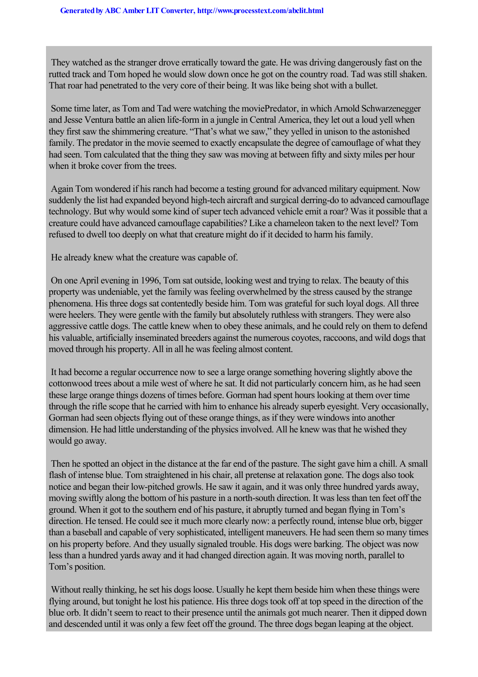They watched as the stranger drove erratically toward the gate. He was driving dangerously fast on the rutted track and Tom hoped he would slow down once he got on the country road. Tad was still shaken. That roar had penetrated to the very core of their being. It was like being shot with a bullet.

 Some time later, as Tom and Tad were watching the moviePredator, in which Arnold Schwarzenegger and Jesse Ventura battle an alien life-form in a jungle in Central America, they let out a loud yell when they first saw the shimmering creature. "That's what we saw," they yelled in unison to the astonished family. The predator in the movie seemed to exactly encapsulate the degree of camouflage of what they had seen. Tom calculated that the thing they saw was moving at between fifty and sixty miles per hour when it broke cover from the trees.

 Again Tom wondered if his ranch had become a testing ground for advanced military equipment. Now suddenly the list had expanded beyond high-tech aircraft and surgical derring-do to advanced camouflage technology. But why would some kind of super tech advanced vehicle emit a roar? Was it possible that a creature could have advanced camouflage capabilities? Like a chameleon taken to the next level? Tom refused to dwell too deeply on what that creature might do if it decided to harm his family.

He already knew what the creature was capable of.

 On one April evening in 1996, Tom sat outside, looking west and trying to relax. The beauty of this property was undeniable, yet the family was feeling overwhelmed by the stress caused by the strange phenomena. His three dogs sat contentedly beside him. Tom was grateful for such loyal dogs. All three were heelers. They were gentle with the family but absolutely ruthless with strangers. They were also aggressive cattle dogs. The cattle knew when to obey these animals, and he could rely on them to defend his valuable, artificially inseminated breeders against the numerous coyotes, raccoons, and wild dogs that moved through his property. All in all he was feeling almost content.

 It had become a regular occurrence now to see a large orange something hovering slightly above the cottonwood trees about a mile west of where he sat. It did not particularly concern him, as he had seen these large orange things dozens of times before. Gorman had spent hours looking at them over time through the rifle scope that he carried with him to enhance his already superb eyesight. Very occasionally, Gorman had seen objects flying out of these orange things, as if they were windows into another dimension. He had little understanding of the physics involved. All he knew was that he wished they would go away.

 Then he spotted an object in the distance at the far end of the pasture. The sight gave him a chill. A small flash of intense blue. Tom straightened in his chair, all pretense at relaxation gone. The dogs also took notice and began their low-pitched growls. He saw it again, and it was only three hundred yards away, moving swiftly along the bottom of his pasture in a north-south direction. It was less than ten feet off the ground. When it got to the southern end of his pasture, it abruptly turned and began flying in Tom's direction. He tensed. He could see it much more clearly now: a perfectly round, intense blue orb, bigger than a baseball and capable of very sophisticated, intelligent maneuvers. He had seen them so many times on his property before. And they usually signaled trouble. His dogs were barking. The object was now less than a hundred yards away and it had changed direction again. It was moving north, parallel to Tom's position.

 Without really thinking, he set his dogs loose. Usually he kept them beside him when these things were flying around, but tonight he lost his patience. His three dogs took off at top speed in the direction of the blue orb. It didn't seem to react to their presence until the animals got much nearer. Then it dipped down and descended until it was only a few feet off the ground. The three dogs began leaping at the object.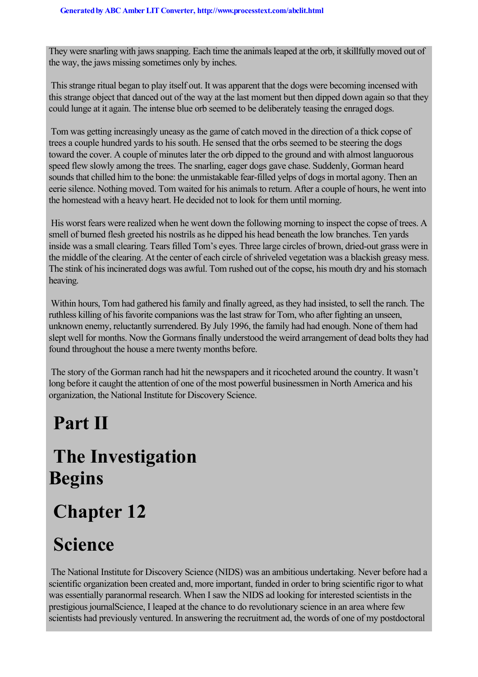They were snarling with jaws snapping. Each time the animals leaped at the orb, it skillfully moved out of the way, the jaws missing sometimes only by inches.

 This strange ritual began to play itself out. It was apparent that the dogs were becoming incensed with this strange object that danced out of the way at the last moment but then dipped down again so that they could lunge at it again. The intense blue orb seemed to be deliberately teasing the enraged dogs.

 Tom was getting increasingly uneasy as the game of catch moved in the direction of a thick copse of trees a couple hundred yards to his south. He sensed that the orbs seemed to be steering the dogs toward the cover. A couple of minutes later the orb dipped to the ground and with almost languorous speed flew slowly among the trees. The snarling, eager dogs gave chase. Suddenly, Gorman heard sounds that chilled him to the bone: the unmistakable fear-filled yelps of dogs in mortal agony. Then an eerie silence. Nothing moved. Tom waited for his animals to return. After a couple of hours, he went into the homestead with a heavy heart. He decided not to look for them until morning.

 His worst fears were realized when he went down the following morning to inspect the copse of trees. A smell of burned flesh greeted his nostrils as he dipped his head beneath the low branches. Ten yards inside was a small clearing. Tears filled Tom's eyes. Three large circles of brown, dried-out grass were in the middle of the clearing. At the center of each circle of shriveled vegetation was a blackish greasy mess. The stink of his incinerated dogs was awful. Tom rushed out of the copse, his mouth dry and his stomach heaving.

 Within hours, Tom had gathered his family and finally agreed, as they had insisted, to sell the ranch. The ruthless killing of his favorite companions was the last straw for Tom, who after fighting an unseen, unknown enemy, reluctantly surrendered. By July 1996, the family had had enough. None of them had slept well for months. Now the Gormans finally understood the weird arrangement of dead bolts they had found throughout the house a mere twenty months before.

 The story of the Gorman ranch had hit the newspapers and it ricocheted around the country. It wasn't long before it caught the attention of one of the most powerful businessmen in North America and his organization, the National Institute for Discovery Science.

### **Part II**

### **The Investigation Begins**

### **Chapter 12**

### **Science**

 The National Institute for Discovery Science (NIDS) was an ambitious undertaking. Never before had a scientific organization been created and, more important, funded in order to bring scientific rigor to what was essentially paranormal research. When I saw the NIDS ad looking for interested scientists in the prestigious journalScience, I leaped at the chance to do revolutionary science in an area where few scientists had previously ventured. In answering the recruitment ad, the words of one of my postdoctoral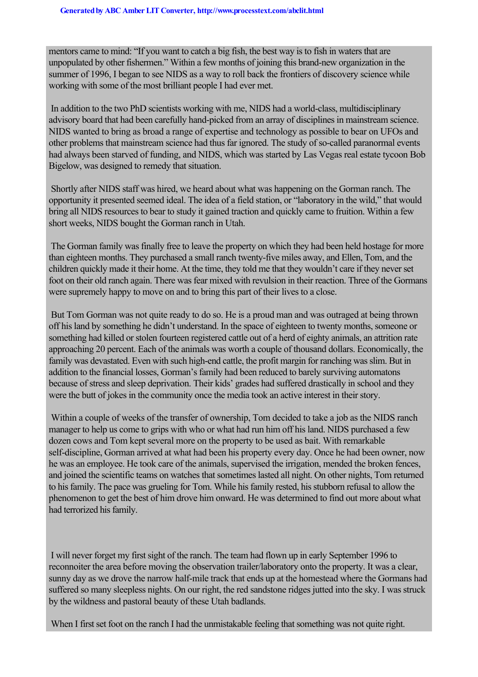mentors came to mind: "If you want to catch a big fish, the best way is to fish in waters that are unpopulated by other fishermen." Within a few months of joining this brand-new organization in the summer of 1996, I began to see NIDS as a way to roll back the frontiers of discovery science while working with some of the most brilliant people I had ever met.

 In addition to the two PhD scientists working with me, NIDS had a world-class, multidisciplinary advisory board that had been carefully hand-picked from an array of disciplines in mainstream science. NIDS wanted to bring as broad a range of expertise and technology as possible to bear on UFOs and other problems that mainstream science had thus far ignored. The study of so-called paranormal events had always been starved of funding, and NIDS, which was started by Las Vegas real estate tycoon Bob Bigelow, was designed to remedy that situation.

 Shortly after NIDS staff was hired, we heard about what was happening on the Gorman ranch. The opportunity it presented seemed ideal. The idea of a field station, or "laboratory in the wild," that would bring all NIDS resources to bear to study it gained traction and quickly came to fruition. Within a few short weeks, NIDS bought the Gorman ranch in Utah.

 The Gorman family was finally free to leave the property on which they had been held hostage for more than eighteen months. They purchased a small ranch twenty-five miles away, and Ellen, Tom, and the children quickly made it their home. At the time, they told me that they wouldn't care if they never set foot on their old ranch again. There was fear mixed with revulsion in their reaction. Three of the Gormans were supremely happy to move on and to bring this part of their lives to a close.

 But Tom Gorman was not quite ready to do so. He is a proud man and was outraged at being thrown off his land by something he didn't understand. In the space of eighteen to twenty months, someone or something had killed or stolen fourteen registered cattle out of a herd of eighty animals, an attrition rate approaching 20 percent. Each of the animals was worth a couple of thousand dollars. Economically, the family was devastated. Even with such high-end cattle, the profit margin for ranching was slim. But in addition to the financial losses, Gorman's family had been reduced to barely surviving automatons because of stress and sleep deprivation. Their kids' grades had suffered drastically in school and they were the butt of jokes in the community once the media took an active interest in their story.

 Within a couple of weeks of the transfer of ownership, Tom decided to take a job as the NIDS ranch manager to help us come to grips with who or what had run him off his land. NIDS purchased a few dozen cows and Tom kept several more on the property to be used as bait. With remarkable self-discipline, Gorman arrived at what had been his property every day. Once he had been owner, now he was an employee. He took care of the animals, supervised the irrigation, mended the broken fences, and joined the scientific teams on watches that sometimes lasted all night. On other nights, Tom returned to his family. The pace was grueling for Tom. While his family rested, his stubborn refusal to allow the phenomenon to get the best of him drove him onward. He was determined to find out more about what had terrorized his family.

 I will never forget my first sight of the ranch. The team had flown up in early September 1996 to reconnoiter the area before moving the observation trailer/laboratory onto the property. It was a clear, sunny day as we drove the narrow half-mile track that ends up at the homestead where the Gormans had suffered so many sleepless nights. On our right, the red sandstone ridges jutted into the sky. I was struck by the wildness and pastoral beauty of these Utah badlands.

When I first set foot on the ranch I had the unmistakable feeling that something was not quite right.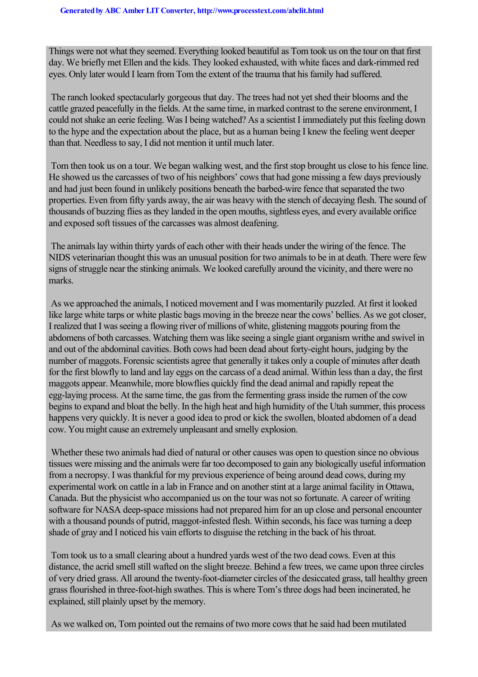Things were not what they seemed. Everything looked beautiful as Tom took us on the tour on that first day. We briefly met Ellen and the kids. They looked exhausted, with white faces and dark-rimmed red eyes. Only later would I learn from Tom the extent of the trauma that his family had suffered.

 The ranch looked spectacularly gorgeous that day. The trees had not yet shed their blooms and the cattle grazed peacefully in the fields. At the same time, in marked contrast to the serene environment, I could not shake an eerie feeling. Was I being watched? As a scientist I immediately put this feeling down to the hype and the expectation about the place, but as a human being I knew the feeling went deeper than that. Needless to say, I did not mention it until much later.

 Tom then took us on a tour. We began walking west, and the first stop brought us close to his fence line. He showed us the carcasses of two of his neighbors' cows that had gone missing a few days previously and had just been found in unlikely positions beneath the barbed-wire fence that separated the two properties. Even from fifty yards away, the air was heavy with the stench of decaying flesh. The sound of thousands of buzzing flies as they landed in the open mouths, sightless eyes, and every available orifice and exposed soft tissues of the carcasses was almost deafening.

 The animals lay within thirty yards of each other with their heads under the wiring of the fence. The NIDS veterinarian thought this was an unusual position for two animals to be in at death. There were few signs of struggle near the stinking animals. We looked carefully around the vicinity, and there were no marks.

 As we approached the animals, I noticed movement and I was momentarily puzzled. At first it looked like large white tarps or white plastic bags moving in the breeze near the cows' bellies. As we got closer, I realized that I was seeing a flowing river of millions of white, glistening maggots pouring from the abdomens of both carcasses. Watching them was like seeing a single giant organism writhe and swivel in and out of the abdominal cavities. Both cows had been dead about forty-eight hours, judging by the number of maggots. Forensic scientists agree that generally it takes only a couple of minutes after death for the first blowfly to land and lay eggs on the carcass of a dead animal. Within less than a day, the first maggots appear. Meanwhile, more blowflies quickly find the dead animal and rapidly repeat the egg-laying process. At the same time, the gas from the fermenting grass inside the rumen of the cow begins to expand and bloat the belly. In the high heat and high humidity of the Utah summer, this process happens very quickly. It is never a good idea to prod or kick the swollen, bloated abdomen of a dead cow. You might cause an extremely unpleasant and smelly explosion.

 Whether these two animals had died of natural or other causes was open to question since no obvious tissues were missing and the animals were far too decomposed to gain any biologically useful information from a necropsy. I was thankful for my previous experience of being around dead cows, during my experimental work on cattle in a lab in France and on another stint at a large animal facility in Ottawa, Canada. But the physicist who accompanied us on the tour was not so fortunate. A career of writing software for NASA deep-space missions had not prepared him for an up close and personal encounter with a thousand pounds of putrid, maggot-infested flesh. Within seconds, his face was turning a deep shade of gray and I noticed his vain efforts to disguise the retching in the back of his throat.

 Tom took us to a small clearing about a hundred yards west of the two dead cows. Even at this distance, the acrid smell still wafted on the slight breeze. Behind a few trees, we came upon three circles of very dried grass. All around the twenty-foot-diameter circles of the desiccated grass, tall healthy green grass flourished in three-foot-high swathes. This is where Tom's three dogs had been incinerated, he explained, still plainly upset by the memory.

As we walked on, Tom pointed out the remains of two more cows that he said had been mutilated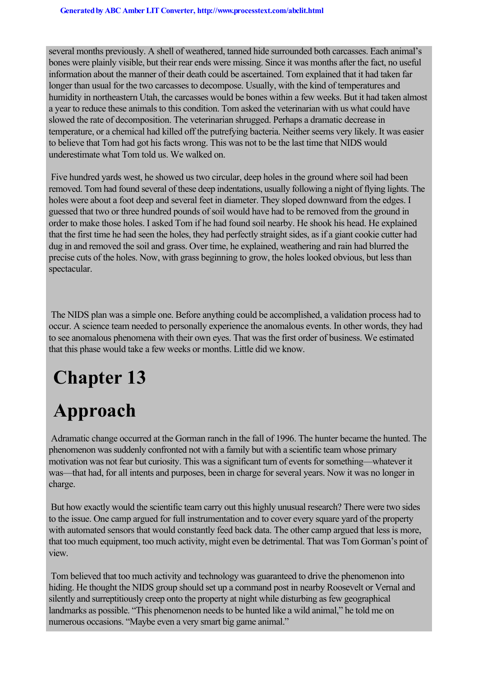several months previously. A shell of weathered, tanned hide surrounded both carcasses. Each animal's bones were plainly visible, but their rear ends were missing. Since it was months after the fact, no useful information about the manner of their death could be ascertained. Tom explained that it had taken far longer than usual for the two carcasses to decompose. Usually, with the kind of temperatures and humidity in northeastern Utah, the carcasses would be bones within a few weeks. But it had taken almost a year to reduce these animals to this condition. Tom asked the veterinarian with us what could have slowed the rate of decomposition. The veterinarian shrugged. Perhaps a dramatic decrease in temperature, or a chemical had killed off the putrefying bacteria. Neither seems very likely. It was easier to believe that Tom had got his facts wrong. This was not to be the last time that NIDS would underestimate what Tom told us. We walked on.

 Five hundred yards west, he showed us two circular, deep holes in the ground where soil had been removed. Tom had found several of these deep indentations, usually following a night of flying lights. The holes were about a foot deep and several feet in diameter. They sloped downward from the edges. I guessed that two or three hundred pounds of soil would have had to be removed from the ground in order to make those holes. I asked Tom if he had found soil nearby. He shook his head. He explained that the first time he had seen the holes, they had perfectly straight sides, as if a giant cookie cutter had dug in and removed the soil and grass. Over time, he explained, weathering and rain had blurred the precise cuts of the holes. Now, with grass beginning to grow, the holes looked obvious, but less than spectacular.

 The NIDS plan was a simple one. Before anything could be accomplished, a validation process had to occur. A science team needed to personally experience the anomalous events. In other words, they had to see anomalous phenomena with their own eyes. That was the first order of business. We estimated that this phase would take a few weeks or months. Little did we know.

### **Chapter 13**

### **Approach**

 Adramatic change occurred at the Gorman ranch in the fall of 1996. The hunter became the hunted. The phenomenon was suddenly confronted not with a family but with a scientific team whose primary motivation was not fear but curiosity. This was a significant turn of events for something—whatever it was—that had, for all intents and purposes, been in charge for several years. Now it was no longer in charge.

 But how exactly would the scientific team carry out this highly unusual research? There were two sides to the issue. One camp argued for full instrumentation and to cover every square yard of the property with automated sensors that would constantly feed back data. The other camp argued that less is more, that too much equipment, too much activity, might even be detrimental. That was Tom Gorman's point of view.

 Tom believed that too much activity and technology was guaranteed to drive the phenomenon into hiding. He thought the NIDS group should set up a command post in nearby Roosevelt or Vernal and silently and surreptitiously creep onto the property at night while disturbing as few geographical landmarks as possible. "This phenomenon needs to be hunted like a wild animal," he told me on numerous occasions. "Maybe even a very smart big game animal."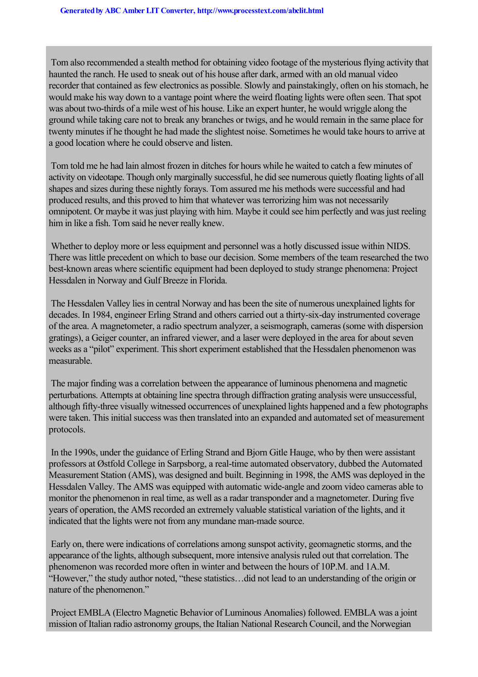Tom also recommended a stealth method for obtaining video footage of the mysterious flying activity that haunted the ranch. He used to sneak out of his house after dark, armed with an old manual video recorder that contained as few electronics as possible. Slowly and painstakingly, often on his stomach, he would make his way down to a vantage point where the weird floating lights were often seen. That spot was about two-thirds of a mile west of his house. Like an expert hunter, he would wriggle along the ground while taking care not to break any branches or twigs, and he would remain in the same place for twenty minutes if he thought he had made the slightest noise. Sometimes he would take hours to arrive at a good location where he could observe and listen.

 Tom told me he had lain almost frozen in ditches for hours while he waited to catch a few minutes of activity on videotape. Though only marginally successful, he did see numerous quietly floating lights of all shapes and sizes during these nightly forays. Tom assured me his methods were successful and had produced results, and this proved to him that whatever was terrorizing him was not necessarily omnipotent. Or maybe it was just playing with him. Maybe it could see him perfectly and was just reeling him in like a fish. Tom said he never really knew.

Whether to deploy more or less equipment and personnel was a hotly discussed issue within NIDS. There was little precedent on which to base our decision. Some members of the team researched the two best-known areas where scientific equipment had been deployed to study strange phenomena: Project Hessdalen in Norway and Gulf Breeze in Florida.

 The Hessdalen Valley lies in central Norway and has been the site of numerous unexplained lights for decades. In 1984, engineer Erling Strand and others carried out a thirty-six-day instrumented coverage of the area. A magnetometer, a radio spectrum analyzer, a seismograph, cameras (some with dispersion gratings), a Geiger counter, an infrared viewer, and a laser were deployed in the area for about seven weeks as a "pilot" experiment. This short experiment established that the Hessdalen phenomenon was measurable.

 The major finding was a correlation between the appearance of luminous phenomena and magnetic perturbations. Attempts at obtaining line spectra through diffraction grating analysis were unsuccessful, although fifty-three visually witnessed occurrences of unexplained lights happened and a few photographs were taken. This initial success was then translated into an expanded and automated set of measurement protocols.

 In the 1990s, under the guidance of Erling Strand and Bjorn Gitle Hauge, who by then were assistant professors at Østfold College in Sarpsborg, a real-time automated observatory, dubbed the Automated Measurement Station (AMS), was designed and built. Beginning in 1998, the AMS was deployed in the Hessdalen Valley. The AMS was equipped with automatic wide-angle and zoom video cameras able to monitor the phenomenon in real time, as well as a radar transponder and a magnetometer. During five years of operation, the AMS recorded an extremely valuable statistical variation of the lights, and it indicated that the lights were not from any mundane man-made source.

 Early on, there were indications of correlations among sunspot activity, geomagnetic storms, and the appearance of the lights, although subsequent, more intensive analysis ruled out that correlation. The phenomenon was recorded more often in winter and between the hours of 10P.M. and 1A.M. "However," the study author noted, "these statistics…did not lead to an understanding of the origin or nature of the phenomenon."

 Project EMBLA (Electro Magnetic Behavior of Luminous Anomalies) followed. EMBLA was a joint mission of Italian radio astronomy groups, the Italian National Research Council, and the Norwegian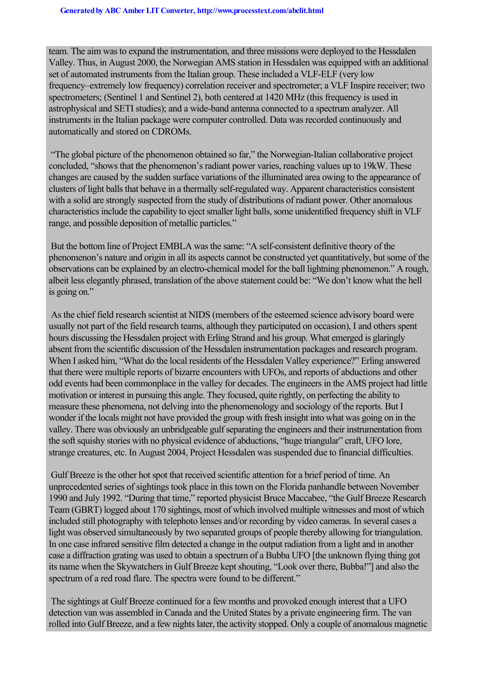team. The aim was to expand the instrumentation, and three missions were deployed to the Hessdalen Valley. Thus, in August 2000, the Norwegian AMS station in Hessdalen was equipped with an additional set of automated instruments from the Italian group. These included a VLF-ELF (very low frequency–extremely low frequency) correlation receiver and spectrometer; a VLF Inspire receiver; two spectrometers; (Sentinel 1 and Sentinel 2), both centered at 1420 MHz (this frequency is used in astrophysical and SETI studies); and a wide-band antenna connected to a spectrum analyzer. All instruments in the Italian package were computer controlled. Data was recorded continuously and automatically and stored on CDROMs.

 "The global picture of the phenomenon obtained so far," the Norwegian-Italian collaborative project concluded, "shows that the phenomenon's radiant power varies, reaching values up to 19kW. These changes are caused by the sudden surface variations of the illuminated area owing to the appearance of clusters of light balls that behave in a thermally self-regulated way. Apparent characteristics consistent with a solid are strongly suspected from the study of distributions of radiant power. Other anomalous characteristics include the capability to eject smaller light balls, some unidentified frequency shift in VLF range, and possible deposition of metallic particles."

 But the bottom line of Project EMBLA was the same: "A self-consistent definitive theory of the phenomenon's nature and origin in all its aspects cannot be constructed yet quantitatively, but some of the observations can be explained by an electro-chemical model for the ball lightning phenomenon." A rough, albeit less elegantly phrased, translation of the above statement could be: "We don't know what the hell is going on."

 As the chief field research scientist at NIDS (members of the esteemed science advisory board were usually not part of the field research teams, although they participated on occasion), I and others spent hours discussing the Hessdalen project with Erling Strand and his group. What emerged is glaringly absent from the scientific discussion of the Hessdalen instrumentation packages and research program. When I asked him, "What do the local residents of the Hessdalen Valley experience?" Erling answered that there were multiple reports of bizarre encounters with UFOs, and reports of abductions and other odd events had been commonplace in the valley for decades. The engineers in the AMS project had little motivation or interest in pursuing this angle. They focused, quite rightly, on perfecting the ability to measure these phenomena, not delving into the phenomenology and sociology of the reports. But I wonder if the locals might not have provided the group with fresh insight into what was going on in the valley. There was obviously an unbridgeable gulf separating the engineers and their instrumentation from the soft squishy stories with no physical evidence of abductions, "huge triangular" craft, UFO lore, strange creatures, etc. In August 2004, Project Hessdalen was suspended due to financial difficulties.

 Gulf Breeze is the other hot spot that received scientific attention for a brief period of time. An unprecedented series of sightings took place in this town on the Florida panhandle between November 1990 and July 1992. "During that time," reported physicist Bruce Maccabee, "the Gulf Breeze Research Team (GBRT) logged about 170 sightings, most of which involved multiple witnesses and most of which included still photography with telephoto lenses and/or recording by video cameras. In several cases a light was observed simultaneously by two separated groups of people thereby allowing for triangulation. In one case infrared sensitive film detected a change in the output radiation from a light and in another case a diffraction grating was used to obtain a spectrum of a Bubba UFO [the unknown flying thing got its name when the Skywatchers in Gulf Breeze kept shouting, "Look over there, Bubba!"] and also the spectrum of a red road flare. The spectra were found to be different."

 The sightings at Gulf Breeze continued for a few months and provoked enough interest that a UFO detection van was assembled in Canada and the United States by a private engineering firm. The van rolled into Gulf Breeze, and a few nights later, the activity stopped. Only a couple of anomalous magnetic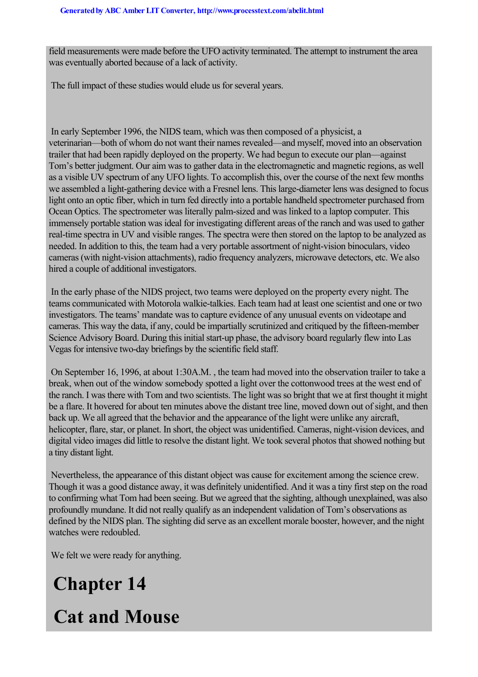field measurements were made before the UFO activity terminated. The attempt to instrument the area was eventually aborted because of a lack of activity.

The full impact of these studies would elude us for several years.

 In early September 1996, the NIDS team, which was then composed of a physicist, a veterinarian—both of whom do not want their names revealed—and myself, moved into an observation trailer that had been rapidly deployed on the property. We had begun to execute our plan—against Tom's better judgment. Our aim was to gather data in the electromagnetic and magnetic regions, as well as a visible UV spectrum of any UFO lights. To accomplish this, over the course of the next few months we assembled a light-gathering device with a Fresnel lens. This large-diameter lens was designed to focus light onto an optic fiber, which in turn fed directly into a portable handheld spectrometer purchased from Ocean Optics. The spectrometer was literally palm-sized and was linked to a laptop computer. This immensely portable station was ideal for investigating different areas of the ranch and was used to gather real-time spectra in UV and visible ranges. The spectra were then stored on the laptop to be analyzed as needed. In addition to this, the team had a very portable assortment of night-vision binoculars, video cameras (with night-vision attachments), radio frequency analyzers, microwave detectors, etc. We also hired a couple of additional investigators.

 In the early phase of the NIDS project, two teams were deployed on the property every night. The teams communicated with Motorola walkie-talkies. Each team had at least one scientist and one or two investigators. The teams' mandate was to capture evidence of any unusual events on videotape and cameras. This way the data, if any, could be impartially scrutinized and critiqued by the fifteen-member Science Advisory Board. During this initial start-up phase, the advisory board regularly flew into Las Vegas for intensive two-day briefings by the scientific field staff.

 On September 16, 1996, at about 1:30A.M. , the team had moved into the observation trailer to take a break, when out of the window somebody spotted a light over the cottonwood trees at the west end of the ranch. I was there with Tom and two scientists. The light was so bright that we at first thought it might be a flare. It hovered for about ten minutes above the distant tree line, moved down out of sight, and then back up. We all agreed that the behavior and the appearance of the light were unlike any aircraft, helicopter, flare, star, or planet. In short, the object was unidentified. Cameras, night-vision devices, and digital video images did little to resolve the distant light. We took several photos that showed nothing but a tiny distant light.

 Nevertheless, the appearance of this distant object was cause for excitement among the science crew. Though it was a good distance away, it was definitely unidentified. And it was a tiny first step on the road to confirming what Tom had been seeing. But we agreed that the sighting, although unexplained, was also profoundly mundane. It did not really qualify as an independent validation of Tom's observations as defined by the NIDS plan. The sighting did serve as an excellent morale booster, however, and the night watches were redoubled.

We felt we were ready for anything.

## **Chapter 14 Cat and Mouse**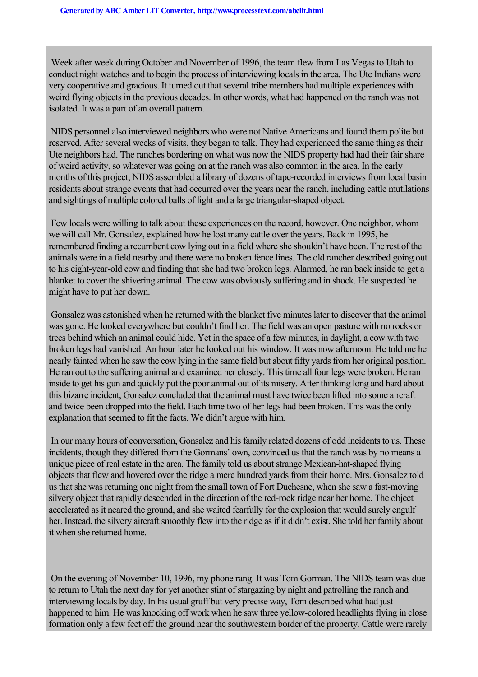Week after week during October and November of 1996, the team flew from Las Vegas to Utah to conduct night watches and to begin the process of interviewing locals in the area. The Ute Indians were very cooperative and gracious. It turned out that several tribe members had multiple experiences with weird flying objects in the previous decades. In other words, what had happened on the ranch was not isolated. It was a part of an overall pattern.

 NIDS personnel also interviewed neighbors who were not Native Americans and found them polite but reserved. After several weeks of visits, they began to talk. They had experienced the same thing as their Ute neighbors had. The ranches bordering on what was now the NIDS property had had their fair share of weird activity, so whatever was going on at the ranch was also common in the area. In the early months of this project, NIDS assembled a library of dozens of tape-recorded interviews from local basin residents about strange events that had occurred over the years near the ranch, including cattle mutilations and sightings of multiple colored balls of light and a large triangular-shaped object.

 Few locals were willing to talk about these experiences on the record, however. One neighbor, whom we will call Mr. Gonsalez, explained how he lost many cattle over the years. Back in 1995, he remembered finding a recumbent cow lying out in a field where she shouldn't have been. The rest of the animals were in a field nearby and there were no broken fence lines. The old rancher described going out to his eight-year-old cow and finding that she had two broken legs. Alarmed, he ran back inside to get a blanket to cover the shivering animal. The cow was obviously suffering and in shock. He suspected he might have to put her down.

 Gonsalez was astonished when he returned with the blanket five minutes later to discover that the animal was gone. He looked everywhere but couldn't find her. The field was an open pasture with no rocks or trees behind which an animal could hide. Yet in the space of a few minutes, in daylight, a cow with two broken legs had vanished. An hour later he looked out his window. It was now afternoon. He told me he nearly fainted when he saw the cow lying in the same field but about fifty yards from her original position. He ran out to the suffering animal and examined her closely. This time all four legs were broken. He ran inside to get his gun and quickly put the poor animal out of its misery. After thinking long and hard about this bizarre incident, Gonsalez concluded that the animal must have twice been lifted into some aircraft and twice been dropped into the field. Each time two of her legs had been broken. This was the only explanation that seemed to fit the facts. We didn't argue with him.

 In our many hours of conversation, Gonsalez and his family related dozens of odd incidents to us. These incidents, though they differed from the Gormans' own, convinced us that the ranch was by no means a unique piece of real estate in the area. The family told us about strange Mexican-hat-shaped flying objects that flew and hovered over the ridge a mere hundred yards from their home. Mrs. Gonsalez told us that she was returning one night from the small town of Fort Duchesne, when she saw a fast-moving silvery object that rapidly descended in the direction of the red-rock ridge near her home. The object accelerated as it neared the ground, and she waited fearfully for the explosion that would surely engulf her. Instead, the silvery aircraft smoothly flew into the ridge as if it didn't exist. She told her family about it when she returned home.

 On the evening of November 10, 1996, my phone rang. It was Tom Gorman. The NIDS team was due to return to Utah the next day for yet another stint of stargazing by night and patrolling the ranch and interviewing locals by day. In his usual gruff but very precise way, Tom described what had just happened to him. He was knocking off work when he saw three yellow-colored headlights flying in close formation only a few feet off the ground near the southwestern border of the property. Cattle were rarely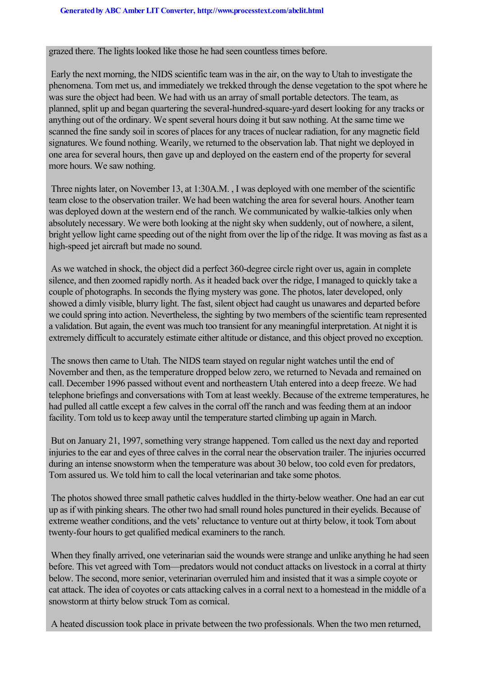grazed there. The lights looked like those he had seen countless times before.

 Early the next morning, the NIDS scientific team was in the air, on the way to Utah to investigate the phenomena. Tom met us, and immediately we trekked through the dense vegetation to the spot where he was sure the object had been. We had with us an array of small portable detectors. The team, as planned, split up and began quartering the several-hundred-square-yard desert looking for any tracks or anything out of the ordinary. We spent several hours doing it but saw nothing. At the same time we scanned the fine sandy soil in scores of places for any traces of nuclear radiation, for any magnetic field signatures. We found nothing. Wearily, we returned to the observation lab. That night we deployed in one area for several hours, then gave up and deployed on the eastern end of the property for several more hours. We saw nothing.

 Three nights later, on November 13, at 1:30A.M. , I was deployed with one member of the scientific team close to the observation trailer. We had been watching the area for several hours. Another team was deployed down at the western end of the ranch. We communicated by walkie-talkies only when absolutely necessary. We were both looking at the night sky when suddenly, out of nowhere, a silent, bright yellow light came speeding out of the night from over the lip of the ridge. It was moving as fast as a high-speed jet aircraft but made no sound.

 As we watched in shock, the object did a perfect 360-degree circle right over us, again in complete silence, and then zoomed rapidly north. As it headed back over the ridge, I managed to quickly take a couple of photographs. In seconds the flying mystery was gone. The photos, later developed, only showed a dimly visible, blurry light. The fast, silent object had caught us unawares and departed before we could spring into action. Nevertheless, the sighting by two members of the scientific team represented a validation. But again, the event was much too transient for any meaningful interpretation. At night it is extremely difficult to accurately estimate either altitude or distance, and this object proved no exception.

 The snows then came to Utah. The NIDS team stayed on regular night watches until the end of November and then, as the temperature dropped below zero, we returned to Nevada and remained on call. December 1996 passed without event and northeastern Utah entered into a deep freeze. We had telephone briefings and conversations with Tom at least weekly. Because of the extreme temperatures, he had pulled all cattle except a few calves in the corral off the ranch and was feeding them at an indoor facility. Tom told us to keep away until the temperature started climbing up again in March.

 But on January 21, 1997, something very strange happened. Tom called us the next day and reported injuries to the ear and eyes of three calves in the corral near the observation trailer. The injuries occurred during an intense snowstorm when the temperature was about 30 below, too cold even for predators, Tom assured us. We told him to call the local veterinarian and take some photos.

 The photos showed three small pathetic calves huddled in the thirty-below weather. One had an ear cut up as if with pinking shears. The other two had small round holes punctured in their eyelids. Because of extreme weather conditions, and the vets' reluctance to venture out at thirty below, it took Tom about twenty-four hours to get qualified medical examiners to the ranch.

 When they finally arrived, one veterinarian said the wounds were strange and unlike anything he had seen before. This vet agreed with Tom—predators would not conduct attacks on livestock in a corral at thirty below. The second, more senior, veterinarian overruled him and insisted that it was a simple coyote or cat attack. The idea of coyotes or cats attacking calves in a corral next to a homestead in the middle of a snowstorm at thirty below struck Tom as comical.

A heated discussion took place in private between the two professionals. When the two men returned,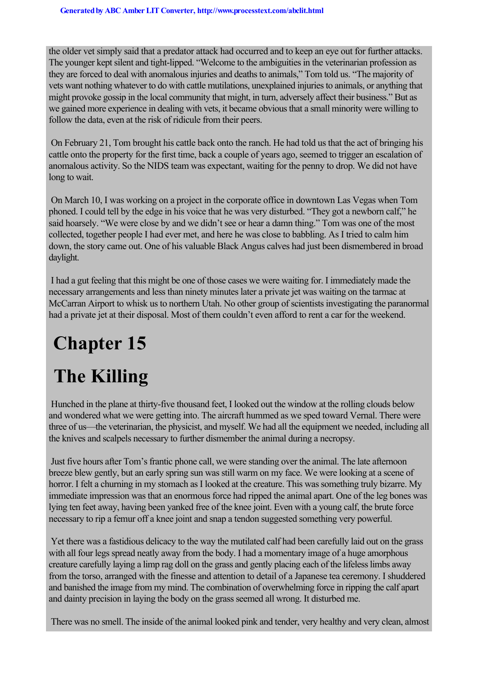the older vet simply said that a predator attack had occurred and to keep an eye out for further attacks. The younger kept silent and tight-lipped. "Welcome to the ambiguities in the veterinarian profession as they are forced to deal with anomalous injuries and deaths to animals," Tom told us. "The majority of vets want nothing whatever to do with cattle mutilations, unexplained injuries to animals, or anything that might provoke gossip in the local community that might, in turn, adversely affect their business." But as we gained more experience in dealing with vets, it became obvious that a small minority were willing to follow the data, even at the risk of ridicule from their peers.

 On February 21, Tom brought his cattle back onto the ranch. He had told us that the act of bringing his cattle onto the property for the first time, back a couple of years ago, seemed to trigger an escalation of anomalous activity. So the NIDS team was expectant, waiting for the penny to drop. We did not have long to wait.

 On March 10, I was working on a project in the corporate office in downtown Las Vegas when Tom phoned. I could tell by the edge in his voice that he was very disturbed. "They got a newborn calf," he said hoarsely. "We were close by and we didn't see or hear a damn thing." Tom was one of the most collected, together people I had ever met, and here he was close to babbling. As I tried to calm him down, the story came out. One of his valuable Black Angus calves had just been dismembered in broad daylight.

 I had a gut feeling that this might be one of those cases we were waiting for. I immediately made the necessary arrangements and less than ninety minutes later a private jet was waiting on the tarmac at McCarran Airport to whisk us to northern Utah. No other group of scientists investigating the paranormal had a private jet at their disposal. Most of them couldn't even afford to rent a car for the weekend.

## **Chapter 15**

### **The Killing**

 Hunched in the plane at thirty-five thousand feet, I looked out the window at the rolling clouds below and wondered what we were getting into. The aircraft hummed as we sped toward Vernal. There were three of us—the veterinarian, the physicist, and myself. We had all the equipment we needed, including all the knives and scalpels necessary to further dismember the animal during a necropsy.

 Just five hours after Tom's frantic phone call, we were standing over the animal. The late afternoon breeze blew gently, but an early spring sun was still warm on my face. We were looking at a scene of horror. I felt a churning in my stomach as I looked at the creature. This was something truly bizarre. My immediate impression was that an enormous force had ripped the animal apart. One of the leg bones was lying ten feet away, having been yanked free of the knee joint. Even with a young calf, the brute force necessary to rip a femur off a knee joint and snap a tendon suggested something very powerful.

 Yet there was a fastidious delicacy to the way the mutilated calf had been carefully laid out on the grass with all four legs spread neatly away from the body. I had a momentary image of a huge amorphous creature carefully laying a limp rag doll on the grass and gently placing each of the lifeless limbs away from the torso, arranged with the finesse and attention to detail of a Japanese tea ceremony. I shuddered and banished the image from my mind. The combination of overwhelming force in ripping the calf apart and dainty precision in laying the body on the grass seemed all wrong. It disturbed me.

There was no smell. The inside of the animal looked pink and tender, very healthy and very clean, almost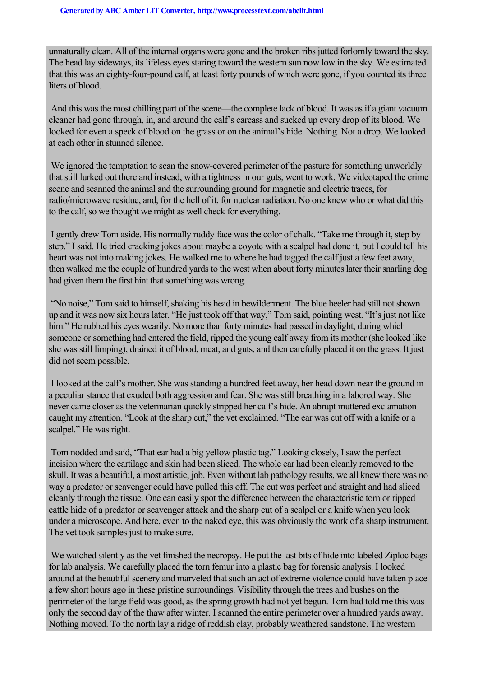unnaturally clean. All of the internal organs were gone and the broken ribs jutted forlornly toward the sky. The head lay sideways, its lifeless eyes staring toward the western sun now low in the sky. We estimated that this was an eighty-four-pound calf, at least forty pounds of which were gone, if you counted its three liters of blood.

 And this was the most chilling part of the scene—the complete lack of blood. It was as if a giant vacuum cleaner had gone through, in, and around the calf's carcass and sucked up every drop of its blood. We looked for even a speck of blood on the grass or on the animal's hide. Nothing. Not a drop. We looked at each other in stunned silence.

We ignored the temptation to scan the snow-covered perimeter of the pasture for something unworldly that still lurked out there and instead, with a tightness in our guts, went to work. We videotaped the crime scene and scanned the animal and the surrounding ground for magnetic and electric traces, for radio/microwave residue, and, for the hell of it, for nuclear radiation. No one knew who or what did this to the calf, so we thought we might as well check for everything.

 I gently drew Tom aside. His normally ruddy face was the color of chalk. "Take me through it, step by step," I said. He tried cracking jokes about maybe a coyote with a scalpel had done it, but I could tell his heart was not into making jokes. He walked me to where he had tagged the calf just a few feet away, then walked me the couple of hundred yards to the west when about forty minutes later their snarling dog had given them the first hint that something was wrong.

 "No noise," Tom said to himself, shaking his head in bewilderment. The blue heeler had still not shown up and it was now six hours later. "He just took off that way," Tom said, pointing west. "It's just not like him." He rubbed his eyes wearily. No more than forty minutes had passed in daylight, during which someone or something had entered the field, ripped the young calf away from its mother (she looked like she was still limping), drained it of blood, meat, and guts, and then carefully placed it on the grass. It just did not seem possible.

 I looked at the calf's mother. She was standing a hundred feet away, her head down near the ground in a peculiar stance that exuded both aggression and fear. She was still breathing in a labored way. She never came closer as the veterinarian quickly stripped her calf's hide. An abrupt muttered exclamation caught my attention. "Look at the sharp cut," the vet exclaimed. "The ear was cut off with a knife or a scalpel." He was right.

 Tom nodded and said, "That ear had a big yellow plastic tag." Looking closely, I saw the perfect incision where the cartilage and skin had been sliced. The whole ear had been cleanly removed to the skull. It was a beautiful, almost artistic, job. Even without lab pathology results, we all knew there was no way a predator or scavenger could have pulled this off. The cut was perfect and straight and had sliced cleanly through the tissue. One can easily spot the difference between the characteristic torn or ripped cattle hide of a predator or scavenger attack and the sharp cut of a scalpel or a knife when you look under a microscope. And here, even to the naked eye, this was obviously the work of a sharp instrument. The vet took samples just to make sure.

 We watched silently as the vet finished the necropsy. He put the last bits of hide into labeled Ziploc bags for lab analysis. We carefully placed the torn femur into a plastic bag for forensic analysis. I looked around at the beautiful scenery and marveled that such an act of extreme violence could have taken place a few short hours ago in these pristine surroundings. Visibility through the trees and bushes on the perimeter of the large field was good, as the spring growth had not yet begun. Tom had told me this was only the second day of the thaw after winter. I scanned the entire perimeter over a hundred yards away. Nothing moved. To the north lay a ridge of reddish clay, probably weathered sandstone. The western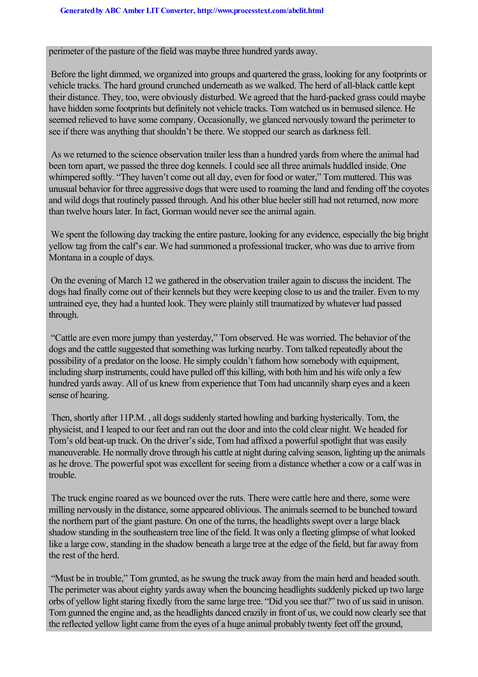perimeter of the pasture of the field was maybe three hundred yards away.

 Before the light dimmed, we organized into groups and quartered the grass, looking for any footprints or vehicle tracks. The hard ground crunched underneath as we walked. The herd of all-black cattle kept their distance. They, too, were obviously disturbed. We agreed that the hard-packed grass could maybe have hidden some footprints but definitely not vehicle tracks. Tom watched us in bemused silence. He seemed relieved to have some company. Occasionally, we glanced nervously toward the perimeter to see if there was anything that shouldn't be there. We stopped our search as darkness fell.

 As we returned to the science observation trailer less than a hundred yards from where the animal had been torn apart, we passed the three dog kennels. I could see all three animals huddled inside. One whimpered softly. "They haven't come out all day, even for food or water," Tom muttered. This was unusual behavior for three aggressive dogs that were used to roaming the land and fending off the coyotes and wild dogs that routinely passed through. And his other blue heeler still had not returned, now more than twelve hours later. In fact, Gorman would never see the animal again.

We spent the following day tracking the entire pasture, looking for any evidence, especially the big bright yellow tag from the calf's ear. We had summoned a professional tracker, who was due to arrive from Montana in a couple of days.

 On the evening of March 12 we gathered in the observation trailer again to discuss the incident. The dogs had finally come out of their kennels but they were keeping close to us and the trailer. Even to my untrained eye, they had a hunted look. They were plainly still traumatized by whatever had passed through.

 "Cattle are even more jumpy than yesterday," Tom observed. He was worried. The behavior of the dogs and the cattle suggested that something was lurking nearby. Tom talked repeatedly about the possibility of a predator on the loose. He simply couldn't fathom how somebody with equipment, including sharp instruments, could have pulled off this killing, with both him and his wife only a few hundred yards away. All of us knew from experience that Tom had uncannily sharp eyes and a keen sense of hearing.

 Then, shortly after 11P.M. , all dogs suddenly started howling and barking hysterically. Tom, the physicist, and I leaped to our feet and ran out the door and into the cold clear night. We headed for Tom's old beat-up truck. On the driver's side, Tom had affixed a powerful spotlight that was easily maneuverable. He normally drove through his cattle at night during calving season, lighting up the animals as he drove. The powerful spot was excellent for seeing from a distance whether a cow or a calf was in **trouble** 

 The truck engine roared as we bounced over the ruts. There were cattle here and there, some were milling nervously in the distance, some appeared oblivious. The animals seemed to be bunched toward the northern part of the giant pasture. On one of the turns, the headlights swept over a large black shadow standing in the southeastern tree line of the field. It was only a fleeting glimpse of what looked like a large cow, standing in the shadow beneath a large tree at the edge of the field, but far away from the rest of the herd.

 "Must be in trouble," Tom grunted, as he swung the truck away from the main herd and headed south. The perimeter was about eighty yards away when the bouncing headlights suddenly picked up two large orbs of yellow light staring fixedly from the same large tree. "Did you see that?" two of us said in unison. Tom gunned the engine and, as the headlights danced crazily in front of us, we could now clearly see that the reflected yellow light came from the eyes of a huge animal probably twenty feet off the ground,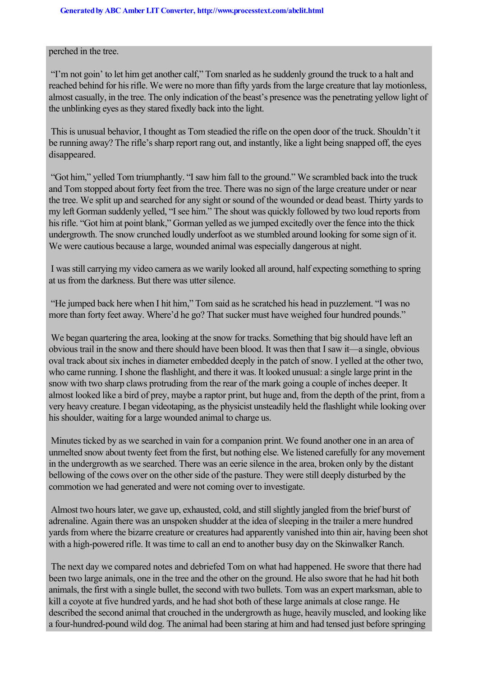#### perched in the tree.

 "I'm not goin' to let him get another calf," Tom snarled as he suddenly ground the truck to a halt and reached behind for his rifle. We were no more than fifty yards from the large creature that lay motionless, almost casually, in the tree. The only indication of the beast's presence was the penetrating yellow light of the unblinking eyes as they stared fixedly back into the light.

 This is unusual behavior, I thought as Tom steadied the rifle on the open door of the truck. Shouldn't it be running away? The rifle's sharp report rang out, and instantly, like a light being snapped off, the eyes disappeared.

 "Got him," yelled Tom triumphantly. "I saw him fall to the ground." We scrambled back into the truck and Tom stopped about forty feet from the tree. There was no sign of the large creature under or near the tree. We split up and searched for any sight or sound of the wounded or dead beast. Thirty yards to my left Gorman suddenly yelled, "I see him." The shout was quickly followed by two loud reports from his rifle. "Got him at point blank," Gorman yelled as we jumped excitedly over the fence into the thick undergrowth. The snow crunched loudly underfoot as we stumbled around looking for some sign of it. We were cautious because a large, wounded animal was especially dangerous at night.

 I was still carrying my video camera as we warily looked all around, half expecting something to spring at us from the darkness. But there was utter silence.

 "He jumped back here when I hit him," Tom said as he scratched his head in puzzlement. "I was no more than forty feet away. Where'd he go? That sucker must have weighed four hundred pounds."

We began quartering the area, looking at the snow for tracks. Something that big should have left an obvious trail in the snow and there should have been blood. It was then that I saw it—a single, obvious oval track about six inches in diameter embedded deeply in the patch of snow. I yelled at the other two, who came running. I shone the flashlight, and there it was. It looked unusual: a single large print in the snow with two sharp claws protruding from the rear of the mark going a couple of inches deeper. It almost looked like a bird of prey, maybe a raptor print, but huge and, from the depth of the print, from a very heavy creature. I began videotaping, as the physicist unsteadily held the flashlight while looking over his shoulder, waiting for a large wounded animal to charge us.

 Minutes ticked by as we searched in vain for a companion print. We found another one in an area of unmelted snow about twenty feet from the first, but nothing else. We listened carefully for any movement in the undergrowth as we searched. There was an eerie silence in the area, broken only by the distant bellowing of the cows over on the other side of the pasture. They were still deeply disturbed by the commotion we had generated and were not coming over to investigate.

 Almost two hours later, we gave up, exhausted, cold, and still slightly jangled from the brief burst of adrenaline. Again there was an unspoken shudder at the idea of sleeping in the trailer a mere hundred yards from where the bizarre creature or creatures had apparently vanished into thin air, having been shot with a high-powered rifle. It was time to call an end to another busy day on the Skinwalker Ranch.

 The next day we compared notes and debriefed Tom on what had happened. He swore that there had been two large animals, one in the tree and the other on the ground. He also swore that he had hit both animals, the first with a single bullet, the second with two bullets. Tom was an expert marksman, able to kill a coyote at five hundred yards, and he had shot both of these large animals at close range. He described the second animal that crouched in the undergrowth as huge, heavily muscled, and looking like a four-hundred-pound wild dog. The animal had been staring at him and had tensed just before springing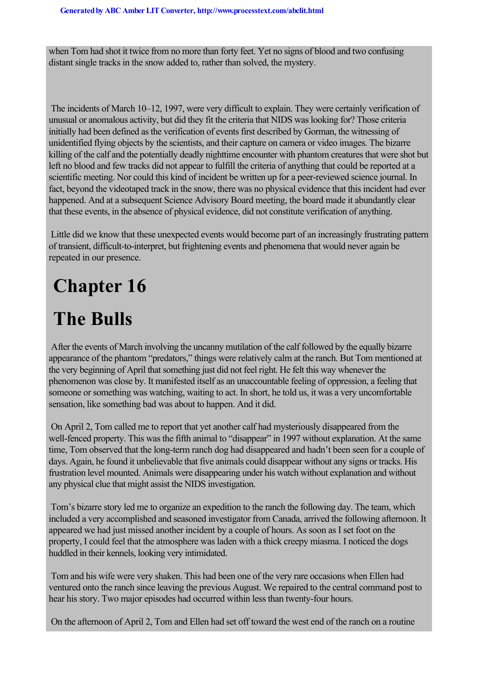when Tom had shot it twice from no more than forty feet. Yet no signs of blood and two confusing distant single tracks in the snow added to, rather than solved, the mystery.

 The incidents of March 10–12, 1997, were very difficult to explain. They were certainly verification of unusual or anomalous activity, but did they fit the criteria that NIDS was looking for? Those criteria initially had been defined as the verification of events first described by Gorman, the witnessing of unidentified flying objects by the scientists, and their capture on camera or video images. The bizarre killing of the calf and the potentially deadly nighttime encounter with phantom creatures that were shot but left no blood and few tracks did not appear to fulfill the criteria of anything that could be reported at a scientific meeting. Nor could this kind of incident be written up for a peer-reviewed science journal. In fact, beyond the videotaped track in the snow, there was no physical evidence that this incident had ever happened. And at a subsequent Science Advisory Board meeting, the board made it abundantly clear that these events, in the absence of physical evidence, did not constitute verification of anything.

 Little did we know that these unexpected events would become part of an increasingly frustrating pattern of transient, difficult-to-interpret, but frightening events and phenomena that would never again be repeated in our presence.

### **Chapter 16**

### **The Bulls**

 After the events of March involving the uncanny mutilation of the calf followed by the equally bizarre appearance of the phantom "predators," things were relatively calm at the ranch. But Tom mentioned at the very beginning of April that something just did not feel right. He felt this way whenever the phenomenon was close by. It manifested itself as an unaccountable feeling of oppression, a feeling that someone or something was watching, waiting to act. In short, he told us, it was a very uncomfortable sensation, like something bad was about to happen. And it did.

 On April 2, Tom called me to report that yet another calf had mysteriously disappeared from the well-fenced property. This was the fifth animal to "disappear" in 1997 without explanation. At the same time, Tom observed that the long-term ranch dog had disappeared and hadn't been seen for a couple of days. Again, he found it unbelievable that five animals could disappear without any signs or tracks. His frustration level mounted. Animals were disappearing under his watch without explanation and without any physical clue that might assist the NIDS investigation.

 Tom's bizarre story led me to organize an expedition to the ranch the following day. The team, which included a very accomplished and seasoned investigator from Canada, arrived the following afternoon. It appeared we had just missed another incident by a couple of hours. As soon as I set foot on the property, I could feel that the atmosphere was laden with a thick creepy miasma. I noticed the dogs huddled in their kennels, looking very intimidated.

 Tom and his wife were very shaken. This had been one of the very rare occasions when Ellen had ventured onto the ranch since leaving the previous August. We repaired to the central command post to hear his story. Two major episodes had occurred within less than twenty-four hours.

On the afternoon of April 2, Tom and Ellen had set off toward the west end of the ranch on a routine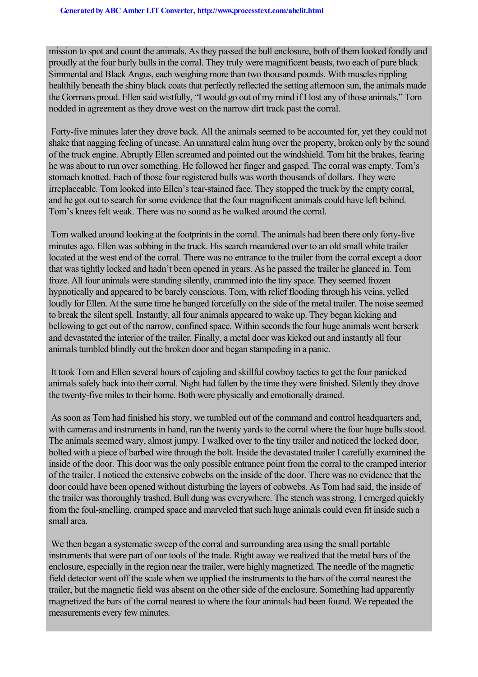mission to spot and count the animals. As they passed the bull enclosure, both of them looked fondly and proudly at the four burly bulls in the corral. They truly were magnificent beasts, two each of pure black Simmental and Black Angus, each weighing more than two thousand pounds. With muscles rippling healthily beneath the shiny black coats that perfectly reflected the setting afternoon sun, the animals made the Gormans proud. Ellen said wistfully, "I would go out of my mind if I lost any of those animals." Tom nodded in agreement as they drove west on the narrow dirt track past the corral.

 Forty-five minutes later they drove back. All the animals seemed to be accounted for, yet they could not shake that nagging feeling of unease. An unnatural calm hung over the property, broken only by the sound of the truck engine. Abruptly Ellen screamed and pointed out the windshield. Tom hit the brakes, fearing he was about to run over something. He followed her finger and gasped. The corral was empty. Tom's stomach knotted. Each of those four registered bulls was worth thousands of dollars. They were irreplaceable. Tom looked into Ellen's tear-stained face. They stopped the truck by the empty corral, and he got out to search for some evidence that the four magnificent animals could have left behind. Tom's knees felt weak. There was no sound as he walked around the corral.

 Tom walked around looking at the footprints in the corral. The animals had been there only forty-five minutes ago. Ellen was sobbing in the truck. His search meandered over to an old small white trailer located at the west end of the corral. There was no entrance to the trailer from the corral except a door that was tightly locked and hadn't been opened in years. As he passed the trailer he glanced in. Tom froze. All four animals were standing silently, crammed into the tiny space. They seemed frozen hypnotically and appeared to be barely conscious. Tom, with relief flooding through his veins, yelled loudly for Ellen. At the same time he banged forcefully on the side of the metal trailer. The noise seemed to break the silent spell. Instantly, all four animals appeared to wake up. They began kicking and bellowing to get out of the narrow, confined space. Within seconds the four huge animals went berserk and devastated the interior of the trailer. Finally, a metal door was kicked out and instantly all four animals tumbled blindly out the broken door and began stampeding in a panic.

 It took Tom and Ellen several hours of cajoling and skillful cowboy tactics to get the four panicked animals safely back into their corral. Night had fallen by the time they were finished. Silently they drove the twenty-five miles to their home. Both were physically and emotionally drained.

 As soon as Tom had finished his story, we tumbled out of the command and control headquarters and, with cameras and instruments in hand, ran the twenty yards to the corral where the four huge bulls stood. The animals seemed wary, almost jumpy. I walked over to the tiny trailer and noticed the locked door, bolted with a piece of barbed wire through the bolt. Inside the devastated trailer I carefully examined the inside of the door. This door was the only possible entrance point from the corral to the cramped interior of the trailer. I noticed the extensive cobwebs on the inside of the door. There was no evidence that the door could have been opened without disturbing the layers of cobwebs. As Tom had said, the inside of the trailer was thoroughly trashed. Bull dung was everywhere. The stench was strong. I emerged quickly from the foul-smelling, cramped space and marveled that such huge animals could even fit inside such a small area.

 We then began a systematic sweep of the corral and surrounding area using the small portable instruments that were part of our tools of the trade. Right away we realized that the metal bars of the enclosure, especially in the region near the trailer, were highly magnetized. The needle of the magnetic field detector went off the scale when we applied the instruments to the bars of the corral nearest the trailer, but the magnetic field was absent on the other side of the enclosure. Something had apparently magnetized the bars of the corral nearest to where the four animals had been found. We repeated the measurements every few minutes.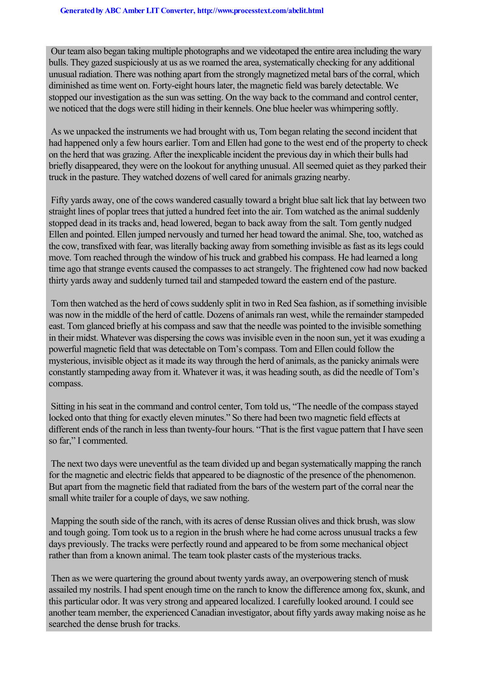Our team also began taking multiple photographs and we videotaped the entire area including the wary bulls. They gazed suspiciously at us as we roamed the area, systematically checking for any additional unusual radiation. There was nothing apart from the strongly magnetized metal bars of the corral, which diminished as time went on. Forty-eight hours later, the magnetic field was barely detectable. We stopped our investigation as the sun was setting. On the way back to the command and control center, we noticed that the dogs were still hiding in their kennels. One blue heeler was whimpering softly.

 As we unpacked the instruments we had brought with us, Tom began relating the second incident that had happened only a few hours earlier. Tom and Ellen had gone to the west end of the property to check on the herd that was grazing. After the inexplicable incident the previous day in which their bulls had briefly disappeared, they were on the lookout for anything unusual. All seemed quiet as they parked their truck in the pasture. They watched dozens of well cared for animals grazing nearby.

 Fifty yards away, one of the cows wandered casually toward a bright blue salt lick that lay between two straight lines of poplar trees that jutted a hundred feet into the air. Tom watched as the animal suddenly stopped dead in its tracks and, head lowered, began to back away from the salt. Tom gently nudged Ellen and pointed. Ellen jumped nervously and turned her head toward the animal. She, too, watched as the cow, transfixed with fear, was literally backing away from something invisible as fast as its legs could move. Tom reached through the window of his truck and grabbed his compass. He had learned a long time ago that strange events caused the compasses to act strangely. The frightened cow had now backed thirty yards away and suddenly turned tail and stampeded toward the eastern end of the pasture.

 Tom then watched as the herd of cows suddenly split in two in Red Sea fashion, as if something invisible was now in the middle of the herd of cattle. Dozens of animals ran west, while the remainder stampeded east. Tom glanced briefly at his compass and saw that the needle was pointed to the invisible something in their midst. Whatever was dispersing the cows was invisible even in the noon sun, yet it was exuding a powerful magnetic field that was detectable on Tom's compass. Tom and Ellen could follow the mysterious, invisible object as it made its way through the herd of animals, as the panicky animals were constantly stampeding away from it. Whatever it was, it was heading south, as did the needle of Tom's compass.

 Sitting in his seat in the command and control center, Tom told us, "The needle of the compass stayed locked onto that thing for exactly eleven minutes." So there had been two magnetic field effects at different ends of the ranch in less than twenty-four hours. "That is the first vague pattern that I have seen so far," I commented.

 The next two days were uneventful as the team divided up and began systematically mapping the ranch for the magnetic and electric fields that appeared to be diagnostic of the presence of the phenomenon. But apart from the magnetic field that radiated from the bars of the western part of the corral near the small white trailer for a couple of days, we saw nothing.

 Mapping the south side of the ranch, with its acres of dense Russian olives and thick brush, was slow and tough going. Tom took us to a region in the brush where he had come across unusual tracks a few days previously. The tracks were perfectly round and appeared to be from some mechanical object rather than from a known animal. The team took plaster casts of the mysterious tracks.

 Then as we were quartering the ground about twenty yards away, an overpowering stench of musk assailed my nostrils. I had spent enough time on the ranch to know the difference among fox, skunk, and this particular odor. It was very strong and appeared localized. I carefully looked around. I could see another team member, the experienced Canadian investigator, about fifty yards away making noise as he searched the dense brush for tracks.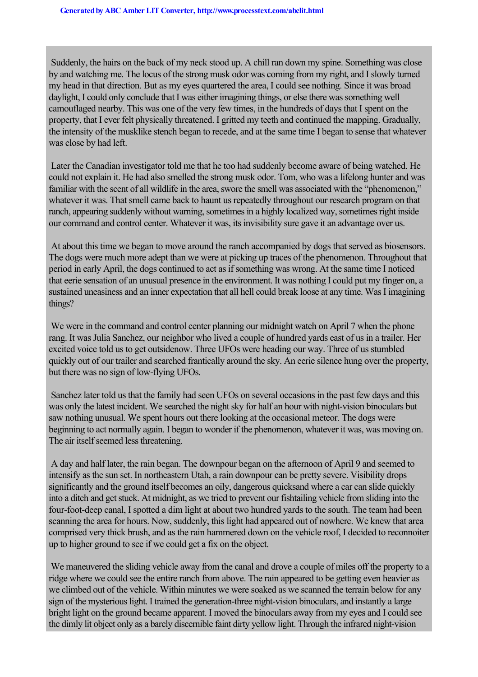Suddenly, the hairs on the back of my neck stood up. A chill ran down my spine. Something was close by and watching me. The locus of the strong musk odor was coming from my right, and I slowly turned my head in that direction. But as my eyes quartered the area, I could see nothing. Since it was broad daylight, I could only conclude that I was either imagining things, or else there was something well camouflaged nearby. This was one of the very few times, in the hundreds of days that I spent on the property, that I ever felt physically threatened. I gritted my teeth and continued the mapping. Gradually, the intensity of the musklike stench began to recede, and at the same time I began to sense that whatever was close by had left.

 Later the Canadian investigator told me that he too had suddenly become aware of being watched. He could not explain it. He had also smelled the strong musk odor. Tom, who was a lifelong hunter and was familiar with the scent of all wildlife in the area, swore the smell was associated with the "phenomenon," whatever it was. That smell came back to haunt us repeatedly throughout our research program on that ranch, appearing suddenly without warning, sometimes in a highly localized way, sometimes right inside our command and control center. Whatever it was, its invisibility sure gave it an advantage over us.

 At about this time we began to move around the ranch accompanied by dogs that served as biosensors. The dogs were much more adept than we were at picking up traces of the phenomenon. Throughout that period in early April, the dogs continued to act as if something was wrong. At the same time I noticed that eerie sensation of an unusual presence in the environment. It was nothing I could put my finger on, a sustained uneasiness and an inner expectation that all hell could break loose at any time. Was I imagining things?

We were in the command and control center planning our midnight watch on April 7 when the phone rang. It was Julia Sanchez, our neighbor who lived a couple of hundred yards east of us in a trailer. Her excited voice told us to get outsidenow. Three UFOs were heading our way. Three of us stumbled quickly out of our trailer and searched frantically around the sky. An eerie silence hung over the property, but there was no sign of low-flying UFOs.

 Sanchez later told us that the family had seen UFOs on several occasions in the past few days and this was only the latest incident. We searched the night sky for half an hour with night-vision binoculars but saw nothing unusual. We spent hours out there looking at the occasional meteor. The dogs were beginning to act normally again. I began to wonder if the phenomenon, whatever it was, was moving on. The air itself seemed less threatening.

 A day and half later, the rain began. The downpour began on the afternoon of April 9 and seemed to intensify as the sun set. In northeastern Utah, a rain downpour can be pretty severe. Visibility drops significantly and the ground itself becomes an oily, dangerous quicksand where a car can slide quickly into a ditch and get stuck. At midnight, as we tried to prevent our fishtailing vehicle from sliding into the four-foot-deep canal, I spotted a dim light at about two hundred yards to the south. The team had been scanning the area for hours. Now, suddenly, this light had appeared out of nowhere. We knew that area comprised very thick brush, and as the rain hammered down on the vehicle roof, I decided to reconnoiter up to higher ground to see if we could get a fix on the object.

 We maneuvered the sliding vehicle away from the canal and drove a couple of miles off the property to a ridge where we could see the entire ranch from above. The rain appeared to be getting even heavier as we climbed out of the vehicle. Within minutes we were soaked as we scanned the terrain below for any sign of the mysterious light. I trained the generation-three night-vision binoculars, and instantly a large bright light on the ground became apparent. I moved the binoculars away from my eyes and I could see the dimly lit object only as a barely discernible faint dirty yellow light. Through the infrared night-vision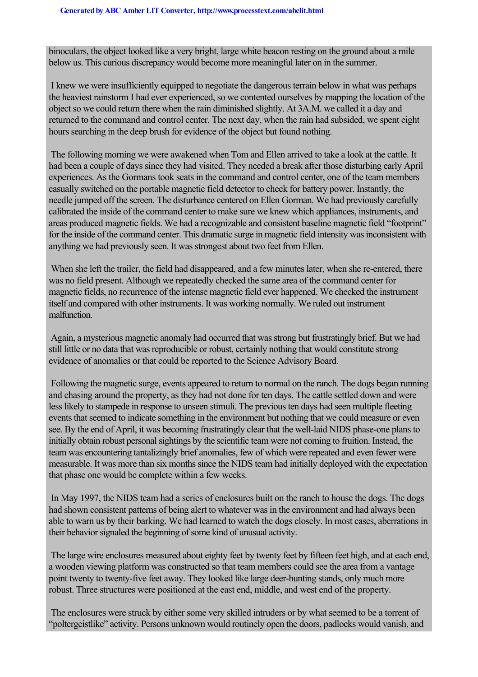binoculars, the object looked like a very bright, large white beacon resting on the ground about a mile below us. This curious discrepancy would become more meaningful later on in the summer.

 I knew we were insufficiently equipped to negotiate the dangerous terrain below in what was perhaps the heaviest rainstorm I had ever experienced, so we contented ourselves by mapping the location of the object so we could return there when the rain diminished slightly. At 3A.M. we called it a day and returned to the command and control center. The next day, when the rain had subsided, we spent eight hours searching in the deep brush for evidence of the object but found nothing.

 The following morning we were awakened when Tom and Ellen arrived to take a look at the cattle. It had been a couple of days since they had visited. They needed a break after those disturbing early April experiences. As the Gormans took seats in the command and control center, one of the team members casually switched on the portable magnetic field detector to check for battery power. Instantly, the needle jumped off the screen. The disturbance centered on Ellen Gorman. We had previously carefully calibrated the inside of the command center to make sure we knew which appliances, instruments, and areas produced magnetic fields. We had a recognizable and consistent baseline magnetic field "footprint" for the inside of the command center. This dramatic surge in magnetic field intensity was inconsistent with anything we had previously seen. It was strongest about two feet from Ellen.

When she left the trailer, the field had disappeared, and a few minutes later, when she re-entered, there was no field present. Although we repeatedly checked the same area of the command center for magnetic fields, no recurrence of the intense magnetic field ever happened. We checked the instrument itself and compared with other instruments. It was working normally. We ruled out instrument malfunction.

 Again, a mysterious magnetic anomaly had occurred that was strong but frustratingly brief. But we had still little or no data that was reproducible or robust, certainly nothing that would constitute strong evidence of anomalies or that could be reported to the Science Advisory Board.

Following the magnetic surge, events appeared to return to normal on the ranch. The dogs began running and chasing around the property, as they had not done for ten days. The cattle settled down and were less likely to stampede in response to unseen stimuli. The previous ten days had seen multiple fleeting events that seemed to indicate something in the environment but nothing that we could measure or even see. By the end of April, it was becoming frustratingly clear that the well-laid NIDS phase-one plans to initially obtain robust personal sightings by the scientific team were not coming to fruition. Instead, the team was encountering tantalizingly brief anomalies, few of which were repeated and even fewer were measurable. It was more than six months since the NIDS team had initially deployed with the expectation that phase one would be complete within a few weeks.

 In May 1997, the NIDS team had a series of enclosures built on the ranch to house the dogs. The dogs had shown consistent patterns of being alert to whatever was in the environment and had always been able to warn us by their barking. We had learned to watch the dogs closely. In most cases, aberrations in their behavior signaled the beginning of some kind of unusual activity.

 The large wire enclosures measured about eighty feet by twenty feet by fifteen feet high, and at each end, a wooden viewing platform was constructed so that team members could see the area from a vantage point twenty to twenty-five feet away. They looked like large deer-hunting stands, only much more robust. Three structures were positioned at the east end, middle, and west end of the property.

 The enclosures were struck by either some very skilled intruders or by what seemed to be a torrent of "poltergeistlike" activity. Persons unknown would routinely open the doors, padlocks would vanish, and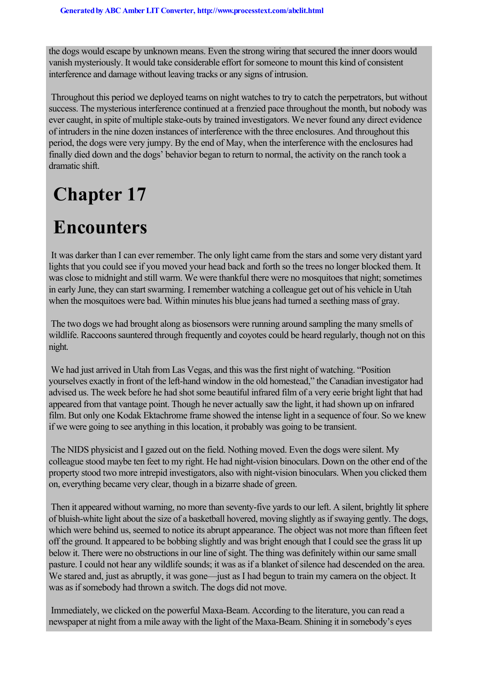the dogs would escape by unknown means. Even the strong wiring that secured the inner doors would vanish mysteriously. It would take considerable effort for someone to mount this kind of consistent interference and damage without leaving tracks or any signs of intrusion.

 Throughout this period we deployed teams on night watches to try to catch the perpetrators, but without success. The mysterious interference continued at a frenzied pace throughout the month, but nobody was ever caught, in spite of multiple stake-outs by trained investigators. We never found any direct evidence of intruders in the nine dozen instances of interference with the three enclosures. And throughout this period, the dogs were very jumpy. By the end of May, when the interference with the enclosures had finally died down and the dogs' behavior began to return to normal, the activity on the ranch took a dramatic shift.

### **Chapter 17**

### **Encounters**

 It was darker than I can ever remember. The only light came from the stars and some very distant yard lights that you could see if you moved your head back and forth so the trees no longer blocked them. It was close to midnight and still warm. We were thankful there were no mosquitoes that night; sometimes in early June, they can start swarming. I remember watching a colleague get out of his vehicle in Utah when the mosquitoes were bad. Within minutes his blue jeans had turned a seething mass of gray.

 The two dogs we had brought along as biosensors were running around sampling the many smells of wildlife. Raccoons sauntered through frequently and coyotes could be heard regularly, though not on this night.

 We had just arrived in Utah from Las Vegas, and this was the first night of watching. "Position yourselves exactly in front of the left-hand window in the old homestead," the Canadian investigator had advised us. The week before he had shot some beautiful infrared film of a very eerie bright light that had appeared from that vantage point. Though he never actually saw the light, it had shown up on infrared film. But only one Kodak Ektachrome frame showed the intense light in a sequence of four. So we knew if we were going to see anything in this location, it probably was going to be transient.

 The NIDS physicist and I gazed out on the field. Nothing moved. Even the dogs were silent. My colleague stood maybe ten feet to my right. He had night-vision binoculars. Down on the other end of the property stood two more intrepid investigators, also with night-vision binoculars. When you clicked them on, everything became very clear, though in a bizarre shade of green.

 Then it appeared without warning, no more than seventy-five yards to our left. A silent, brightly lit sphere of bluish-white light about the size of a basketball hovered, moving slightly as if swaying gently. The dogs, which were behind us, seemed to notice its abrupt appearance. The object was not more than fifteen feet off the ground. It appeared to be bobbing slightly and was bright enough that I could see the grass lit up below it. There were no obstructions in our line of sight. The thing was definitely within our same small pasture. I could not hear any wildlife sounds; it was as if a blanket of silence had descended on the area. We stared and, just as abruptly, it was gone—just as I had begun to train my camera on the object. It was as if somebody had thrown a switch. The dogs did not move.

 Immediately, we clicked on the powerful Maxa-Beam. According to the literature, you can read a newspaper at night from a mile away with the light of the Maxa-Beam. Shining it in somebody's eyes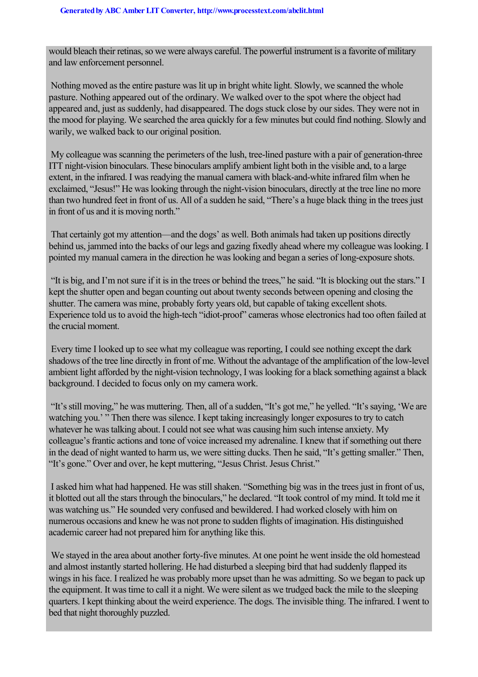would bleach their retinas, so we were always careful. The powerful instrument is a favorite of military and law enforcement personnel.

 Nothing moved as the entire pasture was lit up in bright white light. Slowly, we scanned the whole pasture. Nothing appeared out of the ordinary. We walked over to the spot where the object had appeared and, just as suddenly, had disappeared. The dogs stuck close by our sides. They were not in the mood for playing. We searched the area quickly for a few minutes but could find nothing. Slowly and warily, we walked back to our original position.

 My colleague was scanning the perimeters of the lush, tree-lined pasture with a pair of generation-three ITT night-vision binoculars. These binoculars amplify ambient light both in the visible and, to a large extent, in the infrared. I was readying the manual camera with black-and-white infrared film when he exclaimed, "Jesus!" He was looking through the night-vision binoculars, directly at the tree line no more than two hundred feet in front of us. All of a sudden he said, "There's a huge black thing in the trees just in front of us and it is moving north."

 That certainly got my attention—and the dogs' as well. Both animals had taken up positions directly behind us, jammed into the backs of our legs and gazing fixedly ahead where my colleague was looking. I pointed my manual camera in the direction he was looking and began a series of long-exposure shots.

 "It is big, and I'm not sure if it is in the trees or behind the trees," he said. "It is blocking out the stars." I kept the shutter open and began counting out about twenty seconds between opening and closing the shutter. The camera was mine, probably forty years old, but capable of taking excellent shots. Experience told us to avoid the high-tech "idiot-proof" cameras whose electronics had too often failed at the crucial moment.

 Every time I looked up to see what my colleague was reporting, I could see nothing except the dark shadows of the tree line directly in front of me. Without the advantage of the amplification of the low-level ambient light afforded by the night-vision technology, I was looking for a black something against a black background. I decided to focus only on my camera work.

 "It's still moving," he was muttering. Then, all of a sudden, "It's got me," he yelled. "It's saying, 'We are watching you.' " Then there was silence. I kept taking increasingly longer exposures to try to catch whatever he was talking about. I could not see what was causing him such intense anxiety. My colleague's frantic actions and tone of voice increased my adrenaline. I knew that if something out there in the dead of night wanted to harm us, we were sitting ducks. Then he said, "It's getting smaller." Then, "It's gone." Over and over, he kept muttering, "Jesus Christ. Jesus Christ."

 I asked him what had happened. He was still shaken. "Something big was in the trees just in front of us, it blotted out all the stars through the binoculars," he declared. "It took control of my mind. It told me it was watching us." He sounded very confused and bewildered. I had worked closely with him on numerous occasions and knew he was not prone to sudden flights of imagination. His distinguished academic career had not prepared him for anything like this.

 We stayed in the area about another forty-five minutes. At one point he went inside the old homestead and almost instantly started hollering. He had disturbed a sleeping bird that had suddenly flapped its wings in his face. I realized he was probably more upset than he was admitting. So we began to pack up the equipment. It was time to call it a night. We were silent as we trudged back the mile to the sleeping quarters. I kept thinking about the weird experience. The dogs. The invisible thing. The infrared. I went to bed that night thoroughly puzzled.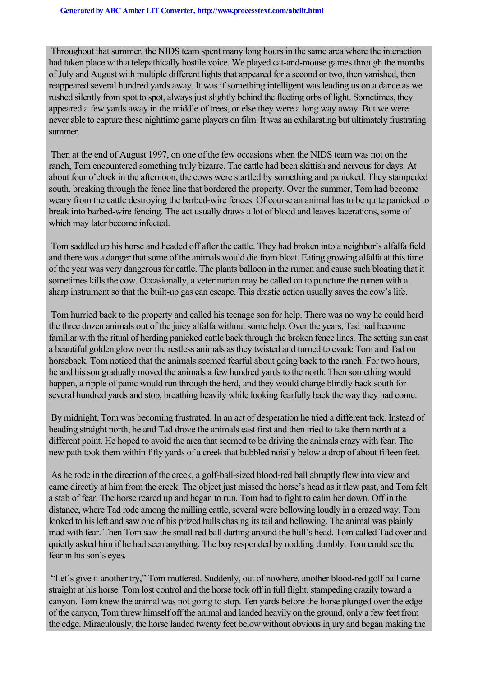Throughout that summer, the NIDS team spent many long hours in the same area where the interaction had taken place with a telepathically hostile voice. We played cat-and-mouse games through the months of July and August with multiple different lights that appeared for a second or two, then vanished, then reappeared several hundred yards away. It was if something intelligent was leading us on a dance as we rushed silently from spot to spot, always just slightly behind the fleeting orbs of light. Sometimes, they appeared a few yards away in the middle of trees, or else they were a long way away. But we were never able to capture these nighttime game players on film. It was an exhilarating but ultimately frustrating summer.

 Then at the end of August 1997, on one of the few occasions when the NIDS team was not on the ranch, Tom encountered something truly bizarre. The cattle had been skittish and nervous for days. At about four o'clock in the afternoon, the cows were startled by something and panicked. They stampeded south, breaking through the fence line that bordered the property. Over the summer, Tom had become weary from the cattle destroying the barbed-wire fences. Of course an animal has to be quite panicked to break into barbed-wire fencing. The act usually draws a lot of blood and leaves lacerations, some of which may later become infected.

 Tom saddled up his horse and headed off after the cattle. They had broken into a neighbor's alfalfa field and there was a danger that some of the animals would die from bloat. Eating growing alfalfa at this time of the year was very dangerous for cattle. The plants balloon in the rumen and cause such bloating that it sometimes kills the cow. Occasionally, a veterinarian may be called on to puncture the rumen with a sharp instrument so that the built-up gas can escape. This drastic action usually saves the cow's life.

 Tom hurried back to the property and called his teenage son for help. There was no way he could herd the three dozen animals out of the juicy alfalfa without some help. Over the years, Tad had become familiar with the ritual of herding panicked cattle back through the broken fence lines. The setting sun cast a beautiful golden glow over the restless animals as they twisted and turned to evade Tom and Tad on horseback. Tom noticed that the animals seemed fearful about going back to the ranch. For two hours, he and his son gradually moved the animals a few hundred yards to the north. Then something would happen, a ripple of panic would run through the herd, and they would charge blindly back south for several hundred yards and stop, breathing heavily while looking fearfully back the way they had come.

 By midnight, Tom was becoming frustrated. In an act of desperation he tried a different tack. Instead of heading straight north, he and Tad drove the animals east first and then tried to take them north at a different point. He hoped to avoid the area that seemed to be driving the animals crazy with fear. The new path took them within fifty yards of a creek that bubbled noisily below a drop of about fifteen feet.

 As he rode in the direction of the creek, a golf-ball-sized blood-red ball abruptly flew into view and came directly at him from the creek. The object just missed the horse's head as it flew past, and Tom felt a stab of fear. The horse reared up and began to run. Tom had to fight to calm her down. Off in the distance, where Tad rode among the milling cattle, several were bellowing loudly in a crazed way. Tom looked to his left and saw one of his prized bulls chasing its tail and bellowing. The animal was plainly mad with fear. Then Tom saw the small red ball darting around the bull's head. Tom called Tad over and quietly asked him if he had seen anything. The boy responded by nodding dumbly. Tom could see the fear in his son's eyes.

 "Let's give it another try," Tom muttered. Suddenly, out of nowhere, another blood-red golf ball came straight at his horse. Tom lost control and the horse took off in full flight, stampeding crazily toward a canyon. Tom knew the animal was not going to stop. Ten yards before the horse plunged over the edge of the canyon, Tom threw himself off the animal and landed heavily on the ground, only a few feet from the edge. Miraculously, the horse landed twenty feet below without obvious injury and began making the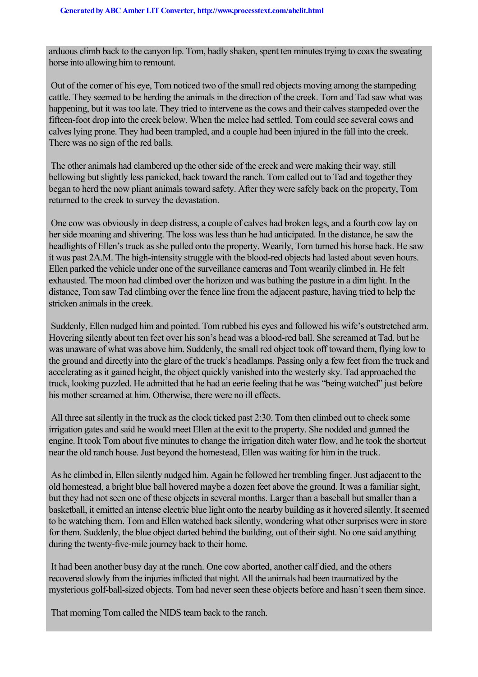arduous climb back to the canyon lip. Tom, badly shaken, spent ten minutes trying to coax the sweating horse into allowing him to remount.

 Out of the corner of his eye, Tom noticed two of the small red objects moving among the stampeding cattle. They seemed to be herding the animals in the direction of the creek. Tom and Tad saw what was happening, but it was too late. They tried to intervene as the cows and their calves stampeded over the fifteen-foot drop into the creek below. When the melee had settled, Tom could see several cows and calves lying prone. They had been trampled, and a couple had been injured in the fall into the creek. There was no sign of the red balls.

 The other animals had clambered up the other side of the creek and were making their way, still bellowing but slightly less panicked, back toward the ranch. Tom called out to Tad and together they began to herd the now pliant animals toward safety. After they were safely back on the property, Tom returned to the creek to survey the devastation.

 One cow was obviously in deep distress, a couple of calves had broken legs, and a fourth cow lay on her side moaning and shivering. The loss was less than he had anticipated. In the distance, he saw the headlights of Ellen's truck as she pulled onto the property. Wearily, Tom turned his horse back. He saw it was past 2A.M. The high-intensity struggle with the blood-red objects had lasted about seven hours. Ellen parked the vehicle under one of the surveillance cameras and Tom wearily climbed in. He felt exhausted. The moon had climbed over the horizon and was bathing the pasture in a dim light. In the distance, Tom saw Tad climbing over the fence line from the adjacent pasture, having tried to help the stricken animals in the creek.

 Suddenly, Ellen nudged him and pointed. Tom rubbed his eyes and followed his wife's outstretched arm. Hovering silently about ten feet over his son's head was a blood-red ball. She screamed at Tad, but he was unaware of what was above him. Suddenly, the small red object took off toward them, flying low to the ground and directly into the glare of the truck's headlamps. Passing only a few feet from the truck and accelerating as it gained height, the object quickly vanished into the westerly sky. Tad approached the truck, looking puzzled. He admitted that he had an eerie feeling that he was "being watched" just before his mother screamed at him. Otherwise, there were no ill effects.

 All three sat silently in the truck as the clock ticked past 2:30. Tom then climbed out to check some irrigation gates and said he would meet Ellen at the exit to the property. She nodded and gunned the engine. It took Tom about five minutes to change the irrigation ditch water flow, and he took the shortcut near the old ranch house. Just beyond the homestead, Ellen was waiting for him in the truck.

 As he climbed in, Ellen silently nudged him. Again he followed her trembling finger. Just adjacent to the old homestead, a bright blue ball hovered maybe a dozen feet above the ground. It was a familiar sight, but they had not seen one of these objects in several months. Larger than a baseball but smaller than a basketball, it emitted an intense electric blue light onto the nearby building as it hovered silently. It seemed to be watching them. Tom and Ellen watched back silently, wondering what other surprises were in store for them. Suddenly, the blue object darted behind the building, out of their sight. No one said anything during the twenty-five-mile journey back to their home.

 It had been another busy day at the ranch. One cow aborted, another calf died, and the others recovered slowly from the injuries inflicted that night. All the animals had been traumatized by the mysterious golf-ball-sized objects. Tom had never seen these objects before and hasn't seen them since.

That morning Tom called the NIDS team back to the ranch.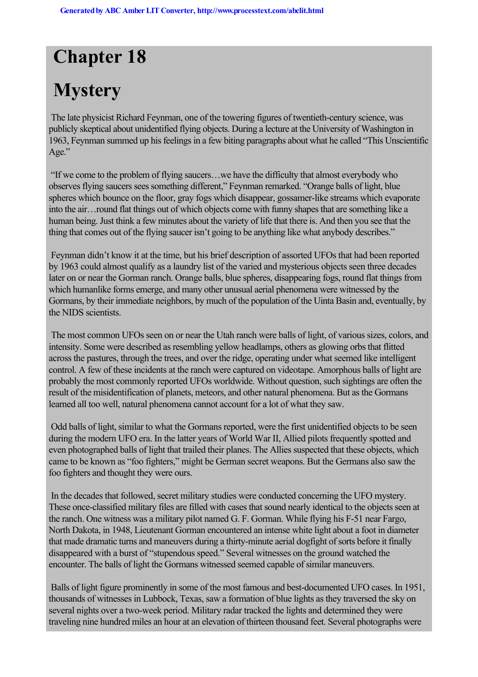### **Chapter 18**

### **Mystery**

 The late physicist Richard Feynman, one of the towering figures of twentieth-century science, was publicly skeptical about unidentified flying objects. During a lecture at the University of Washington in 1963, Feynman summed up his feelings in a few biting paragraphs about what he called "This Unscientific Age."

 "If we come to the problem of flying saucers…we have the difficulty that almost everybody who observes flying saucers sees something different," Feynman remarked. "Orange balls of light, blue spheres which bounce on the floor, gray fogs which disappear, gossamer-like streams which evaporate into the air…round flat things out of which objects come with funny shapes that are something like a human being. Just think a few minutes about the variety of life that there is. And then you see that the thing that comes out of the flying saucer isn't going to be anything like what anybody describes."

 Feynman didn't know it at the time, but his brief description of assorted UFOs that had been reported by 1963 could almost qualify as a laundry list of the varied and mysterious objects seen three decades later on or near the Gorman ranch. Orange balls, blue spheres, disappearing fogs, round flat things from which humanlike forms emerge, and many other unusual aerial phenomena were witnessed by the Gormans, by their immediate neighbors, by much of the population of the Uinta Basin and, eventually, by the NIDS scientists.

 The most common UFOs seen on or near the Utah ranch were balls of light, of various sizes, colors, and intensity. Some were described as resembling yellow headlamps, others as glowing orbs that flitted across the pastures, through the trees, and over the ridge, operating under what seemed like intelligent control. A few of these incidents at the ranch were captured on videotape. Amorphous balls of light are probably the most commonly reported UFOs worldwide. Without question, such sightings are often the result of the misidentification of planets, meteors, and other natural phenomena. But as the Gormans learned all too well, natural phenomena cannot account for a lot of what they saw.

 Odd balls of light, similar to what the Gormans reported, were the first unidentified objects to be seen during the modern UFO era. In the latter years of World War II, Allied pilots frequently spotted and even photographed balls of light that trailed their planes. The Allies suspected that these objects, which came to be known as "foo fighters," might be German secret weapons. But the Germans also saw the foo fighters and thought they were ours.

 In the decades that followed, secret military studies were conducted concerning the UFO mystery. These once-classified military files are filled with cases that sound nearly identical to the objects seen at the ranch. One witness was a military pilot named G. F. Gorman. While flying his F-51 near Fargo, North Dakota, in 1948, Lieutenant Gorman encountered an intense white light about a foot in diameter that made dramatic turns and maneuvers during a thirty-minute aerial dogfight of sorts before it finally disappeared with a burst of "stupendous speed." Several witnesses on the ground watched the encounter. The balls of light the Gormans witnessed seemed capable of similar maneuvers.

 Balls of light figure prominently in some of the most famous and best-documented UFO cases. In 1951, thousands of witnesses in Lubbock, Texas, saw a formation of blue lights as they traversed the sky on several nights over a two-week period. Military radar tracked the lights and determined they were traveling nine hundred miles an hour at an elevation of thirteen thousand feet. Several photographs were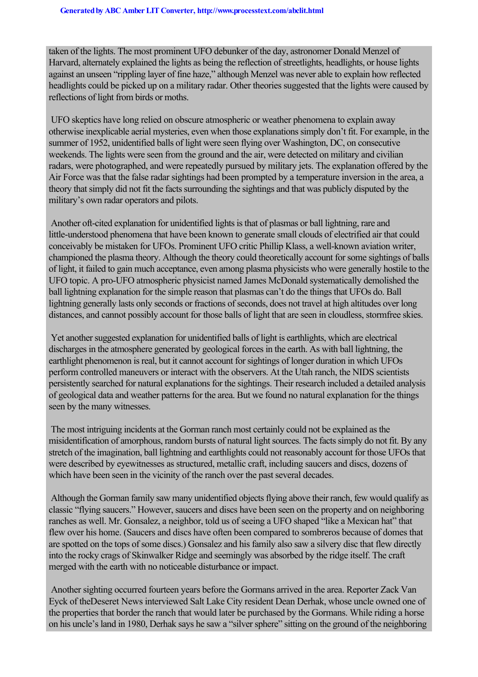taken of the lights. The most prominent UFO debunker of the day, astronomer Donald Menzel of Harvard, alternately explained the lights as being the reflection of streetlights, headlights, or house lights against an unseen "rippling layer of fine haze," although Menzel was never able to explain how reflected headlights could be picked up on a military radar. Other theories suggested that the lights were caused by reflections of light from birds or moths.

 UFO skeptics have long relied on obscure atmospheric or weather phenomena to explain away otherwise inexplicable aerial mysteries, even when those explanations simply don't fit. For example, in the summer of 1952, unidentified balls of light were seen flying over Washington, DC, on consecutive weekends. The lights were seen from the ground and the air, were detected on military and civilian radars, were photographed, and were repeatedly pursued by military jets. The explanation offered by the Air Force was that the false radar sightings had been prompted by a temperature inversion in the area, a theory that simply did not fit the facts surrounding the sightings and that was publicly disputed by the military's own radar operators and pilots.

 Another oft-cited explanation for unidentified lights is that of plasmas or ball lightning, rare and little-understood phenomena that have been known to generate small clouds of electrified air that could conceivably be mistaken for UFOs. Prominent UFO critic Phillip Klass, a well-known aviation writer, championed the plasma theory. Although the theory could theoretically account for some sightings of balls of light, it failed to gain much acceptance, even among plasma physicists who were generally hostile to the UFO topic. A pro-UFO atmospheric physicist named James McDonald systematically demolished the ball lightning explanation for the simple reason that plasmas can't do the things that UFOs do. Ball lightning generally lasts only seconds or fractions of seconds, does not travel at high altitudes over long distances, and cannot possibly account for those balls of light that are seen in cloudless, stormfree skies.

 Yet another suggested explanation for unidentified balls of light is earthlights, which are electrical discharges in the atmosphere generated by geological forces in the earth. As with ball lightning, the earthlight phenomenon is real, but it cannot account for sightings of longer duration in which UFOs perform controlled maneuvers or interact with the observers. At the Utah ranch, the NIDS scientists persistently searched for natural explanations for the sightings. Their research included a detailed analysis of geological data and weather patterns for the area. But we found no natural explanation for the things seen by the many witnesses.

 The most intriguing incidents at the Gorman ranch most certainly could not be explained as the misidentification of amorphous, random bursts of natural light sources. The facts simply do not fit. By any stretch of the imagination, ball lightning and earthlights could not reasonably account for those UFOs that were described by eyewitnesses as structured, metallic craft, including saucers and discs, dozens of which have been seen in the vicinity of the ranch over the past several decades.

 Although the Gorman family saw many unidentified objects flying above their ranch, few would qualify as classic "flying saucers." However, saucers and discs have been seen on the property and on neighboring ranches as well. Mr. Gonsalez, a neighbor, told us of seeing a UFO shaped "like a Mexican hat" that flew over his home. (Saucers and discs have often been compared to sombreros because of domes that are spotted on the tops of some discs.) Gonsalez and his family also saw a silvery disc that flew directly into the rocky crags of Skinwalker Ridge and seemingly was absorbed by the ridge itself. The craft merged with the earth with no noticeable disturbance or impact.

 Another sighting occurred fourteen years before the Gormans arrived in the area. Reporter Zack Van Eyck of theDeseret News interviewed Salt Lake City resident Dean Derhak, whose uncle owned one of the properties that border the ranch that would later be purchased by the Gormans. While riding a horse on his uncle's land in 1980, Derhak says he saw a "silver sphere" sitting on the ground of the neighboring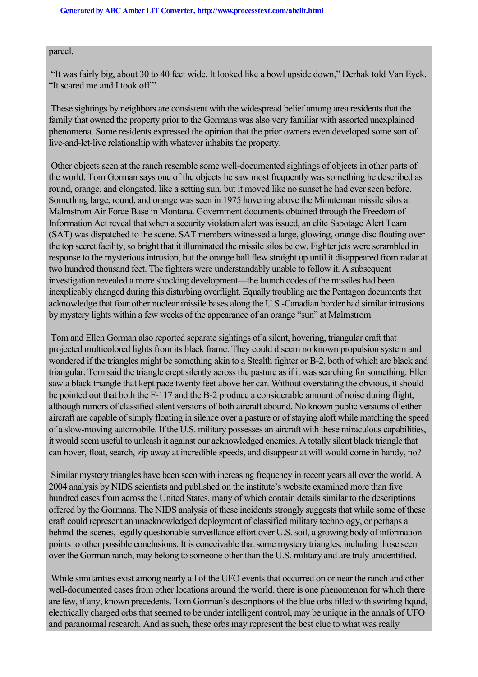#### parcel.

 "It was fairly big, about 30 to 40 feet wide. It looked like a bowl upside down," Derhak told Van Eyck. "It scared me and I took off"

 These sightings by neighbors are consistent with the widespread belief among area residents that the family that owned the property prior to the Gormans was also very familiar with assorted unexplained phenomena. Some residents expressed the opinion that the prior owners even developed some sort of live-and-let-live relationship with whatever inhabits the property.

 Other objects seen at the ranch resemble some well-documented sightings of objects in other parts of the world. Tom Gorman says one of the objects he saw most frequently was something he described as round, orange, and elongated, like a setting sun, but it moved like no sunset he had ever seen before. Something large, round, and orange was seen in 1975 hovering above the Minuteman missile silos at Malmstrom Air Force Base in Montana. Government documents obtained through the Freedom of Information Act reveal that when a security violation alert was issued, an elite Sabotage Alert Team (SAT) was dispatched to the scene. SAT members witnessed a large, glowing, orange disc floating over the top secret facility, so bright that it illuminated the missile silos below. Fighter jets were scrambled in response to the mysterious intrusion, but the orange ball flew straight up until it disappeared from radar at two hundred thousand feet. The fighters were understandably unable to follow it. A subsequent investigation revealed a more shocking development—the launch codes of the missiles had been inexplicably changed during this disturbing overflight. Equally troubling are the Pentagon documents that acknowledge that four other nuclear missile bases along the U.S.-Canadian border had similar intrusions by mystery lights within a few weeks of the appearance of an orange "sun" at Malmstrom.

 Tom and Ellen Gorman also reported separate sightings of a silent, hovering, triangular craft that projected multicolored lights from its black frame. They could discern no known propulsion system and wondered if the triangles might be something akin to a Stealth fighter or B-2, both of which are black and triangular. Tom said the triangle crept silently across the pasture as if it was searching for something. Ellen saw a black triangle that kept pace twenty feet above her car. Without overstating the obvious, it should be pointed out that both the F-117 and the B-2 produce a considerable amount of noise during flight, although rumors of classified silent versions of both aircraft abound. No known public versions of either aircraft are capable of simply floating in silence over a pasture or of staying aloft while matching the speed of a slow-moving automobile. If the U.S. military possesses an aircraft with these miraculous capabilities, it would seem useful to unleash it against our acknowledged enemies. A totally silent black triangle that can hover, float, search, zip away at incredible speeds, and disappear at will would come in handy, no?

 Similar mystery triangles have been seen with increasing frequency in recent years all over the world. A 2004 analysis by NIDS scientists and published on the institute's website examined more than five hundred cases from across the United States, many of which contain details similar to the descriptions offered by the Gormans. The NIDS analysis of these incidents strongly suggests that while some of these craft could represent an unacknowledged deployment of classified military technology, or perhaps a behind-the-scenes, legally questionable surveillance effort over U.S. soil, a growing body of information points to other possible conclusions. It is conceivable that some mystery triangles, including those seen over the Gorman ranch, may belong to someone other than the U.S. military and are truly unidentified.

 While similarities exist among nearly all of the UFO events that occurred on or near the ranch and other well-documented cases from other locations around the world, there is one phenomenon for which there are few, if any, known precedents. Tom Gorman's descriptions of the blue orbs filled with swirling liquid, electrically charged orbs that seemed to be under intelligent control, may be unique in the annals of UFO and paranormal research. And as such, these orbs may represent the best clue to what was really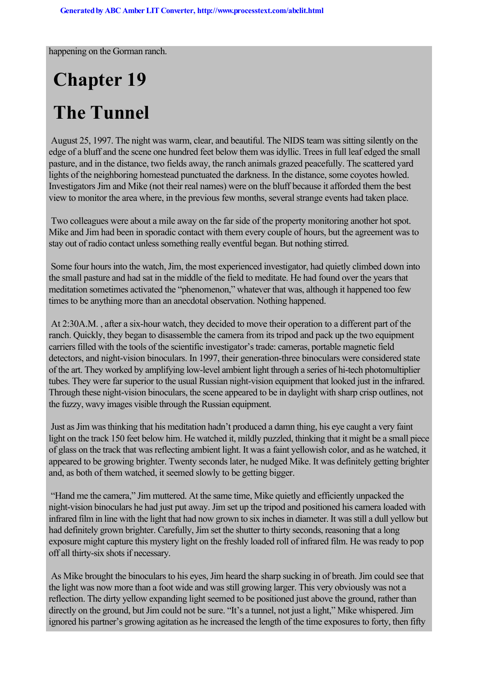happening on the Gorman ranch.

### **Chapter 19 The Tunnel**

 August 25, 1997. The night was warm, clear, and beautiful. The NIDS team was sitting silently on the edge of a bluff and the scene one hundred feet below them was idyllic. Trees in full leaf edged the small pasture, and in the distance, two fields away, the ranch animals grazed peacefully. The scattered yard lights of the neighboring homestead punctuated the darkness. In the distance, some coyotes howled. Investigators Jim and Mike (not their real names) were on the bluff because it afforded them the best view to monitor the area where, in the previous few months, several strange events had taken place.

 Two colleagues were about a mile away on the far side of the property monitoring another hot spot. Mike and Jim had been in sporadic contact with them every couple of hours, but the agreement was to stay out of radio contact unless something really eventful began. But nothing stirred.

 Some four hours into the watch, Jim, the most experienced investigator, had quietly climbed down into the small pasture and had sat in the middle of the field to meditate. He had found over the years that meditation sometimes activated the "phenomenon," whatever that was, although it happened too few times to be anything more than an anecdotal observation. Nothing happened.

 At 2:30A.M. , after a six-hour watch, they decided to move their operation to a different part of the ranch. Quickly, they began to disassemble the camera from its tripod and pack up the two equipment carriers filled with the tools of the scientific investigator's trade: cameras, portable magnetic field detectors, and night-vision binoculars. In 1997, their generation-three binoculars were considered state of the art. They worked by amplifying low-level ambient light through a series of hi-tech photomultiplier tubes. They were far superior to the usual Russian night-vision equipment that looked just in the infrared. Through these night-vision binoculars, the scene appeared to be in daylight with sharp crisp outlines, not the fuzzy, wavy images visible through the Russian equipment.

 Just as Jim was thinking that his meditation hadn't produced a damn thing, his eye caught a very faint light on the track 150 feet below him. He watched it, mildly puzzled, thinking that it might be a small piece of glass on the track that was reflecting ambient light. It was a faint yellowish color, and as he watched, it appeared to be growing brighter. Twenty seconds later, he nudged Mike. It was definitely getting brighter and, as both of them watched, it seemed slowly to be getting bigger.

 "Hand me the camera," Jim muttered. At the same time, Mike quietly and efficiently unpacked the night-vision binoculars he had just put away. Jim set up the tripod and positioned his camera loaded with infrared film in line with the light that had now grown to six inches in diameter. It was still a dull yellow but had definitely grown brighter. Carefully, Jim set the shutter to thirty seconds, reasoning that a long exposure might capture this mystery light on the freshly loaded roll of infrared film. He was ready to pop off all thirty-six shots if necessary.

 As Mike brought the binoculars to his eyes, Jim heard the sharp sucking in of breath. Jim could see that the light was now more than a foot wide and was still growing larger. This very obviously was not a reflection. The dirty yellow expanding light seemed to be positioned just above the ground, rather than directly on the ground, but Jim could not be sure. "It's a tunnel, not just a light," Mike whispered. Jim ignored his partner's growing agitation as he increased the length of the time exposures to forty, then fifty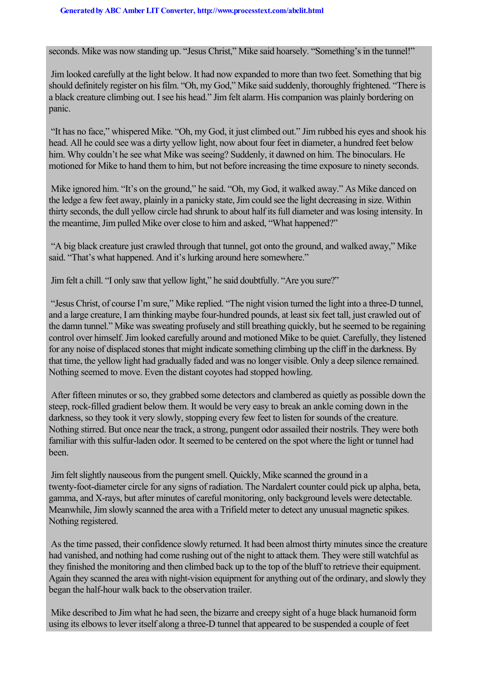seconds. Mike was now standing up. "Jesus Christ." Mike said hoarsely. "Something's in the tunnel!"

 Jim looked carefully at the light below. It had now expanded to more than two feet. Something that big should definitely register on his film. "Oh, my God," Mike said suddenly, thoroughly frightened. "There is a black creature climbing out. I see his head." Jim felt alarm. His companion was plainly bordering on panic.

 "It has no face," whispered Mike. "Oh, my God, it just climbed out." Jim rubbed his eyes and shook his head. All he could see was a dirty yellow light, now about four feet in diameter, a hundred feet below him. Why couldn't he see what Mike was seeing? Suddenly, it dawned on him. The binoculars. He motioned for Mike to hand them to him, but not before increasing the time exposure to ninety seconds.

 Mike ignored him. "It's on the ground," he said. "Oh, my God, it walked away." As Mike danced on the ledge a few feet away, plainly in a panicky state, Jim could see the light decreasing in size. Within thirty seconds, the dull yellow circle had shrunk to about half its full diameter and was losing intensity. In the meantime, Jim pulled Mike over close to him and asked, "What happened?"

 "A big black creature just crawled through that tunnel, got onto the ground, and walked away," Mike said. "That's what happened. And it's lurking around here somewhere."

Jim felt a chill. "I only saw that yellow light," he said doubtfully. "Are you sure?"

 "Jesus Christ, of course I'm sure," Mike replied. "The night vision turned the light into a three-D tunnel, and a large creature, I am thinking maybe four-hundred pounds, at least six feet tall, just crawled out of the damn tunnel." Mike was sweating profusely and still breathing quickly, but he seemed to be regaining control over himself. Jim looked carefully around and motioned Mike to be quiet. Carefully, they listened for any noise of displaced stones that might indicate something climbing up the cliff in the darkness. By that time, the yellow light had gradually faded and was no longer visible. Only a deep silence remained. Nothing seemed to move. Even the distant coyotes had stopped howling.

 After fifteen minutes or so, they grabbed some detectors and clambered as quietly as possible down the steep, rock-filled gradient below them. It would be very easy to break an ankle coming down in the darkness, so they took it very slowly, stopping every few feet to listen for sounds of the creature. Nothing stirred. But once near the track, a strong, pungent odor assailed their nostrils. They were both familiar with this sulfur-laden odor. It seemed to be centered on the spot where the light or tunnel had been.

 Jim felt slightly nauseous from the pungent smell. Quickly, Mike scanned the ground in a twenty-foot-diameter circle for any signs of radiation. The Nardalert counter could pick up alpha, beta, gamma, and X-rays, but after minutes of careful monitoring, only background levels were detectable. Meanwhile, Jim slowly scanned the area with a Trifield meter to detect any unusual magnetic spikes. Nothing registered.

 As the time passed, their confidence slowly returned. It had been almost thirty minutes since the creature had vanished, and nothing had come rushing out of the night to attack them. They were still watchful as they finished the monitoring and then climbed back up to the top of the bluff to retrieve their equipment. Again they scanned the area with night-vision equipment for anything out of the ordinary, and slowly they began the half-hour walk back to the observation trailer.

 Mike described to Jim what he had seen, the bizarre and creepy sight of a huge black humanoid form using its elbows to lever itself along a three-D tunnel that appeared to be suspended a couple of feet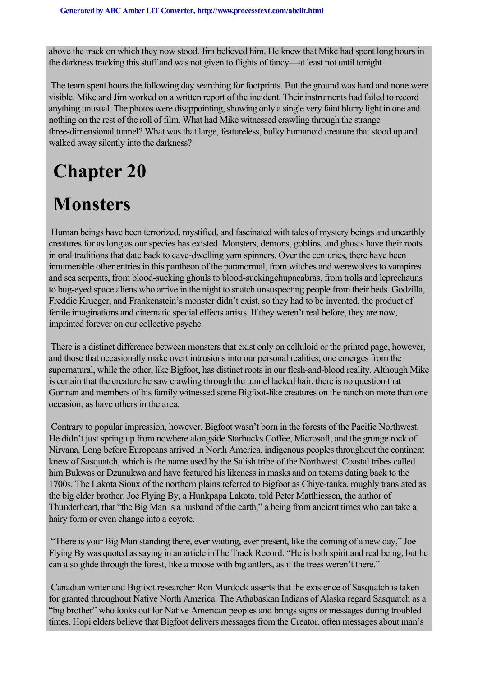above the track on which they now stood. Jim believed him. He knew that Mike had spent long hours in the darkness tracking this stuff and was not given to flights of fancy—at least not until tonight.

 The team spent hours the following day searching for footprints. But the ground was hard and none were visible. Mike and Jim worked on a written report of the incident. Their instruments had failed to record anything unusual. The photos were disappointing, showing only a single very faint blurry light in one and nothing on the rest of the roll of film. What had Mike witnessed crawling through the strange three-dimensional tunnel? What was that large, featureless, bulky humanoid creature that stood up and walked away silently into the darkness?

## **Chapter 20**

### **Monsters**

 Human beings have been terrorized, mystified, and fascinated with tales of mystery beings and unearthly creatures for as long as our species has existed. Monsters, demons, goblins, and ghosts have their roots in oral traditions that date back to cave-dwelling yarn spinners. Over the centuries, there have been innumerable other entries in this pantheon of the paranormal, from witches and werewolves to vampires and sea serpents, from blood-sucking ghouls to blood-suckingchupacabras, from trolls and leprechauns to bug-eyed space aliens who arrive in the night to snatch unsuspecting people from their beds. Godzilla, Freddie Krueger, and Frankenstein's monster didn't exist, so they had to be invented, the product of fertile imaginations and cinematic special effects artists. If they weren't real before, they are now, imprinted forever on our collective psyche.

 There is a distinct difference between monsters that exist only on celluloid or the printed page, however, and those that occasionally make overt intrusions into our personal realities; one emerges from the supernatural, while the other, like Bigfoot, has distinct roots in our flesh-and-blood reality. Although Mike is certain that the creature he saw crawling through the tunnel lacked hair, there is no question that Gorman and members of his family witnessed some Bigfoot-like creatures on the ranch on more than one occasion, as have others in the area.

 Contrary to popular impression, however, Bigfoot wasn't born in the forests of the Pacific Northwest. He didn't just spring up from nowhere alongside Starbucks Coffee, Microsoft, and the grunge rock of Nirvana. Long before Europeans arrived in North America, indigenous peoples throughout the continent knew of Sasquatch, which is the name used by the Salish tribe of the Northwest. Coastal tribes called him Bukwas or Dzunukwa and have featured his likeness in masks and on totems dating back to the 1700s. The Lakota Sioux of the northern plains referred to Bigfoot as Chiye-tanka, roughly translated as the big elder brother. Joe Flying By, a Hunkpapa Lakota, told Peter Matthiessen, the author of Thunderheart, that "the Big Man is a husband of the earth," a being from ancient times who can take a hairy form or even change into a coyote.

 "There is your Big Man standing there, ever waiting, ever present, like the coming of a new day," Joe Flying By was quoted as saying in an article inThe Track Record. "He is both spirit and real being, but he can also glide through the forest, like a moose with big antlers, as if the trees weren't there."

 Canadian writer and Bigfoot researcher Ron Murdock asserts that the existence of Sasquatch is taken for granted throughout Native North America. The Athabaskan Indians of Alaska regard Sasquatch as a "big brother" who looks out for Native American peoples and brings signs or messages during troubled times. Hopi elders believe that Bigfoot delivers messages from the Creator, often messages about man's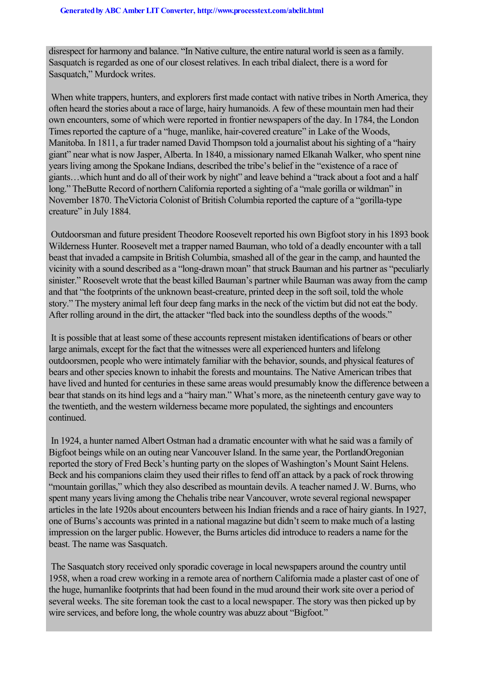disrespect for harmony and balance. "In Native culture, the entire natural world is seen as a family. Sasquatch is regarded as one of our closest relatives. In each tribal dialect, there is a word for Sasquatch," Murdock writes.

When white trappers, hunters, and explorers first made contact with native tribes in North America, they often heard the stories about a race of large, hairy humanoids. A few of these mountain men had their own encounters, some of which were reported in frontier newspapers of the day. In 1784, the London Times reported the capture of a "huge, manlike, hair-covered creature" in Lake of the Woods, Manitoba. In 1811, a fur trader named David Thompson told a journalist about his sighting of a "hairy giant" near what is now Jasper, Alberta. In 1840, a missionary named Elkanah Walker, who spent nine years living among the Spokane Indians, described the tribe's belief in the "existence of a race of giants…which hunt and do all of their work by night" and leave behind a "track about a foot and a half long." TheButte Record of northern California reported a sighting of a "male gorilla or wildman" in November 1870. TheVictoria Colonist of British Columbia reported the capture of a "gorilla-type creature" in July 1884.

 Outdoorsman and future president Theodore Roosevelt reported his own Bigfoot story in his 1893 book Wilderness Hunter. Roosevelt met a trapper named Bauman, who told of a deadly encounter with a tall beast that invaded a campsite in British Columbia, smashed all of the gear in the camp, and haunted the vicinity with a sound described as a "long-drawn moan" that struck Bauman and his partner as "peculiarly sinister." Roosevelt wrote that the beast killed Bauman's partner while Bauman was away from the camp and that "the footprints of the unknown beast-creature, printed deep in the soft soil, told the whole story." The mystery animal left four deep fang marks in the neck of the victim but did not eat the body. After rolling around in the dirt, the attacker "fled back into the soundless depths of the woods."

 It is possible that at least some of these accounts represent mistaken identifications of bears or other large animals, except for the fact that the witnesses were all experienced hunters and lifelong outdoorsmen, people who were intimately familiar with the behavior, sounds, and physical features of bears and other species known to inhabit the forests and mountains. The Native American tribes that have lived and hunted for centuries in these same areas would presumably know the difference between a bear that stands on its hind legs and a "hairy man." What's more, as the nineteenth century gave way to the twentieth, and the western wilderness became more populated, the sightings and encounters continued.

 In 1924, a hunter named Albert Ostman had a dramatic encounter with what he said was a family of Bigfoot beings while on an outing near Vancouver Island. In the same year, the PortlandOregonian reported the story of Fred Beck's hunting party on the slopes of Washington's Mount Saint Helens. Beck and his companions claim they used their rifles to fend off an attack by a pack of rock throwing "mountain gorillas," which they also described as mountain devils. A teacher named J. W. Burns, who spent many years living among the Chehalis tribe near Vancouver, wrote several regional newspaper articles in the late 1920s about encounters between his Indian friends and a race of hairy giants. In 1927, one of Burns's accounts was printed in a national magazine but didn't seem to make much of a lasting impression on the larger public. However, the Burns articles did introduce to readers a name for the beast. The name was Sasquatch.

 The Sasquatch story received only sporadic coverage in local newspapers around the country until 1958, when a road crew working in a remote area of northern California made a plaster cast of one of the huge, humanlike footprints that had been found in the mud around their work site over a period of several weeks. The site foreman took the cast to a local newspaper. The story was then picked up by wire services, and before long, the whole country was abuzz about "Bigfoot."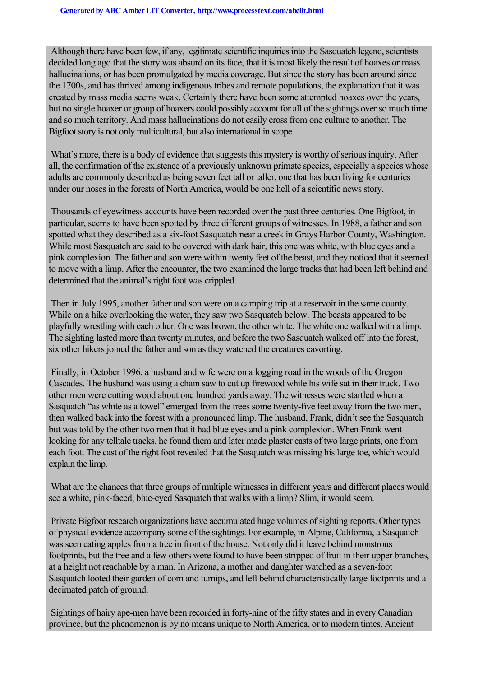Although there have been few, if any, legitimate scientific inquiries into the Sasquatch legend, scientists decided long ago that the story was absurd on its face, that it is most likely the result of hoaxes or mass hallucinations, or has been promulgated by media coverage. But since the story has been around since the 1700s, and has thrived among indigenous tribes and remote populations, the explanation that it was created by mass media seems weak. Certainly there have been some attempted hoaxes over the years, but no single hoaxer or group of hoaxers could possibly account for all of the sightings over so much time and so much territory. And mass hallucinations do not easily cross from one culture to another. The Bigfoot story is not only multicultural, but also international in scope.

What's more, there is a body of evidence that suggests this mystery is worthy of serious inquiry. After all, the confirmation of the existence of a previously unknown primate species, especially a species whose adults are commonly described as being seven feet tall or taller, one that has been living for centuries under our noses in the forests of North America, would be one hell of a scientific news story.

 Thousands of eyewitness accounts have been recorded over the past three centuries. One Bigfoot, in particular, seems to have been spotted by three different groups of witnesses. In 1988, a father and son spotted what they described as a six-foot Sasquatch near a creek in Grays Harbor County, Washington. While most Sasquatch are said to be covered with dark hair, this one was white, with blue eyes and a pink complexion. The father and son were within twenty feet of the beast, and they noticed that it seemed to move with a limp. After the encounter, the two examined the large tracks that had been left behind and determined that the animal's right foot was crippled.

 Then in July 1995, another father and son were on a camping trip at a reservoir in the same county. While on a hike overlooking the water, they saw two Sasquatch below. The beasts appeared to be playfully wrestling with each other. One was brown, the other white. The white one walked with a limp. The sighting lasted more than twenty minutes, and before the two Sasquatch walked off into the forest, six other hikers joined the father and son as they watched the creatures cavorting.

 Finally, in October 1996, a husband and wife were on a logging road in the woods of the Oregon Cascades. The husband was using a chain saw to cut up firewood while his wife sat in their truck. Two other men were cutting wood about one hundred yards away. The witnesses were startled when a Sasquatch "as white as a towel" emerged from the trees some twenty-five feet away from the two men, then walked back into the forest with a pronounced limp. The husband, Frank, didn't see the Sasquatch but was told by the other two men that it had blue eyes and a pink complexion. When Frank went looking for any telltale tracks, he found them and later made plaster casts of two large prints, one from each foot. The cast of the right foot revealed that the Sasquatch was missing his large toe, which would explain the limp.

 What are the chances that three groups of multiple witnesses in different years and different places would see a white, pink-faced, blue-eyed Sasquatch that walks with a limp? Slim, it would seem.

 Private Bigfoot research organizations have accumulated huge volumes of sighting reports. Other types of physical evidence accompany some of the sightings. For example, in Alpine, California, a Sasquatch was seen eating apples from a tree in front of the house. Not only did it leave behind monstrous footprints, but the tree and a few others were found to have been stripped of fruit in their upper branches, at a height not reachable by a man. In Arizona, a mother and daughter watched as a seven-foot Sasquatch looted their garden of corn and turnips, and left behind characteristically large footprints and a decimated patch of ground.

 Sightings of hairy ape-men have been recorded in forty-nine of the fifty states and in every Canadian province, but the phenomenon is by no means unique to North America, or to modern times. Ancient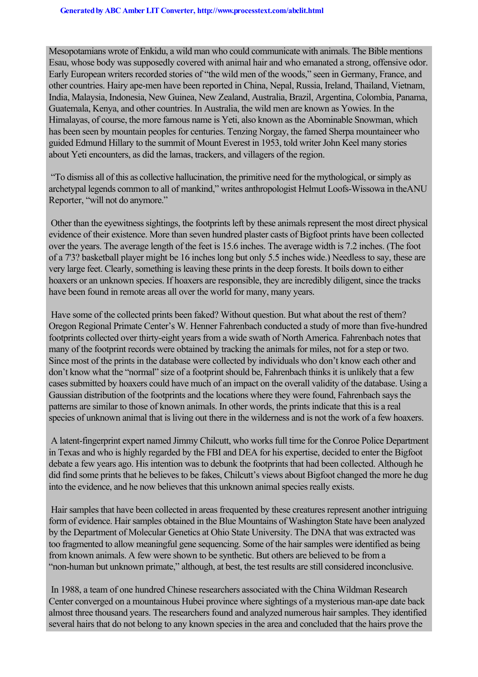Mesopotamians wrote of Enkidu, a wild man who could communicate with animals. The Bible mentions Esau, whose body was supposedly covered with animal hair and who emanated a strong, offensive odor. Early European writers recorded stories of "the wild men of the woods," seen in Germany, France, and other countries. Hairy ape-men have been reported in China, Nepal, Russia, Ireland, Thailand, Vietnam, India, Malaysia, Indonesia, New Guinea, New Zealand, Australia, Brazil, Argentina, Colombia, Panama, Guatemala, Kenya, and other countries. In Australia, the wild men are known as Yowies. In the Himalayas, of course, the more famous name is Yeti, also known as the Abominable Snowman, which has been seen by mountain peoples for centuries. Tenzing Norgay, the famed Sherpa mountaineer who guided Edmund Hillary to the summit of Mount Everest in 1953, told writer John Keel many stories about Yeti encounters, as did the lamas, trackers, and villagers of the region.

 "To dismiss all of this as collective hallucination, the primitive need for the mythological, or simply as archetypal legends common to all of mankind," writes anthropologist Helmut Loofs-Wissowa in theANU Reporter, "will not do anymore."

 Other than the eyewitness sightings, the footprints left by these animals represent the most direct physical evidence of their existence. More than seven hundred plaster casts of Bigfoot prints have been collected over the years. The average length of the feet is 15.6 inches. The average width is 7.2 inches. (The foot of a 7'3? basketball player might be 16 inches long but only 5.5 inches wide.) Needless to say, these are very large feet. Clearly, something is leaving these prints in the deep forests. It boils down to either hoaxers or an unknown species. If hoaxers are responsible, they are incredibly diligent, since the tracks have been found in remote areas all over the world for many, many years.

 Have some of the collected prints been faked? Without question. But what about the rest of them? Oregon Regional Primate Center's W. Henner Fahrenbach conducted a study of more than five-hundred footprints collected over thirty-eight years from a wide swath of North America. Fahrenbach notes that many of the footprint records were obtained by tracking the animals for miles, not for a step or two. Since most of the prints in the database were collected by individuals who don't know each other and don't know what the "normal" size of a footprint should be, Fahrenbach thinks it is unlikely that a few cases submitted by hoaxers could have much of an impact on the overall validity of the database. Using a Gaussian distribution of the footprints and the locations where they were found, Fahrenbach says the patterns are similar to those of known animals. In other words, the prints indicate that this is a real species of unknown animal that is living out there in the wilderness and is not the work of a few hoaxers.

 A latent-fingerprint expert named Jimmy Chilcutt, who works full time for the Conroe Police Department in Texas and who is highly regarded by the FBI and DEA for his expertise, decided to enter the Bigfoot debate a few years ago. His intention was to debunk the footprints that had been collected. Although he did find some prints that he believes to be fakes, Chilcutt's views about Bigfoot changed the more he dug into the evidence, and he now believes that this unknown animal species really exists.

 Hair samples that have been collected in areas frequented by these creatures represent another intriguing form of evidence. Hair samples obtained in the Blue Mountains of Washington State have been analyzed by the Department of Molecular Genetics at Ohio State University. The DNA that was extracted was too fragmented to allow meaningful gene sequencing. Some of the hair samples were identified as being from known animals. A few were shown to be synthetic. But others are believed to be from a "non-human but unknown primate," although, at best, the test results are still considered inconclusive.

 In 1988, a team of one hundred Chinese researchers associated with the China Wildman Research Center converged on a mountainous Hubei province where sightings of a mysterious man-ape date back almost three thousand years. The researchers found and analyzed numerous hair samples. They identified several hairs that do not belong to any known species in the area and concluded that the hairs prove the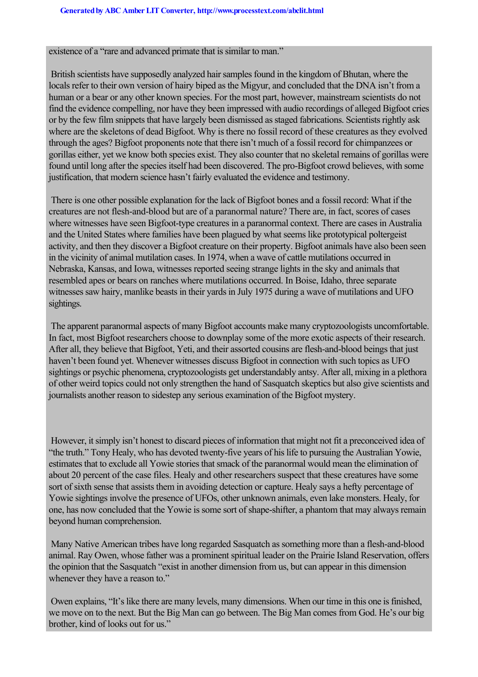existence of a "rare and advanced primate that is similar to man."

 British scientists have supposedly analyzed hair samples found in the kingdom of Bhutan, where the locals refer to their own version of hairy biped as the Migyur, and concluded that the DNA isn't from a human or a bear or any other known species. For the most part, however, mainstream scientists do not find the evidence compelling, nor have they been impressed with audio recordings of alleged Bigfoot cries or by the few film snippets that have largely been dismissed as staged fabrications. Scientists rightly ask where are the skeletons of dead Bigfoot. Why is there no fossil record of these creatures as they evolved through the ages? Bigfoot proponents note that there isn't much of a fossil record for chimpanzees or gorillas either, yet we know both species exist. They also counter that no skeletal remains of gorillas were found until long after the species itself had been discovered. The pro-Bigfoot crowd believes, with some justification, that modern science hasn't fairly evaluated the evidence and testimony.

 There is one other possible explanation for the lack of Bigfoot bones and a fossil record: What if the creatures are not flesh-and-blood but are of a paranormal nature? There are, in fact, scores of cases where witnesses have seen Bigfoot-type creatures in a paranormal context. There are cases in Australia and the United States where families have been plagued by what seems like prototypical poltergeist activity, and then they discover a Bigfoot creature on their property. Bigfoot animals have also been seen in the vicinity of animal mutilation cases. In 1974, when a wave of cattle mutilations occurred in Nebraska, Kansas, and Iowa, witnesses reported seeing strange lights in the sky and animals that resembled apes or bears on ranches where mutilations occurred. In Boise, Idaho, three separate witnesses saw hairy, manlike beasts in their yards in July 1975 during a wave of mutilations and UFO sightings.

 The apparent paranormal aspects of many Bigfoot accounts make many cryptozoologists uncomfortable. In fact, most Bigfoot researchers choose to downplay some of the more exotic aspects of their research. After all, they believe that Bigfoot, Yeti, and their assorted cousins are flesh-and-blood beings that just haven't been found yet. Whenever witnesses discuss Bigfoot in connection with such topics as UFO sightings or psychic phenomena, cryptozoologists get understandably antsy. After all, mixing in a plethora of other weird topics could not only strengthen the hand of Sasquatch skeptics but also give scientists and journalists another reason to sidestep any serious examination of the Bigfoot mystery.

 However, it simply isn't honest to discard pieces of information that might not fit a preconceived idea of "the truth." Tony Healy, who has devoted twenty-five years of his life to pursuing the Australian Yowie, estimates that to exclude all Yowie stories that smack of the paranormal would mean the elimination of about 20 percent of the case files. Healy and other researchers suspect that these creatures have some sort of sixth sense that assists them in avoiding detection or capture. Healy says a hefty percentage of Yowie sightings involve the presence of UFOs, other unknown animals, even lake monsters. Healy, for one, has now concluded that the Yowie is some sort of shape-shifter, a phantom that may always remain beyond human comprehension.

 Many Native American tribes have long regarded Sasquatch as something more than a flesh-and-blood animal. Ray Owen, whose father was a prominent spiritual leader on the Prairie Island Reservation, offers the opinion that the Sasquatch "exist in another dimension from us, but can appear in this dimension whenever they have a reason to."

 Owen explains, "It's like there are many levels, many dimensions. When our time in this one is finished, we move on to the next. But the Big Man can go between. The Big Man comes from God. He's our big brother, kind of looks out for us."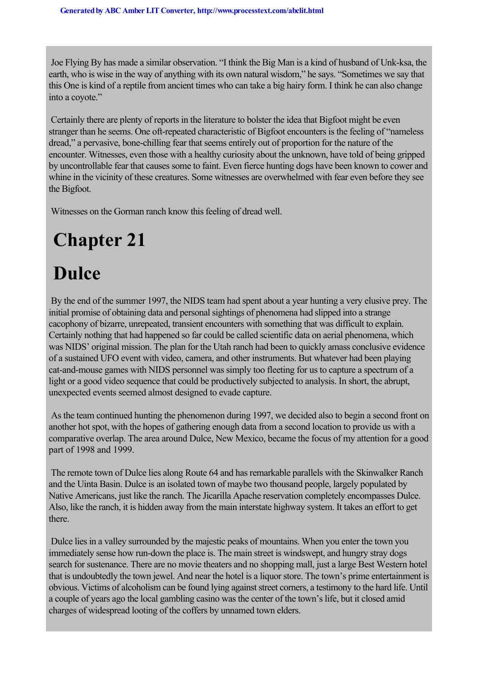Joe Flying By has made a similar observation. "I think the Big Man is a kind of husband of Unk-ksa, the earth, who is wise in the way of anything with its own natural wisdom," he says. "Sometimes we say that this One is kind of a reptile from ancient times who can take a big hairy form. I think he can also change into a coyote."

 Certainly there are plenty of reports in the literature to bolster the idea that Bigfoot might be even stranger than he seems. One oft-repeated characteristic of Bigfoot encounters is the feeling of "nameless dread," a pervasive, bone-chilling fear that seems entirely out of proportion for the nature of the encounter. Witnesses, even those with a healthy curiosity about the unknown, have told of being gripped by uncontrollable fear that causes some to faint. Even fierce hunting dogs have been known to cower and whine in the vicinity of these creatures. Some witnesses are overwhelmed with fear even before they see the Bigfoot.

Witnesses on the Gorman ranch know this feeling of dread well.

## **Chapter 21**

### **Dulce**

 By the end of the summer 1997, the NIDS team had spent about a year hunting a very elusive prey. The initial promise of obtaining data and personal sightings of phenomena had slipped into a strange cacophony of bizarre, unrepeated, transient encounters with something that was difficult to explain. Certainly nothing that had happened so far could be called scientific data on aerial phenomena, which was NIDS' original mission. The plan for the Utah ranch had been to quickly amass conclusive evidence of a sustained UFO event with video, camera, and other instruments. But whatever had been playing cat-and-mouse games with NIDS personnel was simply too fleeting for us to capture a spectrum of a light or a good video sequence that could be productively subjected to analysis. In short, the abrupt, unexpected events seemed almost designed to evade capture.

 As the team continued hunting the phenomenon during 1997, we decided also to begin a second front on another hot spot, with the hopes of gathering enough data from a second location to provide us with a comparative overlap. The area around Dulce, New Mexico, became the focus of my attention for a good part of 1998 and 1999.

 The remote town of Dulce lies along Route 64 and has remarkable parallels with the Skinwalker Ranch and the Uinta Basin. Dulce is an isolated town of maybe two thousand people, largely populated by Native Americans, just like the ranch. The Jicarilla Apache reservation completely encompasses Dulce. Also, like the ranch, it is hidden away from the main interstate highway system. It takes an effort to get there.

 Dulce lies in a valley surrounded by the majestic peaks of mountains. When you enter the town you immediately sense how run-down the place is. The main street is windswept, and hungry stray dogs search for sustenance. There are no movie theaters and no shopping mall, just a large Best Western hotel that is undoubtedly the town jewel. And near the hotel is a liquor store. The town's prime entertainment is obvious. Victims of alcoholism can be found lying against street corners, a testimony to the hard life. Until a couple of years ago the local gambling casino was the center of the town's life, but it closed amid charges of widespread looting of the coffers by unnamed town elders.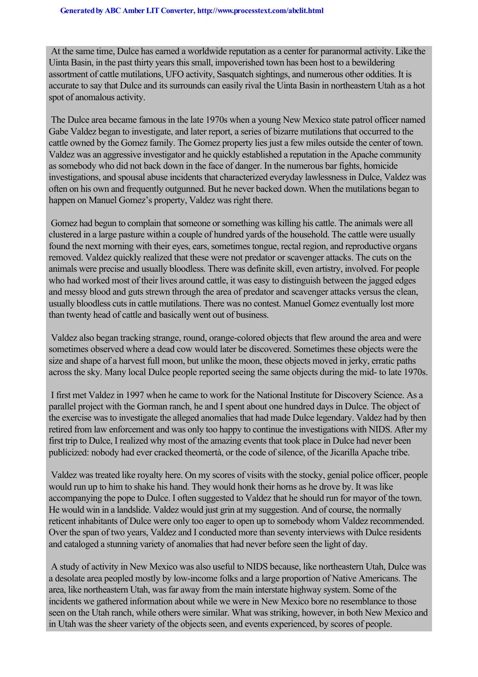At the same time, Dulce has earned a worldwide reputation as a center for paranormal activity. Like the Uinta Basin, in the past thirty years this small, impoverished town has been host to a bewildering assortment of cattle mutilations, UFO activity, Sasquatch sightings, and numerous other oddities. It is accurate to say that Dulce and its surrounds can easily rival the Uinta Basin in northeastern Utah as a hot spot of anomalous activity.

 The Dulce area became famous in the late 1970s when a young New Mexico state patrol officer named Gabe Valdez began to investigate, and later report, a series of bizarre mutilations that occurred to the cattle owned by the Gomez family. The Gomez property lies just a few miles outside the center of town. Valdez was an aggressive investigator and he quickly established a reputation in the Apache community as somebody who did not back down in the face of danger. In the numerous bar fights, homicide investigations, and spousal abuse incidents that characterized everyday lawlessness in Dulce, Valdez was often on his own and frequently outgunned. But he never backed down. When the mutilations began to happen on Manuel Gomez's property, Valdez was right there.

 Gomez had begun to complain that someone or something was killing his cattle. The animals were all clustered in a large pasture within a couple of hundred yards of the household. The cattle were usually found the next morning with their eyes, ears, sometimes tongue, rectal region, and reproductive organs removed. Valdez quickly realized that these were not predator or scavenger attacks. The cuts on the animals were precise and usually bloodless. There was definite skill, even artistry, involved. For people who had worked most of their lives around cattle, it was easy to distinguish between the jagged edges and messy blood and guts strewn through the area of predator and scavenger attacks versus the clean, usually bloodless cuts in cattle mutilations. There was no contest. Manuel Gomez eventually lost more than twenty head of cattle and basically went out of business.

 Valdez also began tracking strange, round, orange-colored objects that flew around the area and were sometimes observed where a dead cow would later be discovered. Sometimes these objects were the size and shape of a harvest full moon, but unlike the moon, these objects moved in jerky, erratic paths across the sky. Many local Dulce people reported seeing the same objects during the mid- to late 1970s.

 I first met Valdez in 1997 when he came to work for the National Institute for Discovery Science. As a parallel project with the Gorman ranch, he and I spent about one hundred days in Dulce. The object of the exercise was to investigate the alleged anomalies that had made Dulce legendary. Valdez had by then retired from law enforcement and was only too happy to continue the investigations with NIDS. After my first trip to Dulce, I realized why most of the amazing events that took place in Dulce had never been publicized: nobody had ever cracked theomertà, or the code of silence, of the Jicarilla Apache tribe.

 Valdez was treated like royalty here. On my scores of visits with the stocky, genial police officer, people would run up to him to shake his hand. They would honk their horns as he drove by. It was like accompanying the pope to Dulce. I often suggested to Valdez that he should run for mayor of the town. He would win in a landslide. Valdez would just grin at my suggestion. And of course, the normally reticent inhabitants of Dulce were only too eager to open up to somebody whom Valdez recommended. Over the span of two years, Valdez and I conducted more than seventy interviews with Dulce residents and cataloged a stunning variety of anomalies that had never before seen the light of day.

 A study of activity in New Mexico was also useful to NIDS because, like northeastern Utah, Dulce was a desolate area peopled mostly by low-income folks and a large proportion of Native Americans. The area, like northeastern Utah, was far away from the main interstate highway system. Some of the incidents we gathered information about while we were in New Mexico bore no resemblance to those seen on the Utah ranch, while others were similar. What was striking, however, in both New Mexico and in Utah was the sheer variety of the objects seen, and events experienced, by scores of people.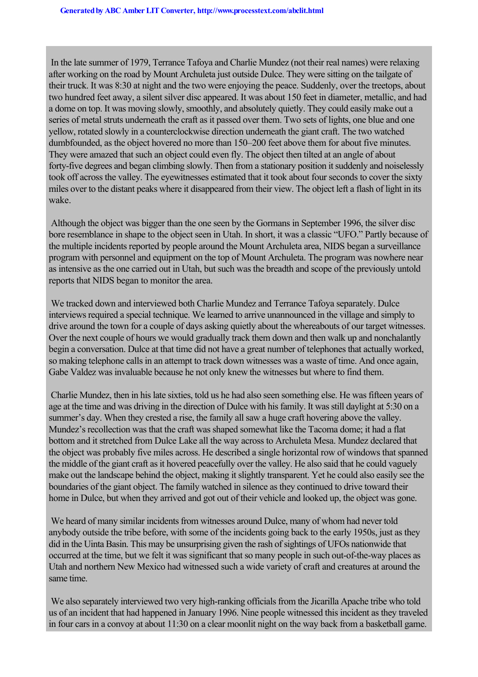In the late summer of 1979, Terrance Tafoya and Charlie Mundez (not their real names) were relaxing after working on the road by Mount Archuleta just outside Dulce. They were sitting on the tailgate of their truck. It was 8:30 at night and the two were enjoying the peace. Suddenly, over the treetops, about two hundred feet away, a silent silver disc appeared. It was about 150 feet in diameter, metallic, and had a dome on top. It was moving slowly, smoothly, and absolutely quietly. They could easily make out a series of metal struts underneath the craft as it passed over them. Two sets of lights, one blue and one yellow, rotated slowly in a counterclockwise direction underneath the giant craft. The two watched dumbfounded, as the object hovered no more than 150–200 feet above them for about five minutes. They were amazed that such an object could even fly. The object then tilted at an angle of about forty-five degrees and began climbing slowly. Then from a stationary position it suddenly and noiselessly took off across the valley. The eyewitnesses estimated that it took about four seconds to cover the sixty miles over to the distant peaks where it disappeared from their view. The object left a flash of light in its wake.

 Although the object was bigger than the one seen by the Gormans in September 1996, the silver disc bore resemblance in shape to the object seen in Utah. In short, it was a classic "UFO." Partly because of the multiple incidents reported by people around the Mount Archuleta area, NIDS began a surveillance program with personnel and equipment on the top of Mount Archuleta. The program was nowhere near as intensive as the one carried out in Utah, but such was the breadth and scope of the previously untold reports that NIDS began to monitor the area.

 We tracked down and interviewed both Charlie Mundez and Terrance Tafoya separately. Dulce interviews required a special technique. We learned to arrive unannounced in the village and simply to drive around the town for a couple of days asking quietly about the whereabouts of our target witnesses. Over the next couple of hours we would gradually track them down and then walk up and nonchalantly begin a conversation. Dulce at that time did not have a great number of telephones that actually worked, so making telephone calls in an attempt to track down witnesses was a waste of time. And once again, Gabe Valdez was invaluable because he not only knew the witnesses but where to find them.

 Charlie Mundez, then in his late sixties, told us he had also seen something else. He was fifteen years of age at the time and was driving in the direction of Dulce with his family. It was still daylight at 5:30 on a summer's day. When they crested a rise, the family all saw a huge craft hovering above the valley. Mundez's recollection was that the craft was shaped somewhat like the Tacoma dome; it had a flat bottom and it stretched from Dulce Lake all the way across to Archuleta Mesa. Mundez declared that the object was probably five miles across. He described a single horizontal row of windows that spanned the middle of the giant craft as it hovered peacefully over the valley. He also said that he could vaguely make out the landscape behind the object, making it slightly transparent. Yet he could also easily see the boundaries of the giant object. The family watched in silence as they continued to drive toward their home in Dulce, but when they arrived and got out of their vehicle and looked up, the object was gone.

 We heard of many similar incidents from witnesses around Dulce, many of whom had never told anybody outside the tribe before, with some of the incidents going back to the early 1950s, just as they did in the Uinta Basin. This may be unsurprising given the rash of sightings of UFOs nationwide that occurred at the time, but we felt it was significant that so many people in such out-of-the-way places as Utah and northern New Mexico had witnessed such a wide variety of craft and creatures at around the same time.

 We also separately interviewed two very high-ranking officials from the Jicarilla Apache tribe who told us of an incident that had happened in January 1996. Nine people witnessed this incident as they traveled in four cars in a convoy at about 11:30 on a clear moonlit night on the way back from a basketball game.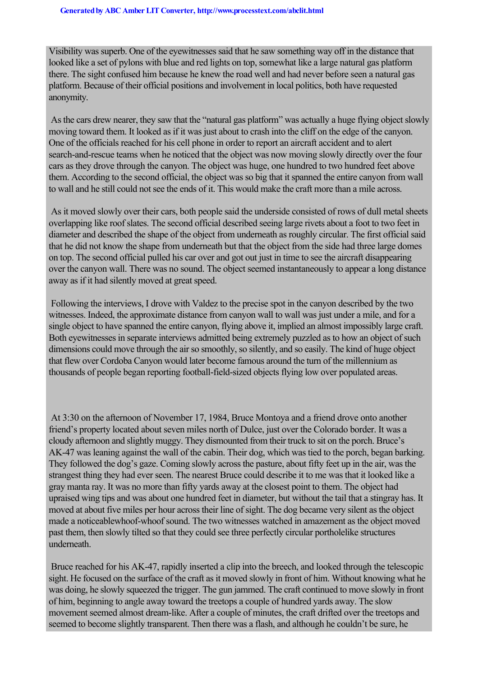Visibility was superb. One of the eyewitnesses said that he saw something way off in the distance that looked like a set of pylons with blue and red lights on top, somewhat like a large natural gas platform there. The sight confused him because he knew the road well and had never before seen a natural gas platform. Because of their official positions and involvement in local politics, both have requested anonymity.

 As the cars drew nearer, they saw that the "natural gas platform" was actually a huge flying object slowly moving toward them. It looked as if it was just about to crash into the cliff on the edge of the canyon. One of the officials reached for his cell phone in order to report an aircraft accident and to alert search-and-rescue teams when he noticed that the object was now moving slowly directly over the four cars as they drove through the canyon. The object was huge, one hundred to two hundred feet above them. According to the second official, the object was so big that it spanned the entire canyon from wall to wall and he still could not see the ends of it. This would make the craft more than a mile across.

 As it moved slowly over their cars, both people said the underside consisted of rows of dull metal sheets overlapping like roof slates. The second official described seeing large rivets about a foot to two feet in diameter and described the shape of the object from underneath as roughly circular. The first official said that he did not know the shape from underneath but that the object from the side had three large domes on top. The second official pulled his car over and got out just in time to see the aircraft disappearing over the canyon wall. There was no sound. The object seemed instantaneously to appear a long distance away as if it had silently moved at great speed.

 Following the interviews, I drove with Valdez to the precise spot in the canyon described by the two witnesses. Indeed, the approximate distance from canyon wall to wall was just under a mile, and for a single object to have spanned the entire canyon, flying above it, implied an almost impossibly large craft. Both eyewitnesses in separate interviews admitted being extremely puzzled as to how an object of such dimensions could move through the air so smoothly, so silently, and so easily. The kind of huge object that flew over Cordoba Canyon would later become famous around the turn of the millennium as thousands of people began reporting football-field-sized objects flying low over populated areas.

 At 3:30 on the afternoon of November 17, 1984, Bruce Montoya and a friend drove onto another friend's property located about seven miles north of Dulce, just over the Colorado border. It was a cloudy afternoon and slightly muggy. They dismounted from their truck to sit on the porch. Bruce's AK-47 was leaning against the wall of the cabin. Their dog, which was tied to the porch, began barking. They followed the dog's gaze. Coming slowly across the pasture, about fifty feet up in the air, was the strangest thing they had ever seen. The nearest Bruce could describe it to me was that it looked like a gray manta ray. It was no more than fifty yards away at the closest point to them. The object had upraised wing tips and was about one hundred feet in diameter, but without the tail that a stingray has. It moved at about five miles per hour across their line of sight. The dog became very silent as the object made a noticeablewhoof-whoof sound. The two witnesses watched in amazement as the object moved past them, then slowly tilted so that they could see three perfectly circular portholelike structures underneath.

 Bruce reached for his AK-47, rapidly inserted a clip into the breech, and looked through the telescopic sight. He focused on the surface of the craft as it moved slowly in front of him. Without knowing what he was doing, he slowly squeezed the trigger. The gun jammed. The craft continued to move slowly in front of him, beginning to angle away toward the treetops a couple of hundred yards away. The slow movement seemed almost dream-like. After a couple of minutes, the craft drifted over the treetops and seemed to become slightly transparent. Then there was a flash, and although he couldn't be sure, he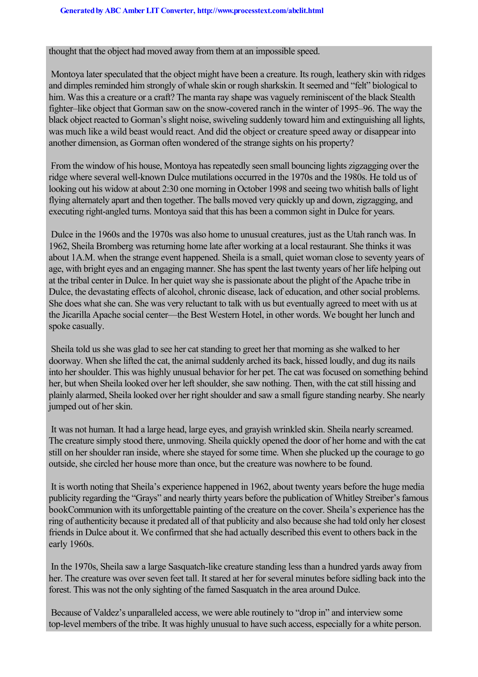#### thought that the object had moved away from them at an impossible speed.

 Montoya later speculated that the object might have been a creature. Its rough, leathery skin with ridges and dimples reminded him strongly of whale skin or rough sharkskin. It seemed and "felt" biological to him. Was this a creature or a craft? The manta ray shape was vaguely reminiscent of the black Stealth fighter–like object that Gorman saw on the snow-covered ranch in the winter of 1995–96. The way the black object reacted to Gorman's slight noise, swiveling suddenly toward him and extinguishing all lights, was much like a wild beast would react. And did the object or creature speed away or disappear into another dimension, as Gorman often wondered of the strange sights on his property?

 From the window of his house, Montoya has repeatedly seen small bouncing lights zigzagging over the ridge where several well-known Dulce mutilations occurred in the 1970s and the 1980s. He told us of looking out his widow at about 2:30 one morning in October 1998 and seeing two whitish balls of light flying alternately apart and then together. The balls moved very quickly up and down, zigzagging, and executing right-angled turns. Montoya said that this has been a common sight in Dulce for years.

 Dulce in the 1960s and the 1970s was also home to unusual creatures, just as the Utah ranch was. In 1962, Sheila Bromberg was returning home late after working at a local restaurant. She thinks it was about 1A.M. when the strange event happened. Sheila is a small, quiet woman close to seventy years of age, with bright eyes and an engaging manner. She has spent the last twenty years of her life helping out at the tribal center in Dulce. In her quiet way she is passionate about the plight of the Apache tribe in Dulce, the devastating effects of alcohol, chronic disease, lack of education, and other social problems. She does what she can. She was very reluctant to talk with us but eventually agreed to meet with us at the Jicarilla Apache social center—the Best Western Hotel, in other words. We bought her lunch and spoke casually.

 Sheila told us she was glad to see her cat standing to greet her that morning as she walked to her doorway. When she lifted the cat, the animal suddenly arched its back, hissed loudly, and dug its nails into her shoulder. This was highly unusual behavior for her pet. The cat was focused on something behind her, but when Sheila looked over her left shoulder, she saw nothing. Then, with the cat still hissing and plainly alarmed, Sheila looked over her right shoulder and saw a small figure standing nearby. She nearly jumped out of her skin.

 It was not human. It had a large head, large eyes, and grayish wrinkled skin. Sheila nearly screamed. The creature simply stood there, unmoving. Sheila quickly opened the door of her home and with the cat still on her shoulder ran inside, where she stayed for some time. When she plucked up the courage to go outside, she circled her house more than once, but the creature was nowhere to be found.

 It is worth noting that Sheila's experience happened in 1962, about twenty years before the huge media publicity regarding the "Grays" and nearly thirty years before the publication of Whitley Streiber's famous bookCommunion with its unforgettable painting of the creature on the cover. Sheila's experience has the ring of authenticity because it predated all of that publicity and also because she had told only her closest friends in Dulce about it. We confirmed that she had actually described this event to others back in the early 1960s.

 In the 1970s, Sheila saw a large Sasquatch-like creature standing less than a hundred yards away from her. The creature was over seven feet tall. It stared at her for several minutes before sidling back into the forest. This was not the only sighting of the famed Sasquatch in the area around Dulce.

 Because of Valdez's unparalleled access, we were able routinely to "drop in" and interview some top-level members of the tribe. It was highly unusual to have such access, especially for a white person.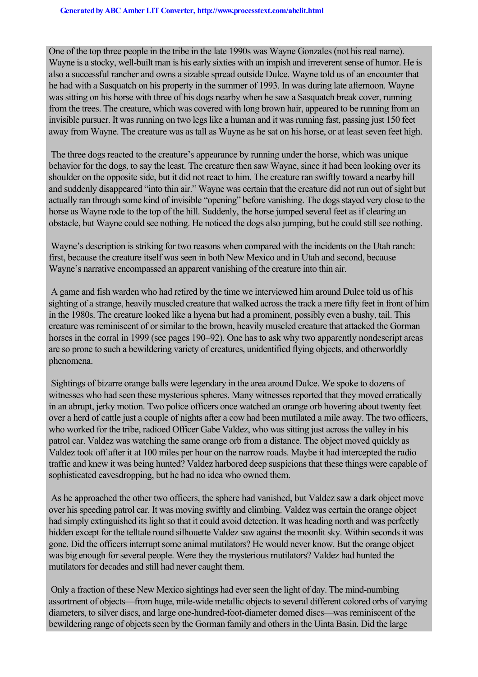One of the top three people in the tribe in the late 1990s was Wayne Gonzales (not his real name). Wayne is a stocky, well-built man is his early sixties with an impish and irreverent sense of humor. He is also a successful rancher and owns a sizable spread outside Dulce. Wayne told us of an encounter that he had with a Sasquatch on his property in the summer of 1993. In was during late afternoon. Wayne was sitting on his horse with three of his dogs nearby when he saw a Sasquatch break cover, running from the trees. The creature, which was covered with long brown hair, appeared to be running from an invisible pursuer. It was running on two legs like a human and it was running fast, passing just 150 feet away from Wayne. The creature was as tall as Wayne as he sat on his horse, or at least seven feet high.

 The three dogs reacted to the creature's appearance by running under the horse, which was unique behavior for the dogs, to say the least. The creature then saw Wayne, since it had been looking over its shoulder on the opposite side, but it did not react to him. The creature ran swiftly toward a nearby hill and suddenly disappeared "into thin air." Wayne was certain that the creature did not run out of sight but actually ran through some kind of invisible "opening" before vanishing. The dogs stayed very close to the horse as Wayne rode to the top of the hill. Suddenly, the horse jumped several feet as if clearing an obstacle, but Wayne could see nothing. He noticed the dogs also jumping, but he could still see nothing.

 Wayne's description is striking for two reasons when compared with the incidents on the Utah ranch: first, because the creature itself was seen in both New Mexico and in Utah and second, because Wayne's narrative encompassed an apparent vanishing of the creature into thin air.

 A game and fish warden who had retired by the time we interviewed him around Dulce told us of his sighting of a strange, heavily muscled creature that walked across the track a mere fifty feet in front of him in the 1980s. The creature looked like a hyena but had a prominent, possibly even a bushy, tail. This creature was reminiscent of or similar to the brown, heavily muscled creature that attacked the Gorman horses in the corral in 1999 (see pages 190–92). One has to ask why two apparently nondescript areas are so prone to such a bewildering variety of creatures, unidentified flying objects, and otherworldly phenomena.

 Sightings of bizarre orange balls were legendary in the area around Dulce. We spoke to dozens of witnesses who had seen these mysterious spheres. Many witnesses reported that they moved erratically in an abrupt, jerky motion. Two police officers once watched an orange orb hovering about twenty feet over a herd of cattle just a couple of nights after a cow had been mutilated a mile away. The two officers, who worked for the tribe, radioed Officer Gabe Valdez, who was sitting just across the valley in his patrol car. Valdez was watching the same orange orb from a distance. The object moved quickly as Valdez took off after it at 100 miles per hour on the narrow roads. Maybe it had intercepted the radio traffic and knew it was being hunted? Valdez harbored deep suspicions that these things were capable of sophisticated eavesdropping, but he had no idea who owned them.

 As he approached the other two officers, the sphere had vanished, but Valdez saw a dark object move over his speeding patrol car. It was moving swiftly and climbing. Valdez was certain the orange object had simply extinguished its light so that it could avoid detection. It was heading north and was perfectly hidden except for the telltale round silhouette Valdez saw against the moonlit sky. Within seconds it was gone. Did the officers interrupt some animal mutilators? He would never know. But the orange object was big enough for several people. Were they the mysterious mutilators? Valdez had hunted the mutilators for decades and still had never caught them.

 Only a fraction of these New Mexico sightings had ever seen the light of day. The mind-numbing assortment of objects—from huge, mile-wide metallic objects to several different colored orbs of varying diameters, to silver discs, and large one-hundred-foot-diameter domed discs—was reminiscent of the bewildering range of objects seen by the Gorman family and others in the Uinta Basin. Did the large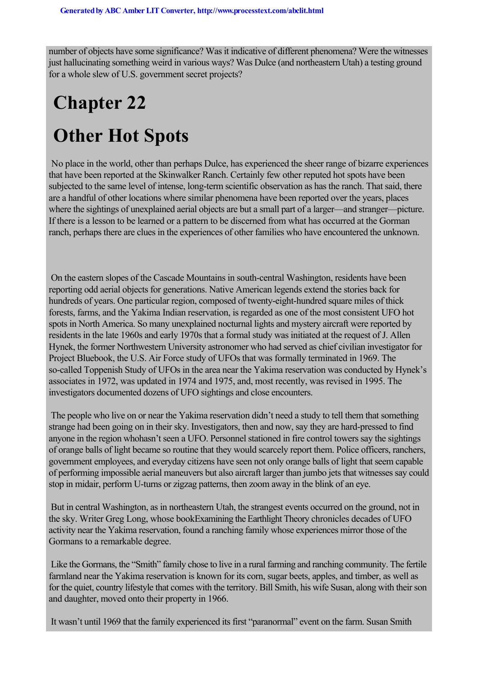number of objects have some significance? Was it indicative of different phenomena? Were the witnesses just hallucinating something weird in various ways? Was Dulce (and northeastern Utah) a testing ground for a whole slew of U.S. government secret projects?

# **Chapter 22 Other Hot Spots**

 No place in the world, other than perhaps Dulce, has experienced the sheer range of bizarre experiences that have been reported at the Skinwalker Ranch. Certainly few other reputed hot spots have been subjected to the same level of intense, long-term scientific observation as has the ranch. That said, there are a handful of other locations where similar phenomena have been reported over the years, places where the sightings of unexplained aerial objects are but a small part of a larger—and stranger—picture. If there is a lesson to be learned or a pattern to be discerned from what has occurred at the Gorman ranch, perhaps there are clues in the experiences of other families who have encountered the unknown.

 On the eastern slopes of the Cascade Mountains in south-central Washington, residents have been reporting odd aerial objects for generations. Native American legends extend the stories back for hundreds of years. One particular region, composed of twenty-eight-hundred square miles of thick forests, farms, and the Yakima Indian reservation, is regarded as one of the most consistent UFO hot spots in North America. So many unexplained nocturnal lights and mystery aircraft were reported by residents in the late 1960s and early 1970s that a formal study was initiated at the request of J. Allen Hynek, the former Northwestern University astronomer who had served as chief civilian investigator for Project Bluebook, the U.S. Air Force study of UFOs that was formally terminated in 1969. The so-called Toppenish Study of UFOs in the area near the Yakima reservation was conducted by Hynek's associates in 1972, was updated in 1974 and 1975, and, most recently, was revised in 1995. The investigators documented dozens of UFO sightings and close encounters.

 The people who live on or near the Yakima reservation didn't need a study to tell them that something strange had been going on in their sky. Investigators, then and now, say they are hard-pressed to find anyone in the region whohasn't seen a UFO. Personnel stationed in fire control towers say the sightings of orange balls of light became so routine that they would scarcely report them. Police officers, ranchers, government employees, and everyday citizens have seen not only orange balls of light that seem capable of performing impossible aerial maneuvers but also aircraft larger than jumbo jets that witnesses say could stop in midair, perform U-turns or zigzag patterns, then zoom away in the blink of an eye.

 But in central Washington, as in northeastern Utah, the strangest events occurred on the ground, not in the sky. Writer Greg Long, whose bookExamining the Earthlight Theory chronicles decades of UFO activity near the Yakima reservation, found a ranching family whose experiences mirror those of the Gormans to a remarkable degree.

 Like the Gormans, the "Smith" family chose to live in a rural farming and ranching community. The fertile farmland near the Yakima reservation is known for its corn, sugar beets, apples, and timber, as well as for the quiet, country lifestyle that comes with the territory. Bill Smith, his wife Susan, along with their son and daughter, moved onto their property in 1966.

It wasn't until 1969 that the family experienced its first "paranormal" event on the farm. Susan Smith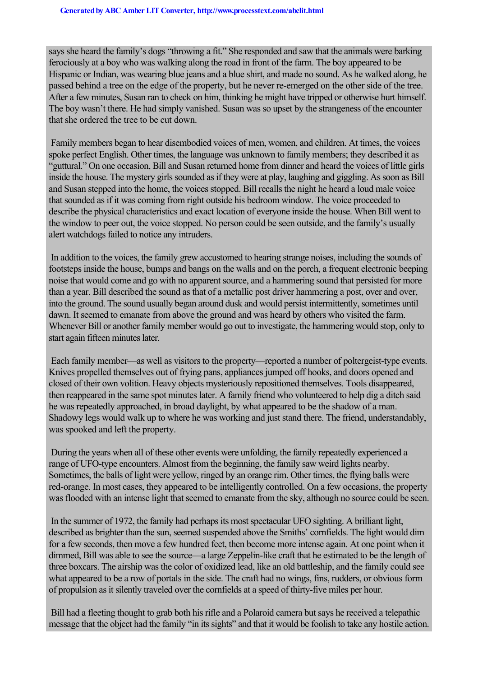says she heard the family's dogs "throwing a fit." She responded and saw that the animals were barking ferociously at a boy who was walking along the road in front of the farm. The boy appeared to be Hispanic or Indian, was wearing blue jeans and a blue shirt, and made no sound. As he walked along, he passed behind a tree on the edge of the property, but he never re-emerged on the other side of the tree. After a few minutes, Susan ran to check on him, thinking he might have tripped or otherwise hurt himself. The boy wasn't there. He had simply vanished. Susan was so upset by the strangeness of the encounter that she ordered the tree to be cut down.

 Family members began to hear disembodied voices of men, women, and children. At times, the voices spoke perfect English. Other times, the language was unknown to family members; they described it as "guttural." On one occasion, Bill and Susan returned home from dinner and heard the voices of little girls inside the house. The mystery girls sounded as if they were at play, laughing and giggling. As soon as Bill and Susan stepped into the home, the voices stopped. Bill recalls the night he heard a loud male voice that sounded as if it was coming from right outside his bedroom window. The voice proceeded to describe the physical characteristics and exact location of everyone inside the house. When Bill went to the window to peer out, the voice stopped. No person could be seen outside, and the family's usually alert watchdogs failed to notice any intruders.

 In addition to the voices, the family grew accustomed to hearing strange noises, including the sounds of footsteps inside the house, bumps and bangs on the walls and on the porch, a frequent electronic beeping noise that would come and go with no apparent source, and a hammering sound that persisted for more than a year. Bill described the sound as that of a metallic post driver hammering a post, over and over, into the ground. The sound usually began around dusk and would persist intermittently, sometimes until dawn. It seemed to emanate from above the ground and was heard by others who visited the farm. Whenever Bill or another family member would go out to investigate, the hammering would stop, only to start again fifteen minutes later.

 Each family member—as well as visitors to the property—reported a number of poltergeist-type events. Knives propelled themselves out of frying pans, appliances jumped off hooks, and doors opened and closed of their own volition. Heavy objects mysteriously repositioned themselves. Tools disappeared, then reappeared in the same spot minutes later. A family friend who volunteered to help dig a ditch said he was repeatedly approached, in broad daylight, by what appeared to be the shadow of a man. Shadowy legs would walk up to where he was working and just stand there. The friend, understandably, was spooked and left the property.

 During the years when all of these other events were unfolding, the family repeatedly experienced a range of UFO-type encounters. Almost from the beginning, the family saw weird lights nearby. Sometimes, the balls of light were yellow, ringed by an orange rim. Other times, the flying balls were red-orange. In most cases, they appeared to be intelligently controlled. On a few occasions, the property was flooded with an intense light that seemed to emanate from the sky, although no source could be seen.

 In the summer of 1972, the family had perhaps its most spectacular UFO sighting. A brilliant light, described as brighter than the sun, seemed suspended above the Smiths' cornfields. The light would dim for a few seconds, then move a few hundred feet, then become more intense again. At one point when it dimmed, Bill was able to see the source—a large Zeppelin-like craft that he estimated to be the length of three boxcars. The airship was the color of oxidized lead, like an old battleship, and the family could see what appeared to be a row of portals in the side. The craft had no wings, fins, rudders, or obvious form of propulsion as it silently traveled over the cornfields at a speed of thirty-five miles per hour.

 Bill had a fleeting thought to grab both his rifle and a Polaroid camera but says he received a telepathic message that the object had the family "in its sights" and that it would be foolish to take any hostile action.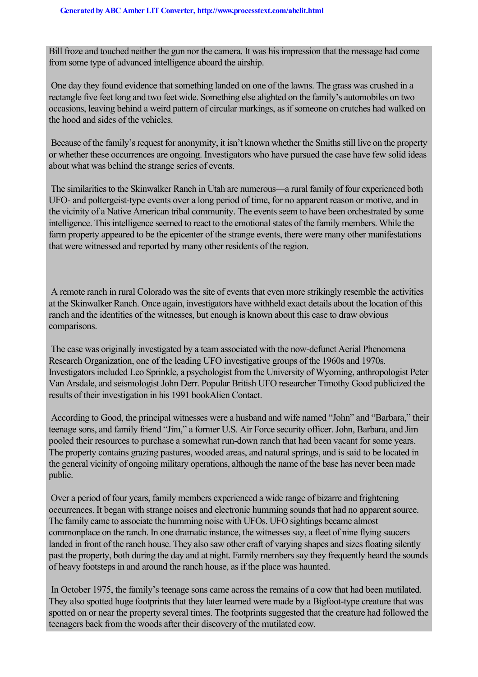Bill froze and touched neither the gun nor the camera. It was his impression that the message had come from some type of advanced intelligence aboard the airship.

 One day they found evidence that something landed on one of the lawns. The grass was crushed in a rectangle five feet long and two feet wide. Something else alighted on the family's automobiles on two occasions, leaving behind a weird pattern of circular markings, as if someone on crutches had walked on the hood and sides of the vehicles.

 Because of the family's request for anonymity, it isn't known whether the Smiths still live on the property or whether these occurrences are ongoing. Investigators who have pursued the case have few solid ideas about what was behind the strange series of events.

 The similarities to the Skinwalker Ranch in Utah are numerous—a rural family of four experienced both UFO- and poltergeist-type events over a long period of time, for no apparent reason or motive, and in the vicinity of a Native American tribal community. The events seem to have been orchestrated by some intelligence. This intelligence seemed to react to the emotional states of the family members. While the farm property appeared to be the epicenter of the strange events, there were many other manifestations that were witnessed and reported by many other residents of the region.

 A remote ranch in rural Colorado was the site of events that even more strikingly resemble the activities at the Skinwalker Ranch. Once again, investigators have withheld exact details about the location of this ranch and the identities of the witnesses, but enough is known about this case to draw obvious comparisons.

 The case was originally investigated by a team associated with the now-defunct Aerial Phenomena Research Organization, one of the leading UFO investigative groups of the 1960s and 1970s. Investigators included Leo Sprinkle, a psychologist from the University of Wyoming, anthropologist Peter Van Arsdale, and seismologist John Derr. Popular British UFO researcher Timothy Good publicized the results of their investigation in his 1991 bookAlien Contact.

 According to Good, the principal witnesses were a husband and wife named "John" and "Barbara," their teenage sons, and family friend "Jim," a former U.S. Air Force security officer. John, Barbara, and Jim pooled their resources to purchase a somewhat run-down ranch that had been vacant for some years. The property contains grazing pastures, wooded areas, and natural springs, and is said to be located in the general vicinity of ongoing military operations, although the name of the base has never been made public.

 Over a period of four years, family members experienced a wide range of bizarre and frightening occurrences. It began with strange noises and electronic humming sounds that had no apparent source. The family came to associate the humming noise with UFOs. UFO sightings became almost commonplace on the ranch. In one dramatic instance, the witnesses say, a fleet of nine flying saucers landed in front of the ranch house. They also saw other craft of varying shapes and sizes floating silently past the property, both during the day and at night. Family members say they frequently heard the sounds of heavy footsteps in and around the ranch house, as if the place was haunted.

 In October 1975, the family's teenage sons came across the remains of a cow that had been mutilated. They also spotted huge footprints that they later learned were made by a Bigfoot-type creature that was spotted on or near the property several times. The footprints suggested that the creature had followed the teenagers back from the woods after their discovery of the mutilated cow.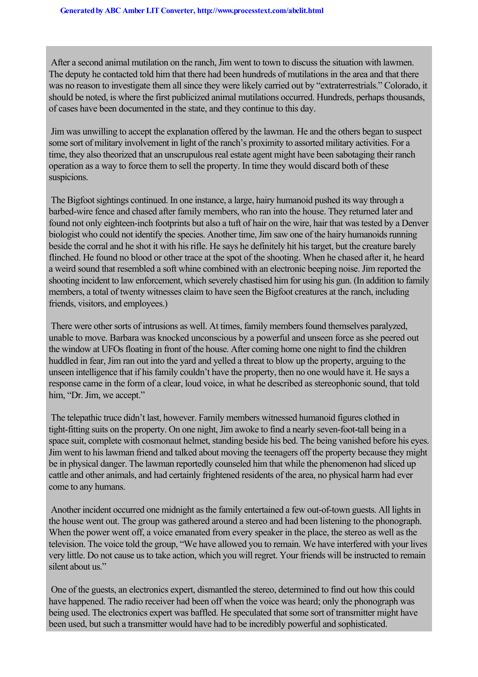After a second animal mutilation on the ranch, Jim went to town to discuss the situation with lawmen. The deputy he contacted told him that there had been hundreds of mutilations in the area and that there was no reason to investigate them all since they were likely carried out by "extraterrestrials." Colorado, it should be noted, is where the first publicized animal mutilations occurred. Hundreds, perhaps thousands, of cases have been documented in the state, and they continue to this day.

 Jim was unwilling to accept the explanation offered by the lawman. He and the others began to suspect some sort of military involvement in light of the ranch's proximity to assorted military activities. For a time, they also theorized that an unscrupulous real estate agent might have been sabotaging their ranch operation as a way to force them to sell the property. In time they would discard both of these suspicions.

 The Bigfoot sightings continued. In one instance, a large, hairy humanoid pushed its way through a barbed-wire fence and chased after family members, who ran into the house. They returned later and found not only eighteen-inch footprints but also a tuft of hair on the wire, hair that was tested by a Denver biologist who could not identify the species. Another time, Jim saw one of the hairy humanoids running beside the corral and he shot it with his rifle. He says he definitely hit his target, but the creature barely flinched. He found no blood or other trace at the spot of the shooting. When he chased after it, he heard a weird sound that resembled a soft whine combined with an electronic beeping noise. Jim reported the shooting incident to law enforcement, which severely chastised him for using his gun. (In addition to family members, a total of twenty witnesses claim to have seen the Bigfoot creatures at the ranch, including friends, visitors, and employees.)

 There were other sorts of intrusions as well. At times, family members found themselves paralyzed, unable to move. Barbara was knocked unconscious by a powerful and unseen force as she peered out the window at UFOs floating in front of the house. After coming home one night to find the children huddled in fear, Jim ran out into the yard and yelled a threat to blow up the property, arguing to the unseen intelligence that if his family couldn't have the property, then no one would have it. He says a response came in the form of a clear, loud voice, in what he described as stereophonic sound, that told him, "Dr. Jim, we accept."

 The telepathic truce didn't last, however. Family members witnessed humanoid figures clothed in tight-fitting suits on the property. On one night, Jim awoke to find a nearly seven-foot-tall being in a space suit, complete with cosmonaut helmet, standing beside his bed. The being vanished before his eyes. Jim went to his lawman friend and talked about moving the teenagers off the property because they might be in physical danger. The lawman reportedly counseled him that while the phenomenon had sliced up cattle and other animals, and had certainly frightened residents of the area, no physical harm had ever come to any humans.

 Another incident occurred one midnight as the family entertained a few out-of-town guests. All lights in the house went out. The group was gathered around a stereo and had been listening to the phonograph. When the power went off, a voice emanated from every speaker in the place, the stereo as well as the television. The voice told the group, "We have allowed you to remain. We have interfered with your lives very little. Do not cause us to take action, which you will regret. Your friends will be instructed to remain silent about us."

 One of the guests, an electronics expert, dismantled the stereo, determined to find out how this could have happened. The radio receiver had been off when the voice was heard; only the phonograph was being used. The electronics expert was baffled. He speculated that some sort of transmitter might have been used, but such a transmitter would have had to be incredibly powerful and sophisticated.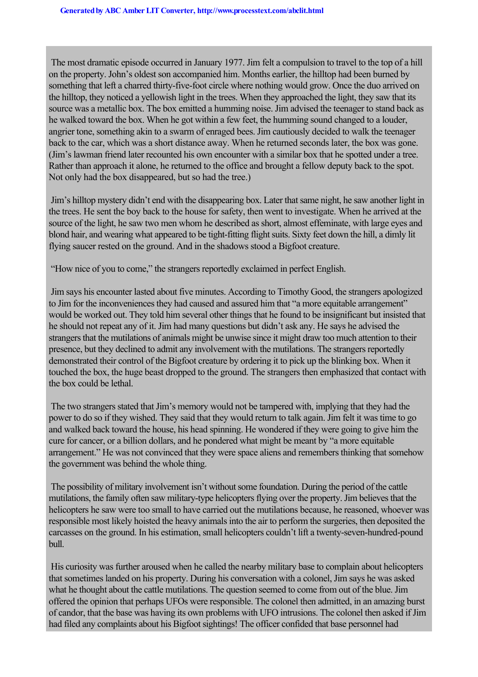The most dramatic episode occurred in January 1977. Jim felt a compulsion to travel to the top of a hill on the property. John's oldest son accompanied him. Months earlier, the hilltop had been burned by something that left a charred thirty-five-foot circle where nothing would grow. Once the duo arrived on the hilltop, they noticed a yellowish light in the trees. When they approached the light, they saw that its source was a metallic box. The box emitted a humming noise. Jim advised the teenager to stand back as he walked toward the box. When he got within a few feet, the humming sound changed to a louder, angrier tone, something akin to a swarm of enraged bees. Jim cautiously decided to walk the teenager back to the car, which was a short distance away. When he returned seconds later, the box was gone. (Jim's lawman friend later recounted his own encounter with a similar box that he spotted under a tree. Rather than approach it alone, he returned to the office and brought a fellow deputy back to the spot. Not only had the box disappeared, but so had the tree.)

 Jim's hilltop mystery didn't end with the disappearing box. Later that same night, he saw another light in the trees. He sent the boy back to the house for safety, then went to investigate. When he arrived at the source of the light, he saw two men whom he described as short, almost effeminate, with large eyes and blond hair, and wearing what appeared to be tight-fitting flight suits. Sixty feet down the hill, a dimly lit flying saucer rested on the ground. And in the shadows stood a Bigfoot creature.

"How nice of you to come," the strangers reportedly exclaimed in perfect English.

 Jim says his encounter lasted about five minutes. According to Timothy Good, the strangers apologized to Jim for the inconveniences they had caused and assured him that "a more equitable arrangement" would be worked out. They told him several other things that he found to be insignificant but insisted that he should not repeat any of it. Jim had many questions but didn't ask any. He says he advised the strangers that the mutilations of animals might be unwise since it might draw too much attention to their presence, but they declined to admit any involvement with the mutilations. The strangers reportedly demonstrated their control of the Bigfoot creature by ordering it to pick up the blinking box. When it touched the box, the huge beast dropped to the ground. The strangers then emphasized that contact with the box could be lethal.

 The two strangers stated that Jim's memory would not be tampered with, implying that they had the power to do so if they wished. They said that they would return to talk again. Jim felt it was time to go and walked back toward the house, his head spinning. He wondered if they were going to give him the cure for cancer, or a billion dollars, and he pondered what might be meant by "a more equitable arrangement." He was not convinced that they were space aliens and remembers thinking that somehow the government was behind the whole thing.

 The possibility of military involvement isn't without some foundation. During the period of the cattle mutilations, the family often saw military-type helicopters flying over the property. Jim believes that the helicopters he saw were too small to have carried out the mutilations because, he reasoned, whoever was responsible most likely hoisted the heavy animals into the air to perform the surgeries, then deposited the carcasses on the ground. In his estimation, small helicopters couldn't lift a twenty-seven-hundred-pound bull.

 His curiosity was further aroused when he called the nearby military base to complain about helicopters that sometimes landed on his property. During his conversation with a colonel, Jim says he was asked what he thought about the cattle mutilations. The question seemed to come from out of the blue. Jim offered the opinion that perhaps UFOs were responsible. The colonel then admitted, in an amazing burst of candor, that the base was having its own problems with UFO intrusions. The colonel then asked if Jim had filed any complaints about his Bigfoot sightings! The officer confided that base personnel had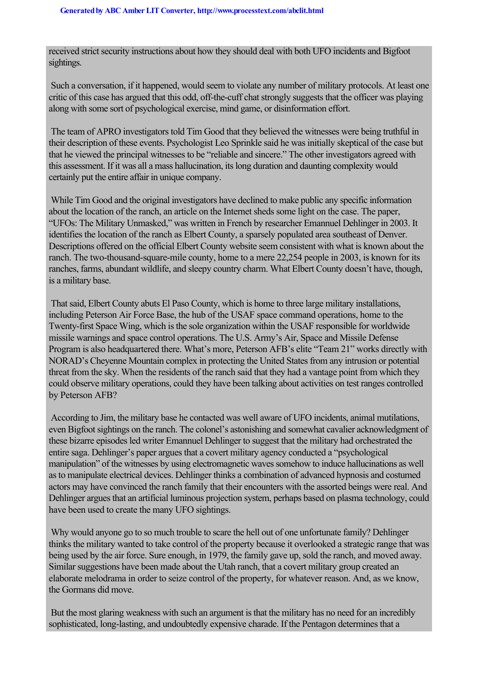received strict security instructions about how they should deal with both UFO incidents and Bigfoot sightings.

 Such a conversation, if it happened, would seem to violate any number of military protocols. At least one critic of this case has argued that this odd, off-the-cuff chat strongly suggests that the officer was playing along with some sort of psychological exercise, mind game, or disinformation effort.

 The team of APRO investigators told Tim Good that they believed the witnesses were being truthful in their description of these events. Psychologist Leo Sprinkle said he was initially skeptical of the case but that he viewed the principal witnesses to be "reliable and sincere." The other investigators agreed with this assessment. If it was all a mass hallucination, its long duration and daunting complexity would certainly put the entire affair in unique company.

 While Tim Good and the original investigators have declined to make public any specific information about the location of the ranch, an article on the Internet sheds some light on the case. The paper, "UFOs: The Military Unmasked," was written in French by researcher Emannuel Dehlinger in 2003. It identifies the location of the ranch as Elbert County, a sparsely populated area southeast of Denver. Descriptions offered on the official Elbert County website seem consistent with what is known about the ranch. The two-thousand-square-mile county, home to a mere 22,254 people in 2003, is known for its ranches, farms, abundant wildlife, and sleepy country charm. What Elbert County doesn't have, though, is a military base.

 That said, Elbert County abuts El Paso County, which is home to three large military installations, including Peterson Air Force Base, the hub of the USAF space command operations, home to the Twenty-first Space Wing, which is the sole organization within the USAF responsible for worldwide missile warnings and space control operations. The U.S. Army's Air, Space and Missile Defense Program is also headquartered there. What's more, Peterson AFB's elite "Team 21" works directly with NORAD's Cheyenne Mountain complex in protecting the United States from any intrusion or potential threat from the sky. When the residents of the ranch said that they had a vantage point from which they could observe military operations, could they have been talking about activities on test ranges controlled by Peterson AFB?

 According to Jim, the military base he contacted was well aware of UFO incidents, animal mutilations, even Bigfoot sightings on the ranch. The colonel's astonishing and somewhat cavalier acknowledgment of these bizarre episodes led writer Emannuel Dehlinger to suggest that the military had orchestrated the entire saga. Dehlinger's paper argues that a covert military agency conducted a "psychological manipulation" of the witnesses by using electromagnetic waves somehow to induce hallucinations as well as to manipulate electrical devices. Dehlinger thinks a combination of advanced hypnosis and costumed actors may have convinced the ranch family that their encounters with the assorted beings were real. And Dehlinger argues that an artificial luminous projection system, perhaps based on plasma technology, could have been used to create the many UFO sightings.

 Why would anyone go to so much trouble to scare the hell out of one unfortunate family? Dehlinger thinks the military wanted to take control of the property because it overlooked a strategic range that was being used by the air force. Sure enough, in 1979, the family gave up, sold the ranch, and moved away. Similar suggestions have been made about the Utah ranch, that a covert military group created an elaborate melodrama in order to seize control of the property, for whatever reason. And, as we know, the Gormans did move.

 But the most glaring weakness with such an argument is that the military has no need for an incredibly sophisticated, long-lasting, and undoubtedly expensive charade. If the Pentagon determines that a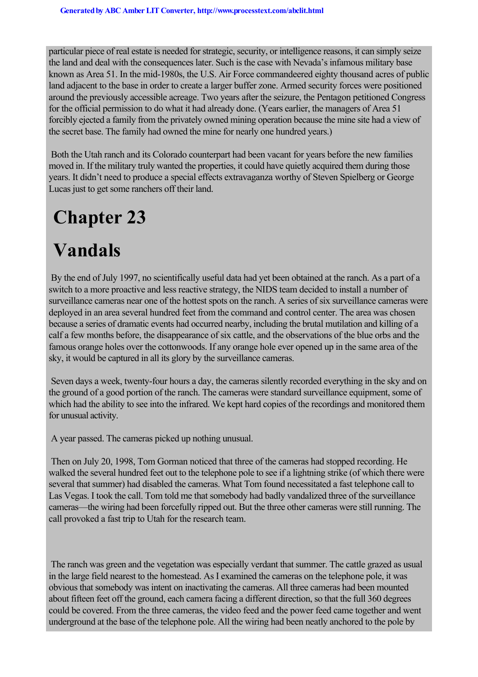particular piece of real estate is needed for strategic, security, or intelligence reasons, it can simply seize the land and deal with the consequences later. Such is the case with Nevada's infamous military base known as Area 51. In the mid-1980s, the U.S. Air Force commandeered eighty thousand acres of public land adjacent to the base in order to create a larger buffer zone. Armed security forces were positioned around the previously accessible acreage. Two years after the seizure, the Pentagon petitioned Congress for the official permission to do what it had already done. (Years earlier, the managers of Area 51 forcibly ejected a family from the privately owned mining operation because the mine site had a view of the secret base. The family had owned the mine for nearly one hundred years.)

 Both the Utah ranch and its Colorado counterpart had been vacant for years before the new families moved in. If the military truly wanted the properties, it could have quietly acquired them during those years. It didn't need to produce a special effects extravaganza worthy of Steven Spielberg or George Lucas just to get some ranchers off their land.

### **Chapter 23**

### **Vandals**

 By the end of July 1997, no scientifically useful data had yet been obtained at the ranch. As a part of a switch to a more proactive and less reactive strategy, the NIDS team decided to install a number of surveillance cameras near one of the hottest spots on the ranch. A series of six surveillance cameras were deployed in an area several hundred feet from the command and control center. The area was chosen because a series of dramatic events had occurred nearby, including the brutal mutilation and killing of a calf a few months before, the disappearance of six cattle, and the observations of the blue orbs and the famous orange holes over the cottonwoods. If any orange hole ever opened up in the same area of the sky, it would be captured in all its glory by the surveillance cameras.

 Seven days a week, twenty-four hours a day, the cameras silently recorded everything in the sky and on the ground of a good portion of the ranch. The cameras were standard surveillance equipment, some of which had the ability to see into the infrared. We kept hard copies of the recordings and monitored them for unusual activity.

A year passed. The cameras picked up nothing unusual.

 Then on July 20, 1998, Tom Gorman noticed that three of the cameras had stopped recording. He walked the several hundred feet out to the telephone pole to see if a lightning strike (of which there were several that summer) had disabled the cameras. What Tom found necessitated a fast telephone call to Las Vegas. I took the call. Tom told me that somebody had badly vandalized three of the surveillance cameras—the wiring had been forcefully ripped out. But the three other cameras were still running. The call provoked a fast trip to Utah for the research team.

 The ranch was green and the vegetation was especially verdant that summer. The cattle grazed as usual in the large field nearest to the homestead. As I examined the cameras on the telephone pole, it was obvious that somebody was intent on inactivating the cameras. All three cameras had been mounted about fifteen feet off the ground, each camera facing a different direction, so that the full 360 degrees could be covered. From the three cameras, the video feed and the power feed came together and went underground at the base of the telephone pole. All the wiring had been neatly anchored to the pole by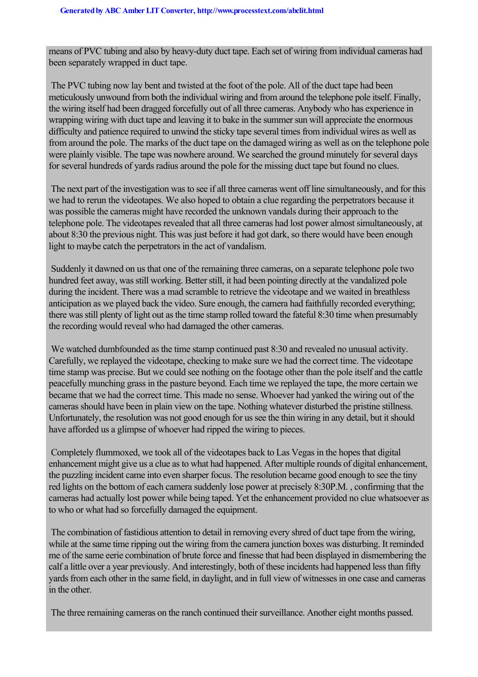means of PVC tubing and also by heavy-duty duct tape. Each set of wiring from individual cameras had been separately wrapped in duct tape.

 The PVC tubing now lay bent and twisted at the foot of the pole. All of the duct tape had been meticulously unwound from both the individual wiring and from around the telephone pole itself. Finally, the wiring itself had been dragged forcefully out of all three cameras. Anybody who has experience in wrapping wiring with duct tape and leaving it to bake in the summer sun will appreciate the enormous difficulty and patience required to unwind the sticky tape several times from individual wires as well as from around the pole. The marks of the duct tape on the damaged wiring as well as on the telephone pole were plainly visible. The tape was nowhere around. We searched the ground minutely for several days for several hundreds of yards radius around the pole for the missing duct tape but found no clues.

 The next part of the investigation was to see if all three cameras went off line simultaneously, and for this we had to rerun the videotapes. We also hoped to obtain a clue regarding the perpetrators because it was possible the cameras might have recorded the unknown vandals during their approach to the telephone pole. The videotapes revealed that all three cameras had lost power almost simultaneously, at about 8:30 the previous night. This was just before it had got dark, so there would have been enough light to maybe catch the perpetrators in the act of vandalism.

 Suddenly it dawned on us that one of the remaining three cameras, on a separate telephone pole two hundred feet away, was still working. Better still, it had been pointing directly at the vandalized pole during the incident. There was a mad scramble to retrieve the videotape and we waited in breathless anticipation as we played back the video. Sure enough, the camera had faithfully recorded everything; there was still plenty of light out as the time stamp rolled toward the fateful 8:30 time when presumably the recording would reveal who had damaged the other cameras.

We watched dumbfounded as the time stamp continued past 8:30 and revealed no unusual activity. Carefully, we replayed the videotape, checking to make sure we had the correct time. The videotape time stamp was precise. But we could see nothing on the footage other than the pole itself and the cattle peacefully munching grass in the pasture beyond. Each time we replayed the tape, the more certain we became that we had the correct time. This made no sense. Whoever had yanked the wiring out of the cameras should have been in plain view on the tape. Nothing whatever disturbed the pristine stillness. Unfortunately, the resolution was not good enough for us see the thin wiring in any detail, but it should have afforded us a glimpse of whoever had ripped the wiring to pieces.

 Completely flummoxed, we took all of the videotapes back to Las Vegas in the hopes that digital enhancement might give us a clue as to what had happened. After multiple rounds of digital enhancement, the puzzling incident came into even sharper focus. The resolution became good enough to see the tiny red lights on the bottom of each camera suddenly lose power at precisely 8:30P.M. , confirming that the cameras had actually lost power while being taped. Yet the enhancement provided no clue whatsoever as to who or what had so forcefully damaged the equipment.

 The combination of fastidious attention to detail in removing every shred of duct tape from the wiring, while at the same time ripping out the wiring from the camera junction boxes was disturbing. It reminded me of the same eerie combination of brute force and finesse that had been displayed in dismembering the calf a little over a year previously. And interestingly, both of these incidents had happened less than fifty yards from each other in the same field, in daylight, and in full view of witnesses in one case and cameras in the other.

The three remaining cameras on the ranch continued their surveillance. Another eight months passed.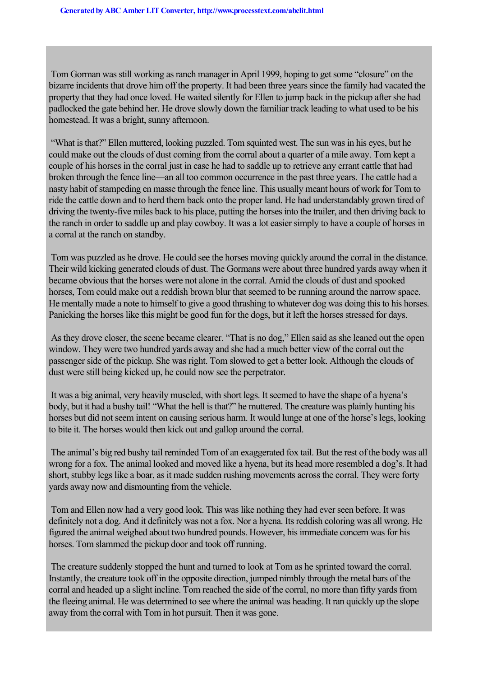Tom Gorman was still working as ranch manager in April 1999, hoping to get some "closure" on the bizarre incidents that drove him off the property. It had been three years since the family had vacated the property that they had once loved. He waited silently for Ellen to jump back in the pickup after she had padlocked the gate behind her. He drove slowly down the familiar track leading to what used to be his homestead. It was a bright, sunny afternoon.

 "What is that?" Ellen muttered, looking puzzled. Tom squinted west. The sun was in his eyes, but he could make out the clouds of dust coming from the corral about a quarter of a mile away. Tom kept a couple of his horses in the corral just in case he had to saddle up to retrieve any errant cattle that had broken through the fence line—an all too common occurrence in the past three years. The cattle had a nasty habit of stampeding en masse through the fence line. This usually meant hours of work for Tom to ride the cattle down and to herd them back onto the proper land. He had understandably grown tired of driving the twenty-five miles back to his place, putting the horses into the trailer, and then driving back to the ranch in order to saddle up and play cowboy. It was a lot easier simply to have a couple of horses in a corral at the ranch on standby.

 Tom was puzzled as he drove. He could see the horses moving quickly around the corral in the distance. Their wild kicking generated clouds of dust. The Gormans were about three hundred yards away when it became obvious that the horses were not alone in the corral. Amid the clouds of dust and spooked horses, Tom could make out a reddish brown blur that seemed to be running around the narrow space. He mentally made a note to himself to give a good thrashing to whatever dog was doing this to his horses. Panicking the horses like this might be good fun for the dogs, but it left the horses stressed for days.

 As they drove closer, the scene became clearer. "That is no dog," Ellen said as she leaned out the open window. They were two hundred yards away and she had a much better view of the corral out the passenger side of the pickup. She was right. Tom slowed to get a better look. Although the clouds of dust were still being kicked up, he could now see the perpetrator.

 It was a big animal, very heavily muscled, with short legs. It seemed to have the shape of a hyena's body, but it had a bushy tail! "What the hell is that?" he muttered. The creature was plainly hunting his horses but did not seem intent on causing serious harm. It would lunge at one of the horse's legs, looking to bite it. The horses would then kick out and gallop around the corral.

 The animal's big red bushy tail reminded Tom of an exaggerated fox tail. But the rest of the body was all wrong for a fox. The animal looked and moved like a hyena, but its head more resembled a dog's. It had short, stubby legs like a boar, as it made sudden rushing movements across the corral. They were forty yards away now and dismounting from the vehicle.

 Tom and Ellen now had a very good look. This was like nothing they had ever seen before. It was definitely not a dog. And it definitely was not a fox. Nor a hyena. Its reddish coloring was all wrong. He figured the animal weighed about two hundred pounds. However, his immediate concern was for his horses. Tom slammed the pickup door and took off running.

 The creature suddenly stopped the hunt and turned to look at Tom as he sprinted toward the corral. Instantly, the creature took off in the opposite direction, jumped nimbly through the metal bars of the corral and headed up a slight incline. Tom reached the side of the corral, no more than fifty yards from the fleeing animal. He was determined to see where the animal was heading. It ran quickly up the slope away from the corral with Tom in hot pursuit. Then it was gone.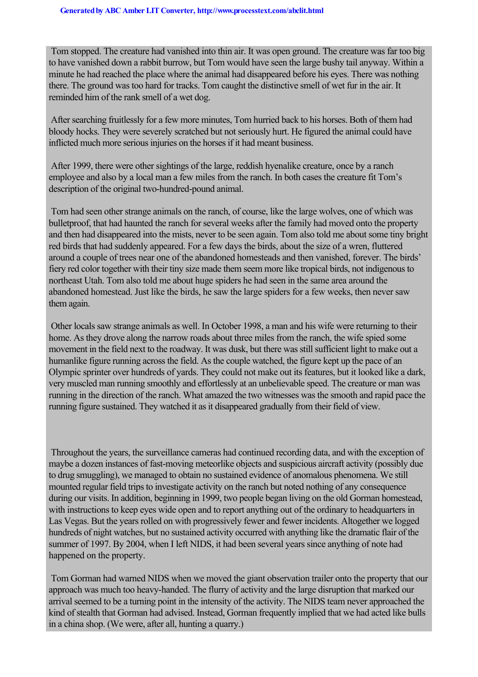Tom stopped. The creature had vanished into thin air. It was open ground. The creature was far too big to have vanished down a rabbit burrow, but Tom would have seen the large bushy tail anyway. Within a minute he had reached the place where the animal had disappeared before his eyes. There was nothing there. The ground was too hard for tracks. Tom caught the distinctive smell of wet fur in the air. It reminded him of the rank smell of a wet dog.

 After searching fruitlessly for a few more minutes, Tom hurried back to his horses. Both of them had bloody hocks. They were severely scratched but not seriously hurt. He figured the animal could have inflicted much more serious injuries on the horses if it had meant business.

 After 1999, there were other sightings of the large, reddish hyenalike creature, once by a ranch employee and also by a local man a few miles from the ranch. In both cases the creature fit Tom's description of the original two-hundred-pound animal.

 Tom had seen other strange animals on the ranch, of course, like the large wolves, one of which was bulletproof, that had haunted the ranch for several weeks after the family had moved onto the property and then had disappeared into the mists, never to be seen again. Tom also told me about some tiny bright red birds that had suddenly appeared. For a few days the birds, about the size of a wren, fluttered around a couple of trees near one of the abandoned homesteads and then vanished, forever. The birds' fiery red color together with their tiny size made them seem more like tropical birds, not indigenous to northeast Utah. Tom also told me about huge spiders he had seen in the same area around the abandoned homestead. Just like the birds, he saw the large spiders for a few weeks, then never saw them again.

 Other locals saw strange animals as well. In October 1998, a man and his wife were returning to their home. As they drove along the narrow roads about three miles from the ranch, the wife spied some movement in the field next to the roadway. It was dusk, but there was still sufficient light to make out a humanlike figure running across the field. As the couple watched, the figure kept up the pace of an Olympic sprinter over hundreds of yards. They could not make out its features, but it looked like a dark, very muscled man running smoothly and effortlessly at an unbelievable speed. The creature or man was running in the direction of the ranch. What amazed the two witnesses was the smooth and rapid pace the running figure sustained. They watched it as it disappeared gradually from their field of view.

 Throughout the years, the surveillance cameras had continued recording data, and with the exception of maybe a dozen instances of fast-moving meteorlike objects and suspicious aircraft activity (possibly due to drug smuggling), we managed to obtain no sustained evidence of anomalous phenomena. We still mounted regular field trips to investigate activity on the ranch but noted nothing of any consequence during our visits. In addition, beginning in 1999, two people began living on the old Gorman homestead, with instructions to keep eyes wide open and to report anything out of the ordinary to headquarters in Las Vegas. But the years rolled on with progressively fewer and fewer incidents. Altogether we logged hundreds of night watches, but no sustained activity occurred with anything like the dramatic flair of the summer of 1997. By 2004, when I left NIDS, it had been several years since anything of note had happened on the property.

 Tom Gorman had warned NIDS when we moved the giant observation trailer onto the property that our approach was much too heavy-handed. The flurry of activity and the large disruption that marked our arrival seemed to be a turning point in the intensity of the activity. The NIDS team never approached the kind of stealth that Gorman had advised. Instead, Gorman frequently implied that we had acted like bulls in a china shop. (We were, after all, hunting a quarry.)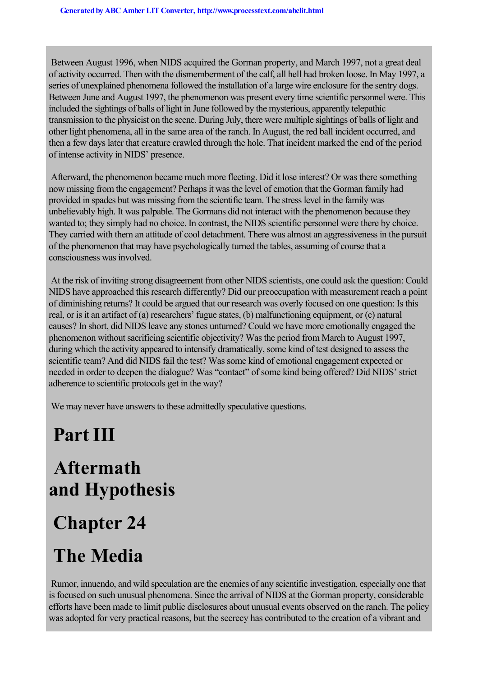Between August 1996, when NIDS acquired the Gorman property, and March 1997, not a great deal of activity occurred. Then with the dismemberment of the calf, all hell had broken loose. In May 1997, a series of unexplained phenomena followed the installation of a large wire enclosure for the sentry dogs. Between June and August 1997, the phenomenon was present every time scientific personnel were. This included the sightings of balls of light in June followed by the mysterious, apparently telepathic transmission to the physicist on the scene. During July, there were multiple sightings of balls of light and other light phenomena, all in the same area of the ranch. In August, the red ball incident occurred, and then a few days later that creature crawled through the hole. That incident marked the end of the period of intense activity in NIDS' presence.

 Afterward, the phenomenon became much more fleeting. Did it lose interest? Or was there something now missing from the engagement? Perhaps it was the level of emotion that the Gorman family had provided in spades but was missing from the scientific team. The stress level in the family was unbelievably high. It was palpable. The Gormans did not interact with the phenomenon because they wanted to; they simply had no choice. In contrast, the NIDS scientific personnel were there by choice. They carried with them an attitude of cool detachment. There was almost an aggressiveness in the pursuit of the phenomenon that may have psychologically turned the tables, assuming of course that a consciousness was involved.

 At the risk of inviting strong disagreement from other NIDS scientists, one could ask the question: Could NIDS have approached this research differently? Did our preoccupation with measurement reach a point of diminishing returns? It could be argued that our research was overly focused on one question: Is this real, or is it an artifact of (a) researchers' fugue states, (b) malfunctioning equipment, or (c) natural causes? In short, did NIDS leave any stones unturned? Could we have more emotionally engaged the phenomenon without sacrificing scientific objectivity? Was the period from March to August 1997, during which the activity appeared to intensify dramatically, some kind of test designed to assess the scientific team? And did NIDS fail the test? Was some kind of emotional engagement expected or needed in order to deepen the dialogue? Was "contact" of some kind being offered? Did NIDS' strict adherence to scientific protocols get in the way?

We may never have answers to these admittedly speculative questions.

# **Part III**

### **Aftermath and Hypothesis**

 **Chapter 24**

### **The Media**

 Rumor, innuendo, and wild speculation are the enemies of any scientific investigation, especially one that is focused on such unusual phenomena. Since the arrival of NIDS at the Gorman property, considerable efforts have been made to limit public disclosures about unusual events observed on the ranch. The policy was adopted for very practical reasons, but the secrecy has contributed to the creation of a vibrant and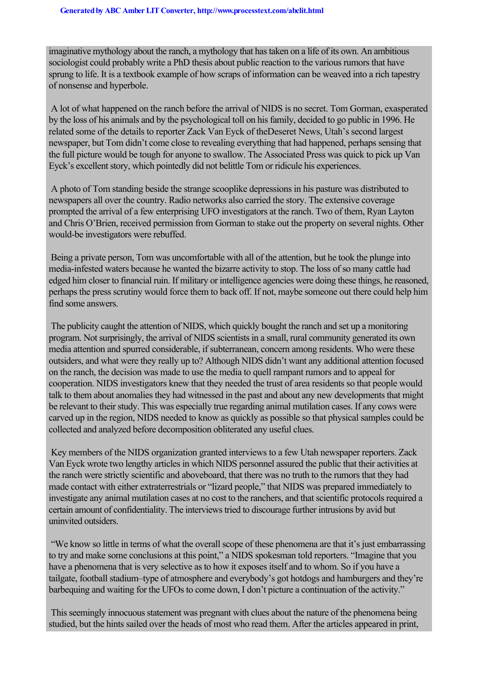imaginative mythology about the ranch, a mythology that has taken on a life of its own. An ambitious sociologist could probably write a PhD thesis about public reaction to the various rumors that have sprung to life. It is a textbook example of how scraps of information can be weaved into a rich tapestry of nonsense and hyperbole.

 A lot of what happened on the ranch before the arrival of NIDS is no secret. Tom Gorman, exasperated by the loss of his animals and by the psychological toll on his family, decided to go public in 1996. He related some of the details to reporter Zack Van Eyck of theDeseret News, Utah's second largest newspaper, but Tom didn't come close to revealing everything that had happened, perhaps sensing that the full picture would be tough for anyone to swallow. The Associated Press was quick to pick up Van Eyck's excellent story, which pointedly did not belittle Tom or ridicule his experiences.

 A photo of Tom standing beside the strange scooplike depressions in his pasture was distributed to newspapers all over the country. Radio networks also carried the story. The extensive coverage prompted the arrival of a few enterprising UFO investigators at the ranch. Two of them, Ryan Layton and Chris O'Brien, received permission from Gorman to stake out the property on several nights. Other would-be investigators were rebuffed.

 Being a private person, Tom was uncomfortable with all of the attention, but he took the plunge into media-infested waters because he wanted the bizarre activity to stop. The loss of so many cattle had edged him closer to financial ruin. If military or intelligence agencies were doing these things, he reasoned, perhaps the press scrutiny would force them to back off. If not, maybe someone out there could help him find some answers.

 The publicity caught the attention of NIDS, which quickly bought the ranch and set up a monitoring program. Not surprisingly, the arrival of NIDS scientists in a small, rural community generated its own media attention and spurred considerable, if subterranean, concern among residents. Who were these outsiders, and what were they really up to? Although NIDS didn't want any additional attention focused on the ranch, the decision was made to use the media to quell rampant rumors and to appeal for cooperation. NIDS investigators knew that they needed the trust of area residents so that people would talk to them about anomalies they had witnessed in the past and about any new developments that might be relevant to their study. This was especially true regarding animal mutilation cases. If any cows were carved up in the region, NIDS needed to know as quickly as possible so that physical samples could be collected and analyzed before decomposition obliterated any useful clues.

 Key members of the NIDS organization granted interviews to a few Utah newspaper reporters. Zack Van Eyck wrote two lengthy articles in which NIDS personnel assured the public that their activities at the ranch were strictly scientific and aboveboard, that there was no truth to the rumors that they had made contact with either extraterrestrials or "lizard people," that NIDS was prepared immediately to investigate any animal mutilation cases at no cost to the ranchers, and that scientific protocols required a certain amount of confidentiality. The interviews tried to discourage further intrusions by avid but uninvited outsiders.

 "We know so little in terms of what the overall scope of these phenomena are that it's just embarrassing to try and make some conclusions at this point," a NIDS spokesman told reporters. "Imagine that you have a phenomena that is very selective as to how it exposes itself and to whom. So if you have a tailgate, football stadium–type of atmosphere and everybody's got hotdogs and hamburgers and they're barbequing and waiting for the UFOs to come down, I don't picture a continuation of the activity."

 This seemingly innocuous statement was pregnant with clues about the nature of the phenomena being studied, but the hints sailed over the heads of most who read them. After the articles appeared in print,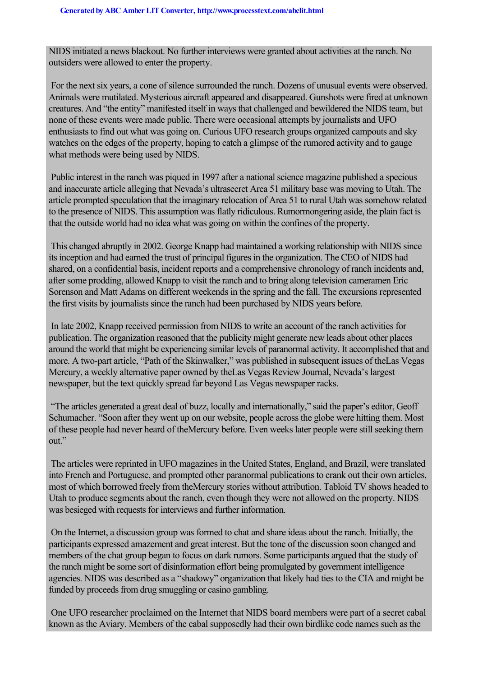NIDS initiated a news blackout. No further interviews were granted about activities at the ranch. No outsiders were allowed to enter the property.

 For the next six years, a cone of silence surrounded the ranch. Dozens of unusual events were observed. Animals were mutilated. Mysterious aircraft appeared and disappeared. Gunshots were fired at unknown creatures. And "the entity" manifested itself in ways that challenged and bewildered the NIDS team, but none of these events were made public. There were occasional attempts by journalists and UFO enthusiasts to find out what was going on. Curious UFO research groups organized campouts and sky watches on the edges of the property, hoping to catch a glimpse of the rumored activity and to gauge what methods were being used by NIDS.

 Public interest in the ranch was piqued in 1997 after a national science magazine published a specious and inaccurate article alleging that Nevada's ultrasecret Area 51 military base was moving to Utah. The article prompted speculation that the imaginary relocation of Area 51 to rural Utah was somehow related to the presence of NIDS. This assumption was flatly ridiculous. Rumormongering aside, the plain fact is that the outside world had no idea what was going on within the confines of the property.

 This changed abruptly in 2002. George Knapp had maintained a working relationship with NIDS since its inception and had earned the trust of principal figures in the organization. The CEO of NIDS had shared, on a confidential basis, incident reports and a comprehensive chronology of ranch incidents and, after some prodding, allowed Knapp to visit the ranch and to bring along television cameramen Eric Sorenson and Matt Adams on different weekends in the spring and the fall. The excursions represented the first visits by journalists since the ranch had been purchased by NIDS years before.

 In late 2002, Knapp received permission from NIDS to write an account of the ranch activities for publication. The organization reasoned that the publicity might generate new leads about other places around the world that might be experiencing similar levels of paranormal activity. It accomplished that and more. A two-part article, "Path of the Skinwalker," was published in subsequent issues of theLas Vegas Mercury, a weekly alternative paper owned by theLas Vegas Review Journal, Nevada's largest newspaper, but the text quickly spread far beyond Las Vegas newspaper racks.

 "The articles generated a great deal of buzz, locally and internationally," said the paper's editor, Geoff Schumacher. "Soon after they went up on our website, people across the globe were hitting them. Most of these people had never heard of theMercury before. Even weeks later people were still seeking them out<sup>"</sup>

 The articles were reprinted in UFO magazines in the United States, England, and Brazil, were translated into French and Portuguese, and prompted other paranormal publications to crank out their own articles, most of which borrowed freely from theMercury stories without attribution. Tabloid TV shows headed to Utah to produce segments about the ranch, even though they were not allowed on the property. NIDS was besieged with requests for interviews and further information.

 On the Internet, a discussion group was formed to chat and share ideas about the ranch. Initially, the participants expressed amazement and great interest. But the tone of the discussion soon changed and members of the chat group began to focus on dark rumors. Some participants argued that the study of the ranch might be some sort of disinformation effort being promulgated by government intelligence agencies. NIDS was described as a "shadowy" organization that likely had ties to the CIA and might be funded by proceeds from drug smuggling or casino gambling.

 One UFO researcher proclaimed on the Internet that NIDS board members were part of a secret cabal known as the Aviary. Members of the cabal supposedly had their own birdlike code names such as the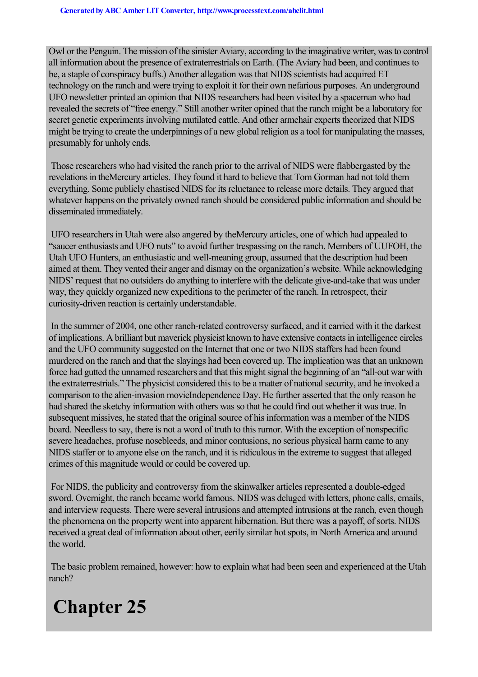Owl or the Penguin. The mission of the sinister Aviary, according to the imaginative writer, was to control all information about the presence of extraterrestrials on Earth. (The Aviary had been, and continues to be, a staple of conspiracy buffs.) Another allegation was that NIDS scientists had acquired ET technology on the ranch and were trying to exploit it for their own nefarious purposes. An underground UFO newsletter printed an opinion that NIDS researchers had been visited by a spaceman who had revealed the secrets of "free energy." Still another writer opined that the ranch might be a laboratory for secret genetic experiments involving mutilated cattle. And other armchair experts theorized that NIDS might be trying to create the underpinnings of a new global religion as a tool for manipulating the masses, presumably for unholy ends.

 Those researchers who had visited the ranch prior to the arrival of NIDS were flabbergasted by the revelations in theMercury articles. They found it hard to believe that Tom Gorman had not told them everything. Some publicly chastised NIDS for its reluctance to release more details. They argued that whatever happens on the privately owned ranch should be considered public information and should be disseminated immediately.

 UFO researchers in Utah were also angered by theMercury articles, one of which had appealed to "saucer enthusiasts and UFO nuts" to avoid further trespassing on the ranch. Members of UUFOH, the Utah UFO Hunters, an enthusiastic and well-meaning group, assumed that the description had been aimed at them. They vented their anger and dismay on the organization's website. While acknowledging NIDS' request that no outsiders do anything to interfere with the delicate give-and-take that was under way, they quickly organized new expeditions to the perimeter of the ranch. In retrospect, their curiosity-driven reaction is certainly understandable.

 In the summer of 2004, one other ranch-related controversy surfaced, and it carried with it the darkest of implications. A brilliant but maverick physicist known to have extensive contacts in intelligence circles and the UFO community suggested on the Internet that one or two NIDS staffers had been found murdered on the ranch and that the slayings had been covered up. The implication was that an unknown force had gutted the unnamed researchers and that this might signal the beginning of an "all-out war with the extraterrestrials." The physicist considered this to be a matter of national security, and he invoked a comparison to the alien-invasion movieIndependence Day. He further asserted that the only reason he had shared the sketchy information with others was so that he could find out whether it was true. In subsequent missives, he stated that the original source of his information was a member of the NIDS board. Needless to say, there is not a word of truth to this rumor. With the exception of nonspecific severe headaches, profuse nosebleeds, and minor contusions, no serious physical harm came to any NIDS staffer or to anyone else on the ranch, and it is ridiculous in the extreme to suggest that alleged crimes of this magnitude would or could be covered up.

 For NIDS, the publicity and controversy from the skinwalker articles represented a double-edged sword. Overnight, the ranch became world famous. NIDS was deluged with letters, phone calls, emails, and interview requests. There were several intrusions and attempted intrusions at the ranch, even though the phenomena on the property went into apparent hibernation. But there was a payoff, of sorts. NIDS received a great deal of information about other, eerily similar hot spots, in North America and around the world.

 The basic problem remained, however: how to explain what had been seen and experienced at the Utah ranch?

### **Chapter 25**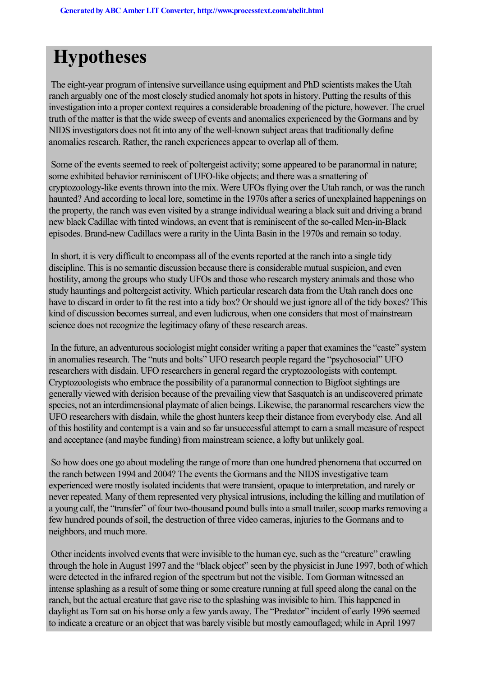## **Hypotheses**

 The eight-year program of intensive surveillance using equipment and PhD scientists makes the Utah ranch arguably one of the most closely studied anomaly hot spots in history. Putting the results of this investigation into a proper context requires a considerable broadening of the picture, however. The cruel truth of the matter is that the wide sweep of events and anomalies experienced by the Gormans and by NIDS investigators does not fit into any of the well-known subject areas that traditionally define anomalies research. Rather, the ranch experiences appear to overlap all of them.

 Some of the events seemed to reek of poltergeist activity; some appeared to be paranormal in nature; some exhibited behavior reminiscent of UFO-like objects; and there was a smattering of cryptozoology-like events thrown into the mix. Were UFOs flying over the Utah ranch, or was the ranch haunted? And according to local lore, sometime in the 1970s after a series of unexplained happenings on the property, the ranch was even visited by a strange individual wearing a black suit and driving a brand new black Cadillac with tinted windows, an event that is reminiscent of the so-called Men-in-Black episodes. Brand-new Cadillacs were a rarity in the Uinta Basin in the 1970s and remain so today.

 In short, it is very difficult to encompass all of the events reported at the ranch into a single tidy discipline. This is no semantic discussion because there is considerable mutual suspicion, and even hostility, among the groups who study UFOs and those who research mystery animals and those who study hauntings and poltergeist activity. Which particular research data from the Utah ranch does one have to discard in order to fit the rest into a tidy box? Or should we just ignore all of the tidy boxes? This kind of discussion becomes surreal, and even ludicrous, when one considers that most of mainstream science does not recognize the legitimacy ofany of these research areas.

 In the future, an adventurous sociologist might consider writing a paper that examines the "caste" system in anomalies research. The "nuts and bolts" UFO research people regard the "psychosocial" UFO researchers with disdain. UFO researchers in general regard the cryptozoologists with contempt. Cryptozoologists who embrace the possibility of a paranormal connection to Bigfoot sightings are generally viewed with derision because of the prevailing view that Sasquatch is an undiscovered primate species, not an interdimensional playmate of alien beings. Likewise, the paranormal researchers view the UFO researchers with disdain, while the ghost hunters keep their distance from everybody else. And all of this hostility and contempt is a vain and so far unsuccessful attempt to earn a small measure of respect and acceptance (and maybe funding) from mainstream science, a lofty but unlikely goal.

 So how does one go about modeling the range of more than one hundred phenomena that occurred on the ranch between 1994 and 2004? The events the Gormans and the NIDS investigative team experienced were mostly isolated incidents that were transient, opaque to interpretation, and rarely or never repeated. Many of them represented very physical intrusions, including the killing and mutilation of a young calf, the "transfer" of four two-thousand pound bulls into a small trailer, scoop marks removing a few hundred pounds of soil, the destruction of three video cameras, injuries to the Gormans and to neighbors, and much more.

 Other incidents involved events that were invisible to the human eye, such as the "creature" crawling through the hole in August 1997 and the "black object" seen by the physicist in June 1997, both of which were detected in the infrared region of the spectrum but not the visible. Tom Gorman witnessed an intense splashing as a result of some thing or some creature running at full speed along the canal on the ranch, but the actual creature that gave rise to the splashing was invisible to him. This happened in daylight as Tom sat on his horse only a few yards away. The "Predator" incident of early 1996 seemed to indicate a creature or an object that was barely visible but mostly camouflaged; while in April 1997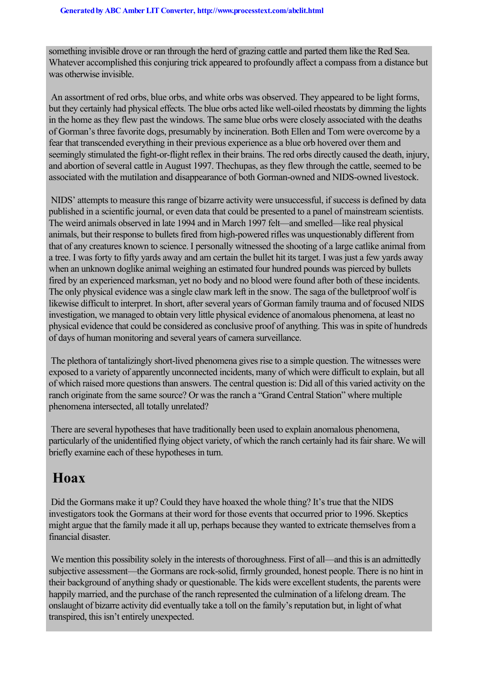something invisible drove or ran through the herd of grazing cattle and parted them like the Red Sea. Whatever accomplished this conjuring trick appeared to profoundly affect a compass from a distance but was otherwise invisible.

 An assortment of red orbs, blue orbs, and white orbs was observed. They appeared to be light forms, but they certainly had physical effects. The blue orbs acted like well-oiled rheostats by dimming the lights in the home as they flew past the windows. The same blue orbs were closely associated with the deaths of Gorman's three favorite dogs, presumably by incineration. Both Ellen and Tom were overcome by a fear that transcended everything in their previous experience as a blue orb hovered over them and seemingly stimulated the fight-or-flight reflex in their brains. The red orbs directly caused the death, injury, and abortion of several cattle in August 1997. Thechupas, as they flew through the cattle, seemed to be associated with the mutilation and disappearance of both Gorman-owned and NIDS-owned livestock.

 NIDS' attempts to measure this range of bizarre activity were unsuccessful, if success is defined by data published in a scientific journal, or even data that could be presented to a panel of mainstream scientists. The weird animals observed in late 1994 and in March 1997 felt—and smelled—like real physical animals, but their response to bullets fired from high-powered rifles was unquestionably different from that of any creatures known to science. I personally witnessed the shooting of a large catlike animal from a tree. I was forty to fifty yards away and am certain the bullet hit its target. I was just a few yards away when an unknown doglike animal weighing an estimated four hundred pounds was pierced by bullets fired by an experienced marksman, yet no body and no blood were found after both of these incidents. The only physical evidence was a single claw mark left in the snow. The saga of the bulletproof wolf is likewise difficult to interpret. In short, after several years of Gorman family trauma and of focused NIDS investigation, we managed to obtain very little physical evidence of anomalous phenomena, at least no physical evidence that could be considered as conclusive proof of anything. This was in spite of hundreds of days of human monitoring and several years of camera surveillance.

 The plethora of tantalizingly short-lived phenomena gives rise to a simple question. The witnesses were exposed to a variety of apparently unconnected incidents, many of which were difficult to explain, but all of which raised more questions than answers. The central question is: Did all of this varied activity on the ranch originate from the same source? Or was the ranch a "Grand Central Station" where multiple phenomena intersected, all totally unrelated?

 There are several hypotheses that have traditionally been used to explain anomalous phenomena, particularly of the unidentified flying object variety, of which the ranch certainly had its fair share. We will briefly examine each of these hypotheses in turn.

### **Hoax**

 Did the Gormans make it up? Could they have hoaxed the whole thing? It's true that the NIDS investigators took the Gormans at their word for those events that occurred prior to 1996. Skeptics might argue that the family made it all up, perhaps because they wanted to extricate themselves from a financial disaster.

We mention this possibility solely in the interests of thoroughness. First of all—and this is an admittedly subjective assessment—the Gormans are rock-solid, firmly grounded, honest people. There is no hint in their background of anything shady or questionable. The kids were excellent students, the parents were happily married, and the purchase of the ranch represented the culmination of a lifelong dream. The onslaught of bizarre activity did eventually take a toll on the family's reputation but, in light of what transpired, this isn't entirely unexpected.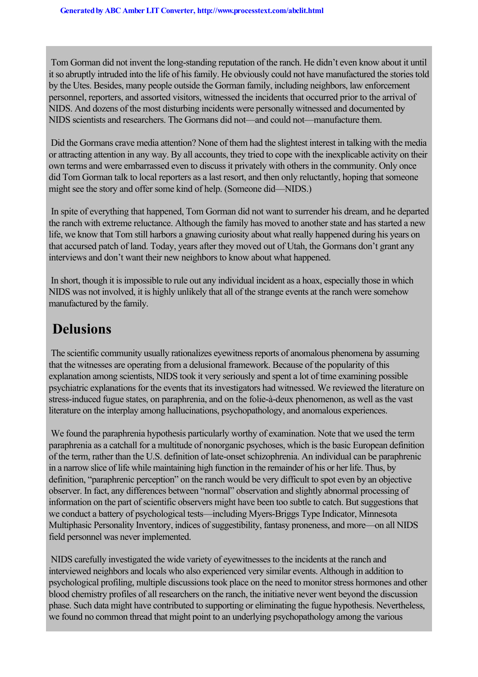Tom Gorman did not invent the long-standing reputation of the ranch. He didn't even know about it until it so abruptly intruded into the life of his family. He obviously could not have manufactured the stories told by the Utes. Besides, many people outside the Gorman family, including neighbors, law enforcement personnel, reporters, and assorted visitors, witnessed the incidents that occurred prior to the arrival of NIDS. And dozens of the most disturbing incidents were personally witnessed and documented by NIDS scientists and researchers. The Gormans did not—and could not—manufacture them.

 Did the Gormans crave media attention? None of them had the slightest interest in talking with the media or attracting attention in any way. By all accounts, they tried to cope with the inexplicable activity on their own terms and were embarrassed even to discuss it privately with others in the community. Only once did Tom Gorman talk to local reporters as a last resort, and then only reluctantly, hoping that someone might see the story and offer some kind of help. (Someone did—NIDS.)

 In spite of everything that happened, Tom Gorman did not want to surrender his dream, and he departed the ranch with extreme reluctance. Although the family has moved to another state and has started a new life, we know that Tom still harbors a gnawing curiosity about what really happened during his years on that accursed patch of land. Today, years after they moved out of Utah, the Gormans don't grant any interviews and don't want their new neighbors to know about what happened.

 In short, though it is impossible to rule out any individual incident as a hoax, especially those in which NIDS was not involved, it is highly unlikely that all of the strange events at the ranch were somehow manufactured by the family.

#### **Delusions**

 The scientific community usually rationalizes eyewitness reports of anomalous phenomena by assuming that the witnesses are operating from a delusional framework. Because of the popularity of this explanation among scientists, NIDS took it very seriously and spent a lot of time examining possible psychiatric explanations for the events that its investigators had witnessed. We reviewed the literature on stress-induced fugue states, on paraphrenia, and on the folie-à-deux phenomenon, as well as the vast literature on the interplay among hallucinations, psychopathology, and anomalous experiences.

 We found the paraphrenia hypothesis particularly worthy of examination. Note that we used the term paraphrenia as a catchall for a multitude of nonorganic psychoses, which is the basic European definition of the term, rather than the U.S. definition of late-onset schizophrenia. An individual can be paraphrenic in a narrow slice of life while maintaining high function in the remainder of his or her life. Thus, by definition, "paraphrenic perception" on the ranch would be very difficult to spot even by an objective observer. In fact, any differences between "normal" observation and slightly abnormal processing of information on the part of scientific observers might have been too subtle to catch. But suggestions that we conduct a battery of psychological tests—including Myers-Briggs Type Indicator, Minnesota Multiphasic Personality Inventory, indices of suggestibility, fantasy proneness, and more—on all NIDS field personnel was never implemented.

 NIDS carefully investigated the wide variety of eyewitnesses to the incidents at the ranch and interviewed neighbors and locals who also experienced very similar events. Although in addition to psychological profiling, multiple discussions took place on the need to monitor stress hormones and other blood chemistry profiles of all researchers on the ranch, the initiative never went beyond the discussion phase. Such data might have contributed to supporting or eliminating the fugue hypothesis. Nevertheless, we found no common thread that might point to an underlying psychopathology among the various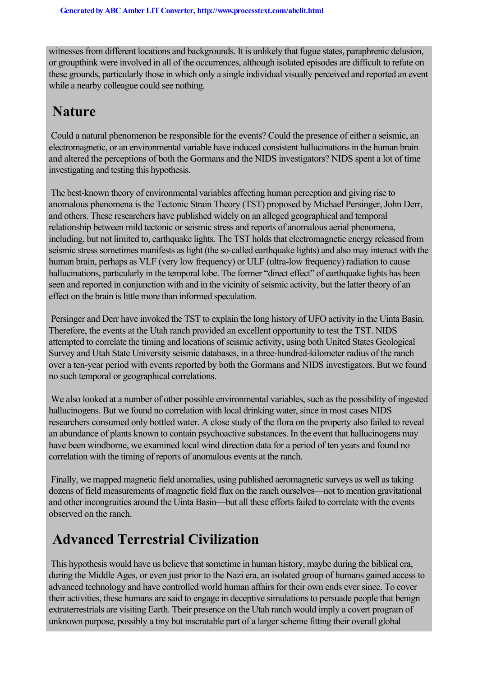witnesses from different locations and backgrounds. It is unlikely that fugue states, paraphrenic delusion, or groupthink were involved in all of the occurrences, although isolated episodes are difficult to refute on these grounds, particularly those in which only a single individual visually perceived and reported an event while a nearby colleague could see nothing.

### **Nature**

 Could a natural phenomenon be responsible for the events? Could the presence of either a seismic, an electromagnetic, or an environmental variable have induced consistent hallucinations in the human brain and altered the perceptions of both the Gormans and the NIDS investigators? NIDS spent a lot of time investigating and testing this hypothesis.

 The best-known theory of environmental variables affecting human perception and giving rise to anomalous phenomena is the Tectonic Strain Theory (TST) proposed by Michael Persinger, John Derr, and others. These researchers have published widely on an alleged geographical and temporal relationship between mild tectonic or seismic stress and reports of anomalous aerial phenomena, including, but not limited to, earthquake lights. The TST holds that electromagnetic energy released from seismic stress sometimes manifests as light (the so-called earthquake lights) and also may interact with the human brain, perhaps as VLF (very low frequency) or ULF (ultra-low frequency) radiation to cause hallucinations, particularly in the temporal lobe. The former "direct effect" of earthquake lights has been seen and reported in conjunction with and in the vicinity of seismic activity, but the latter theory of an effect on the brain is little more than informed speculation.

 Persinger and Derr have invoked the TST to explain the long history of UFO activity in the Uinta Basin. Therefore, the events at the Utah ranch provided an excellent opportunity to test the TST. NIDS attempted to correlate the timing and locations of seismic activity, using both United States Geological Survey and Utah State University seismic databases, in a three-hundred-kilometer radius of the ranch over a ten-year period with events reported by both the Gormans and NIDS investigators. But we found no such temporal or geographical correlations.

 We also looked at a number of other possible environmental variables, such as the possibility of ingested hallucinogens. But we found no correlation with local drinking water, since in most cases NIDS researchers consumed only bottled water. A close study of the flora on the property also failed to reveal an abundance of plants known to contain psychoactive substances. In the event that hallucinogens may have been windborne, we examined local wind direction data for a period of ten years and found no correlation with the timing of reports of anomalous events at the ranch.

 Finally, we mapped magnetic field anomalies, using published aeromagnetic surveys as well as taking dozens of field measurements of magnetic field flux on the ranch ourselves—not to mention gravitational and other incongruities around the Uinta Basin—but all these efforts failed to correlate with the events observed on the ranch.

### **Advanced Terrestrial Civilization**

 This hypothesis would have us believe that sometime in human history, maybe during the biblical era, during the Middle Ages, or even just prior to the Nazi era, an isolated group of humans gained access to advanced technology and have controlled world human affairs for their own ends ever since. To cover their activities, these humans are said to engage in deceptive simulations to persuade people that benign extraterrestrials are visiting Earth. Their presence on the Utah ranch would imply a covert program of unknown purpose, possibly a tiny but inscrutable part of a larger scheme fitting their overall global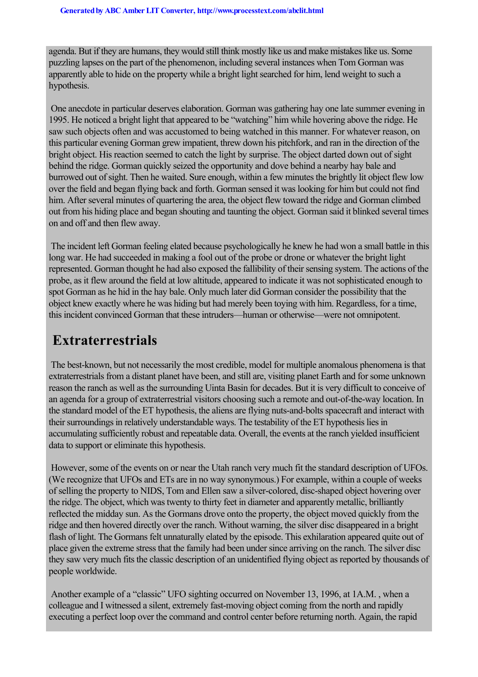agenda. But if they are humans, they would still think mostly like us and make mistakes like us. Some puzzling lapses on the part of the phenomenon, including several instances when Tom Gorman was apparently able to hide on the property while a bright light searched for him, lend weight to such a hypothesis.

 One anecdote in particular deserves elaboration. Gorman was gathering hay one late summer evening in 1995. He noticed a bright light that appeared to be "watching" him while hovering above the ridge. He saw such objects often and was accustomed to being watched in this manner. For whatever reason, on this particular evening Gorman grew impatient, threw down his pitchfork, and ran in the direction of the bright object. His reaction seemed to catch the light by surprise. The object darted down out of sight behind the ridge. Gorman quickly seized the opportunity and dove behind a nearby hay bale and burrowed out of sight. Then he waited. Sure enough, within a few minutes the brightly lit object flew low over the field and began flying back and forth. Gorman sensed it was looking for him but could not find him. After several minutes of quartering the area, the object flew toward the ridge and Gorman climbed out from his hiding place and began shouting and taunting the object. Gorman said it blinked several times on and off and then flew away.

 The incident left Gorman feeling elated because psychologically he knew he had won a small battle in this long war. He had succeeded in making a fool out of the probe or drone or whatever the bright light represented. Gorman thought he had also exposed the fallibility of their sensing system. The actions of the probe, as it flew around the field at low altitude, appeared to indicate it was not sophisticated enough to spot Gorman as he hid in the hay bale. Only much later did Gorman consider the possibility that the object knew exactly where he was hiding but had merely been toying with him. Regardless, for a time, this incident convinced Gorman that these intruders—human or otherwise—were not omnipotent.

#### **Extraterrestrials**

 The best-known, but not necessarily the most credible, model for multiple anomalous phenomena is that extraterrestrials from a distant planet have been, and still are, visiting planet Earth and for some unknown reason the ranch as well as the surrounding Uinta Basin for decades. But it is very difficult to conceive of an agenda for a group of extraterrestrial visitors choosing such a remote and out-of-the-way location. In the standard model of the ET hypothesis, the aliens are flying nuts-and-bolts spacecraft and interact with their surroundings in relatively understandable ways. The testability of the ET hypothesis lies in accumulating sufficiently robust and repeatable data. Overall, the events at the ranch yielded insufficient data to support or eliminate this hypothesis.

 However, some of the events on or near the Utah ranch very much fit the standard description of UFOs. (We recognize that UFOs and ETs are in no way synonymous.) For example, within a couple of weeks of selling the property to NIDS, Tom and Ellen saw a silver-colored, disc-shaped object hovering over the ridge. The object, which was twenty to thirty feet in diameter and apparently metallic, brilliantly reflected the midday sun. As the Gormans drove onto the property, the object moved quickly from the ridge and then hovered directly over the ranch. Without warning, the silver disc disappeared in a bright flash of light. The Gormans felt unnaturally elated by the episode. This exhilaration appeared quite out of place given the extreme stress that the family had been under since arriving on the ranch. The silver disc they saw very much fits the classic description of an unidentified flying object as reported by thousands of people worldwide.

 Another example of a "classic" UFO sighting occurred on November 13, 1996, at 1A.M. , when a colleague and I witnessed a silent, extremely fast-moving object coming from the north and rapidly executing a perfect loop over the command and control center before returning north. Again, the rapid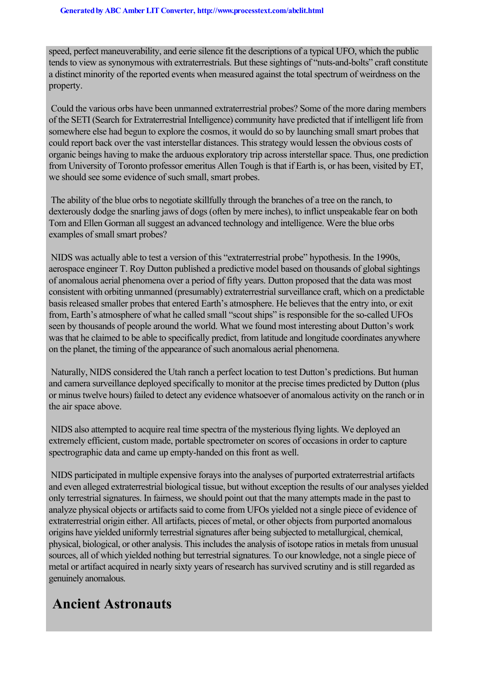speed, perfect maneuverability, and eerie silence fit the descriptions of a typical UFO, which the public tends to view as synonymous with extraterrestrials. But these sightings of "nuts-and-bolts" craft constitute a distinct minority of the reported events when measured against the total spectrum of weirdness on the property.

 Could the various orbs have been unmanned extraterrestrial probes? Some of the more daring members of the SETI (Search for Extraterrestrial Intelligence) community have predicted that if intelligent life from somewhere else had begun to explore the cosmos, it would do so by launching small smart probes that could report back over the vast interstellar distances. This strategy would lessen the obvious costs of organic beings having to make the arduous exploratory trip across interstellar space. Thus, one prediction from University of Toronto professor emeritus Allen Tough is that if Earth is, or has been, visited by ET, we should see some evidence of such small, smart probes.

 The ability of the blue orbs to negotiate skillfully through the branches of a tree on the ranch, to dexterously dodge the snarling jaws of dogs (often by mere inches), to inflict unspeakable fear on both Tom and Ellen Gorman all suggest an advanced technology and intelligence. Were the blue orbs examples of small smart probes?

 NIDS was actually able to test a version of this "extraterrestrial probe" hypothesis. In the 1990s, aerospace engineer T. Roy Dutton published a predictive model based on thousands of global sightings of anomalous aerial phenomena over a period of fifty years. Dutton proposed that the data was most consistent with orbiting unmanned (presumably) extraterrestrial surveillance craft, which on a predictable basis released smaller probes that entered Earth's atmosphere. He believes that the entry into, or exit from, Earth's atmosphere of what he called small "scout ships" is responsible for the so-called UFOs seen by thousands of people around the world. What we found most interesting about Dutton's work was that he claimed to be able to specifically predict, from latitude and longitude coordinates anywhere on the planet, the timing of the appearance of such anomalous aerial phenomena.

 Naturally, NIDS considered the Utah ranch a perfect location to test Dutton's predictions. But human and camera surveillance deployed specifically to monitor at the precise times predicted by Dutton (plus or minus twelve hours) failed to detect any evidence whatsoever of anomalous activity on the ranch or in the air space above.

 NIDS also attempted to acquire real time spectra of the mysterious flying lights. We deployed an extremely efficient, custom made, portable spectrometer on scores of occasions in order to capture spectrographic data and came up empty-handed on this front as well.

 NIDS participated in multiple expensive forays into the analyses of purported extraterrestrial artifacts and even alleged extraterrestrial biological tissue, but without exception the results of our analyses yielded only terrestrial signatures. In fairness, we should point out that the many attempts made in the past to analyze physical objects or artifacts said to come from UFOs yielded not a single piece of evidence of extraterrestrial origin either. All artifacts, pieces of metal, or other objects from purported anomalous origins have yielded uniformly terrestrial signatures after being subjected to metallurgical, chemical, physical, biological, or other analysis. This includes the analysis of isotope ratios in metals from unusual sources, all of which yielded nothing but terrestrial signatures. To our knowledge, not a single piece of metal or artifact acquired in nearly sixty years of research has survived scrutiny and is still regarded as genuinely anomalous.

#### **Ancient Astronauts**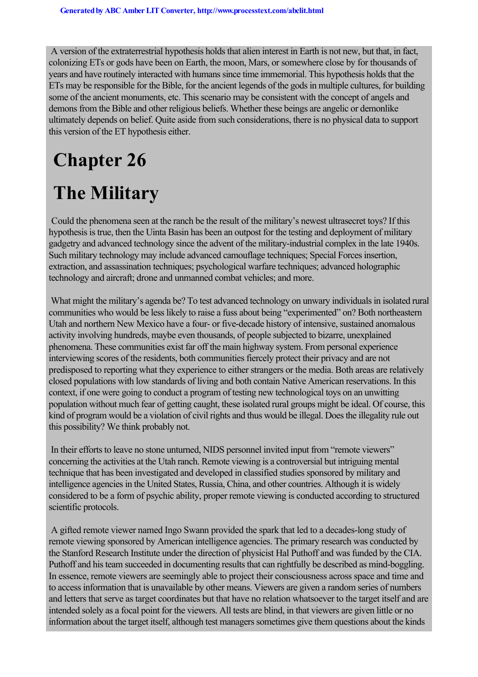A version of the extraterrestrial hypothesis holds that alien interest in Earth is not new, but that, in fact, colonizing ETs or gods have been on Earth, the moon, Mars, or somewhere close by for thousands of years and have routinely interacted with humans since time immemorial. This hypothesis holds that the ETs may be responsible for the Bible, for the ancient legends of the gods in multiple cultures, for building some of the ancient monuments, etc. This scenario may be consistent with the concept of angels and demons from the Bible and other religious beliefs. Whether these beings are angelic or demonlike ultimately depends on belief. Quite aside from such considerations, there is no physical data to support this version of the ET hypothesis either.

# **Chapter 26 The Military**

 Could the phenomena seen at the ranch be the result of the military's newest ultrasecret toys? If this hypothesis is true, then the Uinta Basin has been an outpost for the testing and deployment of military gadgetry and advanced technology since the advent of the military-industrial complex in the late 1940s. Such military technology may include advanced camouflage techniques; Special Forces insertion, extraction, and assassination techniques; psychological warfare techniques; advanced holographic technology and aircraft; drone and unmanned combat vehicles; and more.

What might the military's agenda be? To test advanced technology on unwary individuals in isolated rural communities who would be less likely to raise a fuss about being "experimented" on? Both northeastern Utah and northern New Mexico have a four- or five-decade history of intensive, sustained anomalous activity involving hundreds, maybe even thousands, of people subjected to bizarre, unexplained phenomena. These communities exist far off the main highway system. From personal experience interviewing scores of the residents, both communities fiercely protect their privacy and are not predisposed to reporting what they experience to either strangers or the media. Both areas are relatively closed populations with low standards of living and both contain Native American reservations. In this context, if one were going to conduct a program of testing new technological toys on an unwitting population without much fear of getting caught, these isolated rural groups might be ideal. Of course, this kind of program would be a violation of civil rights and thus would be illegal. Does the illegality rule out this possibility? We think probably not.

 In their efforts to leave no stone unturned, NIDS personnel invited input from "remote viewers" concerning the activities at the Utah ranch. Remote viewing is a controversial but intriguing mental technique that has been investigated and developed in classified studies sponsored by military and intelligence agencies in the United States, Russia, China, and other countries. Although it is widely considered to be a form of psychic ability, proper remote viewing is conducted according to structured scientific protocols.

 A gifted remote viewer named Ingo Swann provided the spark that led to a decades-long study of remote viewing sponsored by American intelligence agencies. The primary research was conducted by the Stanford Research Institute under the direction of physicist Hal Puthoff and was funded by the CIA. Puthoff and his team succeeded in documenting results that can rightfully be described as mind-boggling. In essence, remote viewers are seemingly able to project their consciousness across space and time and to access information that is unavailable by other means. Viewers are given a random series of numbers and letters that serve as target coordinates but that have no relation whatsoever to the target itself and are intended solely as a focal point for the viewers. All tests are blind, in that viewers are given little or no information about the target itself, although test managers sometimes give them questions about the kinds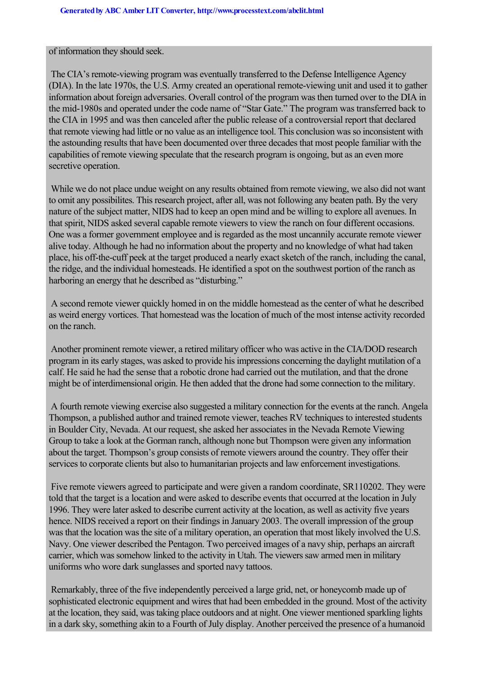#### of information they should seek.

 The CIA's remote-viewing program was eventually transferred to the Defense Intelligence Agency (DIA). In the late 1970s, the U.S. Army created an operational remote-viewing unit and used it to gather information about foreign adversaries. Overall control of the program was then turned over to the DIA in the mid-1980s and operated under the code name of "Star Gate." The program was transferred back to the CIA in 1995 and was then canceled after the public release of a controversial report that declared that remote viewing had little or no value as an intelligence tool. This conclusion was so inconsistent with the astounding results that have been documented over three decades that most people familiar with the capabilities of remote viewing speculate that the research program is ongoing, but as an even more secretive operation.

While we do not place undue weight on any results obtained from remote viewing, we also did not want to omit any possibilites. This research project, after all, was not following any beaten path. By the very nature of the subject matter, NIDS had to keep an open mind and be willing to explore all avenues. In that spirit, NIDS asked several capable remote viewers to view the ranch on four different occasions. One was a former government employee and is regarded as the most uncannily accurate remote viewer alive today. Although he had no information about the property and no knowledge of what had taken place, his off-the-cuff peek at the target produced a nearly exact sketch of the ranch, including the canal, the ridge, and the individual homesteads. He identified a spot on the southwest portion of the ranch as harboring an energy that he described as "disturbing."

 A second remote viewer quickly homed in on the middle homestead as the center of what he described as weird energy vortices. That homestead was the location of much of the most intense activity recorded on the ranch.

 Another prominent remote viewer, a retired military officer who was active in the CIA/DOD research program in its early stages, was asked to provide his impressions concerning the daylight mutilation of a calf. He said he had the sense that a robotic drone had carried out the mutilation, and that the drone might be of interdimensional origin. He then added that the drone had some connection to the military.

 A fourth remote viewing exercise also suggested a military connection for the events at the ranch. Angela Thompson, a published author and trained remote viewer, teaches RV techniques to interested students in Boulder City, Nevada. At our request, she asked her associates in the Nevada Remote Viewing Group to take a look at the Gorman ranch, although none but Thompson were given any information about the target. Thompson's group consists of remote viewers around the country. They offer their services to corporate clients but also to humanitarian projects and law enforcement investigations.

 Five remote viewers agreed to participate and were given a random coordinate, SR110202. They were told that the target is a location and were asked to describe events that occurred at the location in July 1996. They were later asked to describe current activity at the location, as well as activity five years hence. NIDS received a report on their findings in January 2003. The overall impression of the group was that the location was the site of a military operation, an operation that most likely involved the U.S. Navy. One viewer described the Pentagon. Two perceived images of a navy ship, perhaps an aircraft carrier, which was somehow linked to the activity in Utah. The viewers saw armed men in military uniforms who wore dark sunglasses and sported navy tattoos.

 Remarkably, three of the five independently perceived a large grid, net, or honeycomb made up of sophisticated electronic equipment and wires that had been embedded in the ground. Most of the activity at the location, they said, was taking place outdoors and at night. One viewer mentioned sparkling lights in a dark sky, something akin to a Fourth of July display. Another perceived the presence of a humanoid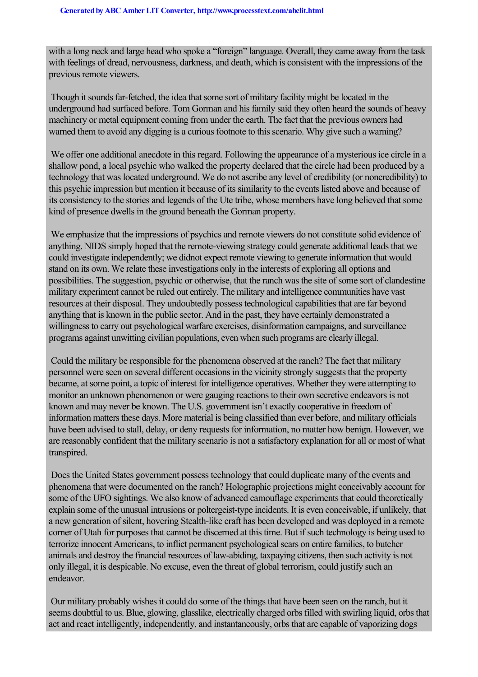with a long neck and large head who spoke a "foreign" language. Overall, they came away from the task with feelings of dread, nervousness, darkness, and death, which is consistent with the impressions of the previous remote viewers.

 Though it sounds far-fetched, the idea that some sort of military facility might be located in the underground had surfaced before. Tom Gorman and his family said they often heard the sounds of heavy machinery or metal equipment coming from under the earth. The fact that the previous owners had warned them to avoid any digging is a curious footnote to this scenario. Why give such a warning?

We offer one additional anecdote in this regard. Following the appearance of a mysterious ice circle in a shallow pond, a local psychic who walked the property declared that the circle had been produced by a technology that was located underground. We do not ascribe any level of credibility (or noncredibility) to this psychic impression but mention it because of its similarity to the events listed above and because of its consistency to the stories and legends of the Ute tribe, whose members have long believed that some kind of presence dwells in the ground beneath the Gorman property.

We emphasize that the impressions of psychics and remote viewers do not constitute solid evidence of anything. NIDS simply hoped that the remote-viewing strategy could generate additional leads that we could investigate independently; we didnot expect remote viewing to generate information that would stand on its own. We relate these investigations only in the interests of exploring all options and possibilities. The suggestion, psychic or otherwise, that the ranch was the site of some sort of clandestine military experiment cannot be ruled out entirely. The military and intelligence communities have vast resources at their disposal. They undoubtedly possess technological capabilities that are far beyond anything that is known in the public sector. And in the past, they have certainly demonstrated a willingness to carry out psychological warfare exercises, disinformation campaigns, and surveillance programs against unwitting civilian populations, even when such programs are clearly illegal.

 Could the military be responsible for the phenomena observed at the ranch? The fact that military personnel were seen on several different occasions in the vicinity strongly suggests that the property became, at some point, a topic of interest for intelligence operatives. Whether they were attempting to monitor an unknown phenomenon or were gauging reactions to their own secretive endeavors is not known and may never be known. The U.S. government isn't exactly cooperative in freedom of information matters these days. More material is being classified than ever before, and military officials have been advised to stall, delay, or deny requests for information, no matter how benign. However, we are reasonably confident that the military scenario is not a satisfactory explanation for all or most of what transpired.

 Does the United States government possess technology that could duplicate many of the events and phenomena that were documented on the ranch? Holographic projections might conceivably account for some of the UFO sightings. We also know of advanced camouflage experiments that could theoretically explain some of the unusual intrusions or poltergeist-type incidents. It is even conceivable, if unlikely, that a new generation of silent, hovering Stealth-like craft has been developed and was deployed in a remote corner of Utah for purposes that cannot be discerned at this time. But if such technology is being used to terrorize innocent Americans, to inflict permanent psychological scars on entire families, to butcher animals and destroy the financial resources of law-abiding, taxpaying citizens, then such activity is not only illegal, it is despicable. No excuse, even the threat of global terrorism, could justify such an endeavor.

 Our military probably wishes it could do some of the things that have been seen on the ranch, but it seems doubtful to us. Blue, glowing, glasslike, electrically charged orbs filled with swirling liquid, orbs that act and react intelligently, independently, and instantaneously, orbs that are capable of vaporizing dogs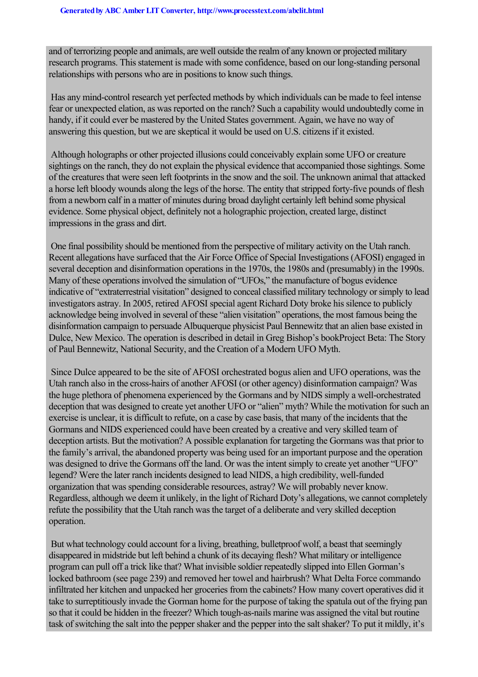and of terrorizing people and animals, are well outside the realm of any known or projected military research programs. This statement is made with some confidence, based on our long-standing personal relationships with persons who are in positions to know such things.

 Has any mind-control research yet perfected methods by which individuals can be made to feel intense fear or unexpected elation, as was reported on the ranch? Such a capability would undoubtedly come in handy, if it could ever be mastered by the United States government. Again, we have no way of answering this question, but we are skeptical it would be used on U.S. citizens if it existed.

 Although holographs or other projected illusions could conceivably explain some UFO or creature sightings on the ranch, they do not explain the physical evidence that accompanied those sightings. Some of the creatures that were seen left footprints in the snow and the soil. The unknown animal that attacked a horse left bloody wounds along the legs of the horse. The entity that stripped forty-five pounds of flesh from a newborn calf in a matter of minutes during broad daylight certainly left behind some physical evidence. Some physical object, definitely not a holographic projection, created large, distinct impressions in the grass and dirt.

 One final possibility should be mentioned from the perspective of military activity on the Utah ranch. Recent allegations have surfaced that the Air Force Office of Special Investigations (AFOSI) engaged in several deception and disinformation operations in the 1970s, the 1980s and (presumably) in the 1990s. Many of these operations involved the simulation of "UFOs," the manufacture of bogus evidence indicative of "extraterrestrial visitation" designed to conceal classified military technology or simply to lead investigators astray. In 2005, retired AFOSI special agent Richard Doty broke his silence to publicly acknowledge being involved in several of these "alien visitation" operations, the most famous being the disinformation campaign to persuade Albuquerque physicist Paul Bennewitz that an alien base existed in Dulce, New Mexico. The operation is described in detail in Greg Bishop's bookProject Beta: The Story of Paul Bennewitz, National Security, and the Creation of a Modern UFO Myth.

 Since Dulce appeared to be the site of AFOSI orchestrated bogus alien and UFO operations, was the Utah ranch also in the cross-hairs of another AFOSI (or other agency) disinformation campaign? Was the huge plethora of phenomena experienced by the Gormans and by NIDS simply a well-orchestrated deception that was designed to create yet another UFO or "alien" myth? While the motivation for such an exercise is unclear, it is difficult to refute, on a case by case basis, that many of the incidents that the Gormans and NIDS experienced could have been created by a creative and very skilled team of deception artists. But the motivation? A possible explanation for targeting the Gormans was that prior to the family's arrival, the abandoned property was being used for an important purpose and the operation was designed to drive the Gormans off the land. Or was the intent simply to create yet another "UFO" legend? Were the later ranch incidents designed to lead NIDS, a high credibility, well-funded organization that was spending considerable resources, astray? We will probably never know. Regardless, although we deem it unlikely, in the light of Richard Doty's allegations, we cannot completely refute the possibility that the Utah ranch was the target of a deliberate and very skilled deception operation.

 But what technology could account for a living, breathing, bulletproof wolf, a beast that seemingly disappeared in midstride but left behind a chunk of its decaying flesh? What military or intelligence program can pull off a trick like that? What invisible soldier repeatedly slipped into Ellen Gorman's locked bathroom (see page 239) and removed her towel and hairbrush? What Delta Force commando infiltrated her kitchen and unpacked her groceries from the cabinets? How many covert operatives did it take to surreptitiously invade the Gorman home for the purpose of taking the spatula out of the frying pan so that it could be hidden in the freezer? Which tough-as-nails marine was assigned the vital but routine task of switching the salt into the pepper shaker and the pepper into the salt shaker? To put it mildly, it's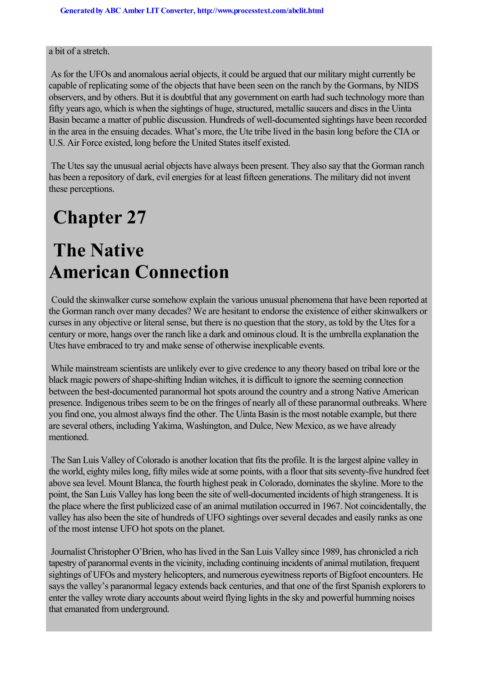#### a bit of a stretch.

 As for the UFOs and anomalous aerial objects, it could be argued that our military might currently be capable of replicating some of the objects that have been seen on the ranch by the Gormans, by NIDS observers, and by others. But it is doubtful that any government on earth had such technology more than fifty years ago, which is when the sightings of huge, structured, metallic saucers and discs in the Uinta Basin became a matter of public discussion. Hundreds of well-documented sightings have been recorded in the area in the ensuing decades. What's more, the Ute tribe lived in the basin long before the CIA or U.S. Air Force existed, long before the United States itself existed.

 The Utes say the unusual aerial objects have always been present. They also say that the Gorman ranch has been a repository of dark, evil energies for at least fifteen generations. The military did not invent these perceptions.

### **Chapter 27**

### **The Native American Connection**

 Could the skinwalker curse somehow explain the various unusual phenomena that have been reported at the Gorman ranch over many decades? We are hesitant to endorse the existence of either skinwalkers or curses in any objective or literal sense, but there is no question that the story, as told by the Utes for a century or more, hangs over the ranch like a dark and ominous cloud. It is the umbrella explanation the Utes have embraced to try and make sense of otherwise inexplicable events.

 While mainstream scientists are unlikely ever to give credence to any theory based on tribal lore or the black magic powers of shape-shifting Indian witches, it is difficult to ignore the seeming connection between the best-documented paranormal hot spots around the country and a strong Native American presence. Indigenous tribes seem to be on the fringes of nearly all of these paranormal outbreaks. Where you find one, you almost always find the other. The Uinta Basin is the most notable example, but there are several others, including Yakima, Washington, and Dulce, New Mexico, as we have already mentioned.

 The San Luis Valley of Colorado is another location that fits the profile. It is the largest alpine valley in the world, eighty miles long, fifty miles wide at some points, with a floor that sits seventy-five hundred feet above sea level. Mount Blanca, the fourth highest peak in Colorado, dominates the skyline. More to the point, the San Luis Valley has long been the site of well-documented incidents of high strangeness. It is the place where the first publicized case of an animal mutilation occurred in 1967. Not coincidentally, the valley has also been the site of hundreds of UFO sightings over several decades and easily ranks as one of the most intense UFO hot spots on the planet.

 Journalist Christopher O'Brien, who has lived in the San Luis Valley since 1989, has chronicled a rich tapestry of paranormal events in the vicinity, including continuing incidents of animal mutilation, frequent sightings of UFOs and mystery helicopters, and numerous eyewitness reports of Bigfoot encounters. He says the valley's paranormal legacy extends back centuries, and that one of the first Spanish explorers to enter the valley wrote diary accounts about weird flying lights in the sky and powerful humming noises that emanated from underground.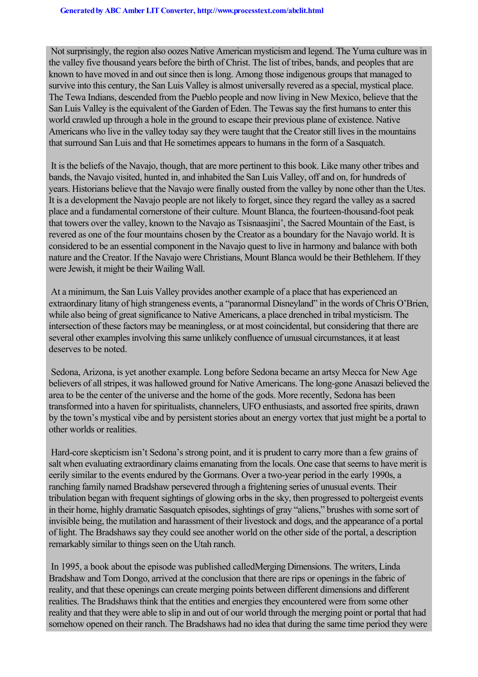Not surprisingly, the region also oozes Native American mysticism and legend. The Yuma culture was in the valley five thousand years before the birth of Christ. The list of tribes, bands, and peoples that are known to have moved in and out since then is long. Among those indigenous groups that managed to survive into this century, the San Luis Valley is almost universally revered as a special, mystical place. The Tewa Indians, descended from the Pueblo people and now living in New Mexico, believe that the San Luis Valley is the equivalent of the Garden of Eden. The Tewas say the first humans to enter this world crawled up through a hole in the ground to escape their previous plane of existence. Native Americans who live in the valley today say they were taught that the Creator still lives in the mountains that surround San Luis and that He sometimes appears to humans in the form of a Sasquatch.

 It is the beliefs of the Navajo, though, that are more pertinent to this book. Like many other tribes and bands, the Navajo visited, hunted in, and inhabited the San Luis Valley, off and on, for hundreds of years. Historians believe that the Navajo were finally ousted from the valley by none other than the Utes. It is a development the Navajo people are not likely to forget, since they regard the valley as a sacred place and a fundamental cornerstone of their culture. Mount Blanca, the fourteen-thousand-foot peak that towers over the valley, known to the Navajo as Tsisnaasjini', the Sacred Mountain of the East, is revered as one of the four mountains chosen by the Creator as a boundary for the Navajo world. It is considered to be an essential component in the Navajo quest to live in harmony and balance with both nature and the Creator. If the Navajo were Christians, Mount Blanca would be their Bethlehem. If they were Jewish, it might be their Wailing Wall.

 At a minimum, the San Luis Valley provides another example of a place that has experienced an extraordinary litany of high strangeness events, a "paranormal Disneyland" in the words of Chris O'Brien, while also being of great significance to Native Americans, a place drenched in tribal mysticism. The intersection of these factors may be meaningless, or at most coincidental, but considering that there are several other examples involving this same unlikely confluence of unusual circumstances, it at least deserves to be noted.

 Sedona, Arizona, is yet another example. Long before Sedona became an artsy Mecca for New Age believers of all stripes, it was hallowed ground for Native Americans. The long-gone Anasazi believed the area to be the center of the universe and the home of the gods. More recently, Sedona has been transformed into a haven for spiritualists, channelers, UFO enthusiasts, and assorted free spirits, drawn by the town's mystical vibe and by persistent stories about an energy vortex that just might be a portal to other worlds or realities.

 Hard-core skepticism isn't Sedona's strong point, and it is prudent to carry more than a few grains of salt when evaluating extraordinary claims emanating from the locals. One case that seems to have merit is eerily similar to the events endured by the Gormans. Over a two-year period in the early 1990s, a ranching family named Bradshaw persevered through a frightening series of unusual events. Their tribulation began with frequent sightings of glowing orbs in the sky, then progressed to poltergeist events in their home, highly dramatic Sasquatch episodes, sightings of gray "aliens," brushes with some sort of invisible being, the mutilation and harassment of their livestock and dogs, and the appearance of a portal of light. The Bradshaws say they could see another world on the other side of the portal, a description remarkably similar to things seen on the Utah ranch.

 In 1995, a book about the episode was published calledMerging Dimensions. The writers, Linda Bradshaw and Tom Dongo, arrived at the conclusion that there are rips or openings in the fabric of reality, and that these openings can create merging points between different dimensions and different realities. The Bradshaws think that the entities and energies they encountered were from some other reality and that they were able to slip in and out of our world through the merging point or portal that had somehow opened on their ranch. The Bradshaws had no idea that during the same time period they were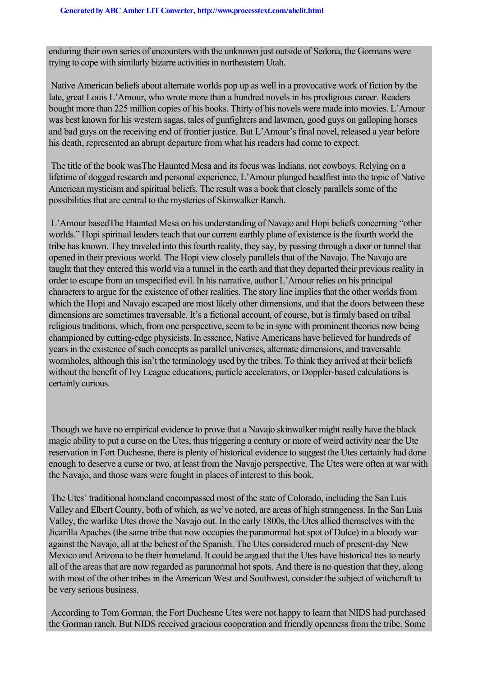enduring their own series of encounters with the unknown just outside of Sedona, the Gormans were trying to cope with similarly bizarre activities in northeastern Utah.

 Native American beliefs about alternate worlds pop up as well in a provocative work of fiction by the late, great Louis L'Amour, who wrote more than a hundred novels in his prodigious career. Readers bought more than 225 million copies of his books. Thirty of his novels were made into movies. L'Amour was best known for his western sagas, tales of gunfighters and lawmen, good guys on galloping horses and bad guys on the receiving end of frontier justice. But L'Amour's final novel, released a year before his death, represented an abrupt departure from what his readers had come to expect.

 The title of the book wasThe Haunted Mesa and its focus was Indians, not cowboys. Relying on a lifetime of dogged research and personal experience, L'Amour plunged headfirst into the topic of Native American mysticism and spiritual beliefs. The result was a book that closely parallels some of the possibilities that are central to the mysteries of Skinwalker Ranch.

 L'Amour basedThe Haunted Mesa on his understanding of Navajo and Hopi beliefs concerning "other worlds." Hopi spiritual leaders teach that our current earthly plane of existence is the fourth world the tribe has known. They traveled into this fourth reality, they say, by passing through a door or tunnel that opened in their previous world. The Hopi view closely parallels that of the Navajo. The Navajo are taught that they entered this world via a tunnel in the earth and that they departed their previous reality in order to escape from an unspecified evil. In his narrative, author L'Amour relies on his principal characters to argue for the existence of other realities. The story line implies that the other worlds from which the Hopi and Navajo escaped are most likely other dimensions, and that the doors between these dimensions are sometimes traversable. It's a fictional account, of course, but is firmly based on tribal religious traditions, which, from one perspective, seem to be in sync with prominent theories now being championed by cutting-edge physicists. In essence, Native Americans have believed for hundreds of years in the existence of such concepts as parallel universes, alternate dimensions, and traversable wormholes, although this isn't the terminology used by the tribes. To think they arrived at their beliefs without the benefit of Ivy League educations, particle accelerators, or Doppler-based calculations is certainly curious.

 Though we have no empirical evidence to prove that a Navajo skinwalker might really have the black magic ability to put a curse on the Utes, thus triggering a century or more of weird activity near the Ute reservation in Fort Duchesne, there is plenty of historical evidence to suggest the Utes certainly had done enough to deserve a curse or two, at least from the Navajo perspective. The Utes were often at war with the Navajo, and those wars were fought in places of interest to this book.

 The Utes' traditional homeland encompassed most of the state of Colorado, including the San Luis Valley and Elbert County, both of which, as we've noted, are areas of high strangeness. In the San Luis Valley, the warlike Utes drove the Navajo out. In the early 1800s, the Utes allied themselves with the Jicarilla Apaches (the same tribe that now occupies the paranormal hot spot of Dulce) in a bloody war against the Navajo, all at the behest of the Spanish. The Utes considered much of present-day New Mexico and Arizona to be their homeland. It could be argued that the Utes have historical ties to nearly all of the areas that are now regarded as paranormal hot spots. And there is no question that they, along with most of the other tribes in the American West and Southwest, consider the subject of witchcraft to be very serious business.

 According to Tom Gorman, the Fort Duchesne Utes were not happy to learn that NIDS had purchased the Gorman ranch. But NIDS received gracious cooperation and friendly openness from the tribe. Some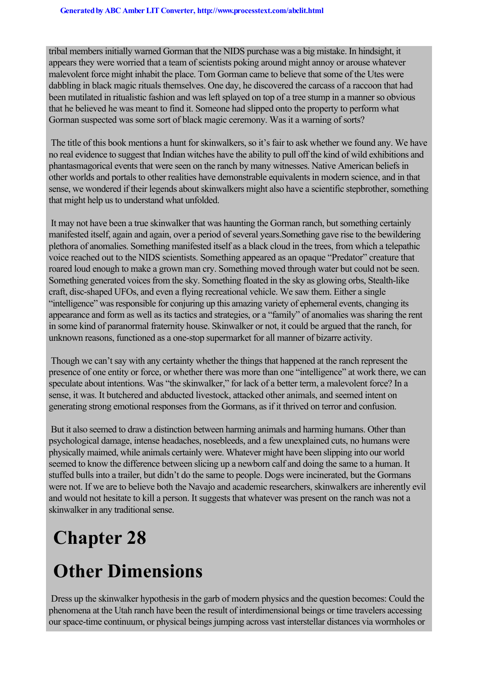tribal members initially warned Gorman that the NIDS purchase was a big mistake. In hindsight, it appears they were worried that a team of scientists poking around might annoy or arouse whatever malevolent force might inhabit the place. Tom Gorman came to believe that some of the Utes were dabbling in black magic rituals themselves. One day, he discovered the carcass of a raccoon that had been mutilated in ritualistic fashion and was left splayed on top of a tree stump in a manner so obvious that he believed he was meant to find it. Someone had slipped onto the property to perform what Gorman suspected was some sort of black magic ceremony. Was it a warning of sorts?

 The title of this book mentions a hunt for skinwalkers, so it's fair to ask whether we found any. We have no real evidence to suggest that Indian witches have the ability to pull off the kind of wild exhibitions and phantasmagorical events that were seen on the ranch by many witnesses. Native American beliefs in other worlds and portals to other realities have demonstrable equivalents in modern science, and in that sense, we wondered if their legends about skinwalkers might also have a scientific stepbrother, something that might help us to understand what unfolded.

 It may not have been a true skinwalker that was haunting the Gorman ranch, but something certainly manifested itself, again and again, over a period of several years.Something gave rise to the bewildering plethora of anomalies. Something manifested itself as a black cloud in the trees, from which a telepathic voice reached out to the NIDS scientists. Something appeared as an opaque "Predator" creature that roared loud enough to make a grown man cry. Something moved through water but could not be seen. Something generated voices from the sky. Something floated in the sky as glowing orbs, Stealth-like craft, disc-shaped UFOs, and even a flying recreational vehicle. We saw them. Either a single "intelligence" was responsible for conjuring up this amazing variety of ephemeral events, changing its appearance and form as well as its tactics and strategies, or a "family" of anomalies was sharing the rent in some kind of paranormal fraternity house. Skinwalker or not, it could be argued that the ranch, for unknown reasons, functioned as a one-stop supermarket for all manner of bizarre activity.

 Though we can't say with any certainty whether the things that happened at the ranch represent the presence of one entity or force, or whether there was more than one "intelligence" at work there, we can speculate about intentions. Was "the skinwalker," for lack of a better term, a malevolent force? In a sense, it was. It butchered and abducted livestock, attacked other animals, and seemed intent on generating strong emotional responses from the Gormans, as if it thrived on terror and confusion.

 But it also seemed to draw a distinction between harming animals and harming humans. Other than psychological damage, intense headaches, nosebleeds, and a few unexplained cuts, no humans were physically maimed, while animals certainly were. Whatever might have been slipping into our world seemed to know the difference between slicing up a newborn calf and doing the same to a human. It stuffed bulls into a trailer, but didn't do the same to people. Dogs were incinerated, but the Gormans were not. If we are to believe both the Navajo and academic researchers, skinwalkers are inherently evil and would not hesitate to kill a person. It suggests that whatever was present on the ranch was not a skinwalker in any traditional sense.

# **Chapter 28**

# **Other Dimensions**

 Dress up the skinwalker hypothesis in the garb of modern physics and the question becomes: Could the phenomena at the Utah ranch have been the result of interdimensional beings or time travelers accessing our space-time continuum, or physical beings jumping across vast interstellar distances via wormholes or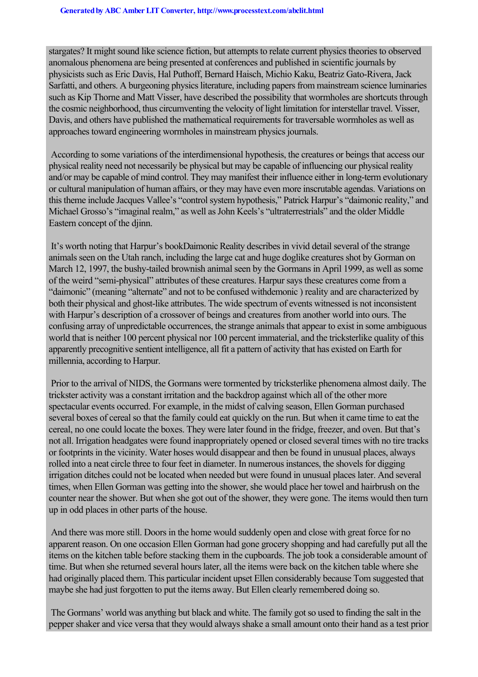stargates? It might sound like science fiction, but attempts to relate current physics theories to observed anomalous phenomena are being presented at conferences and published in scientific journals by physicists such as Eric Davis, Hal Puthoff, Bernard Haisch, Michio Kaku, Beatriz Gato-Rivera, Jack Sarfatti, and others. A burgeoning physics literature, including papers from mainstream science luminaries such as Kip Thorne and Matt Visser, have described the possibility that wormholes are shortcuts through the cosmic neighborhood, thus circumventing the velocity of light limitation for interstellar travel. Visser, Davis, and others have published the mathematical requirements for traversable wormholes as well as approaches toward engineering wormholes in mainstream physics journals.

 According to some variations of the interdimensional hypothesis, the creatures or beings that access our physical reality need not necessarily be physical but may be capable of influencing our physical reality and/or may be capable of mind control. They may manifest their influence either in long-term evolutionary or cultural manipulation of human affairs, or they may have even more inscrutable agendas. Variations on this theme include Jacques Vallee's "control system hypothesis," Patrick Harpur's "daimonic reality," and Michael Grosso's "imaginal realm," as well as John Keels's "ultraterrestrials" and the older Middle Eastern concept of the djinn.

 It's worth noting that Harpur's bookDaimonic Reality describes in vivid detail several of the strange animals seen on the Utah ranch, including the large cat and huge doglike creatures shot by Gorman on March 12, 1997, the bushy-tailed brownish animal seen by the Gormans in April 1999, as well as some of the weird "semi-physical" attributes of these creatures. Harpur says these creatures come from a "daimonic" (meaning "alternate" and not to be confused withdemonic ) reality and are characterized by both their physical and ghost-like attributes. The wide spectrum of events witnessed is not inconsistent with Harpur's description of a crossover of beings and creatures from another world into ours. The confusing array of unpredictable occurrences, the strange animals that appear to exist in some ambiguous world that is neither 100 percent physical nor 100 percent immaterial, and the tricksterlike quality of this apparently precognitive sentient intelligence, all fit a pattern of activity that has existed on Earth for millennia, according to Harpur.

 Prior to the arrival of NIDS, the Gormans were tormented by tricksterlike phenomena almost daily. The trickster activity was a constant irritation and the backdrop against which all of the other more spectacular events occurred. For example, in the midst of calving season, Ellen Gorman purchased several boxes of cereal so that the family could eat quickly on the run. But when it came time to eat the cereal, no one could locate the boxes. They were later found in the fridge, freezer, and oven. But that's not all. Irrigation headgates were found inappropriately opened or closed several times with no tire tracks or footprints in the vicinity. Water hoses would disappear and then be found in unusual places, always rolled into a neat circle three to four feet in diameter. In numerous instances, the shovels for digging irrigation ditches could not be located when needed but were found in unusual places later. And several times, when Ellen Gorman was getting into the shower, she would place her towel and hairbrush on the counter near the shower. But when she got out of the shower, they were gone. The items would then turn up in odd places in other parts of the house.

 And there was more still. Doors in the home would suddenly open and close with great force for no apparent reason. On one occasion Ellen Gorman had gone grocery shopping and had carefully put all the items on the kitchen table before stacking them in the cupboards. The job took a considerable amount of time. But when she returned several hours later, all the items were back on the kitchen table where she had originally placed them. This particular incident upset Ellen considerably because Tom suggested that maybe she had just forgotten to put the items away. But Ellen clearly remembered doing so.

 The Gormans' world was anything but black and white. The family got so used to finding the salt in the pepper shaker and vice versa that they would always shake a small amount onto their hand as a test prior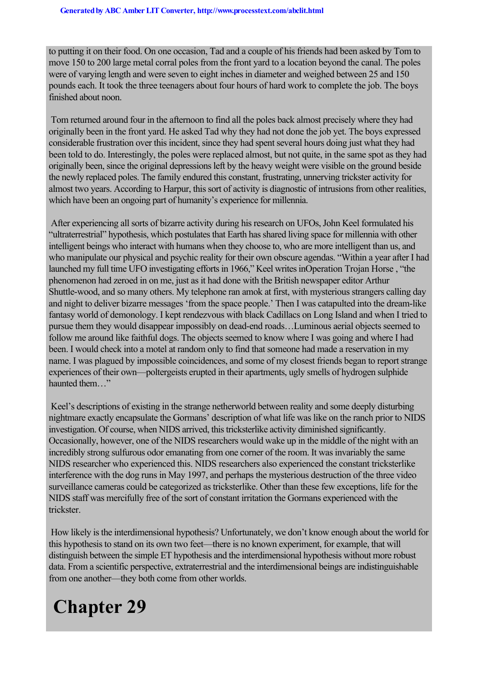to putting it on their food. On one occasion, Tad and a couple of his friends had been asked by Tom to move 150 to 200 large metal corral poles from the front yard to a location beyond the canal. The poles were of varying length and were seven to eight inches in diameter and weighed between 25 and 150 pounds each. It took the three teenagers about four hours of hard work to complete the job. The boys finished about noon.

 Tom returned around four in the afternoon to find all the poles back almost precisely where they had originally been in the front yard. He asked Tad why they had not done the job yet. The boys expressed considerable frustration over this incident, since they had spent several hours doing just what they had been told to do. Interestingly, the poles were replaced almost, but not quite, in the same spot as they had originally been, since the original depressions left by the heavy weight were visible on the ground beside the newly replaced poles. The family endured this constant, frustrating, unnerving trickster activity for almost two years. According to Harpur, this sort of activity is diagnostic of intrusions from other realities, which have been an ongoing part of humanity's experience for millennia.

 After experiencing all sorts of bizarre activity during his research on UFOs, John Keel formulated his "ultraterrestrial" hypothesis, which postulates that Earth has shared living space for millennia with other intelligent beings who interact with humans when they choose to, who are more intelligent than us, and who manipulate our physical and psychic reality for their own obscure agendas. "Within a year after I had launched my full time UFO investigating efforts in 1966," Keel writes inOperation Trojan Horse , "the phenomenon had zeroed in on me, just as it had done with the British newspaper editor Arthur Shuttle-wood, and so many others. My telephone ran amok at first, with mysterious strangers calling day and night to deliver bizarre messages 'from the space people.' Then I was catapulted into the dream-like fantasy world of demonology. I kept rendezvous with black Cadillacs on Long Island and when I tried to pursue them they would disappear impossibly on dead-end roads…Luminous aerial objects seemed to follow me around like faithful dogs. The objects seemed to know where I was going and where I had been. I would check into a motel at random only to find that someone had made a reservation in my name. I was plagued by impossible coincidences, and some of my closest friends began to report strange experiences of their own—poltergeists erupted in their apartments, ugly smells of hydrogen sulphide haunted them "

 Keel's descriptions of existing in the strange netherworld between reality and some deeply disturbing nightmare exactly encapsulate the Gormans' description of what life was like on the ranch prior to NIDS investigation. Of course, when NIDS arrived, this tricksterlike activity diminished significantly. Occasionally, however, one of the NIDS researchers would wake up in the middle of the night with an incredibly strong sulfurous odor emanating from one corner of the room. It was invariably the same NIDS researcher who experienced this. NIDS researchers also experienced the constant tricksterlike interference with the dog runs in May 1997, and perhaps the mysterious destruction of the three video surveillance cameras could be categorized as tricksterlike. Other than these few exceptions, life for the NIDS staff was mercifully free of the sort of constant irritation the Gormans experienced with the trickster.

 How likely is the interdimensional hypothesis? Unfortunately, we don't know enough about the world for this hypothesis to stand on its own two feet—there is no known experiment, for example, that will distinguish between the simple ET hypothesis and the interdimensional hypothesis without more robust data. From a scientific perspective, extraterrestrial and the interdimensional beings are indistinguishable from one another—they both come from other worlds.

# **Chapter 29**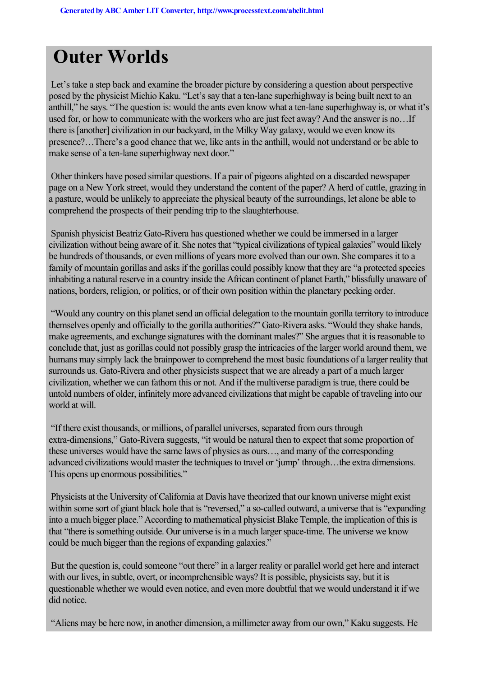# **Outer Worlds**

Let's take a step back and examine the broader picture by considering a question about perspective posed by the physicist Michio Kaku. "Let's say that a ten-lane superhighway is being built next to an anthill," he says. "The question is: would the ants even know what a ten-lane superhighway is, or what it's used for, or how to communicate with the workers who are just feet away? And the answer is no…If there is [another] civilization in our backyard, in the Milky Way galaxy, would we even know its presence?…There's a good chance that we, like ants in the anthill, would not understand or be able to make sense of a ten-lane superhighway next door."

 Other thinkers have posed similar questions. If a pair of pigeons alighted on a discarded newspaper page on a New York street, would they understand the content of the paper? A herd of cattle, grazing in a pasture, would be unlikely to appreciate the physical beauty of the surroundings, let alone be able to comprehend the prospects of their pending trip to the slaughterhouse.

 Spanish physicist Beatriz Gato-Rivera has questioned whether we could be immersed in a larger civilization without being aware of it. She notes that "typical civilizations of typical galaxies" would likely be hundreds of thousands, or even millions of years more evolved than our own. She compares it to a family of mountain gorillas and asks if the gorillas could possibly know that they are "a protected species inhabiting a natural reserve in a country inside the African continent of planet Earth," blissfully unaware of nations, borders, religion, or politics, or of their own position within the planetary pecking order.

 "Would any country on this planet send an official delegation to the mountain gorilla territory to introduce themselves openly and officially to the gorilla authorities?" Gato-Rivera asks. "Would they shake hands, make agreements, and exchange signatures with the dominant males?" She argues that it is reasonable to conclude that, just as gorillas could not possibly grasp the intricacies of the larger world around them, we humans may simply lack the brainpower to comprehend the most basic foundations of a larger reality that surrounds us. Gato-Rivera and other physicists suspect that we are already a part of a much larger civilization, whether we can fathom this or not. And if the multiverse paradigm is true, there could be untold numbers of older, infinitely more advanced civilizations that might be capable of traveling into our world at will.

 "If there exist thousands, or millions, of parallel universes, separated from ours through extra-dimensions," Gato-Rivera suggests, "it would be natural then to expect that some proportion of these universes would have the same laws of physics as ours…, and many of the corresponding advanced civilizations would master the techniques to travel or 'jump' through…the extra dimensions. This opens up enormous possibilities."

 Physicists at the University of California at Davis have theorized that our known universe might exist within some sort of giant black hole that is "reversed," a so-called outward, a universe that is "expanding" into a much bigger place." According to mathematical physicist Blake Temple, the implication of this is that "there is something outside. Our universe is in a much larger space-time. The universe we know could be much bigger than the regions of expanding galaxies."

 But the question is, could someone "out there" in a larger reality or parallel world get here and interact with our lives, in subtle, overt, or incomprehensible ways? It is possible, physicists say, but it is questionable whether we would even notice, and even more doubtful that we would understand it if we did notice.

"Aliens may be here now, in another dimension, a millimeter away from our own," Kaku suggests. He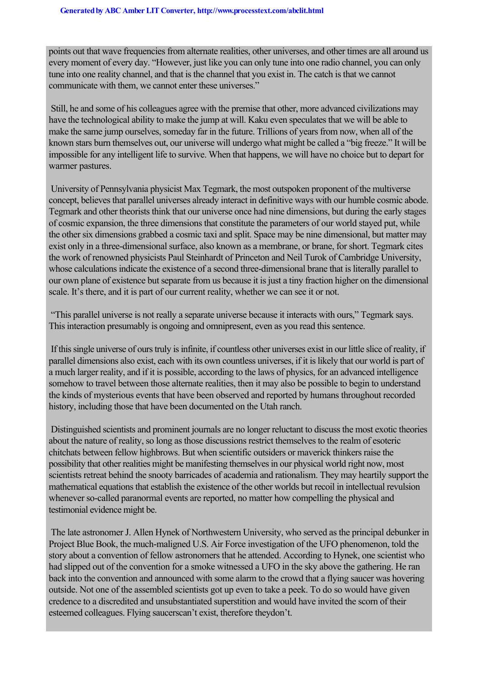points out that wave frequencies from alternate realities, other universes, and other times are all around us every moment of every day. "However, just like you can only tune into one radio channel, you can only tune into one reality channel, and that is the channel that you exist in. The catch is that we cannot communicate with them, we cannot enter these universes."

 Still, he and some of his colleagues agree with the premise that other, more advanced civilizations may have the technological ability to make the jump at will. Kaku even speculates that we will be able to make the same jump ourselves, someday far in the future. Trillions of years from now, when all of the known stars burn themselves out, our universe will undergo what might be called a "big freeze." It will be impossible for any intelligent life to survive. When that happens, we will have no choice but to depart for warmer pastures.

 University of Pennsylvania physicist Max Tegmark, the most outspoken proponent of the multiverse concept, believes that parallel universes already interact in definitive ways with our humble cosmic abode. Tegmark and other theorists think that our universe once had nine dimensions, but during the early stages of cosmic expansion, the three dimensions that constitute the parameters of our world stayed put, while the other six dimensions grabbed a cosmic taxi and split. Space may be nine dimensional, but matter may exist only in a three-dimensional surface, also known as a membrane, or brane, for short. Tegmark cites the work of renowned physicists Paul Steinhardt of Princeton and Neil Turok of Cambridge University, whose calculations indicate the existence of a second three-dimensional brane that is literally parallel to our own plane of existence but separate from us because it is just a tiny fraction higher on the dimensional scale. It's there, and it is part of our current reality, whether we can see it or not.

 "This parallel universe is not really a separate universe because it interacts with ours," Tegmark says. This interaction presumably is ongoing and omnipresent, even as you read this sentence.

 If this single universe of ours truly is infinite, if countless other universes exist in our little slice of reality, if parallel dimensions also exist, each with its own countless universes, if it is likely that our world is part of a much larger reality, and if it is possible, according to the laws of physics, for an advanced intelligence somehow to travel between those alternate realities, then it may also be possible to begin to understand the kinds of mysterious events that have been observed and reported by humans throughout recorded history, including those that have been documented on the Utah ranch.

 Distinguished scientists and prominent journals are no longer reluctant to discuss the most exotic theories about the nature of reality, so long as those discussions restrict themselves to the realm of esoteric chitchats between fellow highbrows. But when scientific outsiders or maverick thinkers raise the possibility that other realities might be manifesting themselves in our physical world right now, most scientists retreat behind the snooty barricades of academia and rationalism. They may heartily support the mathematical equations that establish the existence of the other worlds but recoil in intellectual revulsion whenever so-called paranormal events are reported, no matter how compelling the physical and testimonial evidence might be.

 The late astronomer J. Allen Hynek of Northwestern University, who served as the principal debunker in Project Blue Book, the much-maligned U.S. Air Force investigation of the UFO phenomenon, told the story about a convention of fellow astronomers that he attended. According to Hynek, one scientist who had slipped out of the convention for a smoke witnessed a UFO in the sky above the gathering. He ran back into the convention and announced with some alarm to the crowd that a flying saucer was hovering outside. Not one of the assembled scientists got up even to take a peek. To do so would have given credence to a discredited and unsubstantiated superstition and would have invited the scorn of their esteemed colleagues. Flying saucerscan't exist, therefore theydon't.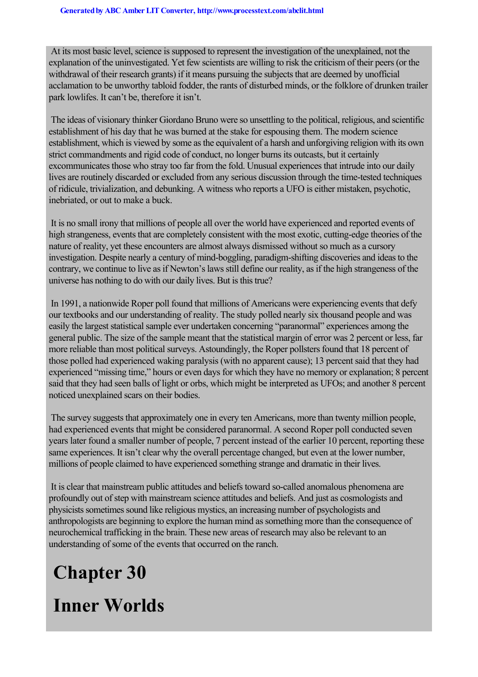At its most basic level, science is supposed to represent the investigation of the unexplained, not the explanation of the uninvestigated. Yet few scientists are willing to risk the criticism of their peers (or the withdrawal of their research grants) if it means pursuing the subjects that are deemed by unofficial acclamation to be unworthy tabloid fodder, the rants of disturbed minds, or the folklore of drunken trailer park lowlifes. It can't be, therefore it isn't.

 The ideas of visionary thinker Giordano Bruno were so unsettling to the political, religious, and scientific establishment of his day that he was burned at the stake for espousing them. The modern science establishment, which is viewed by some as the equivalent of a harsh and unforgiving religion with its own strict commandments and rigid code of conduct, no longer burns its outcasts, but it certainly excommunicates those who stray too far from the fold. Unusual experiences that intrude into our daily lives are routinely discarded or excluded from any serious discussion through the time-tested techniques of ridicule, trivialization, and debunking. A witness who reports a UFO is either mistaken, psychotic, inebriated, or out to make a buck.

 It is no small irony that millions of people all over the world have experienced and reported events of high strangeness, events that are completely consistent with the most exotic, cutting-edge theories of the nature of reality, yet these encounters are almost always dismissed without so much as a cursory investigation. Despite nearly a century of mind-boggling, paradigm-shifting discoveries and ideas to the contrary, we continue to live as if Newton's laws still define our reality, as if the high strangeness of the universe has nothing to do with our daily lives. But is this true?

 In 1991, a nationwide Roper poll found that millions of Americans were experiencing events that defy our textbooks and our understanding of reality. The study polled nearly six thousand people and was easily the largest statistical sample ever undertaken concerning "paranormal" experiences among the general public. The size of the sample meant that the statistical margin of error was 2 percent or less, far more reliable than most political surveys. Astoundingly, the Roper pollsters found that 18 percent of those polled had experienced waking paralysis (with no apparent cause); 13 percent said that they had experienced "missing time," hours or even days for which they have no memory or explanation; 8 percent said that they had seen balls of light or orbs, which might be interpreted as UFOs; and another 8 percent noticed unexplained scars on their bodies.

 The survey suggests that approximately one in every ten Americans, more than twenty million people, had experienced events that might be considered paranormal. A second Roper poll conducted seven years later found a smaller number of people, 7 percent instead of the earlier 10 percent, reporting these same experiences. It isn't clear why the overall percentage changed, but even at the lower number, millions of people claimed to have experienced something strange and dramatic in their lives.

 It is clear that mainstream public attitudes and beliefs toward so-called anomalous phenomena are profoundly out of step with mainstream science attitudes and beliefs. And just as cosmologists and physicists sometimes sound like religious mystics, an increasing number of psychologists and anthropologists are beginning to explore the human mind as something more than the consequence of neurochemical trafficking in the brain. These new areas of research may also be relevant to an understanding of some of the events that occurred on the ranch.

# **Chapter 30 Inner Worlds**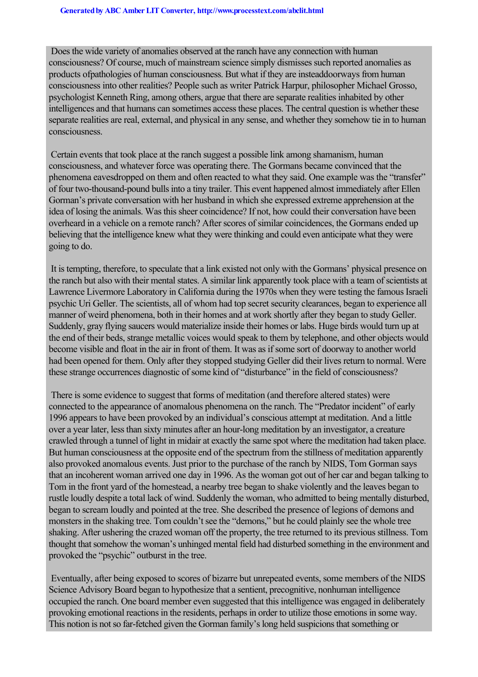Does the wide variety of anomalies observed at the ranch have any connection with human consciousness? Of course, much of mainstream science simply dismisses such reported anomalies as products ofpathologies of human consciousness. But what if they are insteaddoorways from human consciousness into other realities? People such as writer Patrick Harpur, philosopher Michael Grosso, psychologist Kenneth Ring, among others, argue that there are separate realities inhabited by other intelligences and that humans can sometimes access these places. The central question is whether these separate realities are real, external, and physical in any sense, and whether they somehow tie in to human consciousness.

 Certain events that took place at the ranch suggest a possible link among shamanism, human consciousness, and whatever force was operating there. The Gormans became convinced that the phenomena eavesdropped on them and often reacted to what they said. One example was the "transfer" of four two-thousand-pound bulls into a tiny trailer. This event happened almost immediately after Ellen Gorman's private conversation with her husband in which she expressed extreme apprehension at the idea of losing the animals. Was this sheer coincidence? If not, how could their conversation have been overheard in a vehicle on a remote ranch? After scores of similar coincidences, the Gormans ended up believing that the intelligence knew what they were thinking and could even anticipate what they were going to do.

 It is tempting, therefore, to speculate that a link existed not only with the Gormans' physical presence on the ranch but also with their mental states. A similar link apparently took place with a team of scientists at Lawrence Livermore Laboratory in California during the 1970s when they were testing the famous Israeli psychic Uri Geller. The scientists, all of whom had top secret security clearances, began to experience all manner of weird phenomena, both in their homes and at work shortly after they began to study Geller. Suddenly, gray flying saucers would materialize inside their homes or labs. Huge birds would turn up at the end of their beds, strange metallic voices would speak to them by telephone, and other objects would become visible and float in the air in front of them. It was as if some sort of doorway to another world had been opened for them. Only after they stopped studying Geller did their lives return to normal. Were these strange occurrences diagnostic of some kind of "disturbance" in the field of consciousness?

 There is some evidence to suggest that forms of meditation (and therefore altered states) were connected to the appearance of anomalous phenomena on the ranch. The "Predator incident" of early 1996 appears to have been provoked by an individual's conscious attempt at meditation. And a little over a year later, less than sixty minutes after an hour-long meditation by an investigator, a creature crawled through a tunnel of light in midair at exactly the same spot where the meditation had taken place. But human consciousness at the opposite end of the spectrum from the stillness of meditation apparently also provoked anomalous events. Just prior to the purchase of the ranch by NIDS, Tom Gorman says that an incoherent woman arrived one day in 1996. As the woman got out of her car and began talking to Tom in the front yard of the homestead, a nearby tree began to shake violently and the leaves began to rustle loudly despite a total lack of wind. Suddenly the woman, who admitted to being mentally disturbed, began to scream loudly and pointed at the tree. She described the presence of legions of demons and monsters in the shaking tree. Tom couldn't see the "demons," but he could plainly see the whole tree shaking. After ushering the crazed woman off the property, the tree returned to its previous stillness. Tom thought that somehow the woman's unhinged mental field had disturbed something in the environment and provoked the "psychic" outburst in the tree.

 Eventually, after being exposed to scores of bizarre but unrepeated events, some members of the NIDS Science Advisory Board began to hypothesize that a sentient, precognitive, nonhuman intelligence occupied the ranch. One board member even suggested that this intelligence was engaged in deliberately provoking emotional reactions in the residents, perhaps in order to utilize those emotions in some way. This notion is not so far-fetched given the Gorman family's long held suspicions that something or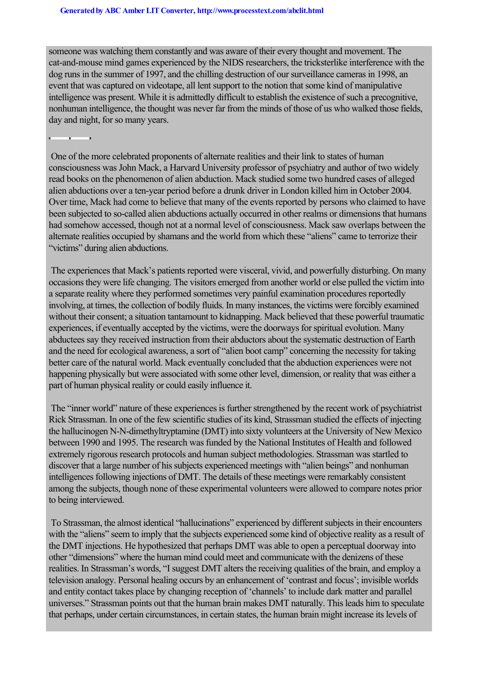someone was watching them constantly and was aware of their every thought and movement. The cat-and-mouse mind games experienced by the NIDS researchers, the tricksterlike interference with the dog runs in the summer of 1997, and the chilling destruction of our surveillance cameras in 1998, an event that was captured on videotape, all lent support to the notion that some kind of manipulative intelligence was present. While it is admittedly difficult to establish the existence of such a precognitive, nonhuman intelligence, the thought was never far from the minds of those of us who walked those fields, day and night, for so many years.

 One of the more celebrated proponents of alternate realities and their link to states of human consciousness was John Mack, a Harvard University professor of psychiatry and author of two widely read books on the phenomenon of alien abduction. Mack studied some two hundred cases of alleged alien abductions over a ten-year period before a drunk driver in London killed him in October 2004. Over time, Mack had come to believe that many of the events reported by persons who claimed to have been subjected to so-called alien abductions actually occurred in other realms or dimensions that humans had somehow accessed, though not at a normal level of consciousness. Mack saw overlaps between the alternate realities occupied by shamans and the world from which these "aliens" came to terrorize their "victims" during alien abductions.

 The experiences that Mack's patients reported were visceral, vivid, and powerfully disturbing. On many occasions they were life changing. The visitors emerged from another world or else pulled the victim into a separate reality where they performed sometimes very painful examination procedures reportedly involving, at times, the collection of bodily fluids. In many instances, the victims were forcibly examined without their consent; a situation tantamount to kidnapping. Mack believed that these powerful traumatic experiences, if eventually accepted by the victims, were the doorways for spiritual evolution. Many abductees say they received instruction from their abductors about the systematic destruction of Earth and the need for ecological awareness, a sort of "alien boot camp" concerning the necessity for taking better care of the natural world. Mack eventually concluded that the abduction experiences were not happening physically but were associated with some other level, dimension, or reality that was either a part of human physical reality or could easily influence it.

 The "inner world" nature of these experiences is further strengthened by the recent work of psychiatrist Rick Strassman. In one of the few scientific studies of its kind, Strassman studied the effects of injecting the hallucinogen N-N-dimethyltryptamine (DMT) into sixty volunteers at the University of New Mexico between 1990 and 1995. The research was funded by the National Institutes of Health and followed extremely rigorous research protocols and human subject methodologies. Strassman was startled to discover that a large number of his subjects experienced meetings with "alien beings" and nonhuman intelligences following injections of DMT. The details of these meetings were remarkably consistent among the subjects, though none of these experimental volunteers were allowed to compare notes prior to being interviewed.

 To Strassman, the almost identical "hallucinations" experienced by different subjects in their encounters with the "aliens" seem to imply that the subjects experienced some kind of objective reality as a result of the DMT injections. He hypothesized that perhaps DMT was able to open a perceptual doorway into other "dimensions" where the human mind could meet and communicate with the denizens of these realities. In Strassman's words, "I suggest DMT alters the receiving qualities of the brain, and employ a television analogy. Personal healing occurs by an enhancement of 'contrast and focus'; invisible worlds and entity contact takes place by changing reception of 'channels' to include dark matter and parallel universes." Strassman points out that the human brain makes DMT naturally. This leads him to speculate that perhaps, under certain circumstances, in certain states, the human brain might increase its levels of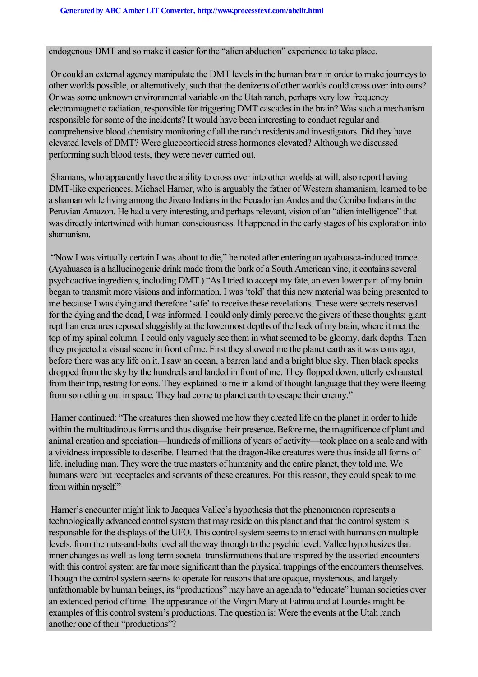endogenous DMT and so make it easier for the "alien abduction" experience to take place.

 Or could an external agency manipulate the DMT levels in the human brain in order to make journeys to other worlds possible, or alternatively, such that the denizens of other worlds could cross over into ours? Or was some unknown environmental variable on the Utah ranch, perhaps very low frequency electromagnetic radiation, responsible for triggering DMT cascades in the brain? Was such a mechanism responsible for some of the incidents? It would have been interesting to conduct regular and comprehensive blood chemistry monitoring of all the ranch residents and investigators. Did they have elevated levels of DMT? Were glucocorticoid stress hormones elevated? Although we discussed performing such blood tests, they were never carried out.

 Shamans, who apparently have the ability to cross over into other worlds at will, also report having DMT-like experiences. Michael Harner, who is arguably the father of Western shamanism, learned to be a shaman while living among the Jivaro Indians in the Ecuadorian Andes and the Conibo Indians in the Peruvian Amazon. He had a very interesting, and perhaps relevant, vision of an "alien intelligence" that was directly intertwined with human consciousness. It happened in the early stages of his exploration into shamanism.

 "Now I was virtually certain I was about to die," he noted after entering an ayahuasca-induced trance. (Ayahuasca is a hallucinogenic drink made from the bark of a South American vine; it contains several psychoactive ingredients, including DMT.) "As I tried to accept my fate, an even lower part of my brain began to transmit more visions and information. I was 'told' that this new material was being presented to me because I was dying and therefore 'safe' to receive these revelations. These were secrets reserved for the dying and the dead, I was informed. I could only dimly perceive the givers of these thoughts: giant reptilian creatures reposed sluggishly at the lowermost depths of the back of my brain, where it met the top of my spinal column. I could only vaguely see them in what seemed to be gloomy, dark depths. Then they projected a visual scene in front of me. First they showed me the planet earth as it was eons ago, before there was any life on it. I saw an ocean, a barren land and a bright blue sky. Then black specks dropped from the sky by the hundreds and landed in front of me. They flopped down, utterly exhausted from their trip, resting for eons. They explained to me in a kind of thought language that they were fleeing from something out in space. They had come to planet earth to escape their enemy."

 Harner continued: "The creatures then showed me how they created life on the planet in order to hide within the multitudinous forms and thus disguise their presence. Before me, the magnificence of plant and animal creation and speciation—hundreds of millions of years of activity—took place on a scale and with a vividness impossible to describe. I learned that the dragon-like creatures were thus inside all forms of life, including man. They were the true masters of humanity and the entire planet, they told me. We humans were but receptacles and servants of these creatures. For this reason, they could speak to me from within myself."

 Harner's encounter might link to Jacques Vallee's hypothesis that the phenomenon represents a technologically advanced control system that may reside on this planet and that the control system is responsible for the displays of the UFO. This control system seems to interact with humans on multiple levels, from the nuts-and-bolts level all the way through to the psychic level. Vallee hypothesizes that inner changes as well as long-term societal transformations that are inspired by the assorted encounters with this control system are far more significant than the physical trappings of the encounters themselves. Though the control system seems to operate for reasons that are opaque, mysterious, and largely unfathomable by human beings, its "productions" may have an agenda to "educate" human societies over an extended period of time. The appearance of the Virgin Mary at Fatima and at Lourdes might be examples of this control system's productions. The question is: Were the events at the Utah ranch another one of their "productions"?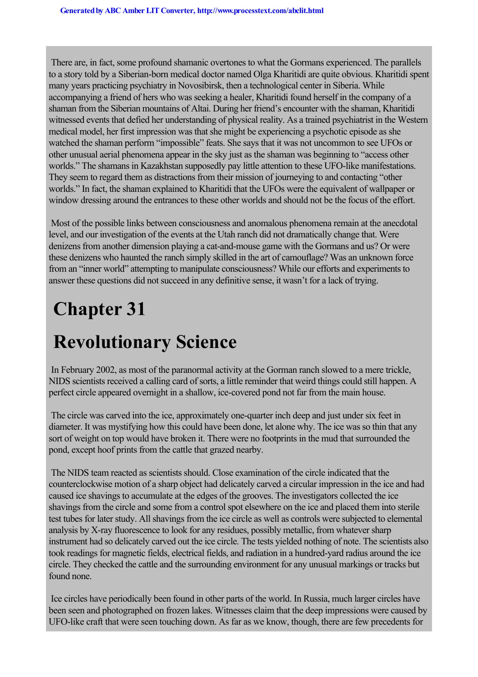There are, in fact, some profound shamanic overtones to what the Gormans experienced. The parallels to a story told by a Siberian-born medical doctor named Olga Kharitidi are quite obvious. Kharitidi spent many years practicing psychiatry in Novosibirsk, then a technological center in Siberia. While accompanying a friend of hers who was seeking a healer, Kharitidi found herself in the company of a shaman from the Siberian mountains of Altai. During her friend's encounter with the shaman, Kharitidi witnessed events that defied her understanding of physical reality. As a trained psychiatrist in the Western medical model, her first impression was that she might be experiencing a psychotic episode as she watched the shaman perform "impossible" feats. She says that it was not uncommon to see UFOs or other unusual aerial phenomena appear in the sky just as the shaman was beginning to "access other worlds." The shamans in Kazakhstan supposedly pay little attention to these UFO-like manifestations. They seem to regard them as distractions from their mission of journeying to and contacting "other worlds." In fact, the shaman explained to Kharitidi that the UFOs were the equivalent of wallpaper or window dressing around the entrances to these other worlds and should not be the focus of the effort.

 Most of the possible links between consciousness and anomalous phenomena remain at the anecdotal level, and our investigation of the events at the Utah ranch did not dramatically change that. Were denizens from another dimension playing a cat-and-mouse game with the Gormans and us? Or were these denizens who haunted the ranch simply skilled in the art of camouflage? Was an unknown force from an "inner world" attempting to manipulate consciousness? While our efforts and experiments to answer these questions did not succeed in any definitive sense, it wasn't for a lack of trying.

# **Chapter 31**

# **Revolutionary Science**

 In February 2002, as most of the paranormal activity at the Gorman ranch slowed to a mere trickle, NIDS scientists received a calling card of sorts, a little reminder that weird things could still happen. A perfect circle appeared overnight in a shallow, ice-covered pond not far from the main house.

 The circle was carved into the ice, approximately one-quarter inch deep and just under six feet in diameter. It was mystifying how this could have been done, let alone why. The ice was so thin that any sort of weight on top would have broken it. There were no footprints in the mud that surrounded the pond, except hoof prints from the cattle that grazed nearby.

 The NIDS team reacted as scientists should. Close examination of the circle indicated that the counterclockwise motion of a sharp object had delicately carved a circular impression in the ice and had caused ice shavings to accumulate at the edges of the grooves. The investigators collected the ice shavings from the circle and some from a control spot elsewhere on the ice and placed them into sterile test tubes for later study. All shavings from the ice circle as well as controls were subjected to elemental analysis by X-ray fluorescence to look for any residues, possibly metallic, from whatever sharp instrument had so delicately carved out the ice circle. The tests yielded nothing of note. The scientists also took readings for magnetic fields, electrical fields, and radiation in a hundred-yard radius around the ice circle. They checked the cattle and the surrounding environment for any unusual markings or tracks but found none.

 Ice circles have periodically been found in other parts of the world. In Russia, much larger circles have been seen and photographed on frozen lakes. Witnesses claim that the deep impressions were caused by UFO-like craft that were seen touching down. As far as we know, though, there are few precedents for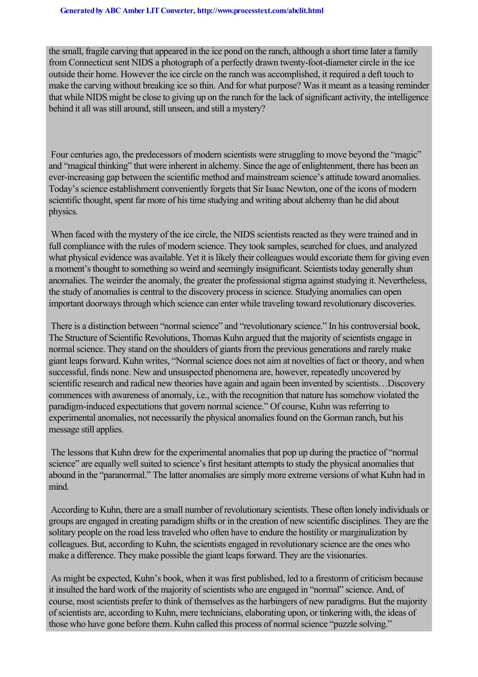the small, fragile carving that appeared in the ice pond on the ranch, although a short time later a family from Connecticut sent NIDS a photograph of a perfectly drawn twenty-foot-diameter circle in the ice outside their home. However the ice circle on the ranch was accomplished, it required a deft touch to make the carving without breaking ice so thin. And for what purpose? Was it meant as a teasing reminder that while NIDS might be close to giving up on the ranch for the lack of significant activity, the intelligence behind it all was still around, still unseen, and still a mystery?

 Four centuries ago, the predecessors of modern scientists were struggling to move beyond the "magic" and "magical thinking" that were inherent in alchemy. Since the age of enlightenment, there has been an ever-increasing gap between the scientific method and mainstream science's attitude toward anomalies. Today's science establishment conveniently forgets that Sir Isaac Newton, one of the icons of modern scientific thought, spent far more of his time studying and writing about alchemy than he did about physics.

 When faced with the mystery of the ice circle, the NIDS scientists reacted as they were trained and in full compliance with the rules of modern science. They took samples, searched for clues, and analyzed what physical evidence was available. Yet it is likely their colleagues would excoriate them for giving even a moment's thought to something so weird and seemingly insignificant. Scientists today generally shun anomalies. The weirder the anomaly, the greater the professional stigma against studying it. Nevertheless, the study of anomalies is central to the discovery process in science. Studying anomalies can open important doorways through which science can enter while traveling toward revolutionary discoveries.

 There is a distinction between "normal science" and "revolutionary science." In his controversial book, The Structure of Scientific Revolutions, Thomas Kuhn argued that the majority of scientists engage in normal science. They stand on the shoulders of giants from the previous generations and rarely make giant leaps forward. Kuhn writes, "Normal science does not aim at novelties of fact or theory, and when successful, finds none. New and unsuspected phenomena are, however, repeatedly uncovered by scientific research and radical new theories have again and again been invented by scientists…Discovery commences with awareness of anomaly, i.e., with the recognition that nature has somehow violated the paradigm-induced expectations that govern normal science." Of course, Kuhn was referring to experimental anomalies, not necessarily the physical anomalies found on the Gorman ranch, but his message still applies.

 The lessons that Kuhn drew for the experimental anomalies that pop up during the practice of "normal science" are equally well suited to science's first hesitant attempts to study the physical anomalies that abound in the "paranormal." The latter anomalies are simply more extreme versions of what Kuhn had in mind.

 According to Kuhn, there are a small number of revolutionary scientists. These often lonely individuals or groups are engaged in creating paradigm shifts or in the creation of new scientific disciplines. They are the solitary people on the road less traveled who often have to endure the hostility or marginalization by colleagues. But, according to Kuhn, the scientists engaged in revolutionary science are the ones who make a difference. They make possible the giant leaps forward. They are the visionaries.

 As might be expected, Kuhn's book, when it was first published, led to a firestorm of criticism because it insulted the hard work of the majority of scientists who are engaged in "normal" science. And, of course, most scientists prefer to think of themselves as the harbingers of new paradigms. But the majority of scientists are, according to Kuhn, mere technicians, elaborating upon, or tinkering with, the ideas of those who have gone before them. Kuhn called this process of normal science "puzzle solving."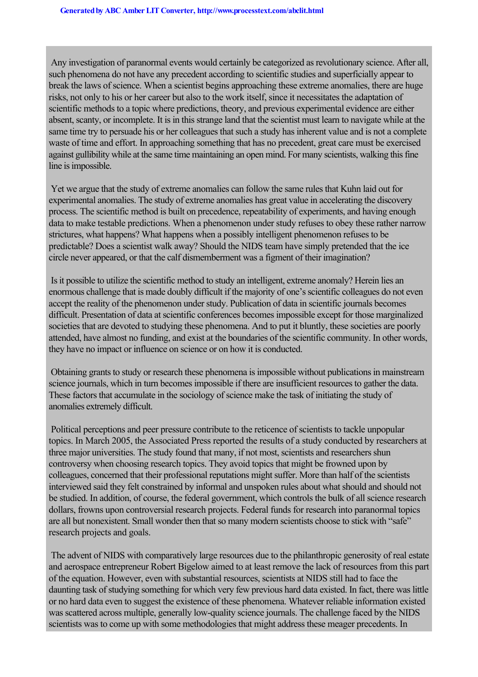Any investigation of paranormal events would certainly be categorized as revolutionary science. After all, such phenomena do not have any precedent according to scientific studies and superficially appear to break the laws of science. When a scientist begins approaching these extreme anomalies, there are huge risks, not only to his or her career but also to the work itself, since it necessitates the adaptation of scientific methods to a topic where predictions, theory, and previous experimental evidence are either absent, scanty, or incomplete. It is in this strange land that the scientist must learn to navigate while at the same time try to persuade his or her colleagues that such a study has inherent value and is not a complete waste of time and effort. In approaching something that has no precedent, great care must be exercised against gullibility while at the same time maintaining an open mind. For many scientists, walking this fine line is impossible.

 Yet we argue that the study of extreme anomalies can follow the same rules that Kuhn laid out for experimental anomalies. The study of extreme anomalies has great value in accelerating the discovery process. The scientific method is built on precedence, repeatability of experiments, and having enough data to make testable predictions. When a phenomenon under study refuses to obey these rather narrow strictures, what happens? What happens when a possibly intelligent phenomenon refuses to be predictable? Does a scientist walk away? Should the NIDS team have simply pretended that the ice circle never appeared, or that the calf dismemberment was a figment of their imagination?

 Is it possible to utilize the scientific method to study an intelligent, extreme anomaly? Herein lies an enormous challenge that is made doubly difficult if the majority of one's scientific colleagues do not even accept the reality of the phenomenon under study. Publication of data in scientific journals becomes difficult. Presentation of data at scientific conferences becomes impossible except for those marginalized societies that are devoted to studying these phenomena. And to put it bluntly, these societies are poorly attended, have almost no funding, and exist at the boundaries of the scientific community. In other words, they have no impact or influence on science or on how it is conducted.

 Obtaining grants to study or research these phenomena is impossible without publications in mainstream science journals, which in turn becomes impossible if there are insufficient resources to gather the data. These factors that accumulate in the sociology of science make the task of initiating the study of anomalies extremely difficult.

 Political perceptions and peer pressure contribute to the reticence of scientists to tackle unpopular topics. In March 2005, the Associated Press reported the results of a study conducted by researchers at three major universities. The study found that many, if not most, scientists and researchers shun controversy when choosing research topics. They avoid topics that might be frowned upon by colleagues, concerned that their professional reputations might suffer. More than half of the scientists interviewed said they felt constrained by informal and unspoken rules about what should and should not be studied. In addition, of course, the federal government, which controls the bulk of all science research dollars, frowns upon controversial research projects. Federal funds for research into paranormal topics are all but nonexistent. Small wonder then that so many modern scientists choose to stick with "safe" research projects and goals.

 The advent of NIDS with comparatively large resources due to the philanthropic generosity of real estate and aerospace entrepreneur Robert Bigelow aimed to at least remove the lack of resources from this part of the equation. However, even with substantial resources, scientists at NIDS still had to face the daunting task of studying something for which very few previous hard data existed. In fact, there was little or no hard data even to suggest the existence of these phenomena. Whatever reliable information existed was scattered across multiple, generally low-quality science journals. The challenge faced by the NIDS scientists was to come up with some methodologies that might address these meager precedents. In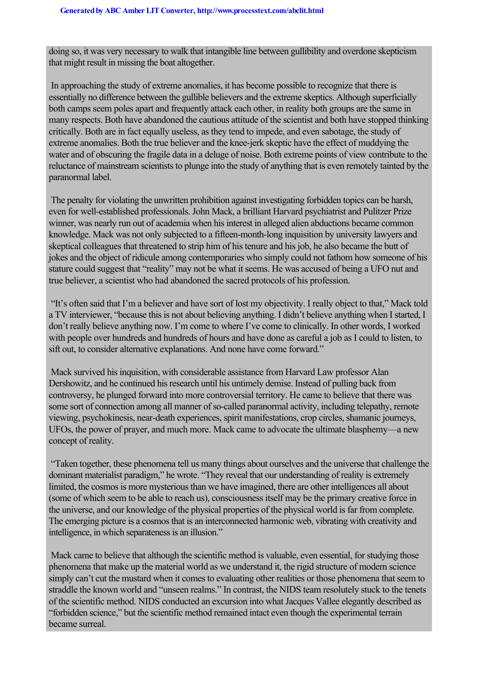doing so, it was very necessary to walk that intangible line between gullibility and overdone skepticism that might result in missing the boat altogether.

 In approaching the study of extreme anomalies, it has become possible to recognize that there is essentially no difference between the gullible believers and the extreme skeptics. Although superficially both camps seem poles apart and frequently attack each other, in reality both groups are the same in many respects. Both have abandoned the cautious attitude of the scientist and both have stopped thinking critically. Both are in fact equally useless, as they tend to impede, and even sabotage, the study of extreme anomalies. Both the true believer and the knee-jerk skeptic have the effect of muddying the water and of obscuring the fragile data in a deluge of noise. Both extreme points of view contribute to the reluctance of mainstream scientists to plunge into the study of anything that is even remotely tainted by the paranormal label.

 The penalty for violating the unwritten prohibition against investigating forbidden topics can be harsh, even for well-established professionals. John Mack, a brilliant Harvard psychiatrist and Pulitzer Prize winner, was nearly run out of academia when his interest in alleged alien abductions became common knowledge. Mack was not only subjected to a fifteen-month-long inquisition by university lawyers and skeptical colleagues that threatened to strip him of his tenure and his job, he also became the butt of jokes and the object of ridicule among contemporaries who simply could not fathom how someone of his stature could suggest that "reality" may not be what it seems. He was accused of being a UFO nut and true believer, a scientist who had abandoned the sacred protocols of his profession.

 "It's often said that I'm a believer and have sort of lost my objectivity. I really object to that," Mack told a TV interviewer, "because this is not about believing anything. I didn't believe anything when I started, I don't really believe anything now. I'm come to where I've come to clinically. In other words, I worked with people over hundreds and hundreds of hours and have done as careful a job as I could to listen, to sift out, to consider alternative explanations. And none have come forward."

 Mack survived his inquisition, with considerable assistance from Harvard Law professor Alan Dershowitz, and he continued his research until his untimely demise. Instead of pulling back from controversy, he plunged forward into more controversial territory. He came to believe that there was some sort of connection among all manner of so-called paranormal activity, including telepathy, remote viewing, psychokinesis, near-death experiences, spirit manifestations, crop circles, shamanic journeys, UFOs, the power of prayer, and much more. Mack came to advocate the ultimate blasphemy—a new concept of reality.

 "Taken together, these phenomena tell us many things about ourselves and the universe that challenge the dominant materialist paradigm," he wrote. "They reveal that our understanding of reality is extremely limited, the cosmos is more mysterious than we have imagined, there are other intelligences all about (some of which seem to be able to reach us), consciousness itself may be the primary creative force in the universe, and our knowledge of the physical properties of the physical world is far from complete. The emerging picture is a cosmos that is an interconnected harmonic web, vibrating with creativity and intelligence, in which separateness is an illusion."

 Mack came to believe that although the scientific method is valuable, even essential, for studying those phenomena that make up the material world as we understand it, the rigid structure of modern science simply can't cut the mustard when it comes to evaluating other realities or those phenomena that seem to straddle the known world and "unseen realms." In contrast, the NIDS team resolutely stuck to the tenets of the scientific method. NIDS conducted an excursion into what Jacques Vallee elegantly described as "forbidden science," but the scientific method remained intact even though the experimental terrain became surreal.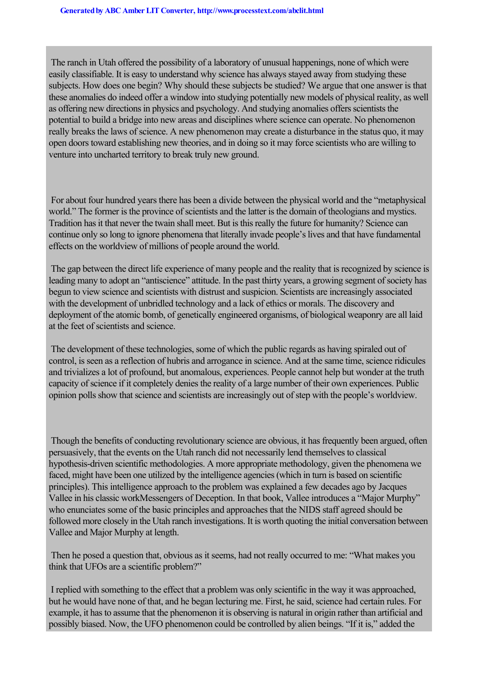The ranch in Utah offered the possibility of a laboratory of unusual happenings, none of which were easily classifiable. It is easy to understand why science has always stayed away from studying these subjects. How does one begin? Why should these subjects be studied? We argue that one answer is that these anomalies do indeed offer a window into studying potentially new models of physical reality, as well as offering new directions in physics and psychology. And studying anomalies offers scientists the potential to build a bridge into new areas and disciplines where science can operate. No phenomenon really breaks the laws of science. A new phenomenon may create a disturbance in the status quo, it may open doors toward establishing new theories, and in doing so it may force scientists who are willing to venture into uncharted territory to break truly new ground.

 For about four hundred years there has been a divide between the physical world and the "metaphysical world." The former is the province of scientists and the latter is the domain of theologians and mystics. Tradition has it that never the twain shall meet. But is this really the future for humanity? Science can continue only so long to ignore phenomena that literally invade people's lives and that have fundamental effects on the worldview of millions of people around the world.

 The gap between the direct life experience of many people and the reality that is recognized by science is leading many to adopt an "antiscience" attitude. In the past thirty years, a growing segment of society has begun to view science and scientists with distrust and suspicion. Scientists are increasingly associated with the development of unbridled technology and a lack of ethics or morals. The discovery and deployment of the atomic bomb, of genetically engineered organisms, of biological weaponry are all laid at the feet of scientists and science.

 The development of these technologies, some of which the public regards as having spiraled out of control, is seen as a reflection of hubris and arrogance in science. And at the same time, science ridicules and trivializes a lot of profound, but anomalous, experiences. People cannot help but wonder at the truth capacity of science if it completely denies the reality of a large number of their own experiences. Public opinion polls show that science and scientists are increasingly out of step with the people's worldview.

 Though the benefits of conducting revolutionary science are obvious, it has frequently been argued, often persuasively, that the events on the Utah ranch did not necessarily lend themselves to classical hypothesis-driven scientific methodologies. A more appropriate methodology, given the phenomena we faced, might have been one utilized by the intelligence agencies (which in turn is based on scientific principles). This intelligence approach to the problem was explained a few decades ago by Jacques Vallee in his classic workMessengers of Deception. In that book, Vallee introduces a "Major Murphy" who enunciates some of the basic principles and approaches that the NIDS staff agreed should be followed more closely in the Utah ranch investigations. It is worth quoting the initial conversation between Vallee and Major Murphy at length.

 Then he posed a question that, obvious as it seems, had not really occurred to me: "What makes you think that UFOs are a scientific problem?"

 I replied with something to the effect that a problem was only scientific in the way it was approached, but he would have none of that, and he began lecturing me. First, he said, science had certain rules. For example, it has to assume that the phenomenon it is observing is natural in origin rather than artificial and possibly biased. Now, the UFO phenomenon could be controlled by alien beings. "If it is," added the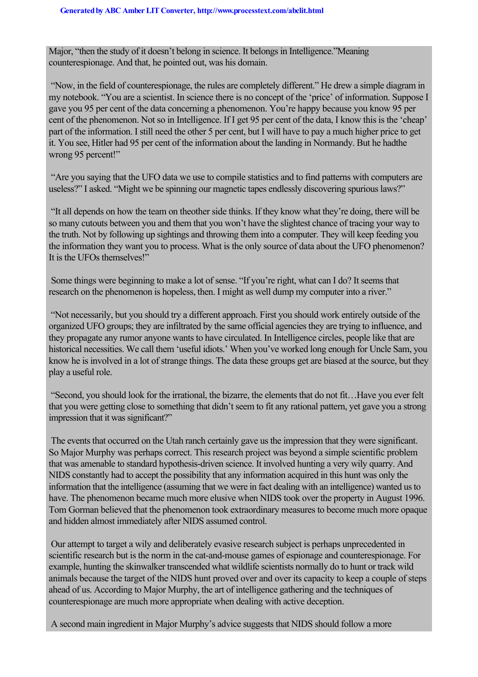Major, "then the study of it doesn't belong in science. It belongs in Intelligence."Meaning counterespionage. And that, he pointed out, was his domain.

 "Now, in the field of counterespionage, the rules are completely different." He drew a simple diagram in my notebook. "You are a scientist. In science there is no concept of the 'price' of information. Suppose I gave you 95 per cent of the data concerning a phenomenon. You're happy because you know 95 per cent of the phenomenon. Not so in Intelligence. If I get 95 per cent of the data, I know this is the 'cheap' part of the information. I still need the other 5 per cent, but I will have to pay a much higher price to get it. You see, Hitler had 95 per cent of the information about the landing in Normandy. But he hadthe wrong 95 percent!"

 "Are you saying that the UFO data we use to compile statistics and to find patterns with computers are useless?" I asked. "Might we be spinning our magnetic tapes endlessly discovering spurious laws?"

 "It all depends on how the team on theother side thinks. If they know what they're doing, there will be so many cutouts between you and them that you won't have the slightest chance of tracing your way to the truth. Not by following up sightings and throwing them into a computer. They will keep feeding you the information they want you to process. What is the only source of data about the UFO phenomenon? It is the UFOs themselves!"

 Some things were beginning to make a lot of sense. "If you're right, what can I do? It seems that research on the phenomenon is hopeless, then. I might as well dump my computer into a river."

 "Not necessarily, but you should try a different approach. First you should work entirely outside of the organized UFO groups; they are infiltrated by the same official agencies they are trying to influence, and they propagate any rumor anyone wants to have circulated. In Intelligence circles, people like that are historical necessities. We call them 'useful idiots.' When you've worked long enough for Uncle Sam, you know he is involved in a lot of strange things. The data these groups get are biased at the source, but they play a useful role.

 "Second, you should look for the irrational, the bizarre, the elements that do not fit…Have you ever felt that you were getting close to something that didn't seem to fit any rational pattern, yet gave you a strong impression that it was significant?"

 The events that occurred on the Utah ranch certainly gave us the impression that they were significant. So Major Murphy was perhaps correct. This research project was beyond a simple scientific problem that was amenable to standard hypothesis-driven science. It involved hunting a very wily quarry. And NIDS constantly had to accept the possibility that any information acquired in this hunt was only the information that the intelligence (assuming that we were in fact dealing with an intelligence) wanted us to have. The phenomenon became much more elusive when NIDS took over the property in August 1996. Tom Gorman believed that the phenomenon took extraordinary measures to become much more opaque and hidden almost immediately after NIDS assumed control.

 Our attempt to target a wily and deliberately evasive research subject is perhaps unprecedented in scientific research but is the norm in the cat-and-mouse games of espionage and counterespionage. For example, hunting the skinwalker transcended what wildlife scientists normally do to hunt or track wild animals because the target of the NIDS hunt proved over and over its capacity to keep a couple of steps ahead of us. According to Major Murphy, the art of intelligence gathering and the techniques of counterespionage are much more appropriate when dealing with active deception.

A second main ingredient in Major Murphy's advice suggests that NIDS should follow a more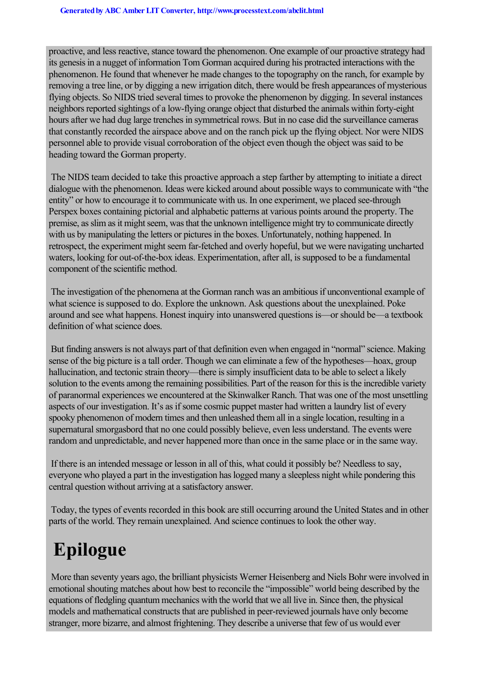proactive, and less reactive, stance toward the phenomenon. One example of our proactive strategy had its genesis in a nugget of information Tom Gorman acquired during his protracted interactions with the phenomenon. He found that whenever he made changes to the topography on the ranch, for example by removing a tree line, or by digging a new irrigation ditch, there would be fresh appearances of mysterious flying objects. So NIDS tried several times to provoke the phenomenon by digging. In several instances neighbors reported sightings of a low-flying orange object that disturbed the animals within forty-eight hours after we had dug large trenches in symmetrical rows. But in no case did the surveillance cameras that constantly recorded the airspace above and on the ranch pick up the flying object. Nor were NIDS personnel able to provide visual corroboration of the object even though the object was said to be heading toward the Gorman property.

 The NIDS team decided to take this proactive approach a step farther by attempting to initiate a direct dialogue with the phenomenon. Ideas were kicked around about possible ways to communicate with "the entity" or how to encourage it to communicate with us. In one experiment, we placed see-through Perspex boxes containing pictorial and alphabetic patterns at various points around the property. The premise, as slim as it might seem, was that the unknown intelligence might try to communicate directly with us by manipulating the letters or pictures in the boxes. Unfortunately, nothing happened. In retrospect, the experiment might seem far-fetched and overly hopeful, but we were navigating uncharted waters, looking for out-of-the-box ideas. Experimentation, after all, is supposed to be a fundamental component of the scientific method.

 The investigation of the phenomena at the Gorman ranch was an ambitious if unconventional example of what science is supposed to do. Explore the unknown. Ask questions about the unexplained. Poke around and see what happens. Honest inquiry into unanswered questions is—or should be—a textbook definition of what science does.

 But finding answers is not always part of that definition even when engaged in "normal" science. Making sense of the big picture is a tall order. Though we can eliminate a few of the hypotheses—hoax, group hallucination, and tectonic strain theory—there is simply insufficient data to be able to select a likely solution to the events among the remaining possibilities. Part of the reason for this is the incredible variety of paranormal experiences we encountered at the Skinwalker Ranch. That was one of the most unsettling aspects of our investigation. It's as if some cosmic puppet master had written a laundry list of every spooky phenomenon of modern times and then unleashed them all in a single location, resulting in a supernatural smorgasbord that no one could possibly believe, even less understand. The events were random and unpredictable, and never happened more than once in the same place or in the same way.

 If there is an intended message or lesson in all of this, what could it possibly be? Needless to say, everyone who played a part in the investigation has logged many a sleepless night while pondering this central question without arriving at a satisfactory answer.

 Today, the types of events recorded in this book are still occurring around the United States and in other parts of the world. They remain unexplained. And science continues to look the other way.

# **Epilogue**

 More than seventy years ago, the brilliant physicists Werner Heisenberg and Niels Bohr were involved in emotional shouting matches about how best to reconcile the "impossible" world being described by the equations of fledgling quantum mechanics with the world that we all live in. Since then, the physical models and mathematical constructs that are published in peer-reviewed journals have only become stranger, more bizarre, and almost frightening. They describe a universe that few of us would ever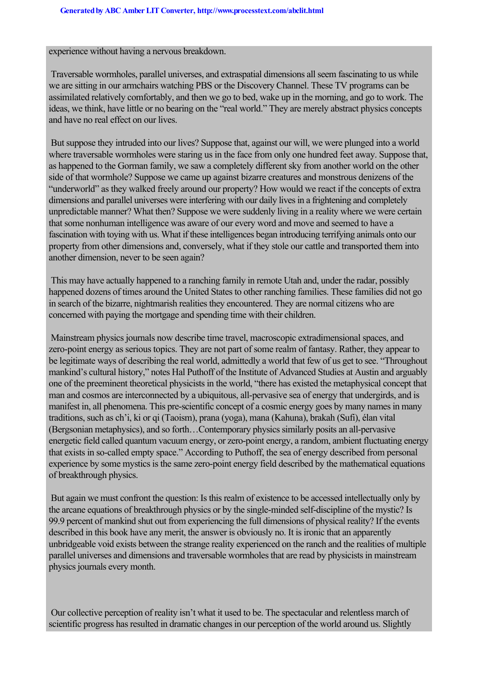#### experience without having a nervous breakdown.

 Traversable wormholes, parallel universes, and extraspatial dimensions all seem fascinating to us while we are sitting in our armchairs watching PBS or the Discovery Channel. These TV programs can be assimilated relatively comfortably, and then we go to bed, wake up in the morning, and go to work. The ideas, we think, have little or no bearing on the "real world." They are merely abstract physics concepts and have no real effect on our lives.

 But suppose they intruded into our lives? Suppose that, against our will, we were plunged into a world where traversable wormholes were staring us in the face from only one hundred feet away. Suppose that, as happened to the Gorman family, we saw a completely different sky from another world on the other side of that wormhole? Suppose we came up against bizarre creatures and monstrous denizens of the "underworld" as they walked freely around our property? How would we react if the concepts of extra dimensions and parallel universes were interfering with our daily lives in a frightening and completely unpredictable manner? What then? Suppose we were suddenly living in a reality where we were certain that some nonhuman intelligence was aware of our every word and move and seemed to have a fascination with toying with us. What if these intelligences began introducing terrifying animals onto our property from other dimensions and, conversely, what if they stole our cattle and transported them into another dimension, never to be seen again?

 This may have actually happened to a ranching family in remote Utah and, under the radar, possibly happened dozens of times around the United States to other ranching families. These families did not go in search of the bizarre, nightmarish realities they encountered. They are normal citizens who are concerned with paying the mortgage and spending time with their children.

 Mainstream physics journals now describe time travel, macroscopic extradimensional spaces, and zero-point energy as serious topics. They are not part of some realm of fantasy. Rather, they appear to be legitimate ways of describing the real world, admittedly a world that few of us get to see. "Throughout mankind's cultural history," notes Hal Puthoff of the Institute of Advanced Studies at Austin and arguably one of the preeminent theoretical physicists in the world, "there has existed the metaphysical concept that man and cosmos are interconnected by a ubiquitous, all-pervasive sea of energy that undergirds, and is manifest in, all phenomena. This pre-scientific concept of a cosmic energy goes by many names in many traditions, such as ch'i, ki or qi (Taoism), prana (yoga), mana (Kahuna), brakah (Sufi), élan vital (Bergsonian metaphysics), and so forth…Contemporary physics similarly posits an all-pervasive energetic field called quantum vacuum energy, or zero-point energy, a random, ambient fluctuating energy that exists in so-called empty space." According to Puthoff, the sea of energy described from personal experience by some mystics is the same zero-point energy field described by the mathematical equations of breakthrough physics.

 But again we must confront the question: Is this realm of existence to be accessed intellectually only by the arcane equations of breakthrough physics or by the single-minded self-discipline of the mystic? Is 99.9 percent of mankind shut out from experiencing the full dimensions of physical reality? If the events described in this book have any merit, the answer is obviously no. It is ironic that an apparently unbridgeable void exists between the strange reality experienced on the ranch and the realities of multiple parallel universes and dimensions and traversable wormholes that are read by physicists in mainstream physics journals every month.

 Our collective perception of reality isn't what it used to be. The spectacular and relentless march of scientific progress has resulted in dramatic changes in our perception of the world around us. Slightly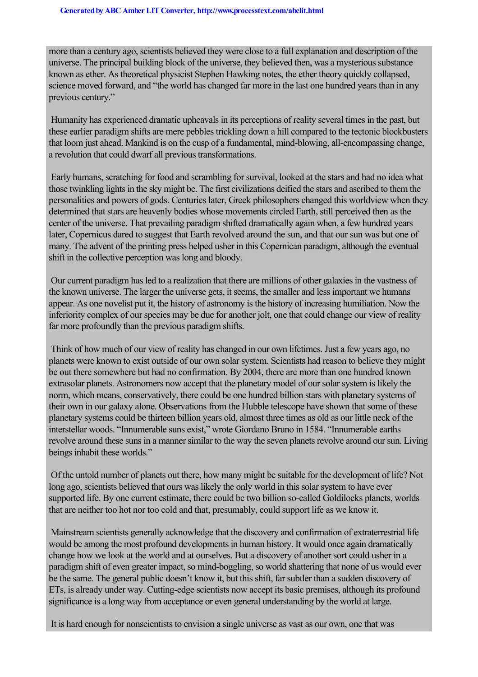more than a century ago, scientists believed they were close to a full explanation and description of the universe. The principal building block of the universe, they believed then, was a mysterious substance known as ether. As theoretical physicist Stephen Hawking notes, the ether theory quickly collapsed, science moved forward, and "the world has changed far more in the last one hundred years than in any previous century."

 Humanity has experienced dramatic upheavals in its perceptions of reality several times in the past, but these earlier paradigm shifts are mere pebbles trickling down a hill compared to the tectonic blockbusters that loom just ahead. Mankind is on the cusp of a fundamental, mind-blowing, all-encompassing change, a revolution that could dwarf all previous transformations.

 Early humans, scratching for food and scrambling for survival, looked at the stars and had no idea what those twinkling lights in the sky might be. The first civilizations deified the stars and ascribed to them the personalities and powers of gods. Centuries later, Greek philosophers changed this worldview when they determined that stars are heavenly bodies whose movements circled Earth, still perceived then as the center of the universe. That prevailing paradigm shifted dramatically again when, a few hundred years later, Copernicus dared to suggest that Earth revolved around the sun, and that our sun was but one of many. The advent of the printing press helped usher in this Copernican paradigm, although the eventual shift in the collective perception was long and bloody.

 Our current paradigm has led to a realization that there are millions of other galaxies in the vastness of the known universe. The larger the universe gets, it seems, the smaller and less important we humans appear. As one novelist put it, the history of astronomy is the history of increasing humiliation. Now the inferiority complex of our species may be due for another jolt, one that could change our view of reality far more profoundly than the previous paradigm shifts.

 Think of how much of our view of reality has changed in our own lifetimes. Just a few years ago, no planets were known to exist outside of our own solar system. Scientists had reason to believe they might be out there somewhere but had no confirmation. By 2004, there are more than one hundred known extrasolar planets. Astronomers now accept that the planetary model of our solar system is likely the norm, which means, conservatively, there could be one hundred billion stars with planetary systems of their own in our galaxy alone. Observations from the Hubble telescope have shown that some of these planetary systems could be thirteen billion years old, almost three times as old as our little neck of the interstellar woods. "Innumerable suns exist," wrote Giordano Bruno in 1584. "Innumerable earths revolve around these suns in a manner similar to the way the seven planets revolve around our sun. Living beings inhabit these worlds."

 Of the untold number of planets out there, how many might be suitable for the development of life? Not long ago, scientists believed that ours was likely the only world in this solar system to have ever supported life. By one current estimate, there could be two billion so-called Goldilocks planets, worlds that are neither too hot nor too cold and that, presumably, could support life as we know it.

 Mainstream scientists generally acknowledge that the discovery and confirmation of extraterrestrial life would be among the most profound developments in human history. It would once again dramatically change how we look at the world and at ourselves. But a discovery of another sort could usher in a paradigm shift of even greater impact, so mind-boggling, so world shattering that none of us would ever be the same. The general public doesn't know it, but this shift, far subtler than a sudden discovery of ETs, is already under way. Cutting-edge scientists now accept its basic premises, although its profound significance is a long way from acceptance or even general understanding by the world at large.

It is hard enough for nonscientists to envision a single universe as vast as our own, one that was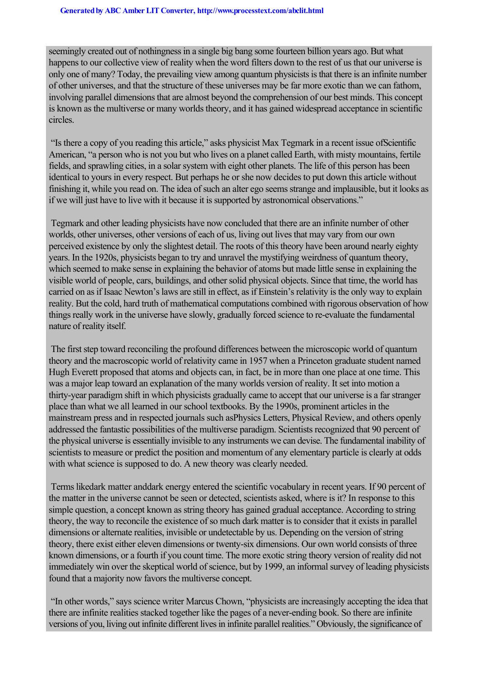seemingly created out of nothingness in a single big bang some fourteen billion years ago. But what happens to our collective view of reality when the word filters down to the rest of us that our universe is only one of many? Today, the prevailing view among quantum physicists is that there is an infinite number of other universes, and that the structure of these universes may be far more exotic than we can fathom, involving parallel dimensions that are almost beyond the comprehension of our best minds. This concept is known as the multiverse or many worlds theory, and it has gained widespread acceptance in scientific circles.

 "Is there a copy of you reading this article," asks physicist Max Tegmark in a recent issue ofScientific American, "a person who is not you but who lives on a planet called Earth, with misty mountains, fertile fields, and sprawling cities, in a solar system with eight other planets. The life of this person has been identical to yours in every respect. But perhaps he or she now decides to put down this article without finishing it, while you read on. The idea of such an alter ego seems strange and implausible, but it looks as if we will just have to live with it because it is supported by astronomical observations."

 Tegmark and other leading physicists have now concluded that there are an infinite number of other worlds, other universes, other versions of each of us, living out lives that may vary from our own perceived existence by only the slightest detail. The roots of this theory have been around nearly eighty years. In the 1920s, physicists began to try and unravel the mystifying weirdness of quantum theory, which seemed to make sense in explaining the behavior of atoms but made little sense in explaining the visible world of people, cars, buildings, and other solid physical objects. Since that time, the world has carried on as if Isaac Newton's laws are still in effect, as if Einstein's relativity is the only way to explain reality. But the cold, hard truth of mathematical computations combined with rigorous observation of how things really work in the universe have slowly, gradually forced science to re-evaluate the fundamental nature of reality itself.

 The first step toward reconciling the profound differences between the microscopic world of quantum theory and the macroscopic world of relativity came in 1957 when a Princeton graduate student named Hugh Everett proposed that atoms and objects can, in fact, be in more than one place at one time. This was a major leap toward an explanation of the many worlds version of reality. It set into motion a thirty-year paradigm shift in which physicists gradually came to accept that our universe is a far stranger place than what we all learned in our school textbooks. By the 1990s, prominent articles in the mainstream press and in respected journals such asPhysics Letters, Physical Review, and others openly addressed the fantastic possibilities of the multiverse paradigm. Scientists recognized that 90 percent of the physical universe is essentially invisible to any instruments we can devise. The fundamental inability of scientists to measure or predict the position and momentum of any elementary particle is clearly at odds with what science is supposed to do. A new theory was clearly needed.

 Terms likedark matter anddark energy entered the scientific vocabulary in recent years. If 90 percent of the matter in the universe cannot be seen or detected, scientists asked, where is it? In response to this simple question, a concept known as string theory has gained gradual acceptance. According to string theory, the way to reconcile the existence of so much dark matter is to consider that it exists in parallel dimensions or alternate realities, invisible or undetectable by us. Depending on the version of string theory, there exist either eleven dimensions or twenty-six dimensions. Our own world consists of three known dimensions, or a fourth if you count time. The more exotic string theory version of reality did not immediately win over the skeptical world of science, but by 1999, an informal survey of leading physicists found that a majority now favors the multiverse concept.

 "In other words," says science writer Marcus Chown, "physicists are increasingly accepting the idea that there are infinite realities stacked together like the pages of a never-ending book. So there are infinite versions of you, living out infinite different lives in infinite parallel realities." Obviously, the significance of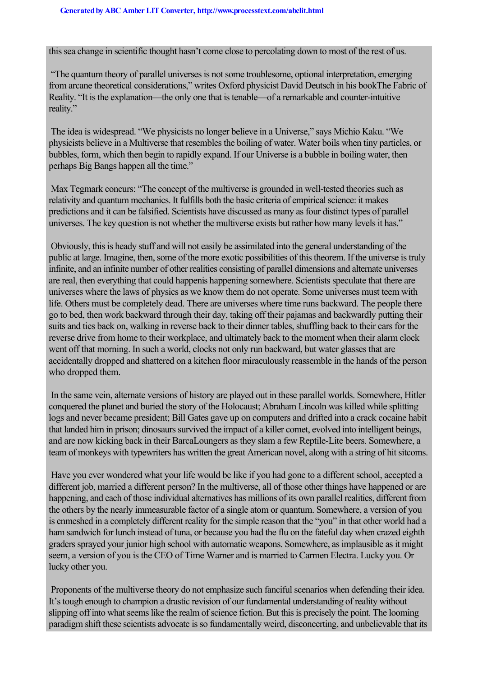this sea change in scientific thought hasn't come close to percolating down to most of the rest of us.

 "The quantum theory of parallel universes is not some troublesome, optional interpretation, emerging from arcane theoretical considerations," writes Oxford physicist David Deutsch in his bookThe Fabric of Reality. "It is the explanation—the only one that is tenable—of a remarkable and counter-intuitive reality."

 The idea is widespread. "We physicists no longer believe in a Universe," says Michio Kaku. "We physicists believe in a Multiverse that resembles the boiling of water. Water boils when tiny particles, or bubbles, form, which then begin to rapidly expand. If our Universe is a bubble in boiling water, then perhaps Big Bangs happen all the time."

 Max Tegmark concurs: "The concept of the multiverse is grounded in well-tested theories such as relativity and quantum mechanics. It fulfills both the basic criteria of empirical science: it makes predictions and it can be falsified. Scientists have discussed as many as four distinct types of parallel universes. The key question is not whether the multiverse exists but rather how many levels it has."

 Obviously, this is heady stuff and will not easily be assimilated into the general understanding of the public at large. Imagine, then, some of the more exotic possibilities of this theorem. If the universe is truly infinite, and an infinite number of other realities consisting of parallel dimensions and alternate universes are real, then everything that could happenis happening somewhere. Scientists speculate that there are universes where the laws of physics as we know them do not operate. Some universes must teem with life. Others must be completely dead. There are universes where time runs backward. The people there go to bed, then work backward through their day, taking off their pajamas and backwardly putting their suits and ties back on, walking in reverse back to their dinner tables, shuffling back to their cars for the reverse drive from home to their workplace, and ultimately back to the moment when their alarm clock went off that morning. In such a world, clocks not only run backward, but water glasses that are accidentally dropped and shattered on a kitchen floor miraculously reassemble in the hands of the person who dropped them.

 In the same vein, alternate versions of history are played out in these parallel worlds. Somewhere, Hitler conquered the planet and buried the story of the Holocaust; Abraham Lincoln was killed while splitting logs and never became president; Bill Gates gave up on computers and drifted into a crack cocaine habit that landed him in prison; dinosaurs survived the impact of a killer comet, evolved into intelligent beings, and are now kicking back in their BarcaLoungers as they slam a few Reptile-Lite beers. Somewhere, a team of monkeys with typewriters has written the great American novel, along with a string of hit sitcoms.

 Have you ever wondered what your life would be like if you had gone to a different school, accepted a different job, married a different person? In the multiverse, all of those other things have happened or are happening, and each of those individual alternatives has millions of its own parallel realities, different from the others by the nearly immeasurable factor of a single atom or quantum. Somewhere, a version of you is enmeshed in a completely different reality for the simple reason that the "you" in that other world had a ham sandwich for lunch instead of tuna, or because you had the flu on the fateful day when crazed eighth graders sprayed your junior high school with automatic weapons. Somewhere, as implausible as it might seem, a version of you is the CEO of Time Warner and is married to Carmen Electra. Lucky you. Or lucky other you.

 Proponents of the multiverse theory do not emphasize such fanciful scenarios when defending their idea. It's tough enough to champion a drastic revision of our fundamental understanding of reality without slipping off into what seems like the realm of science fiction. But this is precisely the point. The looming paradigm shift these scientists advocate is so fundamentally weird, disconcerting, and unbelievable that its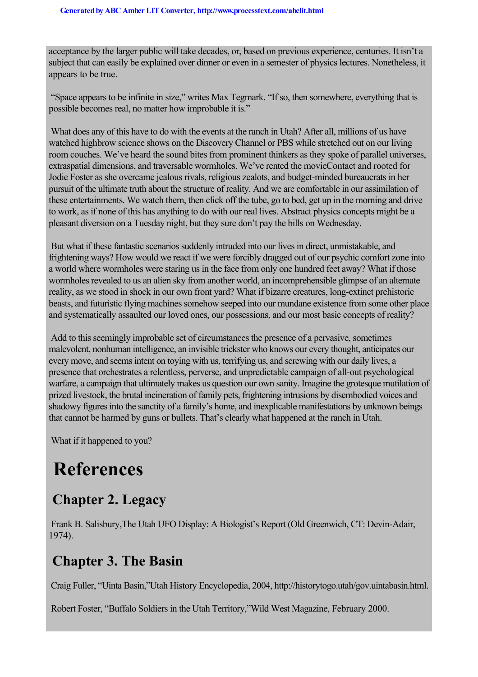acceptance by the larger public will take decades, or, based on previous experience, centuries. It isn't a subject that can easily be explained over dinner or even in a semester of physics lectures. Nonetheless, it appears to be true.

 "Space appears to be infinite in size," writes Max Tegmark. "If so, then somewhere, everything that is possible becomes real, no matter how improbable it is."

What does any of this have to do with the events at the ranch in Utah? After all, millions of us have watched highbrow science shows on the Discovery Channel or PBS while stretched out on our living room couches. We've heard the sound bites from prominent thinkers as they spoke of parallel universes, extraspatial dimensions, and traversable wormholes. We've rented the movieContact and rooted for Jodie Foster as she overcame jealous rivals, religious zealots, and budget-minded bureaucrats in her pursuit of the ultimate truth about the structure of reality. And we are comfortable in our assimilation of these entertainments. We watch them, then click off the tube, go to bed, get up in the morning and drive to work, as if none of this has anything to do with our real lives. Abstract physics concepts might be a pleasant diversion on a Tuesday night, but they sure don't pay the bills on Wednesday.

 But what if these fantastic scenarios suddenly intruded into our lives in direct, unmistakable, and frightening ways? How would we react if we were forcibly dragged out of our psychic comfort zone into a world where wormholes were staring us in the face from only one hundred feet away? What if those wormholes revealed to us an alien sky from another world, an incomprehensible glimpse of an alternate reality, as we stood in shock in our own front yard? What if bizarre creatures, long-extinct prehistoric beasts, and futuristic flying machines somehow seeped into our mundane existence from some other place and systematically assaulted our loved ones, our possessions, and our most basic concepts of reality?

 Add to this seemingly improbable set of circumstances the presence of a pervasive, sometimes malevolent, nonhuman intelligence, an invisible trickster who knows our every thought, anticipates our every move, and seems intent on toying with us, terrifying us, and screwing with our daily lives, a presence that orchestrates a relentless, perverse, and unpredictable campaign of all-out psychological warfare, a campaign that ultimately makes us question our own sanity. Imagine the grotesque mutilation of prized livestock, the brutal incineration of family pets, frightening intrusions by disembodied voices and shadowy figures into the sanctity of a family's home, and inexplicable manifestations by unknown beings that cannot be harmed by guns or bullets. That's clearly what happened at the ranch in Utah.

What if it happened to you?

# **References**

### **Chapter 2. Legacy**

 Frank B. Salisbury,The Utah UFO Display: A Biologist's Report (Old Greenwich, CT: Devin-Adair, 1974).

### **Chapter 3. The Basin**

Craig Fuller, "Uinta Basin,"Utah History Encyclopedia, 2004, <http://historytogo.utah/gov.uintabasin.html.>

Robert Foster, "Buffalo Soldiers in the Utah Territory,"Wild West Magazine, February 2000.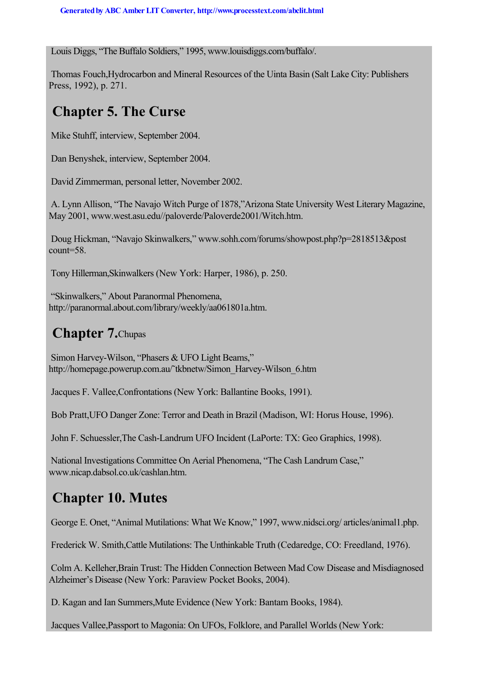Louis Diggs, "The Buffalo Soldiers," 1995, www.louisdiggs.com/buffalo/.

 Thomas Fouch,Hydrocarbon and Mineral Resources of the Uinta Basin (Salt Lake City: Publishers Press, 1992), p. 271.

### **Chapter 5. The Curse**

Mike Stuhff, interview, September 2004.

Dan Benyshek, interview, September 2004.

David Zimmerman, personal letter, November 2002.

 A. Lynn Allison, "The Navajo Witch Purge of 1878,"Arizona State University West Literary Magazine, May 2001, www.west.asu.edu//paloverde/Paloverde2001/Witch.htm.

 Doug Hickman, "Navajo Skinwalkers," www.sohh.com/forums/showpost.php?p=2818513&post count=58.

Tony Hillerman,Skinwalkers (New York: Harper, 1986), p. 250.

 "Skinwalkers," About Paranormal Phenomena, <http://paranormal.about.com/library/weekly/aa061801a.htm.>

### **Chapter 7.**Chupas

 Simon Harvey-Wilson, "Phasers & UFO Light Beams," http://homepage.powerup.com.au/~tkbnetw/Simon\_Harvey-Wilson\_6.htm

Jacques F. Vallee,Confrontations (New York: Ballantine Books, 1991).

Bob Pratt,UFO Danger Zone: Terror and Death in Brazil (Madison, WI: Horus House, 1996).

John F. Schuessler,The Cash-Landrum UFO Incident (LaPorte: TX: Geo Graphics, 1998).

 National Investigations Committee On Aerial Phenomena, "The Cash Landrum Case," www.nicap.dabsol.co.uk/cashlan.htm.

### **Chapter 10. Mutes**

George E. Onet, "Animal Mutilations: What We Know," 1997, www.nidsci.org/ articles/animal1.php.

Frederick W. Smith,Cattle Mutilations: The Unthinkable Truth (Cedaredge, CO: Freedland, 1976).

 Colm A. Kelleher,Brain Trust: The Hidden Connection Between Mad Cow Disease and Misdiagnosed Alzheimer's Disease (New York: Paraview Pocket Books, 2004).

D. Kagan and Ian Summers,Mute Evidence (New York: Bantam Books, 1984).

Jacques Vallee,Passport to Magonia: On UFOs, Folklore, and Parallel Worlds (New York: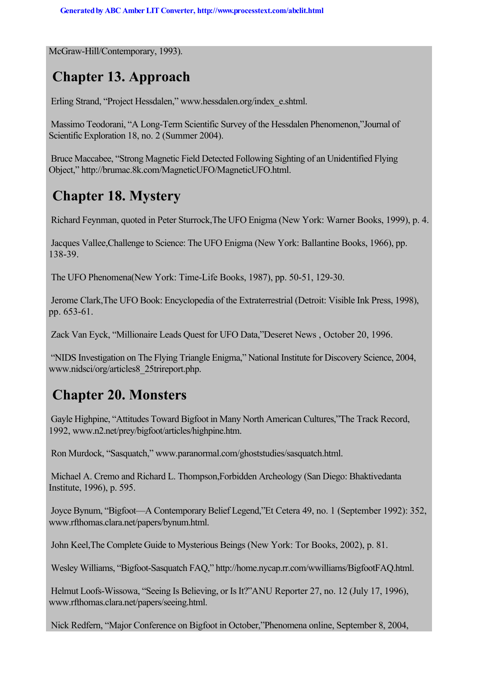McGraw-Hill/Contemporary, 1993).

### **Chapter 13. Approach**

Erling Strand, "Project Hessdalen," www.hessdalen.org/index\_e.shtml.

 Massimo Teodorani, "A Long-Term Scientific Survey of the Hessdalen Phenomenon,"Journal of Scientific Exploration 18, no. 2 (Summer 2004).

 Bruce Maccabee, "Strong Magnetic Field Detected Following Sighting of an Unidentified Flying Object," <http://brumac.8k.com/MagneticUFO/MagneticUFO.html.>

### **Chapter 18. Mystery**

Richard Feynman, quoted in Peter Sturrock,The UFO Enigma (New York: Warner Books, 1999), p. 4.

 Jacques Vallee,Challenge to Science: The UFO Enigma (New York: Ballantine Books, 1966), pp. 138-39.

The UFO Phenomena(New York: Time-Life Books, 1987), pp. 50-51, 129-30.

 Jerome Clark,The UFO Book: Encyclopedia of the Extraterrestrial (Detroit: Visible Ink Press, 1998), pp. 653-61.

Zack Van Eyck, "Millionaire Leads Quest for UFO Data,"Deseret News , October 20, 1996.

 "NIDS Investigation on The Flying Triangle Enigma," National Institute for Discovery Science, 2004, www.nidsci/org/articles8\_25trireport.php.

### **Chapter 20. Monsters**

 Gayle Highpine, "Attitudes Toward Bigfoot in Many North American Cultures,"The Track Record, 1992, www.n2.net/prey/bigfoot/articles/highpine.htm.

Ron Murdock, "Sasquatch," www.paranormal.com/ghoststudies/sasquatch.html.

 Michael A. Cremo and Richard L. Thompson,Forbidden Archeology (San Diego: Bhaktivedanta Institute, 1996), p. 595.

 Joyce Bynum, "Bigfoot—A Contemporary Belief Legend,"Et Cetera 49, no. 1 (September 1992): 352, www.rfthomas.clara.net/papers/bynum.html.

John Keel,The Complete Guide to Mysterious Beings (New York: Tor Books, 2002), p. 81.

Wesley Williams, "Bigfoot-Sasquatch FAQ," <http://home.nycap.rr.com/wwilliams/BigfootFAQ.html.>

 Helmut Loofs-Wissowa, "Seeing Is Believing, or Is It?"ANU Reporter 27, no. 12 (July 17, 1996), www.rfthomas.clara.net/papers/seeing.html.

Nick Redfern, "Major Conference on Bigfoot in October,"Phenomena online, September 8, 2004,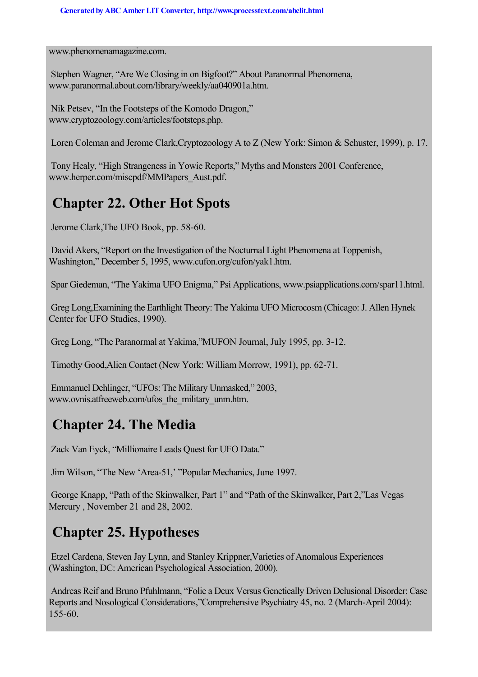#### www.phenomenamagazine.com.

 Stephen Wagner, "Are We Closing in on Bigfoot?" About Paranormal Phenomena, www.paranormal.about.com/library/weekly/aa040901a.htm.

 Nik Petsev, "In the Footsteps of the Komodo Dragon," www.cryptozoology.com/articles/footsteps.php.

Loren Coleman and Jerome Clark,Cryptozoology A to Z (New York: Simon & Schuster, 1999), p. 17.

 Tony Healy, "High Strangeness in Yowie Reports," Myths and Monsters 2001 Conference, www.herper.com/miscpdf/MMPapers\_Aust.pdf.

### **Chapter 22. Other Hot Spots**

Jerome Clark,The UFO Book, pp. 58-60.

 David Akers, "Report on the Investigation of the Nocturnal Light Phenomena at Toppenish, Washington," December 5, 1995, www.cufon.org/cufon/yak1.htm.

Spar Giedeman, "The Yakima UFO Enigma," Psi Applications, www.psiapplications.com/spar11.html.

 Greg Long,Examining the Earthlight Theory: The Yakima UFO Microcosm (Chicago: J. Allen Hynek Center for UFO Studies, 1990).

Greg Long, "The Paranormal at Yakima,"MUFON Journal, July 1995, pp. 3-12.

Timothy Good,Alien Contact (New York: William Morrow, 1991), pp. 62-71.

 Emmanuel Dehlinger, "UFOs: The Military Unmasked," 2003, www.ovnis.atfreeweb.com/ufos\_the\_military\_unm.htm.

### **Chapter 24. The Media**

Zack Van Eyck, "Millionaire Leads Quest for UFO Data."

Jim Wilson, "The New 'Area-51,' "Popular Mechanics, June 1997.

 George Knapp, "Path of the Skinwalker, Part 1" and "Path of the Skinwalker, Part 2,"Las Vegas Mercury , November 21 and 28, 2002.

### **Chapter 25. Hypotheses**

 Etzel Cardena, Steven Jay Lynn, and Stanley Krippner,Varieties of Anomalous Experiences (Washington, DC: American Psychological Association, 2000).

 Andreas Reif and Bruno Pfuhlmann, "Folie a Deux Versus Genetically Driven Delusional Disorder: Case Reports and Nosological Considerations,"Comprehensive Psychiatry 45, no. 2 (March-April 2004): 155-60.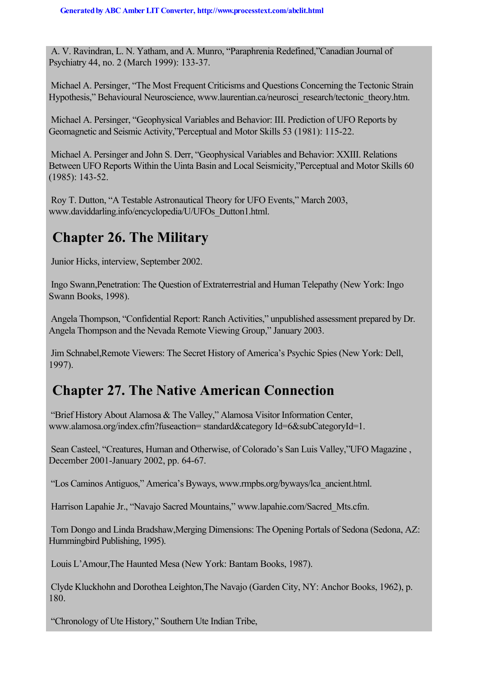A. V. Ravindran, L. N. Yatham, and A. Munro, "Paraphrenia Redefined,"Canadian Journal of Psychiatry 44, no. 2 (March 1999): 133-37.

 Michael A. Persinger, "The Most Frequent Criticisms and Questions Concerning the Tectonic Strain Hypothesis," Behavioural Neuroscience, www.laurentian.ca/neurosci\_research/tectonic\_theory.htm.

 Michael A. Persinger, "Geophysical Variables and Behavior: III. Prediction of UFO Reports by Geomagnetic and Seismic Activity,"Perceptual and Motor Skills 53 (1981): 115-22.

 Michael A. Persinger and John S. Derr, "Geophysical Variables and Behavior: XXIII. Relations Between UFO Reports Within the Uinta Basin and Local Seismicity,"Perceptual and Motor Skills 60 (1985): 143-52.

 Roy T. Dutton, "A Testable Astronautical Theory for UFO Events," March 2003, www.daviddarling.info/encyclopedia/U/UFOs\_Dutton1.html.

### **Chapter 26. The Military**

Junior Hicks, interview, September 2002.

 Ingo Swann,Penetration: The Question of Extraterrestrial and Human Telepathy (New York: Ingo Swann Books, 1998).

 Angela Thompson, "Confidential Report: Ranch Activities," unpublished assessment prepared by Dr. Angela Thompson and the Nevada Remote Viewing Group," January 2003.

 Jim Schnabel,Remote Viewers: The Secret History of America's Psychic Spies (New York: Dell, 1997).

### **Chapter 27. The Native American Connection**

 "Brief History About Alamosa & The Valley," Alamosa Visitor Information Center, www.alamosa.org/index.cfm?fuseaction= standard&category Id=6&subCategoryId=1.

 Sean Casteel, "Creatures, Human and Otherwise, of Colorado's San Luis Valley,"UFO Magazine , December 2001-January 2002, pp. 64-67.

"Los Caminos Antiguos," America's Byways, www.rmpbs.org/byways/lca\_ancient.html.

Harrison Lapahie Jr., "Navajo Sacred Mountains," www.lapahie.com/Sacred\_Mts.cfm.

 Tom Dongo and Linda Bradshaw,Merging Dimensions: The Opening Portals of Sedona (Sedona, AZ: Hummingbird Publishing, 1995).

Louis L'Amour,The Haunted Mesa (New York: Bantam Books, 1987).

 Clyde Kluckhohn and Dorothea Leighton,The Navajo (Garden City, NY: Anchor Books, 1962), p. 180.

"Chronology of Ute History," Southern Ute Indian Tribe,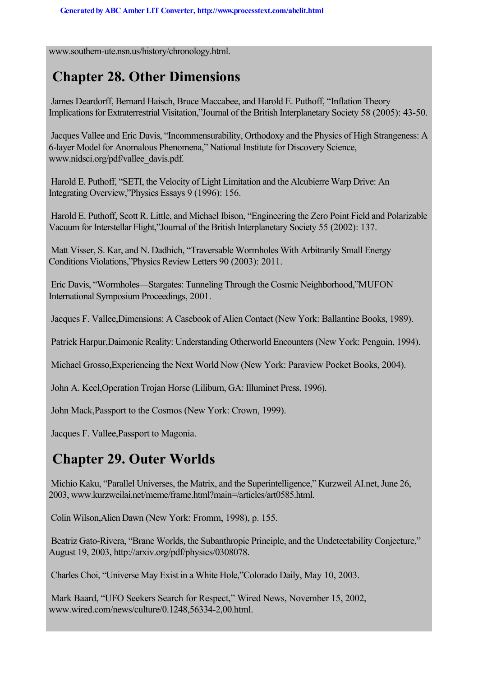www.southern-ute.nsn.us/history/chronology.html.

### **Chapter 28. Other Dimensions**

 James Deardorff, Bernard Haisch, Bruce Maccabee, and Harold E. Puthoff, "Inflation Theory Implications for Extraterrestrial Visitation,"Journal of the British Interplanetary Society 58 (2005): 43-50.

 Jacques Vallee and Eric Davis, "Incommensurability, Orthodoxy and the Physics of High Strangeness: A 6-layer Model for Anomalous Phenomena," National Institute for Discovery Science, www.nidsci.org/pdf/vallee\_davis.pdf.

 Harold E. Puthoff, "SETI, the Velocity of Light Limitation and the Alcubierre Warp Drive: An Integrating Overview,"Physics Essays 9 (1996): 156.

 Harold E. Puthoff, Scott R. Little, and Michael Ibison, "Engineering the Zero Point Field and Polarizable Vacuum for Interstellar Flight,"Journal of the British Interplanetary Society 55 (2002): 137.

 Matt Visser, S. Kar, and N. Dadhich, "Traversable Wormholes With Arbitrarily Small Energy Conditions Violations,"Physics Review Letters 90 (2003): 2011.

 Eric Davis, "Wormholes—Stargates: Tunneling Through the Cosmic Neighborhood,"MUFON International Symposium Proceedings, 2001.

Jacques F. Vallee,Dimensions: A Casebook of Alien Contact (New York: Ballantine Books, 1989).

Patrick Harpur,Daimonic Reality: Understanding Otherworld Encounters (New York: Penguin, 1994).

Michael Grosso,Experiencing the Next World Now (New York: Paraview Pocket Books, 2004).

John A. Keel,Operation Trojan Horse (Liliburn, GA: Illuminet Press, 1996).

John Mack,Passport to the Cosmos (New York: Crown, 1999).

Jacques F. Vallee,Passport to Magonia.

### **Chapter 29. Outer Worlds**

 Michio Kaku, "Parallel Universes, the Matrix, and the Superintelligence," Kurzweil AI.net, June 26, 2003, www.kurzweilai.net/meme/frame.html?main=/articles/art0585.html.

Colin Wilson,Alien Dawn (New York: Fromm, 1998), p. 155.

 Beatriz Gato-Rivera, "Brane Worlds, the Subanthropic Principle, and the Undetectability Conjecture," August 19, 2003, <http://arxiv.org/pdf/physics/0308078.>

Charles Choi, "Universe May Exist in a White Hole,"Colorado Daily, May 10, 2003.

 Mark Baard, "UFO Seekers Search for Respect," Wired News, November 15, 2002, www.wired.com/news/culture/0.1248,56334-2,00.html.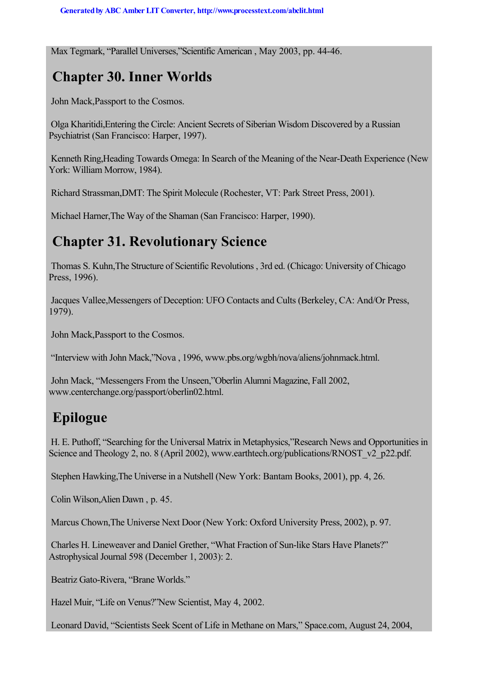Max Tegmark, "Parallel Universes,"Scientific American , May 2003, pp. 44-46.

### **Chapter 30. Inner Worlds**

John Mack,Passport to the Cosmos.

 Olga Kharitidi,Entering the Circle: Ancient Secrets of Siberian Wisdom Discovered by a Russian Psychiatrist (San Francisco: Harper, 1997).

 Kenneth Ring,Heading Towards Omega: In Search of the Meaning of the Near-Death Experience (New York: William Morrow, 1984).

Richard Strassman,DMT: The Spirit Molecule (Rochester, VT: Park Street Press, 2001).

Michael Harner,The Way of the Shaman (San Francisco: Harper, 1990).

### **Chapter 31. Revolutionary Science**

 Thomas S. Kuhn,The Structure of Scientific Revolutions , 3rd ed. (Chicago: University of Chicago Press, 1996).

 Jacques Vallee,Messengers of Deception: UFO Contacts and Cults (Berkeley, CA: And/Or Press, 1979).

John Mack,Passport to the Cosmos.

"Interview with John Mack,"Nova , 1996, www.pbs.org/wgbh/nova/aliens/johnmack.html.

 John Mack, "Messengers From the Unseen,"Oberlin Alumni Magazine, Fall 2002, www.centerchange.org/passport/oberlin02.html.

### **Epilogue**

 H. E. Puthoff, "Searching for the Universal Matrix in Metaphysics,"Research News and Opportunities in Science and Theology 2, no. 8 (April 2002), www.earthtech.org/publications/RNOST\_v2\_p22.pdf.

Stephen Hawking,The Universe in a Nutshell (New York: Bantam Books, 2001), pp. 4, 26.

Colin Wilson,Alien Dawn , p. 45.

Marcus Chown,The Universe Next Door (New York: Oxford University Press, 2002), p. 97.

 Charles H. Lineweaver and Daniel Grether, "What Fraction of Sun-like Stars Have Planets?" Astrophysical Journal 598 (December 1, 2003): 2.

Beatriz Gato-Rivera, "Brane Worlds."

Hazel Muir, "Life on Venus?"New Scientist, May 4, 2002.

Leonard David, "Scientists Seek Scent of Life in Methane on Mars," Space.com, August 24, 2004,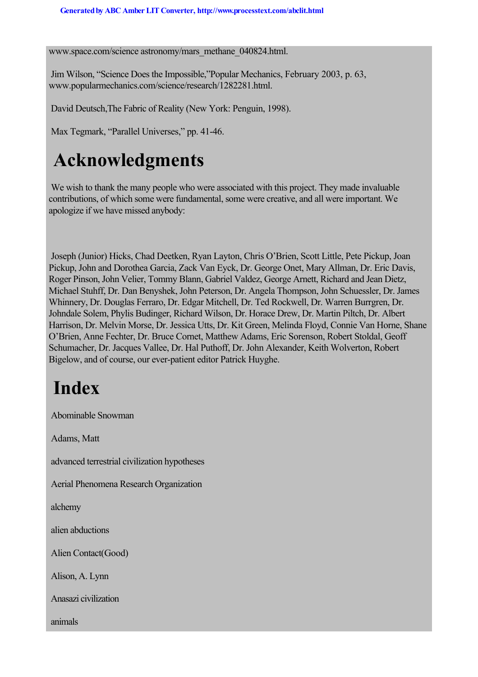www.space.com/science astronomy/mars\_methane\_040824.html.

 Jim Wilson, "Science Does the Impossible,"Popular Mechanics, February 2003, p. 63, www.popularmechanics.com/science/research/1282281.html.

David Deutsch,The Fabric of Reality (New York: Penguin, 1998).

Max Tegmark, "Parallel Universes," pp. 41-46.

## **Acknowledgments**

 We wish to thank the many people who were associated with this project. They made invaluable contributions, of which some were fundamental, some were creative, and all were important. We apologize if we have missed anybody:

 Joseph (Junior) Hicks, Chad Deetken, Ryan Layton, Chris O'Brien, Scott Little, Pete Pickup, Joan Pickup, John and Dorothea Garcia, Zack Van Eyck, Dr. George Onet, Mary Allman, Dr. Eric Davis, Roger Pinson, John Velier, Tommy Blann, Gabriel Valdez, George Arnett, Richard and Jean Dietz, Michael Stuhff, Dr. Dan Benyshek, John Peterson, Dr. Angela Thompson, John Schuessler, Dr. James Whinnery, Dr. Douglas Ferraro, Dr. Edgar Mitchell, Dr. Ted Rockwell, Dr. Warren Burrgren, Dr. Johndale Solem, Phylis Budinger, Richard Wilson, Dr. Horace Drew, Dr. Martin Piltch, Dr. Albert Harrison, Dr. Melvin Morse, Dr. Jessica Utts, Dr. Kit Green, Melinda Floyd, Connie Van Horne, Shane O'Brien, Anne Fechter, Dr. Bruce Cornet, Matthew Adams, Eric Sorenson, Robert Stoldal, Geoff Schumacher, Dr. Jacques Vallee, Dr. Hal Puthoff, Dr. John Alexander, Keith Wolverton, Robert Bigelow, and of course, our ever-patient editor Patrick Huyghe.

## **Index**

Abominable Snowman

Adams, Matt

advanced terrestrial civilization hypotheses

Aerial Phenomena Research Organization

alchemy

alien abductions

Alien Contact(Good)

Alison, A. Lynn

Anasazi civilization

animals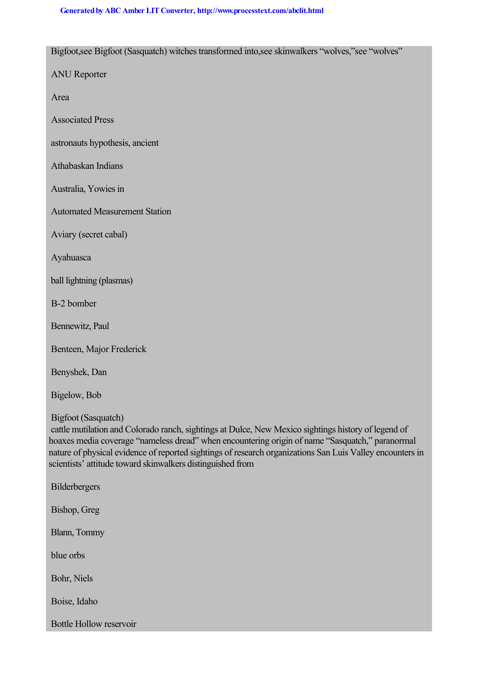#### Bigfoot,see Bigfoot (Sasquatch) witches transformed into,see skinwalkers "wolves,"see "wolves"

ANU Reporter

Area

Associated Press

astronauts hypothesis, ancient

Athabaskan Indians

Australia, Yowies in

Automated Measurement Station

Aviary (secret cabal)

Ayahuasca

ball lightning (plasmas)

B-2 bomber

Bennewitz, Paul

Benteen, Major Frederick

Benyshek, Dan

Bigelow, Bob

Bigfoot (Sasquatch)

 cattle mutilation and Colorado ranch, sightings at Dulce, New Mexico sightings history of legend of hoaxes media coverage "nameless dread" when encountering origin of name "Sasquatch," paranormal nature of physical evidence of reported sightings of research organizations San Luis Valley encounters in scientists' attitude toward skinwalkers distinguished from

Bilderbergers

Bishop, Greg

Blann, Tommy

blue orbs

Bohr, Niels

Boise, Idaho

Bottle Hollow reservoir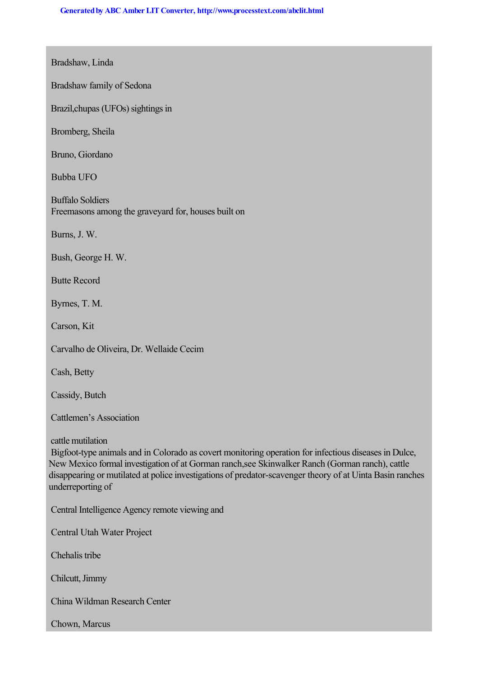Bradshaw, Linda

Bradshaw family of Sedona

Brazil,chupas (UFOs) sightings in

Bromberg, Sheila

Bruno, Giordano

Bubba UFO

 Buffalo Soldiers Freemasons among the graveyard for, houses built on

Burns, J. W.

Bush, George H. W.

Butte Record

Byrnes, T. M.

Carson, Kit

Carvalho de Oliveira, Dr. Wellaide Cecim

Cash, Betty

Cassidy, Butch

Cattlemen's Association

cattle mutilation

 Bigfoot-type animals and in Colorado as covert monitoring operation for infectious diseases in Dulce, New Mexico formal investigation of at Gorman ranch,see Skinwalker Ranch (Gorman ranch), cattle disappearing or mutilated at police investigations of predator-scavenger theory of at Uinta Basin ranches underreporting of

Central Intelligence Agency remote viewing and

Central Utah Water Project

Chehalis tribe

Chilcutt, Jimmy

China Wildman Research Center

Chown, Marcus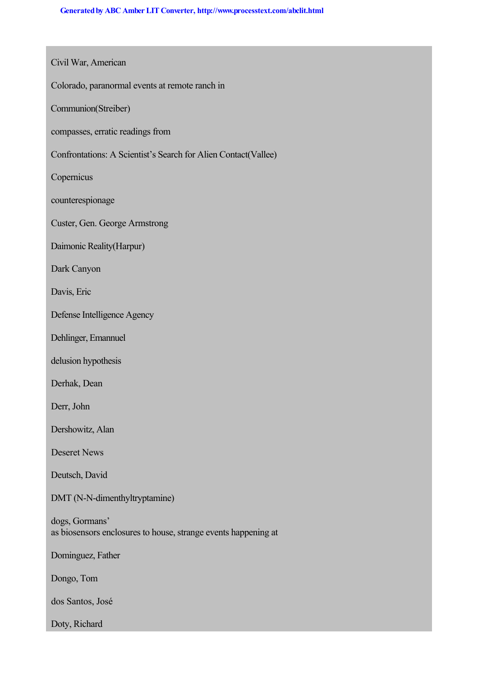Civil War, American Colorado, paranormal events at remote ranch in Communion(Streiber) compasses, erratic readings from Confrontations: A Scientist's Search for Alien Contact(Vallee) Copernicus counterespionage Custer, Gen. George Armstrong Daimonic Reality(Harpur) Dark Canyon Davis, Eric Defense Intelligence Agency Dehlinger, Emannuel delusion hypothesis Derhak, Dean Derr, John Dershowitz, Alan Deseret News Deutsch, David DMT (N-N-dimenthyltryptamine) dogs, Gormans' as biosensors enclosures to house, strange events happening at Dominguez, Father Dongo, Tom dos Santos, José Doty, Richard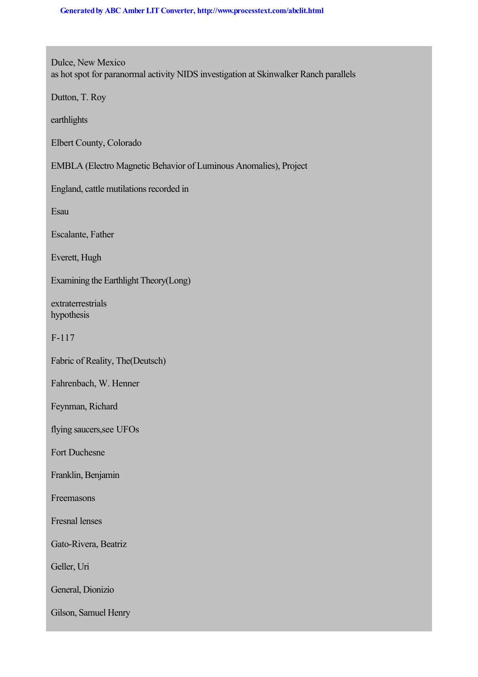Dulce, New Mexico as hot spot for paranormal activity NIDS investigation at Skinwalker Ranch parallels

Dutton, T. Roy

earthlights

Elbert County, Colorado

EMBLA (Electro Magnetic Behavior of Luminous Anomalies), Project

England, cattle mutilations recorded in

Esau

Escalante, Father

Everett, Hugh

Examining the Earthlight Theory(Long)

 extraterrestrials hypothesis

F-117

Fabric of Reality, The(Deutsch)

Fahrenbach, W. Henner

Feynman, Richard

flying saucers,see UFOs

Fort Duchesne

Franklin, Benjamin

Freemasons

Fresnal lenses

Gato-Rivera, Beatriz

Geller, Uri

General, Dionizio

Gilson, Samuel Henry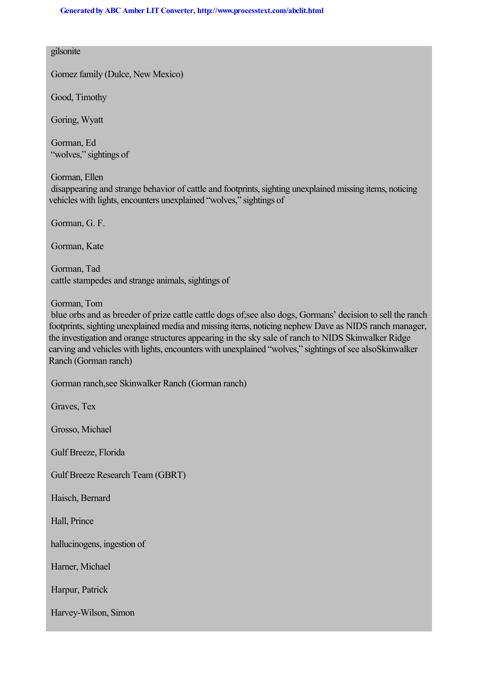#### gilsonite

Gomez family (Dulce, New Mexico)

Good, Timothy

Goring, Wyatt

 Gorman, Ed "wolves," sightings of

Gorman, Ellen

 disappearing and strange behavior of cattle and footprints, sighting unexplained missing items, noticing vehicles with lights, encounters unexplained "wolves," sightings of

Gorman, G. F.

Gorman, Kate

 Gorman, Tad cattle stampedes and strange animals, sightings of

Gorman, Tom

 blue orbs and as breeder of prize cattle cattle dogs of;see also dogs, Gormans' decision to sell the ranch footprints, sighting unexplained media and missing items, noticing nephew Dave as NIDS ranch manager, the investigation and orange structures appearing in the sky sale of ranch to NIDS Skinwalker Ridge carving and vehicles with lights, encounters with unexplained "wolves," sightings of see alsoSkinwalker Ranch (Gorman ranch)

Gorman ranch,see Skinwalker Ranch (Gorman ranch)

Graves, Tex

Grosso, Michael

Gulf Breeze, Florida

Gulf Breeze Research Team (GBRT)

Haisch, Bernard

Hall, Prince

hallucinogens, ingestion of

Harner, Michael

Harpur, Patrick

Harvey-Wilson, Simon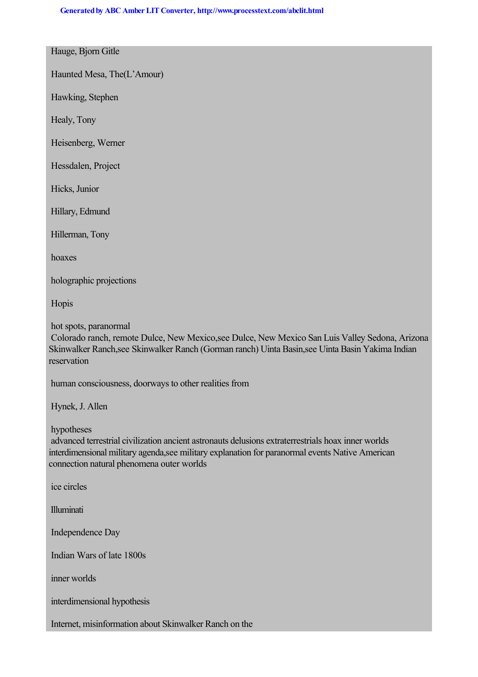#### Hauge, Bjorn Gitle

Haunted Mesa, The(L'Amour)

Hawking, Stephen

Healy, Tony

Heisenberg, Werner

Hessdalen, Project

Hicks, Junior

Hillary, Edmund

Hillerman, Tony

hoaxes

holographic projections

Hopis

hot spots, paranormal

 Colorado ranch, remote Dulce, New Mexico,see Dulce, New Mexico San Luis Valley Sedona, Arizona Skinwalker Ranch,see Skinwalker Ranch (Gorman ranch) Uinta Basin,see Uinta Basin Yakima Indian reservation

human consciousness, doorways to other realities from

Hynek, J. Allen

hypotheses

 advanced terrestrial civilization ancient astronauts delusions extraterrestrials hoax inner worlds interdimensional military agenda,see military explanation for paranormal events Native American connection natural phenomena outer worlds

ice circles

Illuminati

Independence Day

Indian Wars of late 1800s

inner worlds

interdimensional hypothesis

Internet, misinformation about Skinwalker Ranch on the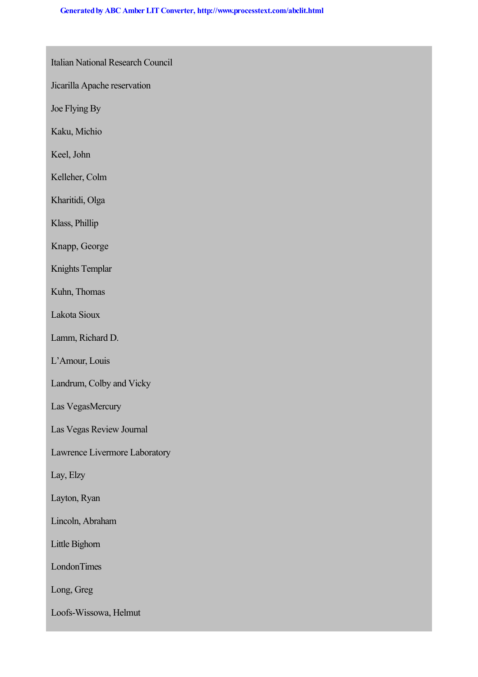| <b>Italian National Research Council</b> |
|------------------------------------------|
| Jicarilla Apache reservation             |
| Joe Flying By                            |
| Kaku, Michio                             |
| Keel, John                               |
| Kelleher, Colm                           |
| Kharitidi, Olga                          |
| Klass, Phillip                           |
| Knapp, George                            |
| Knights Templar                          |
| Kuhn, Thomas                             |
| Lakota Sioux                             |
| Lamm, Richard D.                         |
| L'Amour, Louis                           |
| Landrum, Colby and Vicky                 |
| Las VegasMercury                         |
| Las Vegas Review Journal                 |
| Lawrence Livermore Laboratory            |
| Lay, Elzy                                |
| Layton, Ryan                             |
| Lincoln, Abraham                         |
| Little Bighorn                           |
| LondonTimes                              |
| Long, Greg                               |
| Loofs-Wissowa, Helmut                    |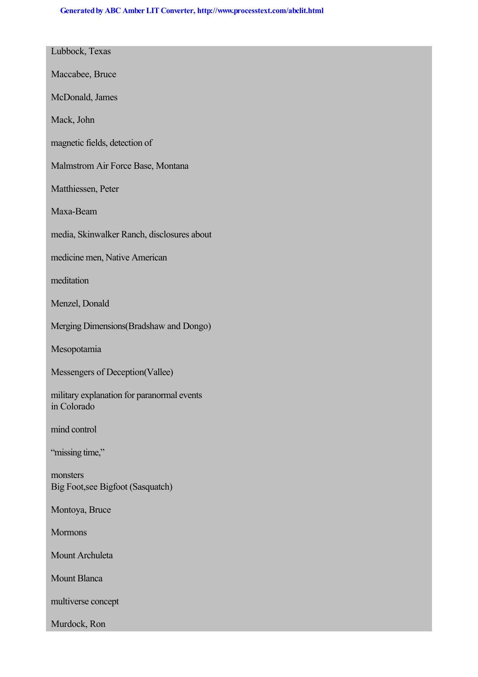| Lubbock, Texas                                            |
|-----------------------------------------------------------|
| Maccabee, Bruce                                           |
| McDonald, James                                           |
| Mack, John                                                |
| magnetic fields, detection of                             |
| Malmstrom Air Force Base, Montana                         |
| Matthiessen, Peter                                        |
| Maxa-Beam                                                 |
| media, Skinwalker Ranch, disclosures about                |
| medicine men, Native American                             |
| meditation                                                |
| Menzel, Donald                                            |
| Merging Dimensions (Bradshaw and Dongo)                   |
| Mesopotamia                                               |
| Messengers of Deception(Vallee)                           |
| military explanation for paranormal events<br>in Colorado |
| mind control                                              |
| "missing time,"                                           |
| monsters<br>Big Foot, see Bigfoot (Sasquatch)             |
| Montoya, Bruce                                            |
| <b>Mormons</b>                                            |
| Mount Archuleta                                           |
| <b>Mount Blanca</b>                                       |
| multiverse concept                                        |
| Murdock, Ron                                              |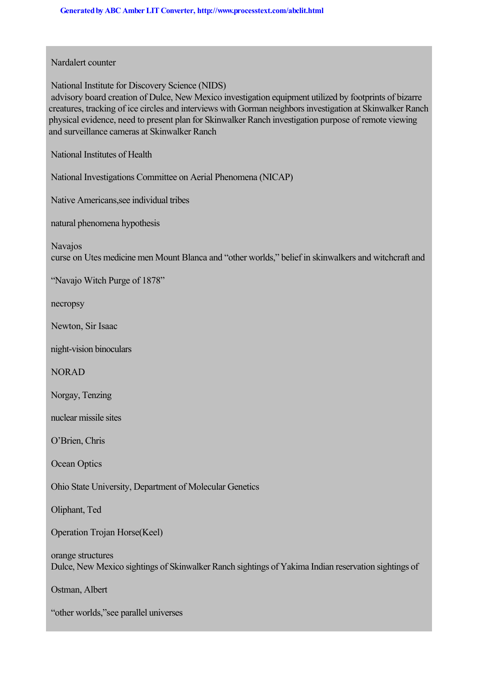# Nardalert counter

National Institute for Discovery Science (NIDS)

 advisory board creation of Dulce, New Mexico investigation equipment utilized by footprints of bizarre creatures, tracking of ice circles and interviews with Gorman neighbors investigation at Skinwalker Ranch physical evidence, need to present plan for Skinwalker Ranch investigation purpose of remote viewing and surveillance cameras at Skinwalker Ranch

National Institutes of Health

National Investigations Committee on Aerial Phenomena (NICAP)

Native Americans,see individual tribes

natural phenomena hypothesis

**Navajos** curse on Utes medicine men Mount Blanca and "other worlds," belief in skinwalkers and witchcraft and

"Navajo Witch Purge of 1878"

necropsy

Newton, Sir Isaac

night-vision binoculars

NORAD

Norgay, Tenzing

nuclear missile sites

O'Brien, Chris

Ocean Optics

Ohio State University, Department of Molecular Genetics

Oliphant, Ted

Operation Trojan Horse(Keel)

 orange structures Dulce, New Mexico sightings of Skinwalker Ranch sightings of Yakima Indian reservation sightings of

Ostman, Albert

"other worlds,"see parallel universes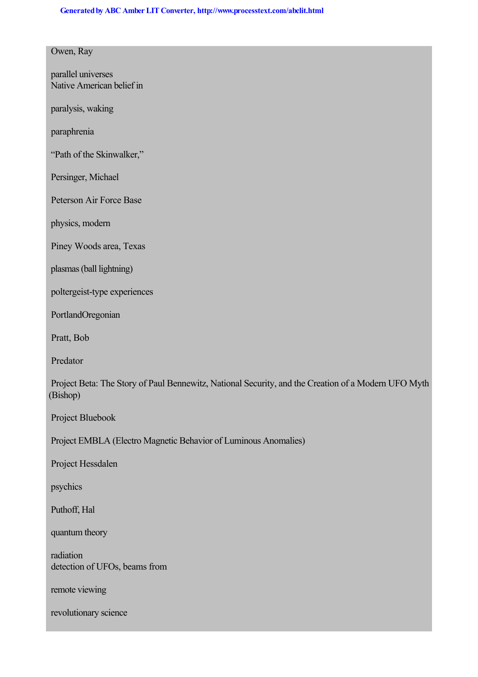# Owen, Ray

 parallel universes Native American belief in

paralysis, waking

paraphrenia

"Path of the Skinwalker,"

Persinger, Michael

Peterson Air Force Base

physics, modern

Piney Woods area, Texas

plasmas (ball lightning)

poltergeist-type experiences

PortlandOregonian

Pratt, Bob

Predator

 Project Beta: The Story of Paul Bennewitz, National Security, and the Creation of a Modern UFO Myth (Bishop)

Project Bluebook

Project EMBLA (Electro Magnetic Behavior of Luminous Anomalies)

Project Hessdalen

psychics

Puthoff, Hal

quantum theory

 radiation detection of UFOs, beams from

remote viewing

revolutionary science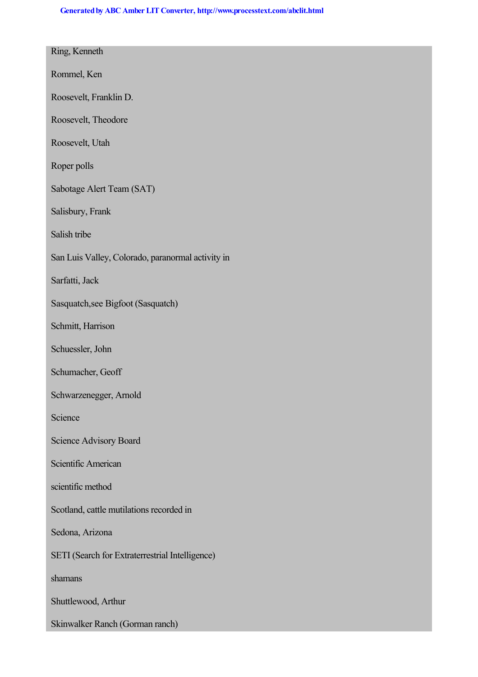| Ring, Kenneth                                          |
|--------------------------------------------------------|
| Rommel, Ken                                            |
| Roosevelt, Franklin D.                                 |
| Roosevelt, Theodore                                    |
| Roosevelt, Utah                                        |
| Roper polls                                            |
| Sabotage Alert Team (SAT)                              |
| Salisbury, Frank                                       |
| Salish tribe                                           |
| San Luis Valley, Colorado, paranormal activity in      |
| Sarfatti, Jack                                         |
| Sasquatch, see Bigfoot (Sasquatch)                     |
| Schmitt, Harrison                                      |
| Schuessler, John                                       |
| Schumacher, Geoff                                      |
| Schwarzenegger, Arnold                                 |
| Science                                                |
| <b>Science Advisory Board</b>                          |
| Scientific American                                    |
| scientific method                                      |
| Scotland, cattle mutilations recorded in               |
| Sedona, Arizona                                        |
| <b>SETI</b> (Search for Extraterrestrial Intelligence) |
| shamans                                                |
| Shuttlewood, Arthur                                    |
| Skinwalker Ranch (Gorman ranch)                        |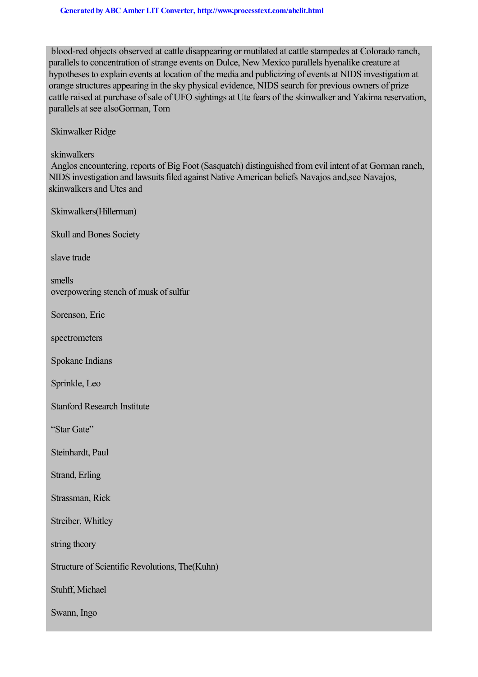blood-red objects observed at cattle disappearing or mutilated at cattle stampedes at Colorado ranch, parallels to concentration of strange events on Dulce, New Mexico parallels hyenalike creature at hypotheses to explain events at location of the media and publicizing of events at NIDS investigation at orange structures appearing in the sky physical evidence, NIDS search for previous owners of prize cattle raised at purchase of sale of UFO sightings at Ute fears of the skinwalker and Yakima reservation, parallels at see alsoGorman, Tom

Skinwalker Ridge

# skinwalkers

 Anglos encountering, reports of Big Foot (Sasquatch) distinguished from evil intent of at Gorman ranch, NIDS investigation and lawsuits filed against Native American beliefs Navajos and,see Navajos, skinwalkers and Utes and

Skinwalkers(Hillerman)

Skull and Bones Society

slave trade

 smells overpowering stench of musk of sulfur

Sorenson, Eric

spectrometers

Spokane Indians

Sprinkle, Leo

Stanford Research Institute

"Star Gate"

Steinhardt, Paul

Strand, Erling

Strassman, Rick

Streiber, Whitley

string theory

Structure of Scientific Revolutions, The(Kuhn)

Stuhff, Michael

Swann, Ingo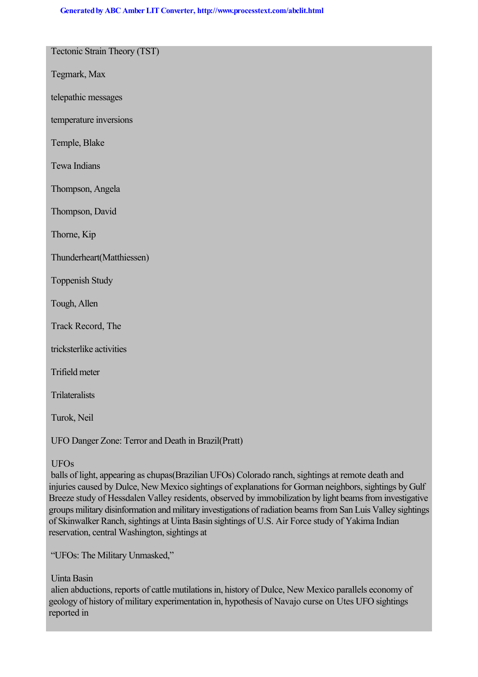Tectonic Strain Theory (TST)

Tegmark, Max

telepathic messages

temperature inversions

Temple, Blake

Tewa Indians

Thompson, Angela

Thompson, David

Thorne, Kip

Thunderheart(Matthiessen)

Toppenish Study

Tough, Allen

Track Record, The

tricksterlike activities

Trifield meter

**Trilateralists** 

Turok, Neil

UFO Danger Zone: Terror and Death in Brazil(Pratt)

#### UFOs

 balls of light, appearing as chupas(Brazilian UFOs) Colorado ranch, sightings at remote death and injuries caused by Dulce, New Mexico sightings of explanations for Gorman neighbors, sightings by Gulf Breeze study of Hessdalen Valley residents, observed by immobilization by light beams from investigative groups military disinformation and military investigations of radiation beams from San Luis Valley sightings of Skinwalker Ranch, sightings at Uinta Basin sightings of U.S. Air Force study of Yakima Indian reservation, central Washington, sightings at

"UFOs: The Military Unmasked,"

# Uinta Basin

 alien abductions, reports of cattle mutilations in, history of Dulce, New Mexico parallels economy of geology of history of military experimentation in, hypothesis of Navajo curse on Utes UFO sightings reported in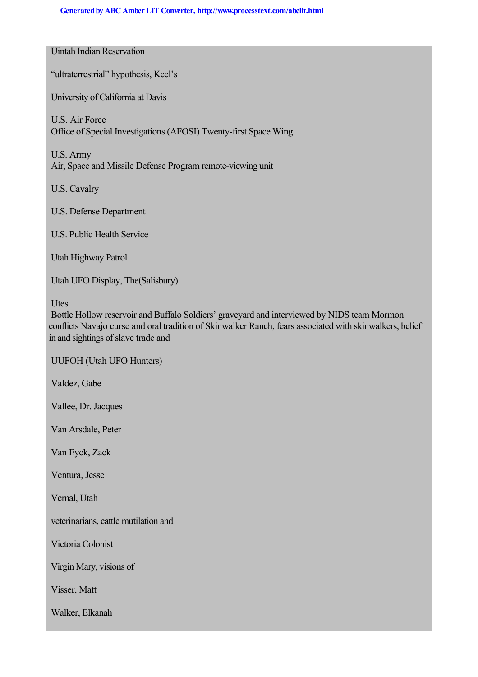# Uintah Indian Reservation

"ultraterrestrial" hypothesis, Keel's

University of California at Davis

 U.S. Air Force Office of Special Investigations (AFOSI) Twenty-first Space Wing

 U.S. Army Air, Space and Missile Defense Program remote-viewing unit

U.S. Cavalry

U.S. Defense Department

U.S. Public Health Service

Utah Highway Patrol

Utah UFO Display, The(Salisbury)

Utes

 Bottle Hollow reservoir and Buffalo Soldiers' graveyard and interviewed by NIDS team Mormon conflicts Navajo curse and oral tradition of Skinwalker Ranch, fears associated with skinwalkers, belief in and sightings of slave trade and

UUFOH (Utah UFO Hunters)

Valdez, Gabe

Vallee, Dr. Jacques

Van Arsdale, Peter

Van Eyck, Zack

Ventura, Jesse

Vernal, Utah

veterinarians, cattle mutilation and

Victoria Colonist

Virgin Mary, visions of

Visser, Matt

Walker, Elkanah